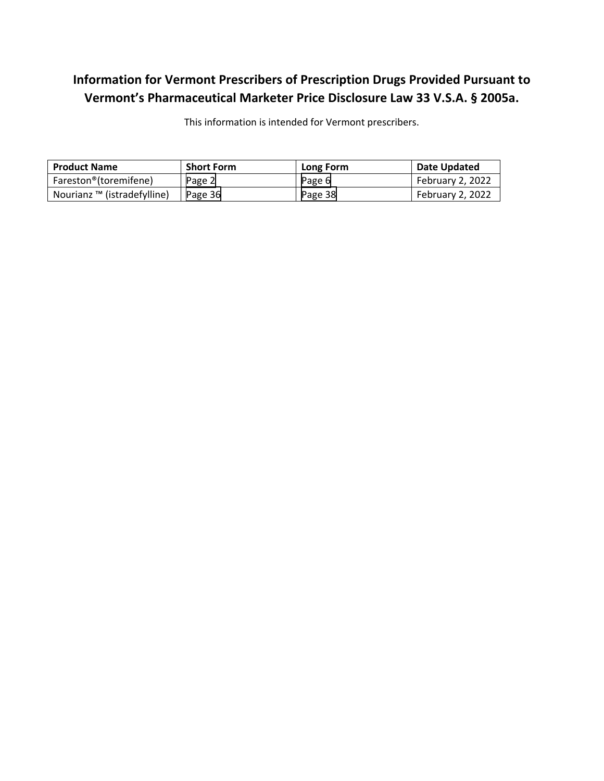# **Information for Vermont Prescribers of Prescription Drugs Provided Pursuant to Vermont's Pharmaceutical Marketer Price Disclosure Law 33 V.S.A. § 2005a.**

This information is intended for Vermont prescribers.

| <b>Product Name</b>                | <b>Short Form</b> | Long Form | Date Updated     |
|------------------------------------|-------------------|-----------|------------------|
| Fareston <sup>®</sup> (toremifene) | Page 2            | Page 6    | February 2, 2022 |
| Nourianz ™ (istradefylline)        | Page 36           | Page 38   | February 2, 2022 |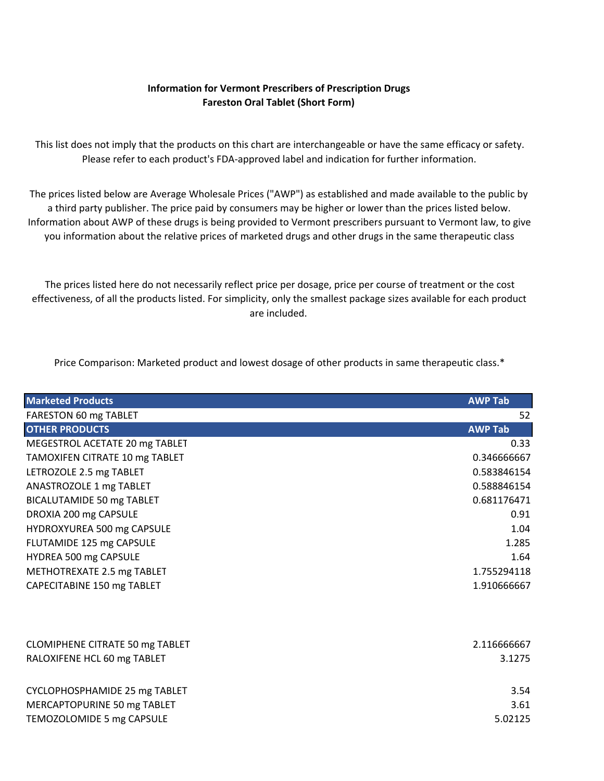## **Information for Vermont Prescribers of Prescription Drugs Fareston Oral Tablet (Short Form)**

<span id="page-1-0"></span>This list does not imply that the products on this chart are interchangeable or have the same efficacy or safety. Please refer to each product's FDA‐approved label and indication for further information.

The prices listed below are Average Wholesale Prices ("AWP") as established and made available to the public by a third party publisher. The price paid by consumers may be higher or lower than the prices listed below. Information about AWP of these drugs is being provided to Vermont prescribers pursuant to Vermont law, to give you information about the relative prices of marketed drugs and other drugs in the same therapeutic class

The prices listed here do not necessarily reflect price per dosage, price per course of treatment or the cost effectiveness, of all the products listed. For simplicity, only the smallest package sizes available for each product are included.

Price Comparison: Marketed product and lowest dosage of other products in same therapeutic class.\*

| <b>Marketed Products</b>        | <b>AWP Tab</b> |
|---------------------------------|----------------|
| FARESTON 60 mg TABLET           | 52             |
| <b>OTHER PRODUCTS</b>           | <b>AWP Tab</b> |
| MEGESTROL ACETATE 20 mg TABLET  | 0.33           |
| TAMOXIFEN CITRATE 10 mg TABLET  | 0.346666667    |
| LETROZOLE 2.5 mg TABLET         | 0.583846154    |
| ANASTROZOLE 1 mg TABLET         | 0.588846154    |
| BICALUTAMIDE 50 mg TABLET       | 0.681176471    |
| DROXIA 200 mg CAPSULE           | 0.91           |
| HYDROXYUREA 500 mg CAPSULE      | 1.04           |
| FLUTAMIDE 125 mg CAPSULE        | 1.285          |
| HYDREA 500 mg CAPSULE           | 1.64           |
| METHOTREXATE 2.5 mg TABLET      | 1.755294118    |
| CAPECITABINE 150 mg TABLET      | 1.910666667    |
|                                 |                |
| CLOMIPHENE CITRATE 50 mg TABLET | 2.116666667    |
| RALOXIFENE HCL 60 mg TABLET     | 3.1275         |
| CYCLOPHOSPHAMIDE 25 mg TABLET   | 3.54           |
| MERCAPTOPURINE 50 mg TABLET     | 3.61           |
| TEMOZOLOMIDE 5 mg CAPSULE       | 5.02125        |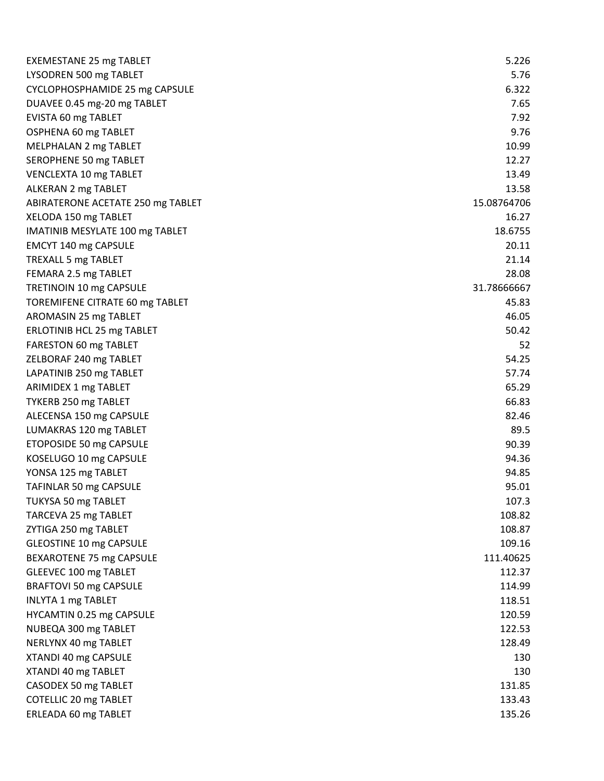| <b>EXEMESTANE 25 mg TABLET</b>    | 5.226       |
|-----------------------------------|-------------|
| LYSODREN 500 mg TABLET            | 5.76        |
| CYCLOPHOSPHAMIDE 25 mg CAPSULE    | 6.322       |
| DUAVEE 0.45 mg-20 mg TABLET       | 7.65        |
| EVISTA 60 mg TABLET               | 7.92        |
| OSPHENA 60 mg TABLET              | 9.76        |
| MELPHALAN 2 mg TABLET             | 10.99       |
| SEROPHENE 50 mg TABLET            | 12.27       |
| VENCLEXTA 10 mg TABLET            | 13.49       |
| ALKERAN 2 mg TABLET               | 13.58       |
| ABIRATERONE ACETATE 250 mg TABLET | 15.08764706 |
| XELODA 150 mg TABLET              | 16.27       |
| IMATINIB MESYLATE 100 mg TABLET   | 18.6755     |
| EMCYT 140 mg CAPSULE              | 20.11       |
| <b>TREXALL 5 mg TABLET</b>        | 21.14       |
| FEMARA 2.5 mg TABLET              | 28.08       |
| TRETINOIN 10 mg CAPSULE           | 31.78666667 |
| TOREMIFENE CITRATE 60 mg TABLET   | 45.83       |
| AROMASIN 25 mg TABLET             | 46.05       |
| ERLOTINIB HCL 25 mg TABLET        | 50.42       |
| FARESTON 60 mg TABLET             | 52          |
| ZELBORAF 240 mg TABLET            | 54.25       |
| LAPATINIB 250 mg TABLET           | 57.74       |
| ARIMIDEX 1 mg TABLET              | 65.29       |
| TYKERB 250 mg TABLET              | 66.83       |
| ALECENSA 150 mg CAPSULE           | 82.46       |
| LUMAKRAS 120 mg TABLET            | 89.5        |
| ETOPOSIDE 50 mg CAPSULE           | 90.39       |
| KOSELUGO 10 mg CAPSULE            | 94.36       |
| YONSA 125 mg TABLET               | 94.85       |
| TAFINLAR 50 mg CAPSULE            | 95.01       |
| TUKYSA 50 mg TABLET               | 107.3       |
| TARCEVA 25 mg TABLET              | 108.82      |
| ZYTIGA 250 mg TABLET              | 108.87      |
| <b>GLEOSTINE 10 mg CAPSULE</b>    | 109.16      |
| BEXAROTENE 75 mg CAPSULE          | 111.40625   |
| GLEEVEC 100 mg TABLET             | 112.37      |
| <b>BRAFTOVI 50 mg CAPSULE</b>     | 114.99      |
| <b>INLYTA 1 mg TABLET</b>         | 118.51      |
| HYCAMTIN 0.25 mg CAPSULE          | 120.59      |
| NUBEQA 300 mg TABLET              | 122.53      |
| NERLYNX 40 mg TABLET              | 128.49      |
| XTANDI 40 mg CAPSULE              | 130         |
| XTANDI 40 mg TABLET               | 130         |
| CASODEX 50 mg TABLET              | 131.85      |
| <b>COTELLIC 20 mg TABLET</b>      | 133.43      |
| ERLEADA 60 mg TABLET              | 135.26      |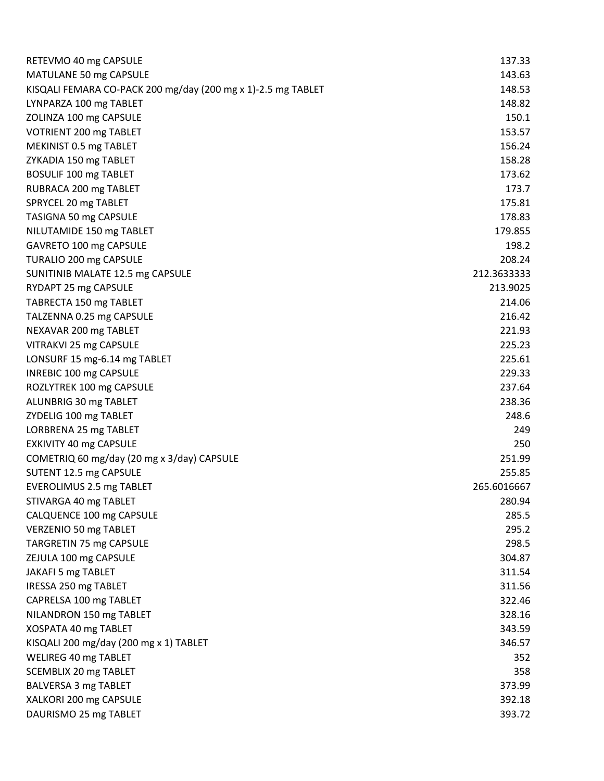| RETEVMO 40 mg CAPSULE                                        | 137.33      |
|--------------------------------------------------------------|-------------|
| MATULANE 50 mg CAPSULE                                       | 143.63      |
| KISQALI FEMARA CO-PACK 200 mg/day (200 mg x 1)-2.5 mg TABLET | 148.53      |
| LYNPARZA 100 mg TABLET                                       | 148.82      |
| ZOLINZA 100 mg CAPSULE                                       | 150.1       |
| VOTRIENT 200 mg TABLET                                       | 153.57      |
| MEKINIST 0.5 mg TABLET                                       | 156.24      |
| ZYKADIA 150 mg TABLET                                        | 158.28      |
| BOSULIF 100 mg TABLET                                        | 173.62      |
| RUBRACA 200 mg TABLET                                        | 173.7       |
| SPRYCEL 20 mg TABLET                                         | 175.81      |
| TASIGNA 50 mg CAPSULE                                        | 178.83      |
| NILUTAMIDE 150 mg TABLET                                     | 179.855     |
| GAVRETO 100 mg CAPSULE                                       | 198.2       |
| TURALIO 200 mg CAPSULE                                       | 208.24      |
| SUNITINIB MALATE 12.5 mg CAPSULE                             | 212.3633333 |
| RYDAPT 25 mg CAPSULE                                         | 213.9025    |
| TABRECTA 150 mg TABLET                                       | 214.06      |
| TALZENNA 0.25 mg CAPSULE                                     | 216.42      |
| NEXAVAR 200 mg TABLET                                        | 221.93      |
| VITRAKVI 25 mg CAPSULE                                       | 225.23      |
| LONSURF 15 mg-6.14 mg TABLET                                 | 225.61      |
| INREBIC 100 mg CAPSULE                                       | 229.33      |
| ROZLYTREK 100 mg CAPSULE                                     | 237.64      |
| ALUNBRIG 30 mg TABLET                                        | 238.36      |
| ZYDELIG 100 mg TABLET                                        | 248.6       |
| LORBRENA 25 mg TABLET                                        | 249         |
| EXKIVITY 40 mg CAPSULE                                       | 250         |
| COMETRIQ 60 mg/day (20 mg x 3/day) CAPSULE                   | 251.99      |
| SUTENT 12.5 mg CAPSULE                                       | 255.85      |
| <b>EVEROLIMUS 2.5 mg TABLET</b>                              | 265.6016667 |
| STIVARGA 40 mg TABLET                                        | 280.94      |
| CALQUENCE 100 mg CAPSULE                                     | 285.5       |
| VERZENIO 50 mg TABLET                                        | 295.2       |
| TARGRETIN 75 mg CAPSULE                                      | 298.5       |
| ZEJULA 100 mg CAPSULE                                        | 304.87      |
| JAKAFI 5 mg TABLET                                           | 311.54      |
| IRESSA 250 mg TABLET                                         | 311.56      |
| CAPRELSA 100 mg TABLET                                       | 322.46      |
| NILANDRON 150 mg TABLET                                      | 328.16      |
| XOSPATA 40 mg TABLET                                         | 343.59      |
| KISQALI 200 mg/day (200 mg x 1) TABLET                       | 346.57      |
| WELIREG 40 mg TABLET                                         | 352         |
| SCEMBLIX 20 mg TABLET                                        | 358         |
| BALVERSA 3 mg TABLET                                         | 373.99      |
| XALKORI 200 mg CAPSULE                                       | 392.18      |
| DAURISMO 25 mg TABLET                                        | 393.72      |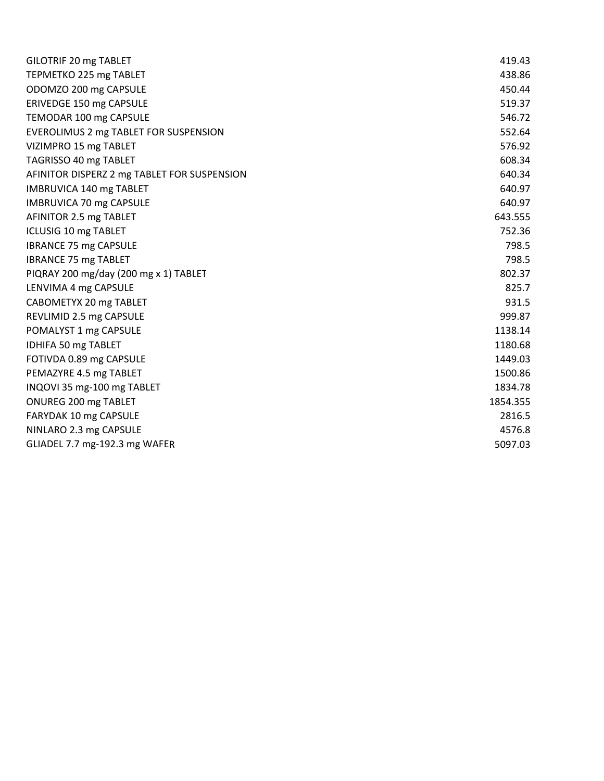| GILOTRIF 20 mg TABLET                       | 419.43   |
|---------------------------------------------|----------|
| TEPMETKO 225 mg TABLET                      | 438.86   |
| ODOMZO 200 mg CAPSULE                       | 450.44   |
| ERIVEDGE 150 mg CAPSULE                     | 519.37   |
| TEMODAR 100 mg CAPSULE                      | 546.72   |
| EVEROLIMUS 2 mg TABLET FOR SUSPENSION       | 552.64   |
| VIZIMPRO 15 mg TABLET                       | 576.92   |
| TAGRISSO 40 mg TABLET                       | 608.34   |
| AFINITOR DISPERZ 2 mg TABLET FOR SUSPENSION | 640.34   |
| <b>IMBRUVICA 140 mg TABLET</b>              | 640.97   |
| <b>IMBRUVICA 70 mg CAPSULE</b>              | 640.97   |
| AFINITOR 2.5 mg TABLET                      | 643.555  |
| <b>ICLUSIG 10 mg TABLET</b>                 | 752.36   |
| <b>IBRANCE 75 mg CAPSULE</b>                | 798.5    |
| <b>IBRANCE 75 mg TABLET</b>                 | 798.5    |
| PIQRAY 200 mg/day (200 mg x 1) TABLET       | 802.37   |
| LENVIMA 4 mg CAPSULE                        | 825.7    |
| CABOMETYX 20 mg TABLET                      | 931.5    |
| REVLIMID 2.5 mg CAPSULE                     | 999.87   |
| POMALYST 1 mg CAPSULE                       | 1138.14  |
| IDHIFA 50 mg TABLET                         | 1180.68  |
| FOTIVDA 0.89 mg CAPSULE                     | 1449.03  |
| PEMAZYRE 4.5 mg TABLET                      | 1500.86  |
| INQOVI 35 mg-100 mg TABLET                  | 1834.78  |
| ONUREG 200 mg TABLET                        | 1854.355 |
| FARYDAK 10 mg CAPSULE                       | 2816.5   |
| NINLARO 2.3 mg CAPSULE                      | 4576.8   |
| GLIADEL 7.7 mg-192.3 mg WAFER               | 5097.03  |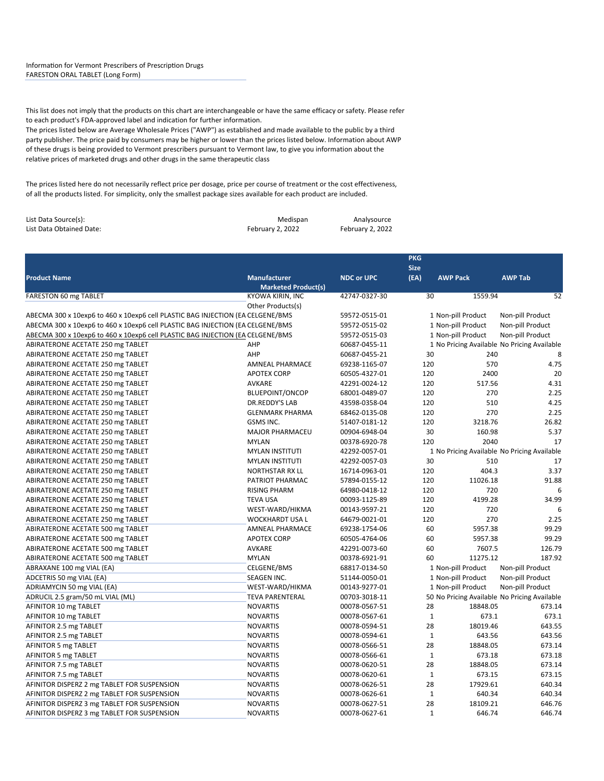#### <span id="page-5-0"></span>Information for Vermont Prescribers of Prescription Drugs FARESTON ORAL TABLET (Long Form)

This list does not imply that the products on this chart are interchangeable or have the same efficacy or safety. Please refer to each product's FDA‐approved label and indication for further information.

The prices listed below are Average Wholesale Prices ("AWP") as established and made available to the public by a third party publisher. The price paid by consumers may be higher or lower than the prices listed below. Information about AWP of these drugs is being provided to Vermont prescribers pursuant to Vermont law, to give you information about the relative prices of marketed drugs and other drugs in the same therapeutic class

The prices listed here do not necessarily reflect price per dosage, price per course of treatment or the cost effectiveness, of all the products listed. For simplicity, only the smallest package sizes available for each product are included.

| List Data Source(s):     | Medispan         | Analysource      |
|--------------------------|------------------|------------------|
| List Data Obtained Date: | February 2, 2022 | February 2, 2022 |

|                                                                                |                            |                   | <b>PKG</b><br><b>Size</b> |                    |                                              |
|--------------------------------------------------------------------------------|----------------------------|-------------------|---------------------------|--------------------|----------------------------------------------|
| <b>Product Name</b>                                                            | <b>Manufacturer</b>        | <b>NDC or UPC</b> | (EA)                      | <b>AWP Pack</b>    | <b>AWP Tab</b>                               |
|                                                                                | <b>Marketed Product(s)</b> |                   |                           |                    |                                              |
| FARESTON 60 mg TABLET                                                          | KYOWA KIRIN, INC           | 42747-0327-30     | 30                        | 1559.94            | 52                                           |
|                                                                                | Other Products(s)          |                   |                           |                    |                                              |
| ABECMA 300 x 10exp6 to 460 x 10exp6 cell PLASTIC BAG INJECTION (EA CELGENE/BMS |                            | 59572-0515-01     |                           | 1 Non-pill Product | Non-pill Product                             |
| ABECMA 300 x 10exp6 to 460 x 10exp6 cell PLASTIC BAG INJECTION (EA CELGENE/BMS |                            | 59572-0515-02     |                           | 1 Non-pill Product | Non-pill Product                             |
| ABECMA 300 x 10exp6 to 460 x 10exp6 cell PLASTIC BAG INJECTION (EA CELGENE/BMS |                            | 59572-0515-03     |                           | 1 Non-pill Product | Non-pill Product                             |
| ABIRATERONE ACETATE 250 mg TABLET                                              | AHP                        | 60687-0455-11     |                           |                    | 1 No Pricing Available No Pricing Available  |
| ABIRATERONE ACETATE 250 mg TABLET                                              | AHP                        | 60687-0455-21     | 30                        | 240                | 8                                            |
| ABIRATERONE ACETATE 250 mg TABLET                                              | <b>AMNEAL PHARMACE</b>     | 69238-1165-07     | 120                       | 570                | 4.75                                         |
| ABIRATERONE ACETATE 250 mg TABLET                                              | <b>APOTEX CORP</b>         | 60505-4327-01     | 120                       | 2400               | 20                                           |
| ABIRATERONE ACETATE 250 mg TABLET                                              | <b>AVKARE</b>              | 42291-0024-12     | 120                       | 517.56             | 4.31                                         |
| ABIRATERONE ACETATE 250 mg TABLET                                              | <b>BLUEPOINT/ONCOP</b>     | 68001-0489-07     | 120                       | 270<br>510         | 2.25                                         |
| ABIRATERONE ACETATE 250 mg TABLET                                              | DR.REDDY'S LAB             | 43598-0358-04     | 120                       |                    | 4.25                                         |
| ABIRATERONE ACETATE 250 mg TABLET                                              | <b>GLENMARK PHARMA</b>     | 68462-0135-08     | 120                       | 270                | 2.25                                         |
| ABIRATERONE ACETATE 250 mg TABLET                                              | <b>GSMS INC.</b>           | 51407-0181-12     | 120                       | 3218.76            | 26.82                                        |
| ABIRATERONE ACETATE 250 mg TABLET                                              | <b>MAJOR PHARMACEU</b>     | 00904-6948-04     | 30                        | 160.98             | 5.37                                         |
| ABIRATERONE ACETATE 250 mg TABLET                                              | <b>MYLAN</b>               | 00378-6920-78     | 120                       | 2040               | 17                                           |
| ABIRATERONE ACETATE 250 mg TABLET                                              | <b>MYLAN INSTITUTI</b>     | 42292-0057-01     |                           |                    | 1 No Pricing Available No Pricing Available  |
| ABIRATERONE ACETATE 250 mg TABLET                                              | <b>MYLAN INSTITUTI</b>     | 42292-0057-03     | 30                        | 510                | 17                                           |
| ABIRATERONE ACETATE 250 mg TABLET                                              | <b>NORTHSTAR RX LL</b>     | 16714-0963-01     | 120                       | 404.3              | 3.37                                         |
| ABIRATERONE ACETATE 250 mg TABLET                                              | PATRIOT PHARMAC            | 57894-0155-12     | 120                       | 11026.18           | 91.88                                        |
| ABIRATERONE ACETATE 250 mg TABLET                                              | <b>RISING PHARM</b>        | 64980-0418-12     | 120                       | 720                | 6                                            |
| ABIRATERONE ACETATE 250 mg TABLET                                              | <b>TEVA USA</b>            | 00093-1125-89     | 120                       | 4199.28            | 34.99                                        |
| ABIRATERONE ACETATE 250 mg TABLET                                              | WEST-WARD/HIKMA            | 00143-9597-21     | 120                       | 720                | 6                                            |
| ABIRATERONE ACETATE 250 mg TABLET                                              | <b>WOCKHARDT USA L</b>     | 64679-0021-01     | 120                       | 270                | 2.25                                         |
| ABIRATERONE ACETATE 500 mg TABLET                                              | <b>AMNEAL PHARMACE</b>     | 69238-1754-06     | 60                        | 5957.38            | 99.29                                        |
| ABIRATERONE ACETATE 500 mg TABLET                                              | <b>APOTEX CORP</b>         | 60505-4764-06     | 60                        | 5957.38            | 99.29                                        |
| ABIRATERONE ACETATE 500 mg TABLET                                              | AVKARE                     | 42291-0073-60     | 60                        | 7607.5             | 126.79                                       |
| ABIRATERONE ACETATE 500 mg TABLET                                              | <b>MYLAN</b>               | 00378-6921-91     | 60                        | 11275.12           | 187.92                                       |
| ABRAXANE 100 mg VIAL (EA)                                                      | CELGENE/BMS                | 68817-0134-50     |                           | 1 Non-pill Product | Non-pill Product                             |
| ADCETRIS 50 mg VIAL (EA)                                                       | SEAGEN INC.                | 51144-0050-01     |                           | 1 Non-pill Product | Non-pill Product                             |
| ADRIAMYCIN 50 mg VIAL (EA)                                                     | WEST-WARD/HIKMA            | 00143-9277-01     |                           | 1 Non-pill Product | Non-pill Product                             |
| ADRUCIL 2.5 gram/50 mL VIAL (ML)                                               | <b>TEVA PARENTERAL</b>     | 00703-3018-11     |                           |                    | 50 No Pricing Available No Pricing Available |
| AFINITOR 10 mg TABLET                                                          | <b>NOVARTIS</b>            | 00078-0567-51     | 28                        | 18848.05           | 673.14                                       |
| AFINITOR 10 mg TABLET                                                          | <b>NOVARTIS</b>            | 00078-0567-61     | $\mathbf 1$               | 673.1              | 673.1                                        |
| AFINITOR 2.5 mg TABLET                                                         | <b>NOVARTIS</b>            | 00078-0594-51     | 28                        | 18019.46           | 643.55                                       |
| AFINITOR 2.5 mg TABLET                                                         | <b>NOVARTIS</b>            | 00078-0594-61     | $\mathbf 1$               | 643.56             | 643.56                                       |
| AFINITOR 5 mg TABLET                                                           | <b>NOVARTIS</b>            | 00078-0566-51     | 28                        | 18848.05           | 673.14                                       |
| AFINITOR 5 mg TABLET                                                           | <b>NOVARTIS</b>            | 00078-0566-61     | $\mathbf 1$               | 673.18             | 673.18                                       |
| AFINITOR 7.5 mg TABLET                                                         | <b>NOVARTIS</b>            | 00078-0620-51     | 28                        | 18848.05           | 673.14                                       |
| AFINITOR 7.5 mg TABLET                                                         | <b>NOVARTIS</b>            | 00078-0620-61     | $\mathbf{1}$              | 673.15             | 673.15                                       |
| AFINITOR DISPERZ 2 mg TABLET FOR SUSPENSION                                    | <b>NOVARTIS</b>            | 00078-0626-51     | 28                        | 17929.61           | 640.34                                       |
| AFINITOR DISPERZ 2 mg TABLET FOR SUSPENSION                                    | <b>NOVARTIS</b>            | 00078-0626-61     | $\mathbf 1$               | 640.34             | 640.34                                       |
| AFINITOR DISPERZ 3 mg TABLET FOR SUSPENSION                                    | <b>NOVARTIS</b>            | 00078-0627-51     | 28                        | 18109.21           | 646.76                                       |
| AFINITOR DISPERZ 3 mg TABLET FOR SUSPENSION                                    | <b>NOVARTIS</b>            | 00078-0627-61     | $\mathbf{1}$              | 646.74             | 646.74                                       |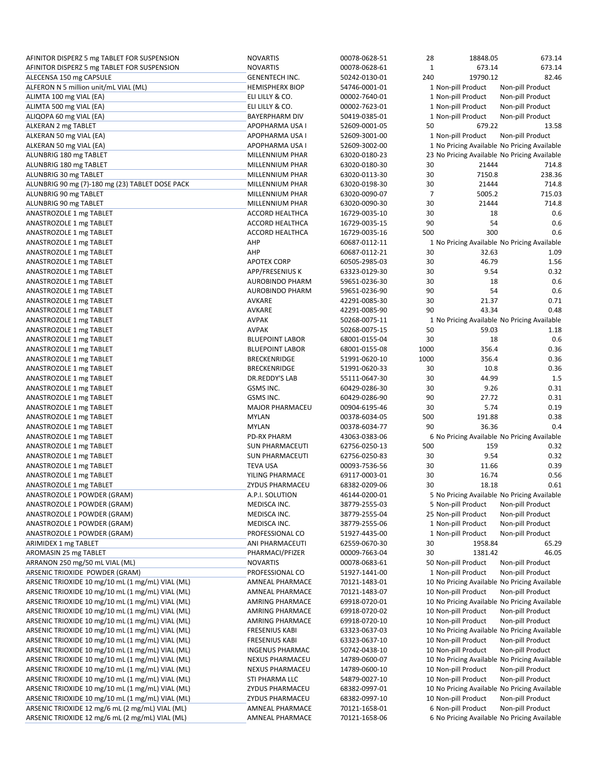| AFINITOR DISPERZ 5 mg TABLET FOR SUSPENSION      | <b>NOVARTIS</b>        | 00078-0628-51 | 28             | 18848.05                                     | 673.14           |
|--------------------------------------------------|------------------------|---------------|----------------|----------------------------------------------|------------------|
| AFINITOR DISPERZ 5 mg TABLET FOR SUSPENSION      | <b>NOVARTIS</b>        | 00078-0628-61 | $1\,$          | 673.14                                       | 673.14           |
| ALECENSA 150 mg CAPSULE                          | <b>GENENTECH INC.</b>  | 50242-0130-01 | 240            | 19790.12                                     | 82.46            |
| ALFERON N 5 million unit/mL VIAL (ML)            | <b>HEMISPHERX BIOP</b> | 54746-0001-01 |                | 1 Non-pill Product                           | Non-pill Product |
| ALIMTA 100 mg VIAL (EA)                          | ELI LILLY & CO.        | 00002-7640-01 |                | 1 Non-pill Product                           | Non-pill Product |
| ALIMTA 500 mg VIAL (EA)                          | ELI LILLY & CO.        | 00002-7623-01 |                | 1 Non-pill Product                           | Non-pill Product |
| ALIQOPA 60 mg VIAL (EA)                          | <b>BAYERPHARM DIV</b>  | 50419-0385-01 |                | 1 Non-pill Product                           | Non-pill Product |
| ALKERAN 2 mg TABLET                              | APOPHARMA USA I        | 52609-0001-05 | 50             | 679.22                                       | 13.58            |
| ALKERAN 50 mg VIAL (EA)                          | APOPHARMA USA I        | 52609-3001-00 |                | 1 Non-pill Product                           | Non-pill Product |
| ALKERAN 50 mg VIAL (EA)                          | APOPHARMA USA I        | 52609-3002-00 |                | 1 No Pricing Available No Pricing Available  |                  |
| ALUNBRIG 180 mg TABLET                           | MILLENNIUM PHAR        | 63020-0180-23 |                | 23 No Pricing Available No Pricing Available |                  |
|                                                  | MILLENNIUM PHAR        | 63020-0180-30 | 30             | 21444                                        | 714.8            |
| ALUNBRIG 180 mg TABLET                           |                        | 63020-0113-30 |                |                                              |                  |
| ALUNBRIG 30 mg TABLET                            | MILLENNIUM PHAR        |               | 30             | 7150.8                                       | 238.36           |
| ALUNBRIG 90 mg (7)-180 mg (23) TABLET DOSE PACK  | MILLENNIUM PHAR        | 63020-0198-30 | 30             | 21444                                        | 714.8            |
| ALUNBRIG 90 mg TABLET                            | MILLENNIUM PHAR        | 63020-0090-07 | $\overline{7}$ | 5005.2                                       | 715.03           |
| ALUNBRIG 90 mg TABLET                            | MILLENNIUM PHAR        | 63020-0090-30 | 30             | 21444                                        | 714.8            |
| ANASTROZOLE 1 mg TABLET                          | ACCORD HEALTHCA        | 16729-0035-10 | 30             | 18                                           | 0.6              |
| ANASTROZOLE 1 mg TABLET                          | <b>ACCORD HEALTHCA</b> | 16729-0035-15 | 90             | 54                                           | 0.6              |
| ANASTROZOLE 1 mg TABLET                          | <b>ACCORD HEALTHCA</b> | 16729-0035-16 | 500            | 300                                          | 0.6              |
| ANASTROZOLE 1 mg TABLET                          | AHP                    | 60687-0112-11 |                | 1 No Pricing Available No Pricing Available  |                  |
| ANASTROZOLE 1 mg TABLET                          | AHP                    | 60687-0112-21 | 30             | 32.63                                        | 1.09             |
| ANASTROZOLE 1 mg TABLET                          | <b>APOTEX CORP</b>     | 60505-2985-03 | 30             | 46.79                                        | 1.56             |
| ANASTROZOLE 1 mg TABLET                          | APP/FRESENIUS K        | 63323-0129-30 | 30             | 9.54                                         | 0.32             |
| ANASTROZOLE 1 mg TABLET                          | <b>AUROBINDO PHARM</b> | 59651-0236-30 | 30             | 18                                           | 0.6              |
| ANASTROZOLE 1 mg TABLET                          | <b>AUROBINDO PHARM</b> | 59651-0236-90 | 90             | 54                                           | 0.6              |
| ANASTROZOLE 1 mg TABLET                          | AVKARE                 | 42291-0085-30 | 30             | 21.37                                        | 0.71             |
| ANASTROZOLE 1 mg TABLET                          | <b>AVKARE</b>          | 42291-0085-90 | 90             | 43.34                                        | 0.48             |
| ANASTROZOLE 1 mg TABLET                          | <b>AVPAK</b>           | 50268-0075-11 |                | 1 No Pricing Available No Pricing Available  |                  |
| ANASTROZOLE 1 mg TABLET                          | <b>AVPAK</b>           | 50268-0075-15 | 50             | 59.03                                        | 1.18             |
| ANASTROZOLE 1 mg TABLET                          | <b>BLUEPOINT LABOR</b> | 68001-0155-04 | 30             | 18                                           | 0.6              |
|                                                  |                        |               |                | 356.4                                        | 0.36             |
| ANASTROZOLE 1 mg TABLET                          | <b>BLUEPOINT LABOR</b> | 68001-0155-08 | 1000           |                                              |                  |
| ANASTROZOLE 1 mg TABLET                          | <b>BRECKENRIDGE</b>    | 51991-0620-10 | 1000           | 356.4                                        | 0.36             |
| ANASTROZOLE 1 mg TABLET                          | <b>BRECKENRIDGE</b>    | 51991-0620-33 | 30             | 10.8                                         | 0.36             |
| ANASTROZOLE 1 mg TABLET                          | DR.REDDY'S LAB         | 55111-0647-30 | 30             | 44.99                                        | 1.5              |
| ANASTROZOLE 1 mg TABLET                          | GSMS INC.              | 60429-0286-30 | 30             | 9.26                                         | 0.31             |
| ANASTROZOLE 1 mg TABLET                          | GSMS INC.              | 60429-0286-90 | 90             | 27.72                                        | 0.31             |
| ANASTROZOLE 1 mg TABLET                          | <b>MAJOR PHARMACEU</b> | 00904-6195-46 | 30             | 5.74                                         | 0.19             |
| ANASTROZOLE 1 mg TABLET                          | <b>MYLAN</b>           | 00378-6034-05 | 500            | 191.88                                       | 0.38             |
| ANASTROZOLE 1 mg TABLET                          | <b>MYLAN</b>           | 00378-6034-77 | 90             | 36.36                                        | 0.4              |
| ANASTROZOLE 1 mg TABLET                          | <b>PD-RX PHARM</b>     | 43063-0383-06 |                | 6 No Pricing Available No Pricing Available  |                  |
| ANASTROZOLE 1 mg TABLET                          | <b>SUN PHARMACEUTI</b> | 62756-0250-13 | 500            | 159                                          | 0.32             |
| ANASTROZOLE 1 mg TABLET                          | SUN PHARMACEUTI        | 62756-0250-83 | 30             | 9.54                                         | 0.32             |
| ANASTROZOLE 1 mg TABLET                          | <b>TEVA USA</b>        | 00093-7536-56 | 30             | 11.66                                        | 0.39             |
| ANASTROZOLE 1 mg TABLET                          | YILING PHARMACE        | 69117-0003-01 | 30             | 16.74                                        | 0.56             |
| ANASTROZOLE 1 mg TABLET                          | <b>ZYDUS PHARMACEU</b> | 68382-0209-06 | 30             | 18.18                                        | 0.61             |
| ANASTROZOLE 1 POWDER (GRAM)                      | A.P.I. SOLUTION        | 46144-0200-01 |                | 5 No Pricing Available No Pricing Available  |                  |
| ANASTROZOLE 1 POWDER (GRAM)                      | MEDISCA INC.           | 38779-2555-03 |                | 5 Non-pill Product                           | Non-pill Product |
| ANASTROZOLE 1 POWDER (GRAM)                      | MEDISCA INC.           | 38779-2555-04 |                | 25 Non-pill Product                          | Non-pill Product |
| ANASTROZOLE 1 POWDER (GRAM)                      | MEDISCA INC.           | 38779-2555-06 |                | 1 Non-pill Product                           | Non-pill Product |
| ANASTROZOLE 1 POWDER (GRAM)                      | PROFESSIONAL CO        | 51927-4435-00 |                | 1 Non-pill Product                           | Non-pill Product |
|                                                  |                        |               |                |                                              |                  |
| ARIMIDEX 1 mg TABLET                             | ANI PHARMACEUTI        | 62559-0670-30 | 30             | 1958.84                                      | 65.29            |
| AROMASIN 25 mg TABLET                            | PHARMACI/PFIZER        | 00009-7663-04 | 30             | 1381.42                                      | 46.05            |
| ARRANON 250 mg/50 mL VIAL (ML)                   | <b>NOVARTIS</b>        | 00078-0683-61 |                | 50 Non-pill Product                          | Non-pill Product |
| ARSENIC TRIOXIDE POWDER (GRAM)                   | PROFESSIONAL CO        | 51927-1441-00 |                | 1 Non-pill Product                           | Non-pill Product |
| ARSENIC TRIOXIDE 10 mg/10 mL (1 mg/mL) VIAL (ML) | AMNEAL PHARMACE        | 70121-1483-01 |                | 10 No Pricing Available No Pricing Available |                  |
| ARSENIC TRIOXIDE 10 mg/10 mL (1 mg/mL) VIAL (ML) | AMNEAL PHARMACE        | 70121-1483-07 |                | 10 Non-pill Product                          | Non-pill Product |
| ARSENIC TRIOXIDE 10 mg/10 mL (1 mg/mL) VIAL (ML) | AMRING PHARMACE        | 69918-0720-01 |                | 10 No Pricing Available No Pricing Available |                  |
| ARSENIC TRIOXIDE 10 mg/10 mL (1 mg/mL) VIAL (ML) | AMRING PHARMACE        | 69918-0720-02 |                | 10 Non-pill Product                          | Non-pill Product |
| ARSENIC TRIOXIDE 10 mg/10 mL (1 mg/mL) VIAL (ML) | <b>AMRING PHARMACE</b> | 69918-0720-10 |                | 10 Non-pill Product                          | Non-pill Product |
| ARSENIC TRIOXIDE 10 mg/10 mL (1 mg/mL) VIAL (ML) | <b>FRESENIUS KABI</b>  | 63323-0637-03 |                | 10 No Pricing Available No Pricing Available |                  |
| ARSENIC TRIOXIDE 10 mg/10 mL (1 mg/mL) VIAL (ML) | <b>FRESENIUS KABI</b>  | 63323-0637-10 |                | 10 Non-pill Product                          | Non-pill Product |
| ARSENIC TRIOXIDE 10 mg/10 mL (1 mg/mL) VIAL (ML) | INGENUS PHARMAC        | 50742-0438-10 |                | 10 Non-pill Product                          | Non-pill Product |
| ARSENIC TRIOXIDE 10 mg/10 mL (1 mg/mL) VIAL (ML) | NEXUS PHARMACEU        | 14789-0600-07 |                | 10 No Pricing Available No Pricing Available |                  |
| ARSENIC TRIOXIDE 10 mg/10 mL (1 mg/mL) VIAL (ML) | NEXUS PHARMACEU        | 14789-0600-10 |                | 10 Non-pill Product                          | Non-pill Product |
| ARSENIC TRIOXIDE 10 mg/10 mL (1 mg/mL) VIAL (ML) | STI PHARMA LLC         | 54879-0027-10 |                | 10 Non-pill Product                          | Non-pill Product |
| ARSENIC TRIOXIDE 10 mg/10 mL (1 mg/mL) VIAL (ML) | <b>ZYDUS PHARMACEU</b> | 68382-0997-01 |                | 10 No Pricing Available No Pricing Available |                  |
| ARSENIC TRIOXIDE 10 mg/10 mL (1 mg/mL) VIAL (ML) | ZYDUS PHARMACEU        | 68382-0997-10 |                | 10 Non-pill Product                          | Non-pill Product |
| ARSENIC TRIOXIDE 12 mg/6 mL (2 mg/mL) VIAL (ML)  | AMNEAL PHARMACE        | 70121-1658-01 |                | 6 Non-pill Product                           | Non-pill Product |
| ARSENIC TRIOXIDE 12 mg/6 mL (2 mg/mL) VIAL (ML)  |                        |               |                |                                              |                  |
|                                                  | AMNEAL PHARMACE        | 70121-1658-06 |                | 6 No Pricing Available No Pricing Available  |                  |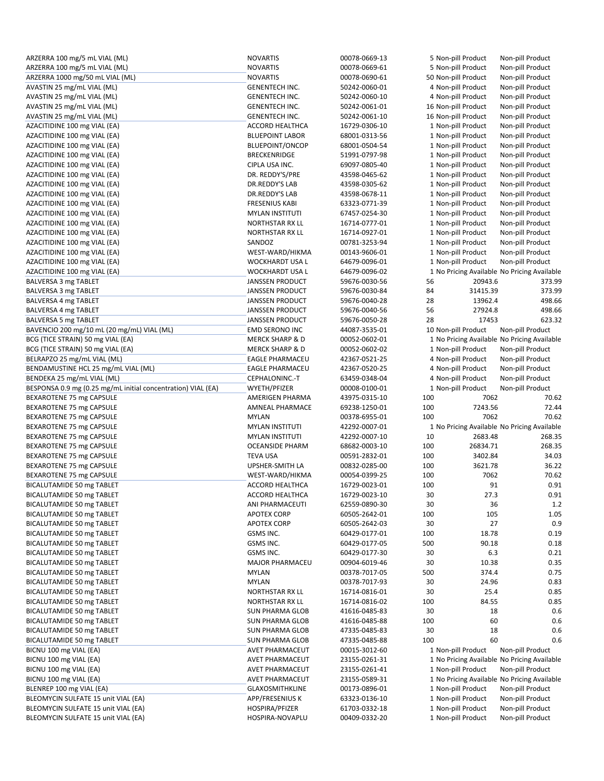| ARZERRA 100 mg/5 mL VIAL (ML)                                | <b>NOVARTIS</b>                           | 00078-0669-13                  | 5 Non-pill Product  |          | Non-pill Product                            |
|--------------------------------------------------------------|-------------------------------------------|--------------------------------|---------------------|----------|---------------------------------------------|
| ARZERRA 100 mg/5 mL VIAL (ML)                                | <b>NOVARTIS</b>                           | 00078-0669-61                  | 5 Non-pill Product  |          | Non-pill Product                            |
| ARZERRA 1000 mg/50 mL VIAL (ML)                              | <b>NOVARTIS</b>                           | 00078-0690-61                  | 50 Non-pill Product |          | Non-pill Product                            |
| AVASTIN 25 mg/mL VIAL (ML)                                   | <b>GENENTECH INC.</b>                     | 50242-0060-01                  | 4 Non-pill Product  |          | Non-pill Product                            |
| AVASTIN 25 mg/mL VIAL (ML)                                   | <b>GENENTECH INC.</b>                     | 50242-0060-10                  | 4 Non-pill Product  |          | Non-pill Product                            |
| AVASTIN 25 mg/mL VIAL (ML)                                   | <b>GENENTECH INC.</b>                     | 50242-0061-01                  | 16 Non-pill Product |          | Non-pill Product                            |
| AVASTIN 25 mg/mL VIAL (ML)                                   | <b>GENENTECH INC.</b>                     | 50242-0061-10                  | 16 Non-pill Product |          | Non-pill Product                            |
| AZACITIDINE 100 mg VIAL (EA)                                 | <b>ACCORD HEALTHCA</b>                    | 16729-0306-10                  | 1 Non-pill Product  |          | Non-pill Product                            |
|                                                              |                                           |                                |                     |          |                                             |
| AZACITIDINE 100 mg VIAL (EA)                                 | <b>BLUEPOINT LABOR</b>                    | 68001-0313-56                  | 1 Non-pill Product  |          | Non-pill Product                            |
| AZACITIDINE 100 mg VIAL (EA)                                 | BLUEPOINT/ONCOP                           | 68001-0504-54                  | 1 Non-pill Product  |          | Non-pill Product                            |
| AZACITIDINE 100 mg VIAL (EA)                                 | BRECKENRIDGE                              | 51991-0797-98                  | 1 Non-pill Product  |          | Non-pill Product                            |
| AZACITIDINE 100 mg VIAL (EA)                                 | CIPLA USA INC.                            | 69097-0805-40                  | 1 Non-pill Product  |          | Non-pill Product                            |
| AZACITIDINE 100 mg VIAL (EA)                                 | DR. REDDY'S/PRE                           | 43598-0465-62                  | 1 Non-pill Product  |          | Non-pill Product                            |
| AZACITIDINE 100 mg VIAL (EA)                                 | DR.REDDY'S LAB                            | 43598-0305-62                  | 1 Non-pill Product  |          | Non-pill Product                            |
| AZACITIDINE 100 mg VIAL (EA)                                 | DR.REDDY'S LAB                            | 43598-0678-11                  | 1 Non-pill Product  |          | Non-pill Product                            |
| AZACITIDINE 100 mg VIAL (EA)                                 | <b>FRESENIUS KABI</b>                     | 63323-0771-39                  | 1 Non-pill Product  |          | Non-pill Product                            |
| AZACITIDINE 100 mg VIAL (EA)                                 | <b>MYLAN INSTITUTI</b>                    | 67457-0254-30                  | 1 Non-pill Product  |          | Non-pill Product                            |
| AZACITIDINE 100 mg VIAL (EA)                                 | NORTHSTAR RX LL                           | 16714-0777-01                  | 1 Non-pill Product  |          | Non-pill Product                            |
| AZACITIDINE 100 mg VIAL (EA)                                 | <b>NORTHSTAR RX LL</b>                    | 16714-0927-01                  | 1 Non-pill Product  |          | Non-pill Product                            |
| AZACITIDINE 100 mg VIAL (EA)                                 | SANDOZ                                    | 00781-3253-94                  | 1 Non-pill Product  |          | Non-pill Product                            |
| AZACITIDINE 100 mg VIAL (EA)                                 | WEST-WARD/HIKMA                           | 00143-9606-01                  | 1 Non-pill Product  |          | Non-pill Product                            |
| AZACITIDINE 100 mg VIAL (EA)                                 | <b>WOCKHARDT USA L</b>                    | 64679-0096-01                  | 1 Non-pill Product  |          | Non-pill Product                            |
| AZACITIDINE 100 mg VIAL (EA)                                 | WOCKHARDT USA L                           | 64679-0096-02                  |                     |          | 1 No Pricing Available No Pricing Available |
| BALVERSA 3 mg TABLET                                         | <b>JANSSEN PRODUCT</b>                    | 59676-0030-56                  | 56                  | 20943.6  | 373.99                                      |
| BALVERSA 3 mg TABLET                                         | <b>JANSSEN PRODUCT</b>                    | 59676-0030-84                  | 84                  | 31415.39 | 373.99                                      |
| BALVERSA 4 mg TABLET                                         | <b>JANSSEN PRODUCT</b>                    | 59676-0040-28                  | 28                  | 13962.4  | 498.66                                      |
| BALVERSA 4 mg TABLET                                         | <b>JANSSEN PRODUCT</b>                    | 59676-0040-56                  | 56                  | 27924.8  | 498.66                                      |
|                                                              |                                           |                                | 28                  | 17453    | 623.32                                      |
| BALVERSA 5 mg TABLET                                         | <b>JANSSEN PRODUCT</b>                    | 59676-0050-28                  |                     |          |                                             |
| BAVENCIO 200 mg/10 mL (20 mg/mL) VIAL (ML)                   | <b>EMD SERONO INC</b>                     | 44087-3535-01                  | 10 Non-pill Product |          | Non-pill Product                            |
| BCG (TICE STRAIN) 50 mg VIAL (EA)                            | <b>MERCK SHARP &amp; D</b>                | 00052-0602-01                  |                     |          | 1 No Pricing Available No Pricing Available |
| BCG (TICE STRAIN) 50 mg VIAL (EA)                            | <b>MERCK SHARP &amp; D</b>                | 00052-0602-02                  | 1 Non-pill Product  |          | Non-pill Product                            |
| BELRAPZO 25 mg/mL VIAL (ML)                                  | <b>EAGLE PHARMACEU</b>                    | 42367-0521-25                  | 4 Non-pill Product  |          | Non-pill Product                            |
| BENDAMUSTINE HCL 25 mg/mL VIAL (ML)                          | <b>EAGLE PHARMACEU</b>                    | 42367-0520-25                  | 4 Non-pill Product  |          | Non-pill Product                            |
| BENDEKA 25 mg/mL VIAL (ML)                                   | CEPHALONINC.-T                            | 63459-0348-04                  | 4 Non-pill Product  |          | Non-pill Product                            |
|                                                              |                                           |                                |                     |          |                                             |
| BESPONSA 0.9 mg (0.25 mg/mL initial concentration) VIAL (EA) | WYETH/PFIZER                              | 00008-0100-01                  | 1 Non-pill Product  |          | Non-pill Product                            |
| BEXAROTENE 75 mg CAPSULE                                     | AMERIGEN PHARMA                           | 43975-0315-10                  | 100                 | 7062     | 70.62                                       |
| BEXAROTENE 75 mg CAPSULE                                     | <b>AMNEAL PHARMACE</b>                    | 69238-1250-01                  | 100                 | 7243.56  | 72.44                                       |
| BEXAROTENE 75 mg CAPSULE                                     | <b>MYLAN</b>                              | 00378-6955-01                  | 100                 | 7062     | 70.62                                       |
| BEXAROTENE 75 mg CAPSULE                                     | <b>MYLAN INSTITUTI</b>                    | 42292-0007-01                  |                     |          | 1 No Pricing Available No Pricing Available |
| BEXAROTENE 75 mg CAPSULE                                     | <b>MYLAN INSTITUTI</b>                    | 42292-0007-10                  | 10                  | 2683.48  | 268.35                                      |
| BEXAROTENE 75 mg CAPSULE                                     | <b>OCEANSIDE PHARM</b>                    | 68682-0003-10                  | 100                 | 26834.71 | 268.35                                      |
| BEXAROTENE 75 mg CAPSULE                                     | <b>TEVA USA</b>                           | 00591-2832-01                  | 100                 | 3402.84  | 34.03                                       |
| BEXAROTENE 75 mg CAPSULE                                     | UPSHER-SMITH LA                           | 00832-0285-00                  | 100                 | 3621.78  | 36.22                                       |
| BEXAROTENE 75 mg CAPSULE                                     | WEST-WARD/HIKMA                           | 00054-0399-25                  | 100                 | 7062     | 70.62                                       |
| BICALUTAMIDE 50 mg TABLET                                    | ACCORD HEALTHCA                           | 16729-0023-01                  | 100                 | 91       | 0.91                                        |
| BICALUTAMIDE 50 mg TABLET                                    |                                           |                                |                     |          |                                             |
|                                                              | <b>ACCORD HEALTHCA</b><br>ANI PHARMACEUTI | 16729-0023-10<br>62559-0890-30 | 30                  | 27.3     | 0.91                                        |
| BICALUTAMIDE 50 mg TABLET                                    |                                           |                                | 30                  | 36       | 1.2                                         |
| BICALUTAMIDE 50 mg TABLET                                    | <b>APOTEX CORP</b>                        | 60505-2642-01                  | 100                 | 105      | 1.05                                        |
| BICALUTAMIDE 50 mg TABLET                                    | APOTEX CORP                               | 60505-2642-03                  | 30                  | 27       | 0.9                                         |
| BICALUTAMIDE 50 mg TABLET                                    | GSMS INC.                                 | 60429-0177-01                  | 100                 | 18.78    | 0.19                                        |
| BICALUTAMIDE 50 mg TABLET                                    | GSMS INC.                                 | 60429-0177-05                  | 500                 | 90.18    | 0.18                                        |
| BICALUTAMIDE 50 mg TABLET                                    | GSMS INC.                                 | 60429-0177-30                  | 30                  | 6.3      | 0.21                                        |
| BICALUTAMIDE 50 mg TABLET                                    | <b>MAJOR PHARMACEU</b>                    | 00904-6019-46                  | 30                  | 10.38    | 0.35                                        |
| BICALUTAMIDE 50 mg TABLET                                    | <b>MYLAN</b>                              | 00378-7017-05                  | 500                 | 374.4    | 0.75                                        |
| BICALUTAMIDE 50 mg TABLET                                    | <b>MYLAN</b>                              | 00378-7017-93                  | 30                  | 24.96    | 0.83                                        |
| BICALUTAMIDE 50 mg TABLET                                    | NORTHSTAR RX LL                           | 16714-0816-01                  | 30                  | 25.4     | 0.85                                        |
| BICALUTAMIDE 50 mg TABLET                                    | NORTHSTAR RX LL                           | 16714-0816-02                  | 100                 | 84.55    | 0.85                                        |
| BICALUTAMIDE 50 mg TABLET                                    | SUN PHARMA GLOB                           | 41616-0485-83                  | 30                  | 18       | 0.6                                         |
| BICALUTAMIDE 50 mg TABLET                                    | SUN PHARMA GLOB                           | 41616-0485-88                  | 100                 | 60       | 0.6                                         |
| BICALUTAMIDE 50 mg TABLET                                    | SUN PHARMA GLOB                           | 47335-0485-83                  | 30                  | 18       | 0.6                                         |
| BICALUTAMIDE 50 mg TABLET                                    | SUN PHARMA GLOB                           | 47335-0485-88                  | 100                 | 60       | 0.6                                         |
| BICNU 100 mg VIAL (EA)                                       | AVET PHARMACEUT                           | 00015-3012-60                  | 1 Non-pill Product  |          | Non-pill Product                            |
| BICNU 100 mg VIAL (EA)                                       | AVET PHARMACEUT                           | 23155-0261-31                  |                     |          | 1 No Pricing Available No Pricing Available |
| BICNU 100 mg VIAL (EA)                                       | AVET PHARMACEUT                           | 23155-0261-41                  | 1 Non-pill Product  |          | Non-pill Product                            |
| BICNU 100 mg VIAL (EA)                                       | AVET PHARMACEUT                           | 23155-0589-31                  |                     |          | 1 No Pricing Available No Pricing Available |
| BLENREP 100 mg VIAL (EA)                                     | <b>GLAXOSMITHKLINE</b>                    | 00173-0896-01                  | 1 Non-pill Product  |          | Non-pill Product                            |
| BLEOMYCIN SULFATE 15 unit VIAL (EA)                          | APP/FRESENIUS K                           | 63323-0136-10                  | 1 Non-pill Product  |          | Non-pill Product                            |
| BLEOMYCIN SULFATE 15 unit VIAL (EA)                          | HOSPIRA/PFIZER                            | 61703-0332-18                  | 1 Non-pill Product  |          | Non-pill Product                            |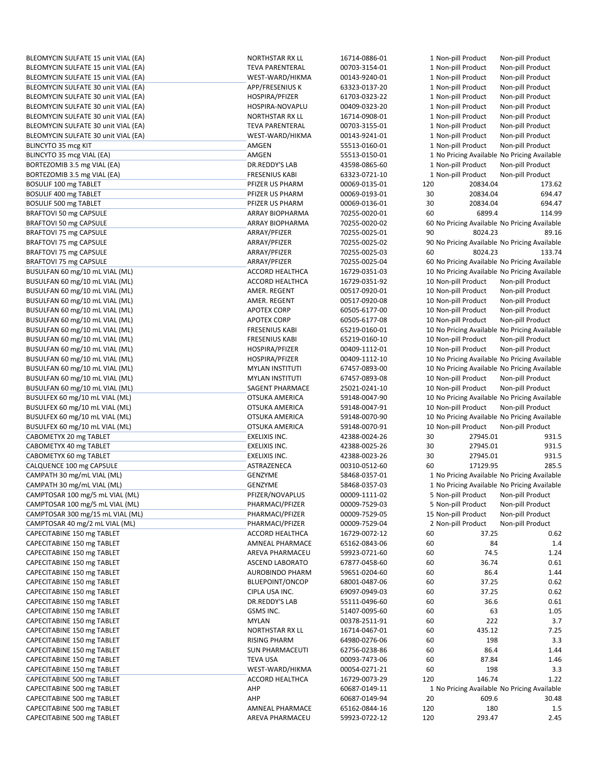| BLEOMYCIN SULFATE 15 unit VIAL (EA) | NORTHSTAR RX LL        | 16714-0886-01 |     | 1 Non-pill Product  | Non-pill Product                             |
|-------------------------------------|------------------------|---------------|-----|---------------------|----------------------------------------------|
| BLEOMYCIN SULFATE 15 unit VIAL (EA) | <b>TEVA PARENTERAL</b> | 00703-3154-01 |     | 1 Non-pill Product  | Non-pill Product                             |
| BLEOMYCIN SULFATE 15 unit VIAL (EA) | WEST-WARD/HIKMA        | 00143-9240-01 |     | 1 Non-pill Product  | Non-pill Product                             |
| BLEOMYCIN SULFATE 30 unit VIAL (EA) | APP/FRESENIUS K        | 63323-0137-20 |     | 1 Non-pill Product  | Non-pill Product                             |
| BLEOMYCIN SULFATE 30 unit VIAL (EA) | HOSPIRA/PFIZER         | 61703-0323-22 |     | 1 Non-pill Product  | Non-pill Product                             |
| BLEOMYCIN SULFATE 30 unit VIAL (EA) | HOSPIRA-NOVAPLU        | 00409-0323-20 |     | 1 Non-pill Product  | Non-pill Product                             |
| BLEOMYCIN SULFATE 30 unit VIAL (EA) | NORTHSTAR RX LL        | 16714-0908-01 |     | 1 Non-pill Product  | Non-pill Product                             |
| BLEOMYCIN SULFATE 30 unit VIAL (EA) | <b>TEVA PARENTERAL</b> | 00703-3155-01 |     | 1 Non-pill Product  | Non-pill Product                             |
| BLEOMYCIN SULFATE 30 unit VIAL (EA) | WEST-WARD/HIKMA        | 00143-9241-01 |     | 1 Non-pill Product  | Non-pill Product                             |
|                                     |                        |               |     |                     |                                              |
| BLINCYTO 35 mcg KIT                 | AMGEN                  | 55513-0160-01 |     | 1 Non-pill Product  | Non-pill Product                             |
| BLINCYTO 35 mcg VIAL (EA)           | AMGEN                  | 55513-0150-01 |     |                     | 1 No Pricing Available No Pricing Available  |
| BORTEZOMIB 3.5 mg VIAL (EA)         | DR.REDDY'S LAB         | 43598-0865-60 |     | 1 Non-pill Product  | Non-pill Product                             |
| BORTEZOMIB 3.5 mg VIAL (EA)         | <b>FRESENIUS KABI</b>  | 63323-0721-10 |     | 1 Non-pill Product  | Non-pill Product                             |
| BOSULIF 100 mg TABLET               | PFIZER US PHARM        | 00069-0135-01 | 120 | 20834.04            | 173.62                                       |
| BOSULIF 400 mg TABLET               | PFIZER US PHARM        | 00069-0193-01 | 30  | 20834.04            | 694.47                                       |
| BOSULIF 500 mg TABLET               | PFIZER US PHARM        | 00069-0136-01 | 30  | 20834.04            | 694.47                                       |
| BRAFTOVI 50 mg CAPSULE              | ARRAY BIOPHARMA        | 70255-0020-01 | 60  | 6899.4              | 114.99                                       |
| BRAFTOVI 50 mg CAPSULE              | ARRAY BIOPHARMA        | 70255-0020-02 |     |                     | 60 No Pricing Available No Pricing Available |
| BRAFTOVI 75 mg CAPSULE              | ARRAY/PFIZER           | 70255-0025-01 | 90  | 8024.23             | 89.16                                        |
| BRAFTOVI 75 mg CAPSULE              | ARRAY/PFIZER           | 70255-0025-02 |     |                     | 90 No Pricing Available No Pricing Available |
| BRAFTOVI 75 mg CAPSULE              | ARRAY/PFIZER           | 70255-0025-03 | 60  | 8024.23             | 133.74                                       |
| BRAFTOVI 75 mg CAPSULE              | ARRAY/PFIZER           | 70255-0025-04 |     |                     | 60 No Pricing Available No Pricing Available |
|                                     | ACCORD HEALTHCA        | 16729-0351-03 |     |                     |                                              |
| BUSULFAN 60 mg/10 mL VIAL (ML)      |                        |               |     |                     | 10 No Pricing Available No Pricing Available |
| BUSULFAN 60 mg/10 mL VIAL (ML)      | ACCORD HEALTHCA        | 16729-0351-92 |     | 10 Non-pill Product | Non-pill Product                             |
| BUSULFAN 60 mg/10 mL VIAL (ML)      | AMER. REGENT           | 00517-0920-01 |     | 10 Non-pill Product | Non-pill Product                             |
| BUSULFAN 60 mg/10 mL VIAL (ML)      | AMER. REGENT           | 00517-0920-08 |     | 10 Non-pill Product | Non-pill Product                             |
| BUSULFAN 60 mg/10 mL VIAL (ML)      | <b>APOTEX CORP</b>     | 60505-6177-00 |     | 10 Non-pill Product | Non-pill Product                             |
| BUSULFAN 60 mg/10 mL VIAL (ML)      | <b>APOTEX CORP</b>     | 60505-6177-08 |     | 10 Non-pill Product | Non-pill Product                             |
| BUSULFAN 60 mg/10 mL VIAL (ML)      | <b>FRESENIUS KABI</b>  | 65219-0160-01 |     |                     | 10 No Pricing Available No Pricing Available |
| BUSULFAN 60 mg/10 mL VIAL (ML)      | <b>FRESENIUS KABI</b>  | 65219-0160-10 |     | 10 Non-pill Product | Non-pill Product                             |
| BUSULFAN 60 mg/10 mL VIAL (ML)      | HOSPIRA/PFIZER         | 00409-1112-01 |     | 10 Non-pill Product | Non-pill Product                             |
| BUSULFAN 60 mg/10 mL VIAL (ML)      | HOSPIRA/PFIZER         | 00409-1112-10 |     |                     | 10 No Pricing Available No Pricing Available |
| BUSULFAN 60 mg/10 mL VIAL (ML)      | <b>MYLAN INSTITUTI</b> | 67457-0893-00 |     |                     | 10 No Pricing Available No Pricing Available |
| BUSULFAN 60 mg/10 mL VIAL (ML)      | <b>MYLAN INSTITUTI</b> | 67457-0893-08 |     | 10 Non-pill Product | Non-pill Product                             |
| BUSULFAN 60 mg/10 mL VIAL (ML)      | SAGENT PHARMACE        | 25021-0241-10 |     | 10 Non-pill Product | Non-pill Product                             |
| BUSULFEX 60 mg/10 mL VIAL (ML)      | OTSUKA AMERICA         | 59148-0047-90 |     |                     | 10 No Pricing Available No Pricing Available |
|                                     | OTSUKA AMERICA         |               |     | 10 Non-pill Product | Non-pill Product                             |
| BUSULFEX 60 mg/10 mL VIAL (ML)      |                        | 59148-0047-91 |     |                     |                                              |
| BUSULFEX 60 mg/10 mL VIAL (ML)      | OTSUKA AMERICA         | 59148-0070-90 |     |                     | 10 No Pricing Available No Pricing Available |
| BUSULFEX 60 mg/10 mL VIAL (ML)      | OTSUKA AMERICA         | 59148-0070-91 |     | 10 Non-pill Product | Non-pill Product                             |
| CABOMETYX 20 mg TABLET              | <b>EXELIXIS INC.</b>   | 42388-0024-26 | 30  | 27945.01            | 931.5                                        |
| CABOMETYX 40 mg TABLET              | EXELIXIS INC.          | 42388-0025-26 | 30  | 27945.01            | 931.5                                        |
| CABOMETYX 60 mg TABLET              | EXELIXIS INC.          | 42388-0023-26 | 30  | 27945.01            | 931.5                                        |
| CALQUENCE 100 mg CAPSULE            | ASTRAZENECA            | 00310-0512-60 | 60  | 17129.95            | 285.5                                        |
| CAMPATH 30 mg/mL VIAL (ML)          | GENZYME                | 58468-0357-01 |     |                     | 1 No Pricing Available No Pricing Available  |
| CAMPATH 30 mg/mL VIAL (ML)          | GENZYME                | 58468-0357-03 |     |                     | 1 No Pricing Available No Pricing Available  |
| CAMPTOSAR 100 mg/5 mL VIAL (ML)     | PFIZER/NOVAPLUS        | 00009-1111-02 |     | 5 Non-pill Product  | Non-pill Product                             |
| CAMPTOSAR 100 mg/5 mL VIAL (ML)     | PHARMACI/PFIZER        | 00009-7529-03 |     | 5 Non-pill Product  | Non-pill Product                             |
| CAMPTOSAR 300 mg/15 mL VIAL (ML)    | PHARMACI/PFIZER        | 00009-7529-05 |     | 15 Non-pill Product | Non-pill Product                             |
| CAMPTOSAR 40 mg/2 mL VIAL (ML)      | PHARMACI/PFIZER        | 00009-7529-04 |     | 2 Non-pill Product  | Non-pill Product                             |
| CAPECITABINE 150 mg TABLET          | ACCORD HEALTHCA        | 16729-0072-12 | 60  | 37.25               | 0.62                                         |
| CAPECITABINE 150 mg TABLET          | AMNEAL PHARMACE        | 65162-0843-06 | 60  | 84                  | 1.4                                          |
| CAPECITABINE 150 mg TABLET          | AREVA PHARMACEU        | 59923-0721-60 | 60  | 74.5                | 1.24                                         |
|                                     | ASCEND LABORATO        |               | 60  | 36.74               | 0.61                                         |
| CAPECITABINE 150 mg TABLET          |                        | 67877-0458-60 |     |                     |                                              |
| CAPECITABINE 150 mg TABLET          | <b>AUROBINDO PHARM</b> | 59651-0204-60 | 60  | 86.4                | 1.44                                         |
| CAPECITABINE 150 mg TABLET          | <b>BLUEPOINT/ONCOP</b> | 68001-0487-06 | 60  | 37.25               | 0.62                                         |
| CAPECITABINE 150 mg TABLET          | CIPLA USA INC.         | 69097-0949-03 | 60  | 37.25               | 0.62                                         |
| CAPECITABINE 150 mg TABLET          | DR.REDDY'S LAB         | 55111-0496-60 | 60  | 36.6                | 0.61                                         |
| CAPECITABINE 150 mg TABLET          | GSMS INC.              | 51407-0095-60 | 60  | 63                  | 1.05                                         |
| CAPECITABINE 150 mg TABLET          | <b>MYLAN</b>           | 00378-2511-91 | 60  | 222                 | 3.7                                          |
| CAPECITABINE 150 mg TABLET          | NORTHSTAR RX LL        | 16714-0467-01 | 60  | 435.12              | 7.25                                         |
| CAPECITABINE 150 mg TABLET          | <b>RISING PHARM</b>    | 64980-0276-06 | 60  | 198                 | 3.3                                          |
| CAPECITABINE 150 mg TABLET          | <b>SUN PHARMACEUTI</b> | 62756-0238-86 | 60  | 86.4                | 1.44                                         |
| CAPECITABINE 150 mg TABLET          | TEVA USA               | 00093-7473-06 | 60  | 87.84               | 1.46                                         |
| CAPECITABINE 150 mg TABLET          | WEST-WARD/HIKMA        | 00054-0271-21 | 60  | 198                 | 3.3                                          |
| CAPECITABINE 500 mg TABLET          | ACCORD HEALTHCA        | 16729-0073-29 | 120 | 146.74              | 1.22                                         |
| CAPECITABINE 500 mg TABLET          | AHP                    | 60687-0149-11 |     |                     | 1 No Pricing Available No Pricing Available  |
| CAPECITABINE 500 mg TABLET          | AHP                    | 60687-0149-94 | 20  | 609.6               | 30.48                                        |
| CAPECITABINE 500 mg TABLET          | AMNEAL PHARMACE        | 65162-0844-16 | 120 | 180                 | 1.5                                          |
|                                     |                        |               |     |                     |                                              |
| CAPECITABINE 500 mg TABLET          | AREVA PHARMACEU        | 59923-0722-12 | 120 | 293.47              | 2.45                                         |

|     | 1 Non-pill Product                           | Non-pill Product     |
|-----|----------------------------------------------|----------------------|
|     | 1 Non-pill Product                           | Non-pill Product     |
|     | 1 Non-pill Product                           | Non-pill Product     |
|     | 1 Non-pill Product                           | Non-pill Product     |
|     | 1 Non-pill Product                           | Non-pill Product     |
|     | 1 Non-pill Product                           | Non-pill Product     |
|     | 1 Non-pill Product                           | Non-pill Product     |
|     | 1 Non-pill Product                           | Non-pill Product     |
|     |                                              |                      |
|     | 1 Non-pill Product                           | Non-pill Product     |
|     | 1 Non-pill Product                           | Non-pill Product     |
|     | 1 No Pricing Available                       | No Pricing Available |
|     | 1 Non-pill Product                           | Non-pill Product     |
|     | 1 Non-pill Product                           | Non-pill Product     |
| 120 | 20834.04                                     | 173.62               |
| 30  | 20834.04                                     | 694.47               |
| 30  | 20834.04                                     | 694.47               |
| 60  | 6899.4                                       | 114.99               |
|     | 60 No Pricing Available No Pricing Available |                      |
| 90  | 8024.23                                      | 89.16                |
|     | 90 No Pricing Available No Pricing Available |                      |
| 60  | 8024.23                                      | 133.74               |
|     | 60 No Pricing Available No Pricing Available |                      |
|     |                                              |                      |
|     | 10 No Pricing Available No Pricing Available |                      |
|     | 10 Non-pill Product                          | Non-pill Product     |
|     | 10 Non-pill Product                          | Non-pill Product     |
|     | 10 Non-pill Product                          | Non-pill Product     |
|     | 10 Non-pill Product                          | Non-pill Product     |
|     | 10 Non-pill Product                          | Non-pill Product     |
|     | 10 No Pricing Available                      | No Pricing Available |
|     | 10 Non-pill Product                          | Non-pill Product     |
|     | 10 Non-pill Product                          | Non-pill Product     |
|     | 10 No Pricing Available No Pricing Available |                      |
|     | 10 No Pricing Available                      | No Pricing Available |
|     | 10 Non-pill Product                          | Non-pill Product     |
|     | 10 Non-pill Product                          | Non-pill Product     |
|     | 10 No Pricing Available No Pricing Available |                      |
|     | 10 Non-pill Product                          | Non-pill Product     |
|     |                                              |                      |
|     | 10 No Pricing Available No Pricing Available |                      |
|     | 10 Non-pill Product                          | Non-pill Product     |
| 30  | 27945.01                                     | 931.5                |
| 30  | 27945.01                                     | 931.5                |
| 30  | 27945.01                                     | 931.5                |
| 60  | 17129.95                                     | 285.5                |
|     | 1 No Pricing Available No Pricing Available  |                      |
|     | 1 No Pricing Available No Pricing Available  |                      |
|     | 5 Non-pill Product Non-pill Product          |                      |
|     | 5 Non-pill Product                           | Non-pill Product     |
|     | 15 Non-pill Product                          | Non-pill Product     |
|     | 2 Non-pill Product                           | Non-pill Product     |
| 60  | 37.25                                        | 0.62                 |
| 60  | 84                                           | 1.4                  |
| 60  | 74.5                                         | 1.24                 |
| 60  | 36.74                                        | 0.61                 |
| 60  | 86.4                                         | 1.44                 |
| 60  |                                              |                      |
|     | 37.25                                        | 0.62                 |
| 60  | 37.25                                        | 0.62                 |
| 60  | 36.6                                         | 0.61                 |
| 60  | 63                                           | 1.05                 |
| 60  | 222                                          | 3.7                  |
| 60  | 435.12                                       | 7.25                 |
| 60  | 198                                          | 3.3                  |
| 60  | 86.4                                         | 1.44                 |
| 60  | 87.84                                        | 1.46                 |
| 60  | 198                                          | 3.3                  |
| 120 | 146.74                                       | 1.22                 |
|     | 1 No Pricing Available No Pricing Available  |                      |
| 20  | 609.6                                        | 30.48                |
| 120 | 180                                          | 1.5                  |
| 120 | 293.47                                       | 2.45                 |
|     |                                              |                      |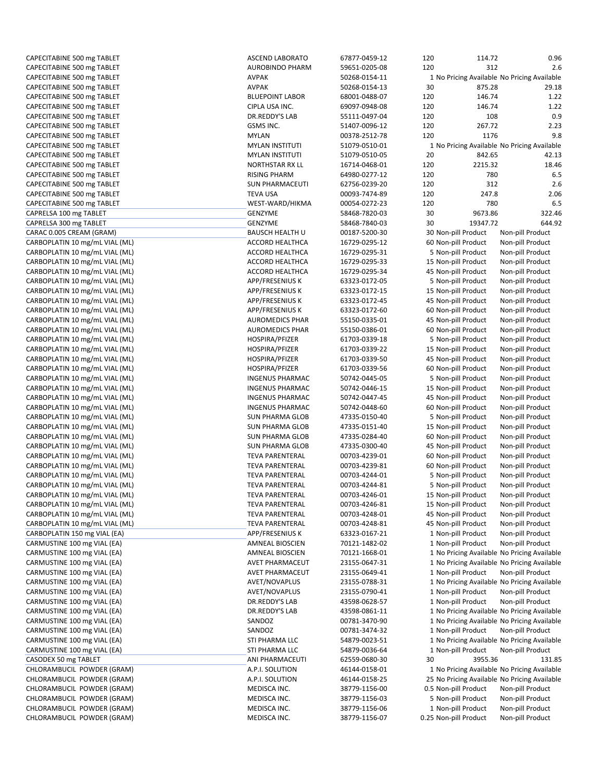| CAPECITABINE 500 mg TABLET     | <b>ASCEND LABORATO</b> | 67877-0459-12 | 120                   | 114.72              | 0.96                                         |
|--------------------------------|------------------------|---------------|-----------------------|---------------------|----------------------------------------------|
| CAPECITABINE 500 mg TABLET     | <b>AUROBINDO PHARM</b> | 59651-0205-08 | 120                   | 312                 | 2.6                                          |
| CAPECITABINE 500 mg TABLET     | <b>AVPAK</b>           | 50268-0154-11 |                       |                     | 1 No Pricing Available No Pricing Available  |
| CAPECITABINE 500 mg TABLET     | AVPAK                  | 50268-0154-13 | 30                    | 875.28              | 29.18                                        |
| CAPECITABINE 500 mg TABLET     | <b>BLUEPOINT LABOR</b> | 68001-0488-07 | 120                   | 146.74              | 1.22                                         |
| CAPECITABINE 500 mg TABLET     | CIPLA USA INC.         | 69097-0948-08 | 120                   | 146.74              | 1.22                                         |
|                                | DR.REDDY'S LAB         |               |                       |                     |                                              |
| CAPECITABINE 500 mg TABLET     |                        | 55111-0497-04 | 120                   | 108                 | 0.9                                          |
| CAPECITABINE 500 mg TABLET     | GSMS INC.              | 51407-0096-12 | 120                   | 267.72              | 2.23                                         |
| CAPECITABINE 500 mg TABLET     | <b>MYLAN</b>           | 00378-2512-78 | 120                   | 1176                | 9.8                                          |
| CAPECITABINE 500 mg TABLET     | <b>MYLAN INSTITUTI</b> | 51079-0510-01 |                       |                     | 1 No Pricing Available No Pricing Available  |
| CAPECITABINE 500 mg TABLET     | <b>MYLAN INSTITUTI</b> | 51079-0510-05 | 20                    | 842.65              | 42.13                                        |
| CAPECITABINE 500 mg TABLET     | <b>NORTHSTAR RX LL</b> | 16714-0468-01 | 120                   | 2215.32             | 18.46                                        |
| CAPECITABINE 500 mg TABLET     | <b>RISING PHARM</b>    | 64980-0277-12 | 120                   | 780                 | 6.5                                          |
|                                | <b>SUN PHARMACEUTI</b> |               |                       |                     |                                              |
| CAPECITABINE 500 mg TABLET     |                        | 62756-0239-20 | 120                   | 312                 | 2.6                                          |
| CAPECITABINE 500 mg TABLET     | <b>TEVA USA</b>        | 00093-7474-89 | 120                   | 247.8               | 2.06                                         |
| CAPECITABINE 500 mg TABLET     | WEST-WARD/HIKMA        | 00054-0272-23 | 120                   | 780                 | 6.5                                          |
| CAPRELSA 100 mg TABLET         | GENZYME                | 58468-7820-03 | 30                    | 9673.86             | 322.46                                       |
| CAPRELSA 300 mg TABLET         | <b>GENZYME</b>         | 58468-7840-03 | 30                    | 19347.72            | 644.92                                       |
| CARAC 0.005 CREAM (GRAM)       | <b>BAUSCH HEALTH U</b> | 00187-5200-30 | 30 Non-pill Product   |                     | Non-pill Product                             |
| CARBOPLATIN 10 mg/mL VIAL (ML) | ACCORD HEALTHCA        | 16729-0295-12 |                       | 60 Non-pill Product | Non-pill Product                             |
| CARBOPLATIN 10 mg/mL VIAL (ML) | <b>ACCORD HEALTHCA</b> | 16729-0295-31 |                       | 5 Non-pill Product  | Non-pill Product                             |
|                                |                        |               |                       |                     |                                              |
| CARBOPLATIN 10 mg/mL VIAL (ML) | ACCORD HEALTHCA        | 16729-0295-33 |                       | 15 Non-pill Product | Non-pill Product                             |
| CARBOPLATIN 10 mg/mL VIAL (ML) | <b>ACCORD HEALTHCA</b> | 16729-0295-34 |                       | 45 Non-pill Product | Non-pill Product                             |
| CARBOPLATIN 10 mg/mL VIAL (ML) | APP/FRESENIUS K        | 63323-0172-05 |                       | 5 Non-pill Product  | Non-pill Product                             |
| CARBOPLATIN 10 mg/mL VIAL (ML) | APP/FRESENIUS K        | 63323-0172-15 |                       | 15 Non-pill Product | Non-pill Product                             |
| CARBOPLATIN 10 mg/mL VIAL (ML) | APP/FRESENIUS K        | 63323-0172-45 |                       | 45 Non-pill Product | Non-pill Product                             |
| CARBOPLATIN 10 mg/mL VIAL (ML) | APP/FRESENIUS K        | 63323-0172-60 |                       | 60 Non-pill Product | Non-pill Product                             |
| CARBOPLATIN 10 mg/mL VIAL (ML) | <b>AUROMEDICS PHAR</b> | 55150-0335-01 |                       | 45 Non-pill Product | Non-pill Product                             |
|                                |                        |               |                       |                     |                                              |
| CARBOPLATIN 10 mg/mL VIAL (ML) | <b>AUROMEDICS PHAR</b> | 55150-0386-01 |                       | 60 Non-pill Product | Non-pill Product                             |
| CARBOPLATIN 10 mg/mL VIAL (ML) | HOSPIRA/PFIZER         | 61703-0339-18 |                       | 5 Non-pill Product  | Non-pill Product                             |
| CARBOPLATIN 10 mg/mL VIAL (ML) | HOSPIRA/PFIZER         | 61703-0339-22 |                       | 15 Non-pill Product | Non-pill Product                             |
| CARBOPLATIN 10 mg/mL VIAL (ML) | HOSPIRA/PFIZER         | 61703-0339-50 |                       | 45 Non-pill Product | Non-pill Product                             |
| CARBOPLATIN 10 mg/mL VIAL (ML) | HOSPIRA/PFIZER         | 61703-0339-56 |                       | 60 Non-pill Product | Non-pill Product                             |
| CARBOPLATIN 10 mg/mL VIAL (ML) | <b>INGENUS PHARMAC</b> | 50742-0445-05 |                       | 5 Non-pill Product  | Non-pill Product                             |
| CARBOPLATIN 10 mg/mL VIAL (ML) | <b>INGENUS PHARMAC</b> | 50742-0446-15 |                       | 15 Non-pill Product | Non-pill Product                             |
|                                |                        |               |                       |                     |                                              |
| CARBOPLATIN 10 mg/mL VIAL (ML) | <b>INGENUS PHARMAC</b> | 50742-0447-45 |                       | 45 Non-pill Product | Non-pill Product                             |
| CARBOPLATIN 10 mg/mL VIAL (ML) | <b>INGENUS PHARMAC</b> | 50742-0448-60 |                       | 60 Non-pill Product | Non-pill Product                             |
| CARBOPLATIN 10 mg/mL VIAL (ML) | <b>SUN PHARMA GLOB</b> | 47335-0150-40 |                       | 5 Non-pill Product  | Non-pill Product                             |
| CARBOPLATIN 10 mg/mL VIAL (ML) | <b>SUN PHARMA GLOB</b> | 47335-0151-40 |                       | 15 Non-pill Product | Non-pill Product                             |
| CARBOPLATIN 10 mg/mL VIAL (ML) | <b>SUN PHARMA GLOB</b> | 47335-0284-40 |                       | 60 Non-pill Product | Non-pill Product                             |
| CARBOPLATIN 10 mg/mL VIAL (ML) | SUN PHARMA GLOB        | 47335-0300-40 |                       | 45 Non-pill Product | Non-pill Product                             |
| CARBOPLATIN 10 mg/mL VIAL (ML) | <b>TEVA PARENTERAL</b> | 00703-4239-01 |                       | 60 Non-pill Product | Non-pill Product                             |
| CARBOPLATIN 10 mg/mL VIAL (ML) | <b>TEVA PARENTERAL</b> | 00703-4239-81 |                       | 60 Non-pill Product | Non-pill Product                             |
|                                |                        |               |                       |                     |                                              |
| CARBOPLATIN 10 mg/mL VIAL (ML) | <b>TEVA PARENTERAL</b> | 00703-4244-01 |                       | 5 Non-pill Product  | Non-pill Product                             |
| CARBOPLATIN 10 mg/mL VIAL (ML) | <b>TEVA PARENTERAL</b> | 00703-4244-81 |                       | 5 Non-pill Product  | Non-pill Product                             |
| CARBOPLATIN 10 mg/mL VIAL (ML) | <b>TEVA PARENTERAL</b> | 00703-4246-01 | 15 Non-pill Product   |                     | Non-pill Product                             |
| CARBOPLATIN 10 mg/mL VIAL (ML) | <b>TEVA PARENTERAL</b> | 00703-4246-81 | 15 Non-pill Product   |                     | Non-pill Product                             |
| CARBOPLATIN 10 mg/mL VIAL (ML) | <b>TEVA PARENTERAL</b> | 00703-4248-01 | 45 Non-pill Product   |                     | Non-pill Product                             |
| CARBOPLATIN 10 mg/mL VIAL (ML) | <b>TEVA PARENTERAL</b> | 00703-4248-81 |                       | 45 Non-pill Product | Non-pill Product                             |
| CARBOPLATIN 150 mg VIAL (EA)   | APP/FRESENIUS K        | 63323-0167-21 |                       | 1 Non-pill Product  | Non-pill Product                             |
|                                |                        |               |                       |                     |                                              |
| CARMUSTINE 100 mg VIAL (EA)    | AMNEAL BIOSCIEN        | 70121-1482-02 |                       | 1 Non-pill Product  | Non-pill Product                             |
| CARMUSTINE 100 mg VIAL (EA)    | AMNEAL BIOSCIEN        | 70121-1668-01 |                       |                     | 1 No Pricing Available No Pricing Available  |
| CARMUSTINE 100 mg VIAL (EA)    | AVET PHARMACEUT        | 23155-0647-31 |                       |                     | 1 No Pricing Available No Pricing Available  |
| CARMUSTINE 100 mg VIAL (EA)    | <b>AVET PHARMACEUT</b> | 23155-0649-41 |                       | 1 Non-pill Product  | Non-pill Product                             |
| CARMUSTINE 100 mg VIAL (EA)    | AVET/NOVAPLUS          | 23155-0788-31 |                       |                     | 1 No Pricing Available No Pricing Available  |
| CARMUSTINE 100 mg VIAL (EA)    | AVET/NOVAPLUS          | 23155-0790-41 |                       | 1 Non-pill Product  | Non-pill Product                             |
| CARMUSTINE 100 mg VIAL (EA)    | DR.REDDY'S LAB         | 43598-0628-57 |                       | 1 Non-pill Product  | Non-pill Product                             |
|                                |                        |               |                       |                     |                                              |
| CARMUSTINE 100 mg VIAL (EA)    | DR.REDDY'S LAB         | 43598-0861-11 |                       |                     | 1 No Pricing Available No Pricing Available  |
| CARMUSTINE 100 mg VIAL (EA)    | SANDOZ                 | 00781-3470-90 |                       |                     | 1 No Pricing Available No Pricing Available  |
| CARMUSTINE 100 mg VIAL (EA)    | SANDOZ                 | 00781-3474-32 |                       | 1 Non-pill Product  | Non-pill Product                             |
| CARMUSTINE 100 mg VIAL (EA)    | STI PHARMA LLC         | 54879-0023-51 |                       |                     | 1 No Pricing Available No Pricing Available  |
| CARMUSTINE 100 mg VIAL (EA)    | STI PHARMA LLC         | 54879-0036-64 |                       | 1 Non-pill Product  | Non-pill Product                             |
| CASODEX 50 mg TABLET           | ANI PHARMACEUTI        | 62559-0680-30 | 30                    | 3955.36             | 131.85                                       |
| CHLORAMBUCIL POWDER (GRAM)     | A.P.I. SOLUTION        | 46144-0158-01 |                       |                     | 1 No Pricing Available No Pricing Available  |
|                                |                        |               |                       |                     |                                              |
| CHLORAMBUCIL POWDER (GRAM)     | A.P.I. SOLUTION        | 46144-0158-25 |                       |                     | 25 No Pricing Available No Pricing Available |
| CHLORAMBUCIL POWDER (GRAM)     | MEDISCA INC.           | 38779-1156-00 | 0.5 Non-pill Product  |                     | Non-pill Product                             |
| CHLORAMBUCIL POWDER (GRAM)     | MEDISCA INC.           | 38779-1156-03 |                       | 5 Non-pill Product  | Non-pill Product                             |
| CHLORAMBUCIL POWDER (GRAM)     | MEDISCA INC.           | 38779-1156-06 |                       | 1 Non-pill Product  | Non-pill Product                             |
| CHLORAMBUCIL POWDER (GRAM)     | MEDISCA INC.           | 38779-1156-07 | 0.25 Non-pill Product |                     | Non-pill Product                             |
|                                |                        |               |                       |                     |                                              |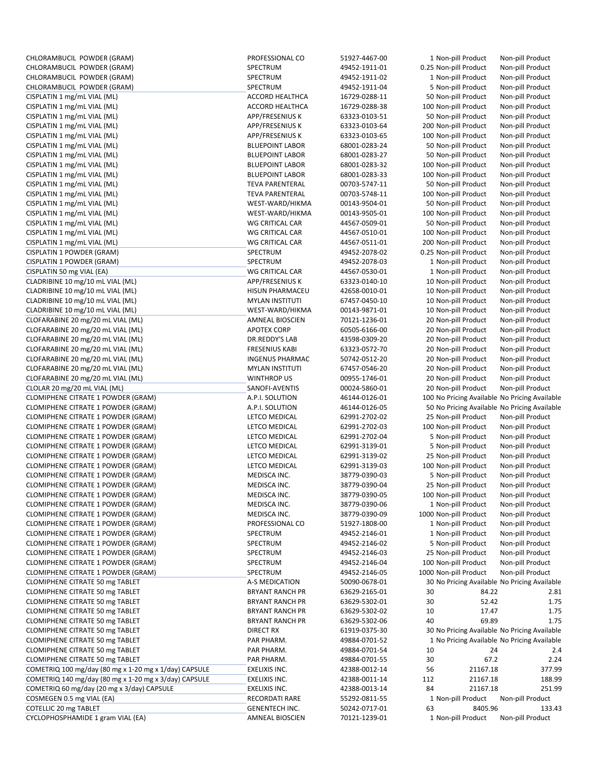| CHLORAMBUCIL POWDER (GRAM)                            | PROFESSIONAL CO        | 51927-4467-00 |     | 1 Non-pill Product                            | Non-pill Product |
|-------------------------------------------------------|------------------------|---------------|-----|-----------------------------------------------|------------------|
| CHLORAMBUCIL POWDER (GRAM)                            | SPECTRUM               | 49452-1911-01 |     | 0.25 Non-pill Product                         | Non-pill Product |
| CHLORAMBUCIL POWDER (GRAM)                            | SPECTRUM               | 49452-1911-02 |     | 1 Non-pill Product                            | Non-pill Product |
| CHLORAMBUCIL POWDER (GRAM)                            | SPECTRUM               | 49452-1911-04 |     | 5 Non-pill Product                            | Non-pill Product |
| CISPLATIN 1 mg/mL VIAL (ML)                           | <b>ACCORD HEALTHCA</b> | 16729-0288-11 |     | 50 Non-pill Product                           | Non-pill Product |
| CISPLATIN 1 mg/mL VIAL (ML)                           | <b>ACCORD HEALTHCA</b> | 16729-0288-38 |     | 100 Non-pill Product                          | Non-pill Product |
| CISPLATIN 1 mg/mL VIAL (ML)                           | <b>APP/FRESENIUS K</b> | 63323-0103-51 |     | 50 Non-pill Product                           | Non-pill Product |
| CISPLATIN 1 mg/mL VIAL (ML)                           | APP/FRESENIUS K        | 63323-0103-64 |     | 200 Non-pill Product                          | Non-pill Product |
|                                                       | APP/FRESENIUS K        |               |     |                                               |                  |
| CISPLATIN 1 mg/mL VIAL (ML)                           |                        | 63323-0103-65 |     | 100 Non-pill Product                          | Non-pill Product |
| CISPLATIN 1 mg/mL VIAL (ML)                           | <b>BLUEPOINT LABOR</b> | 68001-0283-24 |     | 50 Non-pill Product                           | Non-pill Product |
| CISPLATIN 1 mg/mL VIAL (ML)                           | <b>BLUEPOINT LABOR</b> | 68001-0283-27 |     | 50 Non-pill Product                           | Non-pill Product |
| CISPLATIN 1 mg/mL VIAL (ML)                           | <b>BLUEPOINT LABOR</b> | 68001-0283-32 |     | 100 Non-pill Product                          | Non-pill Product |
| CISPLATIN 1 mg/mL VIAL (ML)                           | <b>BLUEPOINT LABOR</b> | 68001-0283-33 |     | 100 Non-pill Product                          | Non-pill Product |
| CISPLATIN 1 mg/mL VIAL (ML)                           | <b>TEVA PARENTERAL</b> | 00703-5747-11 |     | 50 Non-pill Product                           | Non-pill Product |
| CISPLATIN 1 mg/mL VIAL (ML)                           | <b>TEVA PARENTERAL</b> | 00703-5748-11 |     | 100 Non-pill Product                          | Non-pill Product |
| CISPLATIN 1 mg/mL VIAL (ML)                           | WEST-WARD/HIKMA        | 00143-9504-01 |     | 50 Non-pill Product                           | Non-pill Product |
| CISPLATIN 1 mg/mL VIAL (ML)                           | WEST-WARD/HIKMA        | 00143-9505-01 |     | 100 Non-pill Product                          | Non-pill Product |
| CISPLATIN 1 mg/mL VIAL (ML)                           | <b>WG CRITICAL CAR</b> | 44567-0509-01 |     | 50 Non-pill Product                           | Non-pill Product |
| CISPLATIN 1 mg/mL VIAL (ML)                           | WG CRITICAL CAR        | 44567-0510-01 |     | 100 Non-pill Product                          |                  |
|                                                       |                        |               |     |                                               | Non-pill Product |
| CISPLATIN 1 mg/mL VIAL (ML)                           | WG CRITICAL CAR        | 44567-0511-01 |     | 200 Non-pill Product                          | Non-pill Product |
| CISPLATIN 1 POWDER (GRAM)                             | SPECTRUM               | 49452-2078-02 |     | 0.25 Non-pill Product                         | Non-pill Product |
| CISPLATIN 1 POWDER (GRAM)                             | SPECTRUM               | 49452-2078-03 |     | 1 Non-pill Product                            | Non-pill Product |
| CISPLATIN 50 mg VIAL (EA)                             | WG CRITICAL CAR        | 44567-0530-01 |     | 1 Non-pill Product                            | Non-pill Product |
| CLADRIBINE 10 mg/10 mL VIAL (ML)                      | APP/FRESENIUS K        | 63323-0140-10 |     | 10 Non-pill Product                           | Non-pill Product |
| CLADRIBINE 10 mg/10 mL VIAL (ML)                      | <b>HISUN PHARMACEU</b> | 42658-0010-01 |     | 10 Non-pill Product                           | Non-pill Product |
| CLADRIBINE 10 mg/10 mL VIAL (ML)                      | <b>MYLAN INSTITUTI</b> | 67457-0450-10 |     | 10 Non-pill Product                           | Non-pill Product |
| CLADRIBINE 10 mg/10 mL VIAL (ML)                      | WEST-WARD/HIKMA        | 00143-9871-01 |     | 10 Non-pill Product                           | Non-pill Product |
| CLOFARABINE 20 mg/20 mL VIAL (ML)                     | <b>AMNEAL BIOSCIEN</b> | 70121-1236-01 |     | 20 Non-pill Product                           | Non-pill Product |
| CLOFARABINE 20 mg/20 mL VIAL (ML)                     | <b>APOTEX CORP</b>     | 60505-6166-00 |     | 20 Non-pill Product                           | Non-pill Product |
| CLOFARABINE 20 mg/20 mL VIAL (ML)                     |                        |               |     |                                               |                  |
|                                                       | DR.REDDY'S LAB         | 43598-0309-20 |     | 20 Non-pill Product                           | Non-pill Product |
| CLOFARABINE 20 mg/20 mL VIAL (ML)                     | <b>FRESENIUS KABI</b>  | 63323-0572-70 |     | 20 Non-pill Product                           | Non-pill Product |
| CLOFARABINE 20 mg/20 mL VIAL (ML)                     | <b>INGENUS PHARMAC</b> | 50742-0512-20 |     | 20 Non-pill Product                           | Non-pill Product |
| CLOFARABINE 20 mg/20 mL VIAL (ML)                     | <b>MYLAN INSTITUTI</b> | 67457-0546-20 |     | 20 Non-pill Product                           | Non-pill Product |
| CLOFARABINE 20 mg/20 mL VIAL (ML)                     | <b>WINTHROP US</b>     | 00955-1746-01 |     | 20 Non-pill Product                           | Non-pill Product |
| CLOLAR 20 mg/20 mL VIAL (ML)                          | SANOFI-AVENTIS         | 00024-5860-01 |     | 20 Non-pill Product                           | Non-pill Product |
| CLOMIPHENE CITRATE 1 POWDER (GRAM)                    | A.P.I. SOLUTION        | 46144-0126-01 |     | 100 No Pricing Available No Pricing Available |                  |
| CLOMIPHENE CITRATE 1 POWDER (GRAM)                    | A.P.I. SOLUTION        | 46144-0126-05 |     | 50 No Pricing Available No Pricing Available  |                  |
| <b>CLOMIPHENE CITRATE 1 POWDER (GRAM)</b>             | LETCO MEDICAL          | 62991-2702-02 |     | 25 Non-pill Product                           | Non-pill Product |
| <b>CLOMIPHENE CITRATE 1 POWDER (GRAM)</b>             | LETCO MEDICAL          | 62991-2702-03 |     | 100 Non-pill Product                          | Non-pill Product |
| <b>CLOMIPHENE CITRATE 1 POWDER (GRAM)</b>             | LETCO MEDICAL          | 62991-2702-04 |     | 5 Non-pill Product                            | Non-pill Product |
| CLOMIPHENE CITRATE 1 POWDER (GRAM)                    | LETCO MEDICAL          | 62991-3139-01 |     | 5 Non-pill Product                            |                  |
|                                                       |                        |               |     |                                               | Non-pill Product |
| <b>CLOMIPHENE CITRATE 1 POWDER (GRAM)</b>             | LETCO MEDICAL          | 62991-3139-02 |     | 25 Non-pill Product                           | Non-pill Product |
| CLOMIPHENE CITRATE 1 POWDER (GRAM)                    | LETCO MEDICAL          | 62991-3139-03 |     | 100 Non-pill Product                          | Non-pill Product |
| CLOMIPHENE CITRATE 1 POWDER (GRAM)                    | MEDISCA INC.           | 38779-0390-03 |     | 5 Non-pill Product                            | Non-pill Product |
| CLOMIPHENE CITRATE 1 POWDER (GRAM)                    | MEDISCA INC.           | 38779-0390-04 |     | 25 Non-pill Product                           | Non-pill Product |
| CLOMIPHENE CITRATE 1 POWDER (GRAM)                    | MEDISCA INC.           | 38779-0390-05 |     | 100 Non-pill Product                          | Non-pill Product |
| <b>CLOMIPHENE CITRATE 1 POWDER (GRAM)</b>             | MEDISCA INC.           | 38779-0390-06 |     | 1 Non-pill Product                            | Non-pill Product |
| <b>CLOMIPHENE CITRATE 1 POWDER (GRAM)</b>             | MEDISCA INC.           | 38779-0390-09 |     | 1000 Non-pill Product                         | Non-pill Product |
| CLOMIPHENE CITRATE 1 POWDER (GRAM)                    | PROFESSIONAL CO        | 51927-1808-00 |     | 1 Non-pill Product                            | Non-pill Product |
| CLOMIPHENE CITRATE 1 POWDER (GRAM)                    | SPECTRUM               | 49452-2146-01 |     | 1 Non-pill Product                            | Non-pill Product |
| CLOMIPHENE CITRATE 1 POWDER (GRAM)                    | SPECTRUM               | 49452-2146-02 |     | 5 Non-pill Product                            | Non-pill Product |
| CLOMIPHENE CITRATE 1 POWDER (GRAM)                    | SPECTRUM               | 49452-2146-03 |     | 25 Non-pill Product                           | Non-pill Product |
|                                                       |                        |               |     | 100 Non-pill Product                          |                  |
| CLOMIPHENE CITRATE 1 POWDER (GRAM)                    | SPECTRUM               | 49452-2146-04 |     |                                               | Non-pill Product |
| CLOMIPHENE CITRATE 1 POWDER (GRAM)                    | SPECTRUM               | 49452-2146-05 |     | 1000 Non-pill Product                         | Non-pill Product |
| CLOMIPHENE CITRATE 50 mg TABLET                       | A-S MEDICATION         | 50090-0678-01 |     | 30 No Pricing Available No Pricing Available  |                  |
| CLOMIPHENE CITRATE 50 mg TABLET                       | <b>BRYANT RANCH PR</b> | 63629-2165-01 | 30  | 84.22                                         | 2.81             |
| CLOMIPHENE CITRATE 50 mg TABLET                       | <b>BRYANT RANCH PR</b> | 63629-5302-01 | 30  | 52.42                                         | 1.75             |
| CLOMIPHENE CITRATE 50 mg TABLET                       | <b>BRYANT RANCH PR</b> | 63629-5302-02 | 10  | 17.47                                         | 1.75             |
| CLOMIPHENE CITRATE 50 mg TABLET                       | <b>BRYANT RANCH PR</b> | 63629-5302-06 | 40  | 69.89                                         | 1.75             |
| CLOMIPHENE CITRATE 50 mg TABLET                       | DIRECT RX              | 61919-0375-30 |     | 30 No Pricing Available No Pricing Available  |                  |
| CLOMIPHENE CITRATE 50 mg TABLET                       | PAR PHARM.             | 49884-0701-52 |     | 1 No Pricing Available No Pricing Available   |                  |
| CLOMIPHENE CITRATE 50 mg TABLET                       | PAR PHARM.             | 49884-0701-54 | 10  | 24                                            | 2.4              |
| CLOMIPHENE CITRATE 50 mg TABLET                       | PAR PHARM.             | 49884-0701-55 | 30  | 67.2                                          | 2.24             |
|                                                       |                        |               |     |                                               |                  |
| COMETRIQ 100 mg/day (80 mg x 1-20 mg x 1/day) CAPSULE | EXELIXIS INC.          | 42388-0012-14 | 56  | 21167.18                                      | 377.99           |
| COMETRIQ 140 mg/day (80 mg x 1-20 mg x 3/day) CAPSULE | EXELIXIS INC.          | 42388-0011-14 | 112 | 21167.18                                      | 188.99           |
| COMETRIQ 60 mg/day (20 mg x 3/day) CAPSULE            | EXELIXIS INC.          | 42388-0013-14 | 84  | 21167.18                                      | 251.99           |
| COSMEGEN 0.5 mg VIAL (EA)                             | RECORDATI RARE         | 55292-0811-55 |     | 1 Non-pill Product                            | Non-pill Product |
| COTELLIC 20 mg TABLET                                 | <b>GENENTECH INC.</b>  | 50242-0717-01 | 63  | 8405.96                                       | 133.43           |
| CYCLOPHOSPHAMIDE 1 gram VIAL (EA)                     | AMNEAL BIOSCIEN        | 70121-1239-01 |     | 1 Non-pill Product                            | Non-pill Product |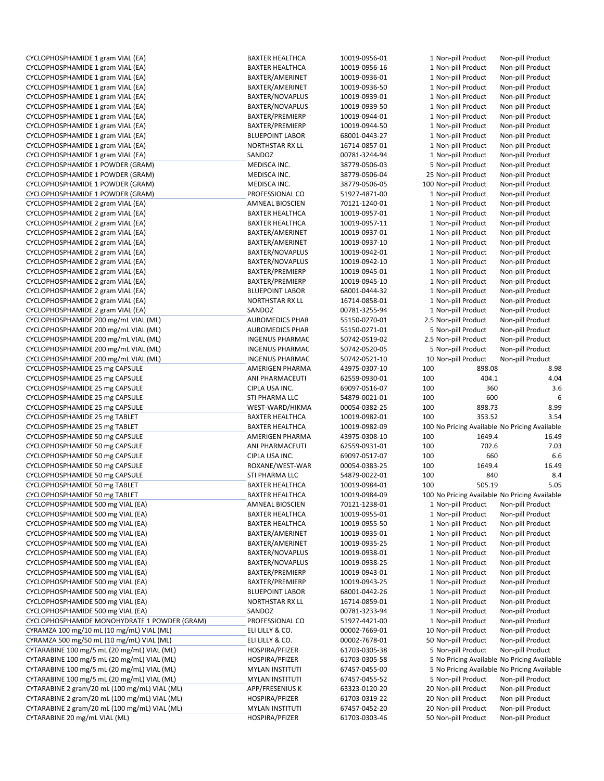| CYCLOPHOSPHAMIDE 1 gram VIAL (EA)                                              | <b>BAXTER HEALTHCA</b>                   | 10019-0956-01                  | 1 Non-pill Product                         |        | Non-pill Product                              |
|--------------------------------------------------------------------------------|------------------------------------------|--------------------------------|--------------------------------------------|--------|-----------------------------------------------|
|                                                                                |                                          |                                |                                            |        |                                               |
| CYCLOPHOSPHAMIDE 1 gram VIAL (EA)                                              | <b>BAXTER HEALTHCA</b>                   | 10019-0956-16                  | 1 Non-pill Product                         |        | Non-pill Product                              |
| CYCLOPHOSPHAMIDE 1 gram VIAL (EA)                                              | BAXTER/AMERINET                          | 10019-0936-01                  | 1 Non-pill Product                         |        | Non-pill Product                              |
| CYCLOPHOSPHAMIDE 1 gram VIAL (EA)                                              | BAXTER/AMERINET                          | 10019-0936-50                  | 1 Non-pill Product                         |        | Non-pill Product                              |
| CYCLOPHOSPHAMIDE 1 gram VIAL (EA)                                              | <b>BAXTER/NOVAPLUS</b>                   | 10019-0939-01                  | 1 Non-pill Product                         |        | Non-pill Product                              |
| CYCLOPHOSPHAMIDE 1 gram VIAL (EA)                                              | <b>BAXTER/NOVAPLUS</b>                   | 10019-0939-50                  | 1 Non-pill Product                         |        | Non-pill Product                              |
| CYCLOPHOSPHAMIDE 1 gram VIAL (EA)                                              | BAXTER/PREMIERP                          | 10019-0944-01                  | 1 Non-pill Product                         |        | Non-pill Product                              |
|                                                                                |                                          |                                |                                            |        |                                               |
| CYCLOPHOSPHAMIDE 1 gram VIAL (EA)                                              | BAXTER/PREMIERP                          | 10019-0944-50                  | 1 Non-pill Product                         |        | Non-pill Product                              |
| CYCLOPHOSPHAMIDE 1 gram VIAL (EA)                                              | <b>BLUEPOINT LABOR</b>                   | 68001-0443-27                  | 1 Non-pill Product                         |        | Non-pill Product                              |
| CYCLOPHOSPHAMIDE 1 gram VIAL (EA)                                              | <b>NORTHSTAR RX LL</b>                   | 16714-0857-01                  | 1 Non-pill Product                         |        | Non-pill Product                              |
| CYCLOPHOSPHAMIDE 1 gram VIAL (EA)                                              | SANDOZ                                   | 00781-3244-94                  | 1 Non-pill Product                         |        | Non-pill Product                              |
|                                                                                |                                          |                                |                                            |        |                                               |
| CYCLOPHOSPHAMIDE 1 POWDER (GRAM)                                               | MEDISCA INC.                             | 38779-0506-03                  | 5 Non-pill Product                         |        | Non-pill Product                              |
| CYCLOPHOSPHAMIDE 1 POWDER (GRAM)                                               | MEDISCA INC.                             | 38779-0506-04                  | 25 Non-pill Product                        |        | Non-pill Product                              |
| CYCLOPHOSPHAMIDE 1 POWDER (GRAM)                                               | MEDISCA INC.                             | 38779-0506-05                  | 100 Non-pill Product                       |        | Non-pill Product                              |
| CYCLOPHOSPHAMIDE 1 POWDER (GRAM)                                               | PROFESSIONAL CO                          | 51927-4871-00                  | 1 Non-pill Product                         |        | Non-pill Product                              |
|                                                                                |                                          |                                |                                            |        |                                               |
| CYCLOPHOSPHAMIDE 2 gram VIAL (EA)                                              | <b>AMNEAL BIOSCIEN</b>                   | 70121-1240-01                  | 1 Non-pill Product                         |        | Non-pill Product                              |
| CYCLOPHOSPHAMIDE 2 gram VIAL (EA)                                              | <b>BAXTER HEALTHCA</b>                   | 10019-0957-01                  | 1 Non-pill Product                         |        | Non-pill Product                              |
| CYCLOPHOSPHAMIDE 2 gram VIAL (EA)                                              | <b>BAXTER HEALTHCA</b>                   | 10019-0957-11                  | 1 Non-pill Product                         |        | Non-pill Product                              |
| CYCLOPHOSPHAMIDE 2 gram VIAL (EA)                                              | BAXTER/AMERINET                          | 10019-0937-01                  | 1 Non-pill Product                         |        | Non-pill Product                              |
| CYCLOPHOSPHAMIDE 2 gram VIAL (EA)                                              | BAXTER/AMERINET                          | 10019-0937-10                  | 1 Non-pill Product                         |        | Non-pill Product                              |
|                                                                                |                                          |                                |                                            |        |                                               |
| CYCLOPHOSPHAMIDE 2 gram VIAL (EA)                                              | BAXTER/NOVAPLUS                          | 10019-0942-01                  | 1 Non-pill Product                         |        | Non-pill Product                              |
| CYCLOPHOSPHAMIDE 2 gram VIAL (EA)                                              | BAXTER/NOVAPLUS                          | 10019-0942-10                  | 1 Non-pill Product                         |        | Non-pill Product                              |
| CYCLOPHOSPHAMIDE 2 gram VIAL (EA)                                              | BAXTER/PREMIERP                          | 10019-0945-01                  | 1 Non-pill Product                         |        | Non-pill Product                              |
| CYCLOPHOSPHAMIDE 2 gram VIAL (EA)                                              | BAXTER/PREMIERP                          | 10019-0945-10                  | 1 Non-pill Product                         |        | Non-pill Product                              |
|                                                                                |                                          |                                |                                            |        |                                               |
| CYCLOPHOSPHAMIDE 2 gram VIAL (EA)                                              | <b>BLUEPOINT LABOR</b>                   | 68001-0444-32                  | 1 Non-pill Product                         |        | Non-pill Product                              |
| CYCLOPHOSPHAMIDE 2 gram VIAL (EA)                                              | <b>NORTHSTAR RX LL</b>                   | 16714-0858-01                  | 1 Non-pill Product                         |        | Non-pill Product                              |
| CYCLOPHOSPHAMIDE 2 gram VIAL (EA)                                              | SANDOZ                                   | 00781-3255-94                  | 1 Non-pill Product                         |        | Non-pill Product                              |
| CYCLOPHOSPHAMIDE 200 mg/mL VIAL (ML)                                           | <b>AUROMEDICS PHAR</b>                   | 55150-0270-01                  | 2.5 Non-pill Product                       |        | Non-pill Product                              |
| CYCLOPHOSPHAMIDE 200 mg/mL VIAL (ML)                                           | <b>AUROMEDICS PHAR</b>                   | 55150-0271-01                  | 5 Non-pill Product                         |        | Non-pill Product                              |
|                                                                                |                                          |                                |                                            |        |                                               |
| CYCLOPHOSPHAMIDE 200 mg/mL VIAL (ML)                                           | <b>INGENUS PHARMAC</b>                   | 50742-0519-02                  | 2.5 Non-pill Product                       |        | Non-pill Product                              |
| CYCLOPHOSPHAMIDE 200 mg/mL VIAL (ML)                                           | <b>INGENUS PHARMAC</b>                   | 50742-0520-05                  | 5 Non-pill Product                         |        | Non-pill Product                              |
| CYCLOPHOSPHAMIDE 200 mg/mL VIAL (ML)                                           | <b>INGENUS PHARMAC</b>                   | 50742-0521-10                  | 10 Non-pill Product                        |        | Non-pill Product                              |
| CYCLOPHOSPHAMIDE 25 mg CAPSULE                                                 | AMERIGEN PHARMA                          | 43975-0307-10                  | 100                                        | 898.08 | 8.98                                          |
| CYCLOPHOSPHAMIDE 25 mg CAPSULE                                                 | ANI PHARMACEUTI                          | 62559-0930-01                  | 100                                        | 404.1  | 4.04                                          |
|                                                                                |                                          |                                |                                            |        |                                               |
| CYCLOPHOSPHAMIDE 25 mg CAPSULE                                                 | CIPLA USA INC.                           | 69097-0516-07                  | 100                                        | 360    | 3.6                                           |
| CYCLOPHOSPHAMIDE 25 mg CAPSULE                                                 | STI PHARMA LLC                           | 54879-0021-01                  | 100                                        | 600    |                                               |
| CYCLOPHOSPHAMIDE 25 mg CAPSULE                                                 | WEST-WARD/HIKMA                          | 00054-0382-25                  | 100                                        | 898.73 | 8.99                                          |
| CYCLOPHOSPHAMIDE 25 mg TABLET                                                  | <b>BAXTER HEALTHCA</b>                   | 10019-0982-01                  | 100                                        | 353.52 | 3.54                                          |
|                                                                                | <b>BAXTER HEALTHCA</b>                   |                                |                                            |        |                                               |
| CYCLOPHOSPHAMIDE 25 mg TABLET                                                  |                                          | 10019-0982-09                  |                                            |        | 100 No Pricing Available No Pricing Available |
| CYCLOPHOSPHAMIDE 50 mg CAPSULE                                                 | AMERIGEN PHARMA                          | 43975-0308-10                  | 100                                        | 1649.4 | 16.49                                         |
| CYCLOPHOSPHAMIDE 50 mg CAPSULE                                                 | ANI PHARMACEUTI                          | 62559-0931-01                  | 100                                        | 702.6  | 7.03                                          |
| CYCLOPHOSPHAMIDE 50 mg CAPSULE                                                 | CIPLA USA INC.                           | 69097-0517-07                  | 100                                        | 660    | 6.6                                           |
| CYCLOPHOSPHAMIDE 50 mg CAPSULE                                                 | ROXANE/WEST-WAR                          | 00054-0383-25                  | 100                                        | 1649.4 | 16.49                                         |
|                                                                                | STI PHARMA LLC                           |                                |                                            |        |                                               |
| CYCLOPHOSPHAMIDE 50 mg CAPSULE                                                 |                                          | 54879-0022-01                  | 100                                        | 840    | 8.4                                           |
| CYCLOPHOSPHAMIDE 50 mg TABLET                                                  | <b>BAXTER HEALTHCA</b>                   | 10019-0984-01                  | 100                                        | 505.19 | 5.05                                          |
| CYCLOPHOSPHAMIDE 50 mg TABLET                                                  | <b>BAXTER HEALTHCA</b>                   | 10019-0984-09                  |                                            |        | 100 No Pricing Available No Pricing Available |
| CYCLOPHOSPHAMIDE 500 mg VIAL (EA)                                              | <b>AMNEAL BIOSCIEN</b>                   | 70121-1238-01                  | 1 Non-pill Product                         |        | Non-pill Product                              |
| CYCLOPHOSPHAMIDE 500 mg VIAL (EA)                                              | <b>BAXTER HEALTHCA</b>                   | 10019-0955-01                  | 1 Non-pill Product                         |        | Non-pill Product                              |
|                                                                                |                                          |                                |                                            |        |                                               |
| CYCLOPHOSPHAMIDE 500 mg VIAL (EA)                                              | <b>BAXTER HEALTHCA</b>                   | 10019-0955-50                  | 1 Non-pill Product                         |        | Non-pill Product                              |
| CYCLOPHOSPHAMIDE 500 mg VIAL (EA)                                              | BAXTER/AMERINET                          | 10019-0935-01                  | 1 Non-pill Product                         |        | Non-pill Product                              |
| CYCLOPHOSPHAMIDE 500 mg VIAL (EA)                                              | BAXTER/AMERINET                          | 10019-0935-25                  | 1 Non-pill Product                         |        | Non-pill Product                              |
| CYCLOPHOSPHAMIDE 500 mg VIAL (EA)                                              | BAXTER/NOVAPLUS                          | 10019-0938-01                  | 1 Non-pill Product                         |        | Non-pill Product                              |
| CYCLOPHOSPHAMIDE 500 mg VIAL (EA)                                              | BAXTER/NOVAPLUS                          | 10019-0938-25                  | 1 Non-pill Product                         |        | Non-pill Product                              |
|                                                                                |                                          |                                |                                            |        |                                               |
| CYCLOPHOSPHAMIDE 500 mg VIAL (EA)                                              | BAXTER/PREMIERP                          | 10019-0943-01                  | 1 Non-pill Product                         |        | Non-pill Product                              |
| CYCLOPHOSPHAMIDE 500 mg VIAL (EA)                                              | BAXTER/PREMIERP                          | 10019-0943-25                  | 1 Non-pill Product                         |        | Non-pill Product                              |
| CYCLOPHOSPHAMIDE 500 mg VIAL (EA)                                              | <b>BLUEPOINT LABOR</b>                   | 68001-0442-26                  | 1 Non-pill Product                         |        | Non-pill Product                              |
| CYCLOPHOSPHAMIDE 500 mg VIAL (EA)                                              | NORTHSTAR RX LL                          | 16714-0859-01                  | 1 Non-pill Product                         |        | Non-pill Product                              |
|                                                                                |                                          |                                |                                            |        |                                               |
| CYCLOPHOSPHAMIDE 500 mg VIAL (EA)                                              | SANDOZ                                   | 00781-3233-94                  | 1 Non-pill Product                         |        | Non-pill Product                              |
| CYCLOPHOSPHAMIDE MONOHYDRATE 1 POWDER (GRAM)                                   | PROFESSIONAL CO                          | 51927-4421-00                  | 1 Non-pill Product                         |        | Non-pill Product                              |
| CYRAMZA 100 mg/10 mL (10 mg/mL) VIAL (ML)                                      | ELI LILLY & CO.                          | 00002-7669-01                  | 10 Non-pill Product                        |        | Non-pill Product                              |
| CYRAMZA 500 mg/50 mL (10 mg/mL) VIAL (ML)                                      | ELI LILLY & CO.                          | 00002-7678-01                  | 50 Non-pill Product                        |        | Non-pill Product                              |
| CYTARABINE 100 mg/5 mL (20 mg/mL) VIAL (ML)                                    | HOSPIRA/PFIZER                           | 61703-0305-38                  | 5 Non-pill Product                         |        | Non-pill Product                              |
|                                                                                |                                          |                                |                                            |        |                                               |
| CYTARABINE 100 mg/5 mL (20 mg/mL) VIAL (ML)                                    | HOSPIRA/PFIZER                           | 61703-0305-58                  |                                            |        | 5 No Pricing Available No Pricing Available   |
|                                                                                |                                          |                                |                                            |        | 5 No Pricing Available No Pricing Available   |
| CYTARABINE 100 mg/5 mL (20 mg/mL) VIAL (ML)                                    | <b>MYLAN INSTITUTI</b>                   | 67457-0455-00                  |                                            |        |                                               |
| CYTARABINE 100 mg/5 mL (20 mg/mL) VIAL (ML)                                    | <b>MYLAN INSTITUTI</b>                   | 67457-0455-52                  | 5 Non-pill Product                         |        | Non-pill Product                              |
|                                                                                |                                          |                                |                                            |        |                                               |
| CYTARABINE 2 gram/20 mL (100 mg/mL) VIAL (ML)                                  | APP/FRESENIUS K                          | 63323-0120-20                  | 20 Non-pill Product                        |        | Non-pill Product                              |
| CYTARABINE 2 gram/20 mL (100 mg/mL) VIAL (ML)                                  | HOSPIRA/PFIZER                           | 61703-0319-22                  | 20 Non-pill Product                        |        | Non-pill Product                              |
| CYTARABINE 2 gram/20 mL (100 mg/mL) VIAL (ML)<br>CYTARABINE 20 mg/mL VIAL (ML) | <b>MYLAN INSTITUTI</b><br>HOSPIRA/PFIZER | 67457-0452-20<br>61703-0303-46 | 20 Non-pill Product<br>50 Non-pill Product |        | Non-pill Product<br>Non-pill Product          |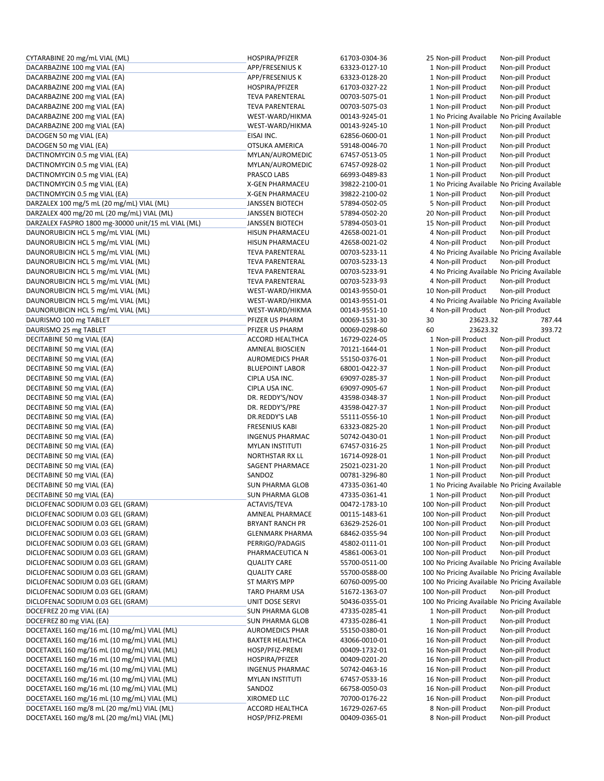| CYTARABINE 20 mg/mL VIAL (ML)                      | HOSPIRA/PFIZER         | 61703-0304-36 | 25 Non-pill Product                           | Non-pill Product |
|----------------------------------------------------|------------------------|---------------|-----------------------------------------------|------------------|
| DACARBAZINE 100 mg VIAL (EA)                       | APP/FRESENIUS K        | 63323-0127-10 | 1 Non-pill Product                            | Non-pill Product |
| DACARBAZINE 200 mg VIAL (EA)                       | APP/FRESENIUS K        | 63323-0128-20 | 1 Non-pill Product                            | Non-pill Product |
| DACARBAZINE 200 mg VIAL (EA)                       | HOSPIRA/PFIZER         | 61703-0327-22 | 1 Non-pill Product                            | Non-pill Product |
| DACARBAZINE 200 mg VIAL (EA)                       | <b>TEVA PARENTERAL</b> | 00703-5075-01 | 1 Non-pill Product                            | Non-pill Product |
| DACARBAZINE 200 mg VIAL (EA)                       | <b>TEVA PARENTERAL</b> | 00703-5075-03 | 1 Non-pill Product                            | Non-pill Product |
|                                                    |                        |               |                                               |                  |
| DACARBAZINE 200 mg VIAL (EA)                       | WEST-WARD/HIKMA        | 00143-9245-01 | 1 No Pricing Available No Pricing Available   |                  |
| DACARBAZINE 200 mg VIAL (EA)                       | WEST-WARD/HIKMA        | 00143-9245-10 | 1 Non-pill Product                            | Non-pill Product |
| DACOGEN 50 mg VIAL (EA)                            | EISAI INC.             | 62856-0600-01 | 1 Non-pill Product                            | Non-pill Product |
| DACOGEN 50 mg VIAL (EA)                            | OTSUKA AMERICA         | 59148-0046-70 | 1 Non-pill Product                            | Non-pill Product |
| DACTINOMYCIN 0.5 mg VIAL (EA)                      | MYLAN/AUROMEDIC        | 67457-0513-05 | 1 Non-pill Product                            | Non-pill Product |
| DACTINOMYCIN 0.5 mg VIAL (EA)                      | MYLAN/AUROMEDIC        | 67457-0928-02 | 1 Non-pill Product                            | Non-pill Product |
| DACTINOMYCIN 0.5 mg VIAL (EA)                      | PRASCO LABS            | 66993-0489-83 | 1 Non-pill Product                            | Non-pill Product |
| DACTINOMYCIN 0.5 mg VIAL (EA)                      | <b>X-GEN PHARMACEU</b> | 39822-2100-01 | 1 No Pricing Available No Pricing Available   |                  |
| DACTINOMYCIN 0.5 mg VIAL (EA)                      | X-GEN PHARMACEU        | 39822-2100-02 | 1 Non-pill Product                            | Non-pill Product |
|                                                    |                        |               |                                               |                  |
| DARZALEX 100 mg/5 mL (20 mg/mL) VIAL (ML)          | <b>JANSSEN BIOTECH</b> | 57894-0502-05 | 5 Non-pill Product                            | Non-pill Product |
| DARZALEX 400 mg/20 mL (20 mg/mL) VIAL (ML)         | <b>JANSSEN BIOTECH</b> | 57894-0502-20 | 20 Non-pill Product                           | Non-pill Product |
| DARZALEX FASPRO 1800 mg-30000 unit/15 mL VIAL (ML) | <b>JANSSEN BIOTECH</b> | 57894-0503-01 | 15 Non-pill Product                           | Non-pill Product |
| DAUNORUBICIN HCL 5 mg/mL VIAL (ML)                 | <b>HISUN PHARMACEU</b> | 42658-0021-01 | 4 Non-pill Product                            | Non-pill Product |
| DAUNORUBICIN HCL 5 mg/mL VIAL (ML)                 | <b>HISUN PHARMACEU</b> | 42658-0021-02 | 4 Non-pill Product                            | Non-pill Product |
| DAUNORUBICIN HCL 5 mg/mL VIAL (ML)                 | <b>TEVA PARENTERAL</b> | 00703-5233-11 | 4 No Pricing Available No Pricing Available   |                  |
| DAUNORUBICIN HCL 5 mg/mL VIAL (ML)                 | <b>TEVA PARENTERAL</b> | 00703-5233-13 | 4 Non-pill Product                            | Non-pill Product |
| DAUNORUBICIN HCL 5 mg/mL VIAL (ML)                 | <b>TEVA PARENTERAL</b> | 00703-5233-91 | 4 No Pricing Available No Pricing Available   |                  |
| DAUNORUBICIN HCL 5 mg/mL VIAL (ML)                 |                        |               | 4 Non-pill Product                            |                  |
|                                                    | <b>TEVA PARENTERAL</b> | 00703-5233-93 |                                               | Non-pill Product |
| DAUNORUBICIN HCL 5 mg/mL VIAL (ML)                 | WEST-WARD/HIKMA        | 00143-9550-01 | 10 Non-pill Product                           | Non-pill Product |
| DAUNORUBICIN HCL 5 mg/mL VIAL (ML)                 | WEST-WARD/HIKMA        | 00143-9551-01 | 4 No Pricing Available No Pricing Available   |                  |
| DAUNORUBICIN HCL 5 mg/mL VIAL (ML)                 | WEST-WARD/HIKMA        | 00143-9551-10 | 4 Non-pill Product                            | Non-pill Product |
| DAURISMO 100 mg TABLET                             | PFIZER US PHARM        | 00069-1531-30 | 30<br>23623.32                                | 787.44           |
| DAURISMO 25 mg TABLET                              | PFIZER US PHARM        | 00069-0298-60 | 60<br>23623.32                                | 393.72           |
| DECITABINE 50 mg VIAL (EA)                         | ACCORD HEALTHCA        | 16729-0224-05 | 1 Non-pill Product                            | Non-pill Product |
| DECITABINE 50 mg VIAL (EA)                         | AMNEAL BIOSCIEN        | 70121-1644-01 | 1 Non-pill Product                            | Non-pill Product |
| DECITABINE 50 mg VIAL (EA)                         | <b>AUROMEDICS PHAR</b> | 55150-0376-01 | 1 Non-pill Product                            | Non-pill Product |
|                                                    |                        |               |                                               |                  |
| DECITABINE 50 mg VIAL (EA)                         | <b>BLUEPOINT LABOR</b> | 68001-0422-37 | 1 Non-pill Product                            | Non-pill Product |
| DECITABINE 50 mg VIAL (EA)                         | CIPLA USA INC.         | 69097-0285-37 | 1 Non-pill Product                            | Non-pill Product |
| DECITABINE 50 mg VIAL (EA)                         | CIPLA USA INC.         | 69097-0905-67 | 1 Non-pill Product                            | Non-pill Product |
| DECITABINE 50 mg VIAL (EA)                         | DR. REDDY'S/NOV        | 43598-0348-37 | 1 Non-pill Product                            | Non-pill Product |
| DECITABINE 50 mg VIAL (EA)                         | DR. REDDY'S/PRE        | 43598-0427-37 | 1 Non-pill Product                            | Non-pill Product |
| DECITABINE 50 mg VIAL (EA)                         | DR.REDDY'S LAB         | 55111-0556-10 | 1 Non-pill Product                            | Non-pill Product |
| DECITABINE 50 mg VIAL (EA)                         | <b>FRESENIUS KABI</b>  | 63323-0825-20 | 1 Non-pill Product                            | Non-pill Product |
| DECITABINE 50 mg VIAL (EA)                         | INGENUS PHARMAC        | 50742-0430-01 | 1 Non-pill Product                            | Non-pill Product |
| DECITABINE 50 mg VIAL (EA)                         | <b>MYLAN INSTITUTI</b> | 67457-0316-25 | 1 Non-pill Product                            | Non-pill Product |
|                                                    |                        |               |                                               |                  |
| DECITABINE 50 mg VIAL (EA)                         | NORTHSTAR RX LL        | 16714-0928-01 | 1 Non-pill Product                            | Non-pill Product |
| DECITABINE 50 mg VIAL (EA)                         | SAGENT PHARMACE        | 25021-0231-20 | 1 Non-pill Product                            | Non-pill Product |
| DECITABINE 50 mg VIAL (EA)                         | SANDOZ                 | 00781-3296-80 | 1 Non-pill Product                            | Non-pill Product |
| DECITABINE 50 mg VIAL (EA)                         | <b>SUN PHARMA GLOB</b> | 47335-0361-40 | 1 No Pricing Available No Pricing Available   |                  |
| DECITABINE 50 mg VIAL (EA)                         | <b>SUN PHARMA GLOB</b> | 47335-0361-41 | 1 Non-pill Product                            | Non-pill Product |
| DICLOFENAC SODIUM 0.03 GEL (GRAM)                  | <b>ACTAVIS/TEVA</b>    | 00472-1783-10 | 100 Non-pill Product                          | Non-pill Product |
| DICLOFENAC SODIUM 0.03 GEL (GRAM)                  | AMNEAL PHARMACE        | 00115-1483-61 | 100 Non-pill Product                          | Non-pill Product |
| DICLOFENAC SODIUM 0.03 GEL (GRAM)                  | <b>BRYANT RANCH PR</b> | 63629-2526-01 | 100 Non-pill Product                          | Non-pill Product |
| DICLOFENAC SODIUM 0.03 GEL (GRAM)                  | <b>GLENMARK PHARMA</b> | 68462-0355-94 | 100 Non-pill Product                          | Non-pill Product |
| DICLOFENAC SODIUM 0.03 GEL (GRAM)                  |                        |               |                                               |                  |
|                                                    | PERRIGO/PADAGIS        | 45802-0111-01 | 100 Non-pill Product                          | Non-pill Product |
| DICLOFENAC SODIUM 0.03 GEL (GRAM)                  | PHARMACEUTICA N        | 45861-0063-01 | 100 Non-pill Product                          | Non-pill Product |
| DICLOFENAC SODIUM 0.03 GEL (GRAM)                  | <b>QUALITY CARE</b>    | 55700-0511-00 | 100 No Pricing Available No Pricing Available |                  |
| DICLOFENAC SODIUM 0.03 GEL (GRAM)                  | <b>QUALITY CARE</b>    | 55700-0588-00 | 100 No Pricing Available No Pricing Available |                  |
| DICLOFENAC SODIUM 0.03 GEL (GRAM)                  | ST MARYS MPP           | 60760-0095-00 | 100 No Pricing Available No Pricing Available |                  |
| DICLOFENAC SODIUM 0.03 GEL (GRAM)                  | TARO PHARM USA         | 51672-1363-07 | 100 Non-pill Product                          | Non-pill Product |
| DICLOFENAC SODIUM 0.03 GEL (GRAM)                  | UNIT DOSE SERVI        | 50436-0355-01 | 100 No Pricing Available No Pricing Available |                  |
| DOCEFREZ 20 mg VIAL (EA)                           | <b>SUN PHARMA GLOB</b> | 47335-0285-41 | 1 Non-pill Product                            | Non-pill Product |
| DOCEFREZ 80 mg VIAL (EA)                           | <b>SUN PHARMA GLOB</b> | 47335-0286-41 | 1 Non-pill Product                            | Non-pill Product |
|                                                    |                        |               |                                               |                  |
| DOCETAXEL 160 mg/16 mL (10 mg/mL) VIAL (ML)        | <b>AUROMEDICS PHAR</b> | 55150-0380-01 | 16 Non-pill Product                           | Non-pill Product |
| DOCETAXEL 160 mg/16 mL (10 mg/mL) VIAL (ML)        | <b>BAXTER HEALTHCA</b> | 43066-0010-01 | 16 Non-pill Product                           | Non-pill Product |
| DOCETAXEL 160 mg/16 mL (10 mg/mL) VIAL (ML)        | HOSP/PFIZ-PREMI        | 00409-1732-01 | 16 Non-pill Product                           | Non-pill Product |
| DOCETAXEL 160 mg/16 mL (10 mg/mL) VIAL (ML)        | HOSPIRA/PFIZER         | 00409-0201-20 | 16 Non-pill Product                           | Non-pill Product |
| DOCETAXEL 160 mg/16 mL (10 mg/mL) VIAL (ML)        | <b>INGENUS PHARMAC</b> | 50742-0463-16 | 16 Non-pill Product                           | Non-pill Product |
| DOCETAXEL 160 mg/16 mL (10 mg/mL) VIAL (ML)        | <b>MYLAN INSTITUTI</b> | 67457-0533-16 | 16 Non-pill Product                           | Non-pill Product |
| DOCETAXEL 160 mg/16 mL (10 mg/mL) VIAL (ML)        | SANDOZ                 | 66758-0050-03 | 16 Non-pill Product                           | Non-pill Product |
| DOCETAXEL 160 mg/16 mL (10 mg/mL) VIAL (ML)        | XIROMED LLC            | 70700-0176-22 | 16 Non-pill Product                           | Non-pill Product |
|                                                    |                        |               |                                               |                  |
| DOCETAXEL 160 mg/8 mL (20 mg/mL) VIAL (ML)         | <b>ACCORD HEALTHCA</b> | 16729-0267-65 | 8 Non-pill Product                            | Non-pill Product |
| DOCETAXEL 160 mg/8 mL (20 mg/mL) VIAL (ML)         | HOSP/PFIZ-PREMI        | 00409-0365-01 | 8 Non-pill Product                            | Non-pill Product |

|    | 25 Non-pill Product                        | Non-pill Product                     |
|----|--------------------------------------------|--------------------------------------|
|    | 1 Non-pill Product                         | Non-pill Product                     |
|    | 1 Non-pill Product                         | Non-pill Product                     |
|    | 1 Non-pill Product                         | Non-pill Product                     |
|    | 1 Non-pill Product                         | Non-pill Product                     |
|    | 1 Non-pill Product                         | Non-pill Product                     |
|    | 1 No Pricing Available                     | No Pricing Available                 |
|    | 1 Non-pill Product                         | Non-pill Product                     |
|    | 1 Non-pill Product                         | Non-pill Product                     |
|    | 1 Non-pill Product                         | Non-pill Product                     |
|    | 1 Non-pill Product                         | Non-pill Product                     |
|    | 1 Non-pill Product                         | Non-pill Product                     |
|    | 1 Non-pill Product                         | Non-pill Product                     |
|    | 1 No Pricing Available                     | No Pricing Available                 |
|    | 1 Non-pill Product                         | Non-pill Product                     |
|    | 5 Non-pill Product                         | Non-pill Product                     |
|    | 20 Non-pill Product                        | Non-pill Product                     |
|    | 15 Non-pill Product                        | Non-pill Product                     |
|    | 4 Non-pill Product                         | Non-pill Product                     |
|    | 4 Non-pill Product                         | Non-pill Product                     |
|    | 4 No Pricing Available                     | No Pricing Available                 |
|    | 4 Non-pill Product                         | Non-pill Product                     |
|    | 4 No Pricing Available                     | No Pricing Available                 |
|    | 4 Non-pill Product                         | Non-pill Product                     |
|    | 10 Non-pill Product                        | Non-pill Product                     |
|    | 4 No Pricing Available                     | No Pricing Available                 |
|    | 4 Non-pill Product                         | Non-pill Product                     |
| 30 | 23623.32                                   | 787.4                                |
| 60 | 23623.32                                   | 393.7                                |
|    | 1 Non-pill Product                         | Non-pill Product                     |
|    | 1 Non-pill Product                         | Non-pill Product                     |
|    | 1 Non-pill Product<br>1 Non-pill Product   | Non-pill Product<br>Non-pill Product |
|    | 1 Non-pill Product                         | Non-pill Product                     |
|    | 1 Non-pill Product                         | Non-pill Product                     |
|    | 1 Non-pill Product                         | Non-pill Product                     |
|    | 1 Non-pill Product                         | Non-pill Product                     |
|    | 1 Non-pill Product                         | Non-pill Product                     |
|    | 1 Non-pill Product                         | Non-pill Product                     |
|    | 1 Non-pill Product                         | Non-pill Product                     |
|    |                                            |                                      |
|    | 1 Non-pill Product                         | Non-pill Product                     |
|    | 1 Non-pill Product                         | Non-pill Product                     |
|    | 1 Non-pill Product                         | Non-pill Product                     |
|    | 1 Non-pill Product                         | Non-pill Product                     |
|    | 1 No Pricing Available                     | No Pricing Available                 |
|    | 1 Non-pill Product                         | Non-pill Product                     |
|    | 100 Non-pill Product                       | Non-pill Product                     |
|    | 100 Non-pill Product                       | Non-pill Product                     |
|    | 100 Non-pill Product                       | Non-pill Product                     |
|    | 100 Non-pill Product                       | Non-pill Product                     |
|    | 100 Non-pill Product                       | Non-pill Product                     |
|    | 100 Non-pill Product                       | Non-pill Product                     |
|    | 100 No Pricing Available                   | No Pricing Available                 |
|    | 100 No Pricing Available                   | No Pricing Available                 |
|    | 100 No Pricing Available                   | No Pricing Available                 |
|    | 100 Non-pill Product                       | Non-pill Product                     |
|    | 100 No Pricing Available                   | No Pricing Available                 |
|    | 1 Non-pill Product                         | Non-pill Product                     |
|    | 1 Non-pill Product                         | Non-pill Product                     |
|    | 16 Non-pill Product                        | Non-pill Product                     |
|    | 16 Non-pill Product                        | Non-pill Product                     |
|    | 16 Non-pill Product<br>16 Non-pill Product | Non-pill Product<br>Non-pill Product |
|    | 16 Non-pill Product                        | Non-pill Product                     |
|    | 16 Non-pill Product                        | Non-pill Product                     |
|    | 16 Non-pill Product                        | Non-pill Product                     |
|    | 16 Non-pill Product                        | Non-pill Product                     |
|    | 8 Non-pill Product<br>8 Non-pill Product   | Non-pill Product<br>Non-pill Product |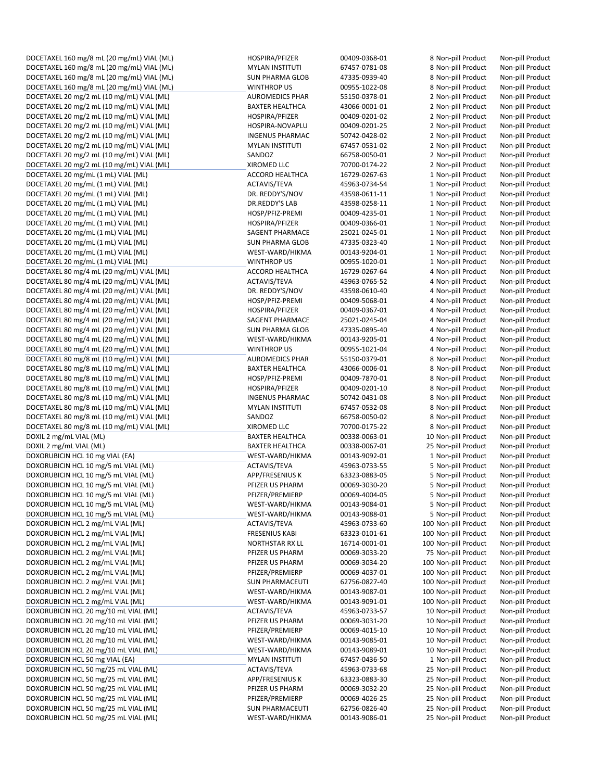DOCETAXEL 160 mg/8 mL (20 mg/mL) VIAL (ML) HOSPIRA/PFIZER 00409-0368-01 8 Non-pill Product Non-pill Product DOCETAXEL 160 mg/8 mL (20 mg/mL) VIAL (ML) MYLAN INSTITUTI 67457-0781-08 8 Non-pill Product Non-pill Product DOCETAXEL 160 mg/8 mL (20 mg/mL) VIAL (ML) SUN PHARMA GLOB 47335‐0939‐40 8 Non‐pill Product Non‐pill Product DOCETAXEL 160 mg/8 mL (20 mg/mL) VIAL (ML) WINTHROP US 00955‐1022‐08 8 Non‐pill Product Non‐pill Product DOCETAXEL 20 mg/2 mL (10 mg/mL) VIAL (ML) AUROMEDICS PHAR 55150‐0378‐01 2 Non‐pill Product Non‐pill Product DOCETAXEL 20 mg/2 mL (10 mg/mL) VIAL (ML) BAXTER HEALTHCA 43066‐0001‐01 2 Non‐pill Product Non‐pill Product DOCETAXEL 20 mg/2 mL (10 mg/mL) VIAL (ML) HOSPIRA/PFIZER 00409-0201-02 2 Non-pill Product Non-pill Product DOCETAXEL 20 mg/2 mL (10 mg/mL) VIAL (ML) HOSPIRA‐NOVAPLU 00409‐0201‐25 2 Non‐pill Product Non‐pill Product DOCETAXEL 20 mg/2 mL (10 mg/mL) VIAL (ML) INGENUS PHARMAC 50742‐0428‐02 2 Non‐pill Product Non‐pill Product DOCETAXEL 20 mg/2 mL (10 mg/mL) VIAL (ML) MYLAN INSTITUTI 67457‐0531‐02 2 Non‐pill Product Non‐pill Product DOCETAXEL 20 mg/2 mL (10 mg/mL) VIAL (ML) SANDOZ 66758‐0050‐01 2 Non‐pill Product Non‐pill Product DOCETAXEL 20 mg/2 mL (10 mg/mL) VIAL (ML) XIROMED LLC 70700‐0174‐22 2 Non‐pill Product Non‐pill Product DOCETAXEL 20 mg/mL (1 mL) VIAL (ML) ACCORD HEALTHCA 16729‐0267‐63 1 Non‐pill Product Non‐pill Product DOCETAXEL 20 mg/mL (1 mL) VIAL (ML) <br>DOCETAXEL 20 mg/mL (1 mL) VIAL (ML) DR. REDDY'S/NOV 43598-0611-11 1 Non-pill Product Non-pill Product DOCETAXEL 20 mg/mL (1 mL) VIAL (ML) DR. REDDY'S/NOV 43598‐0611‐11 1 Non‐pill Product Non‐pill Product DOCETAXEL 20 mg/mL (1 mL) VIAL (ML) DR.REDDY'S LAB 43598‐0258‐11 1 Non‐pill Product Non‐pill Product DOCETAXEL 20 mg/mL (1 mL) VIAL (ML) HOSP/PFIZ‐PREMI 00409‐4235‐01 1 Non‐pill Product Non‐pill Product DOCETAXEL 20 mg/mL (1 mL) VIAL (ML) HOSPIRA/PFIZER 00409‐0366‐01 1 Non‐pill Product Non‐pill Product DOCETAXEL 20 mg/mL (1 mL) VIAL (ML) SAGENT PHARMACE 25021‐0245‐01 1 Non‐pill Product Non‐pill Product DOCETAXEL 20 mg/mL (1 mL) VIAL (ML) SUN PHARMA GLOB 47335‐0323‐40 1 Non‐pill Product Non‐pill Product DOCETAXEL 20 mg/mL (1 mL) VIAL (ML) WEST‐WARD/HIKMA 00143‐9204‐01 1 Non‐pill Product Non‐pill Product DOCETAXEL 20 mg/mL (1 mL) VIAL (ML) WINTHROP US 00955-1020-01 1 Non-pill Product Non-pill Product Non-pill Product<br>DOCETAXEL 80 mg/4 mL (20 mg/mL) VIAL (ML) ACCORD HEALTHCA 16729-0267-64 4 Non-pill Product Non-pill Produc DOCETAXEL 80 mg/4 mL (20 mg/mL) VIAL (ML) ACCORD HEALTHCA 16729‐0267‐64 4 Non‐pill Product Non‐pill Product DOCETAXEL 80 mg/4 mL (20 mg/mL) VIAL (ML) ACTAVIS/TEVA 45963-0765-52 4 Non-pill Product Non-pill Product DOCETAXEL 80 mg/4 mL (20 mg/mL) VIAL (ML) DR. REDDY'S/NOV 43598‐0610‐40 4 Non‐pill Product Non‐pill Product DOCETAXEL 80 mg/4 mL (20 mg/mL) VIAL (ML) HOSP/PFIZ‐PREMI 00409‐5068‐01 4 Non‐pill Product Non‐pill Product DOCETAXEL 80 mg/4 mL (20 mg/mL) VIAL (ML) HOSPIRA/PFIZER 00409-0367-01 4 Non-pill Product Non-pill Product DOCETAXEL 80 mg/4 mL (20 mg/mL) VIAL (ML) SAGENT PHARMACE 25021‐0245‐04 4 Non‐pill Product Non‐pill Product DOCETAXEL 80 mg/4 mL (20 mg/mL) VIAL (ML) SUN PHARMA GLOB 47335‐0895‐40 4 Non‐pill Product Non‐pill Product DOCETAXEL 80 mg/4 mL (20 mg/mL) VIAL (ML) WEST-WARD/HIKMA 00143-9205-01 4 Non-pill Product DOCETAXEL 80 mg/4 mL (20 mg/mL) VIAL (ML) WINTHROP US 00955‐1021‐04 4 Non‐pill Product Non‐pill Product DOCETAXEL 80 mg/8 mL (10 mg/mL) VIAL (ML) AUROMEDICS PHAR 55150‐0379‐01 8 Non‐pill Product Non‐pill Product DOCETAXEL 80 mg/8 mL (10 mg/mL) VIAL (ML) BAXTER HEALTHCA 43066‐0006‐01 8 Non‐pill Product Non‐pill Product DOCETAXEL 80 mg/8 mL (10 mg/mL) VIAL (ML) HOSP/PFIZ‐PREMI 00409‐7870‐01 8 Non‐pill Product Non‐pill Product DOCETAXEL 80 mg/8 mL (10 mg/mL) VIAL (ML) HOSPIRA/PFIZER 00409-0201-10 8 Non-pill Product Non-pill Product DOCETAXEL 80 mg/8 mL (10 mg/mL) VIAL (ML) INGENUS PHARMAC 50742‐0431‐08 8 Non‐pill Product Non‐pill Product DOCETAXEL 80 mg/8 mL (10 mg/mL) VIAL (ML) MYLAN INSTITUTI 67457‐0532‐08 8 Non‐pill Product Non‐pill Product DOCETAXEL 80 mg/8 mL (10 mg/mL) VIAL (ML) SANDOZ 66758‐0050‐02 8 Non‐pill Product Non‐pill Product DOCETAXEL 80 mg/8 mL (10 mg/mL) VIAL (ML) XIROMED LLC 70700‐0175‐22 8 Non‐pill Product Non‐pill Product DOXIL 2 mg/mL VIAL (ML) BAXTER HEALTHCA 00338‐0063‐01 10 Non‐pill Product Non‐pill Product DOXIL 2 mg/mL VIAL (ML) BAXTER HEALTHCA 00338‐0067‐01 25 Non‐pill Product Non‐pill Product DOXORUBICIN HCL 10 mg VIAL (EA) WEST-WARD/HIKMA 00143-9092-01 1 Non-pill Product Non-pill Product DOXORUBICIN HCL 10 mg/5 mL VIAL (ML) **ACTAVIS/TEVA** ACTAVIS/TEVA 45963-0733-55 5 Non-pill Product Non-pill Product DOXORUBICIN HCL 10 mg/5 mL VIAL (ML) APP/FRESENIUS K 63323‐0883‐05 5 Non‐pill Product Non‐pill Product DOXORUBICIN HCL 10 mg/5 mL VIAL (ML) PFIZER US PHARM 00069‐3030‐20 5 Non‐pill Product Non‐pill Product DOXORUBICIN HCL 10 mg/5 mL VIAL (ML) PFIZER/PREMIERP 00069‐4004‐05 5 Non‐pill Product Non‐pill Product DOXORUBICIN HCL 10 mg/5 mL VIAL (ML) WEST-WARD/HIKMA 00143-9084-01 5 Non-pill Product Non-pill Product DOXORUBICIN HCL 10 mg/5 mL VIAL (ML) WEST‐WARD/HIKMA 00143‐9088‐01 5 Non‐pill Product Non‐pill Product DOXORUBICIN HCL 2 mg/mL VIAL (ML) ACTAVIS/TEVA 45963‐0733‐60 100 Non‐pill Product Non‐pill Product DOXORUBICIN HCL 2 mg/mL VIAL (ML) FRESENIUS KABI 63323‐0101‐61 100 Non‐pill Product Non‐pill Product DOXORUBICIN HCL 2 mg/mL VIAL (ML) NORTHSTAR RX LL 16714-0001-01 100 Non-pill Product Non-pill Product DOXORUBICIN HCL 2 mg/mL VIAL (ML) PFIZER US PHARM 00069‐3033‐20 75 Non‐pill Product Non‐pill Product DOXORUBICIN HCL 2 mg/mL VIAL (ML) PFIZER US PHARM 00069‐3034‐20 100 Non‐pill Product Non‐pill Product DOXORUBICIN HCL 2 mg/mL VIAL (ML) PFIZER/PREMIERP 00069‐4037‐01 100 Non‐pill Product Non‐pill Product DOXORUBICIN HCL 2 mg/mL VIAL (ML) SUN PHARMACEUTI 62756‐0827‐40 100 Non‐pill Product Non‐pill Product DOXORUBICIN HCL 2 mg/mL VIAL (ML) WEST‐WARD/HIKMA 00143‐9087‐01 100 Non‐pill Product Non‐pill Product DOXORUBICIN HCL 2 mg/mL VIAL (ML) WEST-WARD/HIKMA 00143-9091-01 100 Non-pill Product Non-pill Product DOXORUBICIN HCL 20 mg/10 mL VIAL (ML) ACTAVIS/TEVA 45963‐0733‐57 10 Non‐pill Product Non‐pill Product DOXORUBICIN HCL 20 mg/10 mL VIAL (ML) **DOXORUBICING PRIZER US PHARM** 00069-3031-20 10 Non-pill Product Non-pill Product DOXORUBICIN HCL 20 mg/10 mL VIAL (ML) PFIZER/PREMIERP 00069‐4015‐10 10 Non‐pill Product Non‐pill Product DOXORUBICIN HCL 20 mg/10 mL VIAL (ML) WEST‐WARD/HIKMA 00143‐9085‐01 10 Non‐pill Product Non‐pill Product DOXORUBICIN HCL 20 mg/10 mL VIAL (ML) WEST‐WARD/HIKMA 00143‐9089‐01 10 Non‐pill Product Non‐pill Product DOXORUBICIN HCL 50 mg VIAL (EA) MOVIET AND MYLAN INSTITUTI 67457-0436-50 1 Non-pill Product Non-pill Product DOXORUBICIN HCL 50 mg/25 mL VIAL (ML) ACTAVIS/TEVA 45963‐0733‐68 25 Non‐pill Product Non‐pill Product DOXORUBICIN HCL 50 mg/25 mL VIAL (ML) <br>
APP/FRESENIUS K 63323-0883-30 25 Non-pill Product Non-pill Product DOXORUBICIN HCL 50 mg/25 mL VIAL (ML) **DOXORUBICIN PERIZER US PHARM OODG9-3032**-20 25 Non-pill Product Non-pill Product<br>DOXORUBICIN HCL 50 mg/25 mL VIAL (ML) PERIZER/PREMIERP OOD69-4026-25 25 Non-pill Product Non-pill Prod DOXORUBICIN HCL 50 mg/25 mL VIAL (ML) PFIZER/PREMIERP 00069‐4026‐25 25 Non‐pill Product Non‐pill Product DOXORUBICIN HCL 50 mg/25 mL VIAL (ML) SUN PHARMACEUTI 62756‐0826‐40 25 Non‐pill Product Non‐pill Product DOXORUBICIN HCL 50 mg/25 mL VIAL (ML) WEST‐WARD/HIKMA 00143‐9086‐01 25 Non‐pill Product Non‐pill Product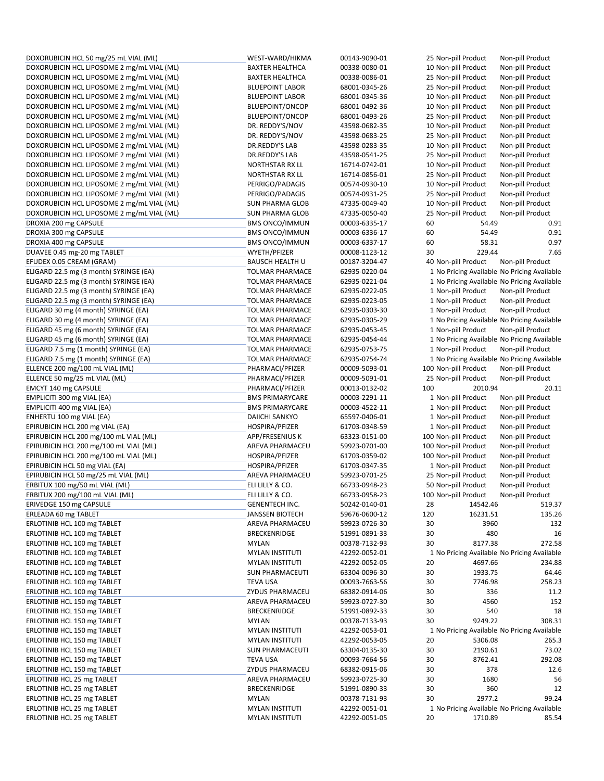| DOXORUBICIN HCL 50 mg/25 mL VIAL (ML)                      | WEST-WARD/HIKMA        | 00143-9090-01                  |     | 25 Non-pill Product              | Non-pill Product                            |
|------------------------------------------------------------|------------------------|--------------------------------|-----|----------------------------------|---------------------------------------------|
| DOXORUBICIN HCL LIPOSOME 2 mg/mL VIAL (ML)                 | <b>BAXTER HEALTHCA</b> | 00338-0080-01                  |     | 10 Non-pill Product              | Non-pill Product                            |
| DOXORUBICIN HCL LIPOSOME 2 mg/mL VIAL (ML)                 | <b>BAXTER HEALTHCA</b> | 00338-0086-01                  |     | 25 Non-pill Product              | Non-pill Product                            |
| DOXORUBICIN HCL LIPOSOME 2 mg/mL VIAL (ML)                 | <b>BLUEPOINT LABOR</b> | 68001-0345-26                  |     | 25 Non-pill Product              | Non-pill Product                            |
| DOXORUBICIN HCL LIPOSOME 2 mg/mL VIAL (ML)                 | <b>BLUEPOINT LABOR</b> | 68001-0345-36                  |     | 10 Non-pill Product              | Non-pill Product                            |
| DOXORUBICIN HCL LIPOSOME 2 mg/mL VIAL (ML)                 | <b>BLUEPOINT/ONCOP</b> | 68001-0492-36                  |     | 10 Non-pill Product              | Non-pill Product                            |
| DOXORUBICIN HCL LIPOSOME 2 mg/mL VIAL (ML)                 | <b>BLUEPOINT/ONCOP</b> | 68001-0493-26                  |     | 25 Non-pill Product              | Non-pill Product                            |
| DOXORUBICIN HCL LIPOSOME 2 mg/mL VIAL (ML)                 | DR. REDDY'S/NOV        | 43598-0682-35                  |     | 10 Non-pill Product              | Non-pill Product                            |
| DOXORUBICIN HCL LIPOSOME 2 mg/mL VIAL (ML)                 | DR. REDDY'S/NOV        | 43598-0683-25                  |     | 25 Non-pill Product              | Non-pill Product                            |
| DOXORUBICIN HCL LIPOSOME 2 mg/mL VIAL (ML)                 | DR.REDDY'S LAB         | 43598-0283-35                  |     | 10 Non-pill Product              | Non-pill Product                            |
| DOXORUBICIN HCL LIPOSOME 2 mg/mL VIAL (ML)                 | DR.REDDY'S LAB         | 43598-0541-25                  |     | 25 Non-pill Product              | Non-pill Product                            |
| DOXORUBICIN HCL LIPOSOME 2 mg/mL VIAL (ML)                 | NORTHSTAR RX LL        | 16714-0742-01                  |     | 10 Non-pill Product              | Non-pill Product                            |
| DOXORUBICIN HCL LIPOSOME 2 mg/mL VIAL (ML)                 | NORTHSTAR RX LL        | 16714-0856-01                  |     | 25 Non-pill Product              | Non-pill Product                            |
| DOXORUBICIN HCL LIPOSOME 2 mg/mL VIAL (ML)                 | PERRIGO/PADAGIS        | 00574-0930-10                  |     | 10 Non-pill Product              | Non-pill Product                            |
| DOXORUBICIN HCL LIPOSOME 2 mg/mL VIAL (ML)                 | PERRIGO/PADAGIS        | 00574-0931-25                  |     | 25 Non-pill Product              | Non-pill Product                            |
|                                                            | <b>SUN PHARMA GLOB</b> | 47335-0049-40                  |     | 10 Non-pill Product              | Non-pill Product                            |
| DOXORUBICIN HCL LIPOSOME 2 mg/mL VIAL (ML)                 |                        |                                |     |                                  |                                             |
| DOXORUBICIN HCL LIPOSOME 2 mg/mL VIAL (ML)                 | <b>SUN PHARMA GLOB</b> | 47335-0050-40                  |     | 25 Non-pill Product              | Non-pill Product                            |
| DROXIA 200 mg CAPSULE                                      | <b>BMS ONCO/IMMUN</b>  | 00003-6335-17                  | 60  | 54.49                            | 0.91                                        |
| DROXIA 300 mg CAPSULE                                      | <b>BMS ONCO/IMMUN</b>  | 00003-6336-17                  | 60  | 54.49                            | 0.91                                        |
| DROXIA 400 mg CAPSULE                                      | <b>BMS ONCO/IMMUN</b>  | 00003-6337-17                  | 60  | 58.31                            | 0.97                                        |
| DUAVEE 0.45 mg-20 mg TABLET                                | WYETH/PFIZER           | 00008-1123-12                  | 30  | 229.44                           | 7.65                                        |
| EFUDEX 0.05 CREAM (GRAM)                                   | <b>BAUSCH HEALTH U</b> | 00187-3204-47                  |     | 40 Non-pill Product              | Non-pill Product                            |
| ELIGARD 22.5 mg (3 month) SYRINGE (EA)                     | <b>TOLMAR PHARMACE</b> | 62935-0220-04                  |     |                                  | 1 No Pricing Available No Pricing Available |
| ELIGARD 22.5 mg (3 month) SYRINGE (EA)                     | <b>TOLMAR PHARMACE</b> | 62935-0221-04                  |     |                                  | 1 No Pricing Available No Pricing Available |
| ELIGARD 22.5 mg (3 month) SYRINGE (EA)                     | <b>TOLMAR PHARMACE</b> | 62935-0222-05                  |     | 1 Non-pill Product               | Non-pill Product                            |
| ELIGARD 22.5 mg (3 month) SYRINGE (EA)                     | <b>TOLMAR PHARMACE</b> | 62935-0223-05                  |     | 1 Non-pill Product               | Non-pill Product                            |
| ELIGARD 30 mg (4 month) SYRINGE (EA)                       | <b>TOLMAR PHARMACE</b> | 62935-0303-30                  |     | 1 Non-pill Product               | Non-pill Product                            |
| ELIGARD 30 mg (4 month) SYRINGE (EA)                       | <b>TOLMAR PHARMACE</b> | 62935-0305-29                  |     |                                  | 1 No Pricing Available No Pricing Available |
| ELIGARD 45 mg (6 month) SYRINGE (EA)                       | <b>TOLMAR PHARMACE</b> | 62935-0453-45                  |     | 1 Non-pill Product               | Non-pill Product                            |
| ELIGARD 45 mg (6 month) SYRINGE (EA)                       | <b>TOLMAR PHARMACE</b> | 62935-0454-44                  |     |                                  | 1 No Pricing Available No Pricing Available |
| ELIGARD 7.5 mg (1 month) SYRINGE (EA)                      | <b>TOLMAR PHARMACE</b> | 62935-0753-75                  |     | 1 Non-pill Product               | Non-pill Product                            |
| ELIGARD 7.5 mg (1 month) SYRINGE (EA)                      | <b>TOLMAR PHARMACE</b> | 62935-0754-74                  |     |                                  | 1 No Pricing Available No Pricing Available |
| ELLENCE 200 mg/100 mL VIAL (ML)                            | PHARMACI/PFIZER        | 00009-5093-01                  |     | 100 Non-pill Product             | Non-pill Product                            |
| ELLENCE 50 mg/25 mL VIAL (ML)                              | PHARMACI/PFIZER        | 00009-5091-01                  |     | 25 Non-pill Product              | Non-pill Product                            |
| EMCYT 140 mg CAPSULE                                       | PHARMACI/PFIZER        | 00013-0132-02                  | 100 | 2010.94                          | 20.11                                       |
| EMPLICITI 300 mg VIAL (EA)                                 | <b>BMS PRIMARYCARE</b> | 00003-2291-11                  |     | 1 Non-pill Product               | Non-pill Product                            |
| EMPLICITI 400 mg VIAL (EA)                                 | <b>BMS PRIMARYCARE</b> | 00003-4522-11                  |     | 1 Non-pill Product               | Non-pill Product                            |
| ENHERTU 100 mg VIAL (EA)                                   | <b>DAIICHI SANKYO</b>  | 65597-0406-01                  |     | 1 Non-pill Product               | Non-pill Product                            |
| EPIRUBICIN HCL 200 mg VIAL (EA)                            | HOSPIRA/PFIZER         | 61703-0348-59                  |     | 1 Non-pill Product               | Non-pill Product                            |
| EPIRUBICIN HCL 200 mg/100 mL VIAL (ML)                     | APP/FRESENIUS K        | 63323-0151-00                  |     | 100 Non-pill Product             | Non-pill Product                            |
| EPIRUBICIN HCL 200 mg/100 mL VIAL (ML)                     | AREVA PHARMACEU        | 59923-0701-00                  |     | 100 Non-pill Product             | Non-pill Product                            |
| EPIRUBICIN HCL 200 mg/100 mL VIAL (ML)                     | HOSPIRA/PFIZER         | 61703-0359-02                  |     | 100 Non-pill Product             | Non-pill Product                            |
| EPIRUBICIN HCL 50 mg VIAL (EA)                             | HOSPIRA/PFIZER         | 61703-0347-35                  |     | 1 Non-pill Product               | Non-pill Product                            |
| EPIRUBICIN HCL 50 mg/25 mL VIAL (ML)                       | AREVA PHARMACEU        | 59923-0701-25                  |     | 25 Non-pill Product              | Non-pill Product                            |
| ERBITUX 100 mg/50 mL VIAL (ML)                             | ELI LILLY & CO.        | 66733-0948-23                  |     | 50 Non-pill Product              | Non-pill Product                            |
|                                                            |                        | 66733-0958-23                  |     |                                  |                                             |
| ERBITUX 200 mg/100 mL VIAL (ML)<br>ERIVEDGE 150 mg CAPSULE | ELI LILLY & CO.        |                                | 28  | 100 Non-pill Product<br>14542.46 | Non-pill Product<br>519.37                  |
|                                                            | GENENTECH INC.         | 50242-0140-01<br>59676-0600-12 | 120 |                                  |                                             |
| ERLEADA 60 mg TABLET                                       | <b>JANSSEN BIOTECH</b> |                                |     | 16231.51                         | 135.26                                      |
| ERLOTINIB HCL 100 mg TABLET                                | AREVA PHARMACEU        | 59923-0726-30                  | 30  | 3960                             | 132                                         |
| ERLOTINIB HCL 100 mg TABLET                                | <b>BRECKENRIDGE</b>    | 51991-0891-33                  | 30  | 480                              | 16                                          |
| ERLOTINIB HCL 100 mg TABLET                                | <b>MYLAN</b>           | 00378-7132-93                  | 30  | 8177.38                          | 272.58                                      |
| ERLOTINIB HCL 100 mg TABLET                                | <b>MYLAN INSTITUTI</b> | 42292-0052-01                  |     |                                  | 1 No Pricing Available No Pricing Available |
| ERLOTINIB HCL 100 mg TABLET                                | <b>MYLAN INSTITUTI</b> | 42292-0052-05                  | 20  | 4697.66                          | 234.88                                      |
| ERLOTINIB HCL 100 mg TABLET                                | <b>SUN PHARMACEUTI</b> | 63304-0096-30                  | 30  | 1933.75                          | 64.46                                       |
| ERLOTINIB HCL 100 mg TABLET                                | <b>TEVA USA</b>        | 00093-7663-56                  | 30  | 7746.98                          | 258.23                                      |
| ERLOTINIB HCL 100 mg TABLET                                | ZYDUS PHARMACEU        | 68382-0914-06                  | 30  | 336                              | 11.2                                        |
| ERLOTINIB HCL 150 mg TABLET                                | AREVA PHARMACEU        | 59923-0727-30                  | 30  | 4560                             | 152                                         |
| ERLOTINIB HCL 150 mg TABLET                                | <b>BRECKENRIDGE</b>    | 51991-0892-33                  | 30  | 540                              | 18                                          |
| ERLOTINIB HCL 150 mg TABLET                                | <b>MYLAN</b>           | 00378-7133-93                  | 30  | 9249.22                          | 308.31                                      |
| ERLOTINIB HCL 150 mg TABLET                                | <b>MYLAN INSTITUTI</b> | 42292-0053-01                  |     |                                  | 1 No Pricing Available No Pricing Available |
| ERLOTINIB HCL 150 mg TABLET                                | <b>MYLAN INSTITUTI</b> | 42292-0053-05                  | 20  | 5306.08                          | 265.3                                       |
| ERLOTINIB HCL 150 mg TABLET                                | <b>SUN PHARMACEUTI</b> | 63304-0135-30                  | 30  | 2190.61                          | 73.02                                       |
| ERLOTINIB HCL 150 mg TABLET                                | <b>TEVA USA</b>        | 00093-7664-56                  | 30  | 8762.41                          | 292.08                                      |
| ERLOTINIB HCL 150 mg TABLET                                | ZYDUS PHARMACEU        | 68382-0915-06                  | 30  | 378                              | 12.6                                        |
| ERLOTINIB HCL 25 mg TABLET                                 | AREVA PHARMACEU        | 59923-0725-30                  | 30  | 1680                             | 56                                          |
| ERLOTINIB HCL 25 mg TABLET                                 | <b>BRECKENRIDGE</b>    | 51991-0890-33                  | 30  | 360                              | 12                                          |
| ERLOTINIB HCL 25 mg TABLET                                 | <b>MYLAN</b>           | 00378-7131-93                  | 30  | 2977.2                           | 99.24                                       |
| ERLOTINIB HCL 25 mg TABLET                                 | <b>MYLAN INSTITUTI</b> | 42292-0051-01                  |     |                                  | 1 No Pricing Available No Pricing Available |
| ERLOTINIB HCL 25 mg TABLET                                 | <b>MYLAN INSTITUTI</b> | 42292-0051-05                  | 20  | 1710.89                          | 85.54                                       |
|                                                            |                        |                                |     |                                  |                                             |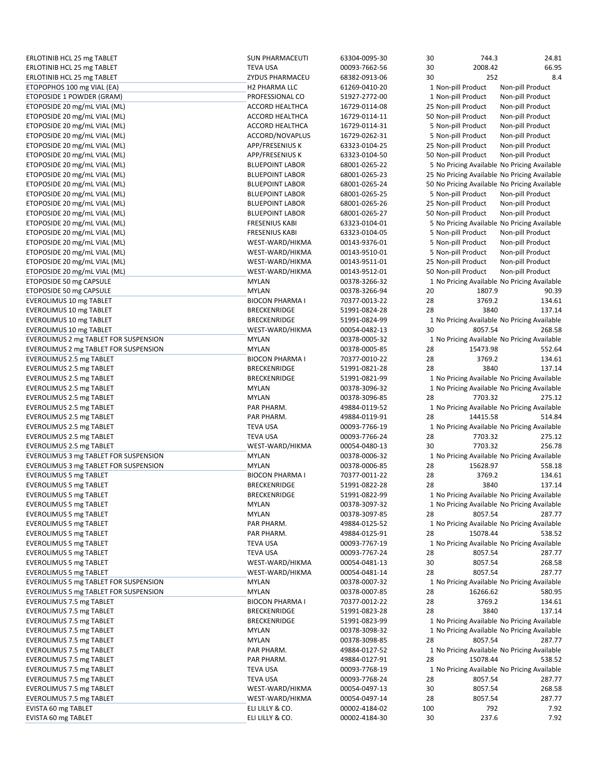| ERLOTINIB HCL 25 mg TABLET            | <b>SUN PHARMACEUTI</b> | 63304-0095-30 | 30  | 744.3               | 24.81                                        |
|---------------------------------------|------------------------|---------------|-----|---------------------|----------------------------------------------|
| ERLOTINIB HCL 25 mg TABLET            | <b>TEVA USA</b>        | 00093-7662-56 | 30  | 2008.42             | 66.95                                        |
| ERLOTINIB HCL 25 mg TABLET            | ZYDUS PHARMACEU        | 68382-0913-06 | 30  | 252                 | 8.4                                          |
| ETOPOPHOS 100 mg VIAL (EA)            | <b>H2 PHARMA LLC</b>   | 61269-0410-20 |     | 1 Non-pill Product  | Non-pill Product                             |
| ETOPOSIDE 1 POWDER (GRAM)             | PROFESSIONAL CO        | 51927-2772-00 |     | 1 Non-pill Product  | Non-pill Product                             |
| ETOPOSIDE 20 mg/mL VIAL (ML)          | ACCORD HEALTHCA        | 16729-0114-08 |     |                     |                                              |
|                                       |                        |               |     | 25 Non-pill Product | Non-pill Product                             |
| ETOPOSIDE 20 mg/mL VIAL (ML)          | ACCORD HEALTHCA        | 16729-0114-11 |     | 50 Non-pill Product | Non-pill Product                             |
| ETOPOSIDE 20 mg/mL VIAL (ML)          | <b>ACCORD HEALTHCA</b> | 16729-0114-31 |     | 5 Non-pill Product  | Non-pill Product                             |
| ETOPOSIDE 20 mg/mL VIAL (ML)          | ACCORD/NOVAPLUS        | 16729-0262-31 |     | 5 Non-pill Product  | Non-pill Product                             |
| ETOPOSIDE 20 mg/mL VIAL (ML)          | APP/FRESENIUS K        | 63323-0104-25 |     | 25 Non-pill Product | Non-pill Product                             |
| ETOPOSIDE 20 mg/mL VIAL (ML)          | APP/FRESENIUS K        | 63323-0104-50 |     | 50 Non-pill Product | Non-pill Product                             |
| ETOPOSIDE 20 mg/mL VIAL (ML)          | <b>BLUEPOINT LABOR</b> | 68001-0265-22 |     |                     | 5 No Pricing Available No Pricing Available  |
| ETOPOSIDE 20 mg/mL VIAL (ML)          | <b>BLUEPOINT LABOR</b> | 68001-0265-23 |     |                     | 25 No Pricing Available No Pricing Available |
| ETOPOSIDE 20 mg/mL VIAL (ML)          | <b>BLUEPOINT LABOR</b> | 68001-0265-24 |     |                     | 50 No Pricing Available No Pricing Available |
| ETOPOSIDE 20 mg/mL VIAL (ML)          | <b>BLUEPOINT LABOR</b> | 68001-0265-25 |     | 5 Non-pill Product  | Non-pill Product                             |
| ETOPOSIDE 20 mg/mL VIAL (ML)          | <b>BLUEPOINT LABOR</b> | 68001-0265-26 |     | 25 Non-pill Product | Non-pill Product                             |
|                                       |                        |               |     |                     |                                              |
| ETOPOSIDE 20 mg/mL VIAL (ML)          | <b>BLUEPOINT LABOR</b> | 68001-0265-27 |     | 50 Non-pill Product | Non-pill Product                             |
| ETOPOSIDE 20 mg/mL VIAL (ML)          | <b>FRESENIUS KABI</b>  | 63323-0104-01 |     |                     | 5 No Pricing Available No Pricing Available  |
| ETOPOSIDE 20 mg/mL VIAL (ML)          | <b>FRESENIUS KABI</b>  | 63323-0104-05 |     | 5 Non-pill Product  | Non-pill Product                             |
| ETOPOSIDE 20 mg/mL VIAL (ML)          | WEST-WARD/HIKMA        | 00143-9376-01 |     | 5 Non-pill Product  | Non-pill Product                             |
| ETOPOSIDE 20 mg/mL VIAL (ML)          | WEST-WARD/HIKMA        | 00143-9510-01 |     | 5 Non-pill Product  | Non-pill Product                             |
| ETOPOSIDE 20 mg/mL VIAL (ML)          | WEST-WARD/HIKMA        | 00143-9511-01 |     | 25 Non-pill Product | Non-pill Product                             |
| ETOPOSIDE 20 mg/mL VIAL (ML)          | WEST-WARD/HIKMA        | 00143-9512-01 |     | 50 Non-pill Product | Non-pill Product                             |
| ETOPOSIDE 50 mg CAPSULE               | <b>MYLAN</b>           | 00378-3266-32 |     |                     | 1 No Pricing Available No Pricing Available  |
| ETOPOSIDE 50 mg CAPSULE               | <b>MYLAN</b>           | 00378-3266-94 | 20  | 1807.9              | 90.39                                        |
| EVEROLIMUS 10 mg TABLET               | <b>BIOCON PHARMA I</b> | 70377-0013-22 | 28  | 3769.2              | 134.61                                       |
| EVEROLIMUS 10 mg TABLET               | BRECKENRIDGE           | 51991-0824-28 | 28  | 3840                | 137.14                                       |
|                                       |                        |               |     |                     | 1 No Pricing Available No Pricing Available  |
| <b>EVEROLIMUS 10 mg TABLET</b>        | BRECKENRIDGE           | 51991-0824-99 |     |                     |                                              |
| EVEROLIMUS 10 mg TABLET               | WEST-WARD/HIKMA        | 00054-0482-13 | 30  | 8057.54             | 268.58                                       |
| EVEROLIMUS 2 mg TABLET FOR SUSPENSION | <b>MYLAN</b>           | 00378-0005-32 |     |                     | 1 No Pricing Available No Pricing Available  |
| EVEROLIMUS 2 mg TABLET FOR SUSPENSION | <b>MYLAN</b>           | 00378-0005-85 | 28  | 15473.98            | 552.64                                       |
| EVEROLIMUS 2.5 mg TABLET              | <b>BIOCON PHARMA I</b> | 70377-0010-22 | 28  | 3769.2              | 134.61                                       |
| EVEROLIMUS 2.5 mg TABLET              | <b>BRECKENRIDGE</b>    | 51991-0821-28 | 28  | 3840                | 137.14                                       |
| EVEROLIMUS 2.5 mg TABLET              | <b>BRECKENRIDGE</b>    | 51991-0821-99 |     |                     | 1 No Pricing Available No Pricing Available  |
| EVEROLIMUS 2.5 mg TABLET              | <b>MYLAN</b>           | 00378-3096-32 |     |                     | 1 No Pricing Available No Pricing Available  |
| EVEROLIMUS 2.5 mg TABLET              | <b>MYLAN</b>           | 00378-3096-85 | 28  | 7703.32             | 275.12                                       |
| EVEROLIMUS 2.5 mg TABLET              | PAR PHARM.             | 49884-0119-52 |     |                     | 1 No Pricing Available No Pricing Available  |
| EVEROLIMUS 2.5 mg TABLET              | PAR PHARM.             | 49884-0119-91 | 28  | 14415.58            | 514.84                                       |
| EVEROLIMUS 2.5 mg TABLET              | <b>TEVA USA</b>        | 00093-7766-19 |     |                     | 1 No Pricing Available No Pricing Available  |
|                                       |                        |               | 28  | 7703.32             | 275.12                                       |
| EVEROLIMUS 2.5 mg TABLET              | <b>TEVA USA</b>        | 00093-7766-24 |     |                     |                                              |
| EVEROLIMUS 2.5 mg TABLET              | WEST-WARD/HIKMA        | 00054-0480-13 | 30  | 7703.32             | 256.78                                       |
| EVEROLIMUS 3 mg TABLET FOR SUSPENSION | <b>MYLAN</b>           | 00378-0006-32 |     |                     | 1 No Pricing Available No Pricing Available  |
| EVEROLIMUS 3 mg TABLET FOR SUSPENSION | <b>MYLAN</b>           | 00378-0006-85 | 28  | 15628.97            | 558.18                                       |
| <b>EVEROLIMUS 5 mg TABLET</b>         | <b>BIOCON PHARMA I</b> | 70377-0011-22 | 28  | 3769.2              | 134.61                                       |
| EVEROLIMUS 5 mg TABLET                | <b>BRECKENRIDGE</b>    | 51991-0822-28 | 28  | 3840                | 137.14                                       |
| <b>EVEROLIMUS 5 mg TABLET</b>         | BRECKENRIDGE           | 51991-0822-99 |     |                     | 1 No Pricing Available No Pricing Available  |
| <b>EVEROLIMUS 5 mg TABLET</b>         | <b>MYLAN</b>           | 00378-3097-32 |     |                     | 1 No Pricing Available No Pricing Available  |
| EVEROLIMUS 5 mg TABLET                | <b>MYLAN</b>           | 00378-3097-85 | 28  | 8057.54             | 287.77                                       |
| <b>EVEROLIMUS 5 mg TABLET</b>         | PAR PHARM.             | 49884-0125-52 |     |                     | 1 No Pricing Available No Pricing Available  |
| <b>EVEROLIMUS 5 mg TABLET</b>         | PAR PHARM.             | 49884-0125-91 | 28  | 15078.44            | 538.52                                       |
| <b>EVEROLIMUS 5 mg TABLET</b>         | <b>TEVA USA</b>        | 00093-7767-19 |     |                     | 1 No Pricing Available No Pricing Available  |
| <b>EVEROLIMUS 5 mg TABLET</b>         | <b>TEVA USA</b>        | 00093-7767-24 | 28  | 8057.54             | 287.77                                       |
| <b>EVEROLIMUS 5 mg TABLET</b>         | WEST-WARD/HIKMA        | 00054-0481-13 | 30  | 8057.54             | 268.58                                       |
|                                       |                        | 00054-0481-14 |     |                     | 287.77                                       |
| <b>EVEROLIMUS 5 mg TABLET</b>         | WEST-WARD/HIKMA        |               | 28  | 8057.54             |                                              |
| EVEROLIMUS 5 mg TABLET FOR SUSPENSION | MYLAN                  | 00378-0007-32 |     |                     | 1 No Pricing Available No Pricing Available  |
| EVEROLIMUS 5 mg TABLET FOR SUSPENSION | <b>MYLAN</b>           | 00378-0007-85 | 28  | 16266.62            | 580.95                                       |
| EVEROLIMUS 7.5 mg TABLET              | <b>BIOCON PHARMA I</b> | 70377-0012-22 | 28  | 3769.2              | 134.61                                       |
| EVEROLIMUS 7.5 mg TABLET              | <b>BRECKENRIDGE</b>    | 51991-0823-28 | 28  | 3840                | 137.14                                       |
| <b>EVEROLIMUS 7.5 mg TABLET</b>       | <b>BRECKENRIDGE</b>    | 51991-0823-99 |     |                     | 1 No Pricing Available No Pricing Available  |
| EVEROLIMUS 7.5 mg TABLET              | <b>MYLAN</b>           | 00378-3098-32 |     |                     | 1 No Pricing Available No Pricing Available  |
| EVEROLIMUS 7.5 mg TABLET              | <b>MYLAN</b>           | 00378-3098-85 | 28  | 8057.54             | 287.77                                       |
| EVEROLIMUS 7.5 mg TABLET              | PAR PHARM.             | 49884-0127-52 |     |                     | 1 No Pricing Available No Pricing Available  |
| EVEROLIMUS 7.5 mg TABLET              | PAR PHARM.             | 49884-0127-91 | 28  | 15078.44            | 538.52                                       |
| EVEROLIMUS 7.5 mg TABLET              | <b>TEVA USA</b>        | 00093-7768-19 |     |                     | 1 No Pricing Available No Pricing Available  |
| EVEROLIMUS 7.5 mg TABLET              | <b>TEVA USA</b>        | 00093-7768-24 | 28  | 8057.54             | 287.77                                       |
|                                       |                        | 00054-0497-13 | 30  |                     | 268.58                                       |
| EVEROLIMUS 7.5 mg TABLET              | WEST-WARD/HIKMA        |               |     | 8057.54             |                                              |
| EVEROLIMUS 7.5 mg TABLET              | WEST-WARD/HIKMA        | 00054-0497-14 | 28  | 8057.54             | 287.77                                       |
| EVISTA 60 mg TABLET                   | ELI LILLY & CO.        | 00002-4184-02 | 100 | 792                 | 7.92                                         |
| EVISTA 60 mg TABLET                   | ELI LILLY & CO.        | 00002-4184-30 | 30  | 237.6               | 7.92                                         |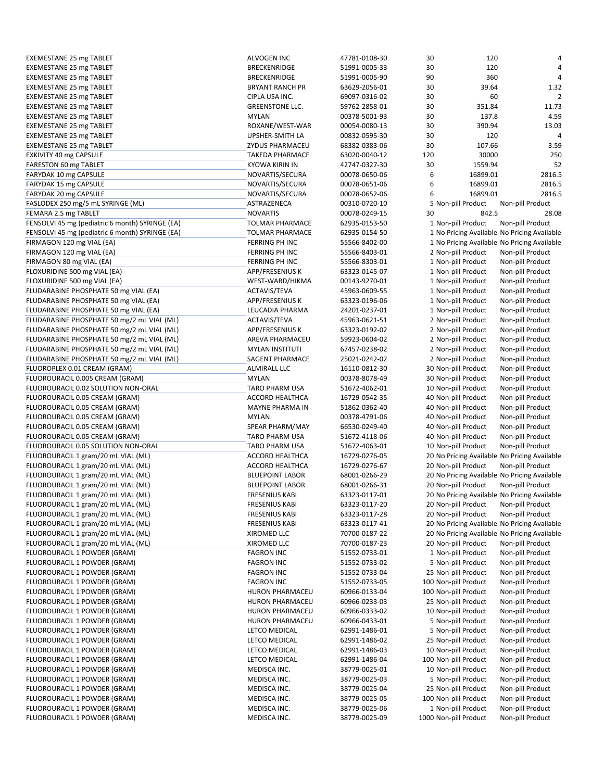| <b>EXEMESTANE 25 mg TABLET</b>                                             | ALVOGEN INC                      | 47781-0108-30                  | 30  | 120                                                                 | 4                                            |
|----------------------------------------------------------------------------|----------------------------------|--------------------------------|-----|---------------------------------------------------------------------|----------------------------------------------|
| <b>EXEMESTANE 25 mg TABLET</b>                                             | <b>BRECKENRIDGE</b>              | 51991-0005-33                  | 30  | 120                                                                 | 4                                            |
| <b>EXEMESTANE 25 mg TABLET</b>                                             | <b>BRECKENRIDGE</b>              | 51991-0005-90                  | 90  | 360                                                                 | $\overline{4}$                               |
| <b>EXEMESTANE 25 mg TABLET</b>                                             | <b>BRYANT RANCH PR</b>           | 63629-2056-01                  | 30  | 39.64                                                               | 1.32                                         |
| <b>EXEMESTANE 25 mg TABLET</b>                                             | CIPLA USA INC.                   | 69097-0316-02                  | 30  | 60                                                                  | 2                                            |
| <b>EXEMESTANE 25 mg TABLET</b>                                             | <b>GREENSTONE LLC.</b>           | 59762-2858-01                  | 30  | 351.84                                                              | 11.73                                        |
| <b>EXEMESTANE 25 mg TABLET</b>                                             | <b>MYLAN</b>                     | 00378-5001-93                  | 30  | 137.8                                                               | 4.59                                         |
| <b>EXEMESTANE 25 mg TABLET</b>                                             | ROXANE/WEST-WAR                  | 00054-0080-13                  | 30  | 390.94                                                              | 13.03                                        |
| <b>EXEMESTANE 25 mg TABLET</b>                                             | UPSHER-SMITH LA                  | 00832-0595-30                  | 30  | 120                                                                 | 4                                            |
| <b>EXEMESTANE 25 mg TABLET</b>                                             | ZYDUS PHARMACEU                  | 68382-0383-06                  | 30  | 107.66                                                              | 3.59                                         |
| EXKIVITY 40 mg CAPSULE                                                     | <b>TAKEDA PHARMACE</b>           | 63020-0040-12                  | 120 | 30000                                                               | 250                                          |
| FARESTON 60 mg TABLET                                                      | <b>KYOWA KIRIN IN</b>            | 42747-0327-30                  | 30  | 1559.94                                                             | 52                                           |
| FARYDAK 10 mg CAPSULE                                                      | NOVARTIS/SECURA                  | 00078-0650-06                  | 6   | 16899.01                                                            | 2816.5                                       |
| FARYDAK 15 mg CAPSULE                                                      | NOVARTIS/SECURA                  | 00078-0651-06                  | 6   | 16899.01                                                            | 2816.5                                       |
| FARYDAK 20 mg CAPSULE                                                      | NOVARTIS/SECURA                  | 00078-0652-06                  | 6   | 16899.01                                                            | 2816.5                                       |
| FASLODEX 250 mg/5 mL SYRINGE (ML)                                          | ASTRAZENECA                      | 00310-0720-10                  |     | 5 Non-pill Product                                                  | Non-pill Product                             |
| FEMARA 2.5 mg TABLET                                                       | <b>NOVARTIS</b>                  | 00078-0249-15                  | 30  | 842.5                                                               | 28.08                                        |
| FENSOLVI 45 mg (pediatric 6 month) SYRINGE (EA)                            | <b>TOLMAR PHARMACE</b>           | 62935-0153-50                  |     | 1 Non-pill Product                                                  | Non-pill Product                             |
| FENSOLVI 45 mg (pediatric 6 month) SYRINGE (EA)                            | <b>TOLMAR PHARMACE</b>           | 62935-0154-50                  |     | 1 No Pricing Available No Pricing Available                         |                                              |
| FIRMAGON 120 mg VIAL (EA)                                                  | FERRING PH INC                   | 55566-8402-00                  |     | 1 No Pricing Available No Pricing Available                         |                                              |
| FIRMAGON 120 mg VIAL (EA)                                                  | FERRING PH INC                   | 55566-8403-01                  |     | 2 Non-pill Product                                                  | Non-pill Product                             |
| FIRMAGON 80 mg VIAL (EA)                                                   | FERRING PH INC                   | 55566-8303-01                  |     | 1 Non-pill Product                                                  | Non-pill Product                             |
| FLOXURIDINE 500 mg VIAL (EA)                                               | APP/FRESENIUS K                  | 63323-0145-07                  |     | 1 Non-pill Product                                                  | Non-pill Product                             |
| FLOXURIDINE 500 mg VIAL (EA)                                               | WEST-WARD/HIKMA                  | 00143-9270-01                  |     | 1 Non-pill Product                                                  | Non-pill Product                             |
| FLUDARABINE PHOSPHATE 50 mg VIAL (EA)                                      | <b>ACTAVIS/TEVA</b>              | 45963-0609-55                  |     | 1 Non-pill Product                                                  | Non-pill Product                             |
| FLUDARABINE PHOSPHATE 50 mg VIAL (EA)                                      | APP/FRESENIUS K                  | 63323-0196-06                  |     | 1 Non-pill Product                                                  | Non-pill Product                             |
| FLUDARABINE PHOSPHATE 50 mg VIAL (EA)                                      | LEUCADIA PHARMA                  | 24201-0237-01                  |     | 1 Non-pill Product                                                  | Non-pill Product                             |
| FLUDARABINE PHOSPHATE 50 mg/2 mL VIAL (ML)                                 | ACTAVIS/TEVA                     | 45963-0621-51                  |     | 2 Non-pill Product                                                  | Non-pill Product                             |
| FLUDARABINE PHOSPHATE 50 mg/2 mL VIAL (ML)                                 | APP/FRESENIUS K                  | 63323-0192-02                  |     | 2 Non-pill Product                                                  | Non-pill Product                             |
| FLUDARABINE PHOSPHATE 50 mg/2 mL VIAL (ML)                                 | AREVA PHARMACEU                  | 59923-0604-02                  |     | 2 Non-pill Product                                                  | Non-pill Product                             |
| FLUDARABINE PHOSPHATE 50 mg/2 mL VIAL (ML)                                 | <b>MYLAN INSTITUTI</b>           | 67457-0238-02                  |     | 2 Non-pill Product                                                  | Non-pill Product                             |
| FLUDARABINE PHOSPHATE 50 mg/2 mL VIAL (ML)                                 | <b>SAGENT PHARMACE</b>           | 25021-0242-02                  |     | 2 Non-pill Product                                                  | Non-pill Product                             |
| FLUOROPLEX 0.01 CREAM (GRAM)                                               | <b>ALMIRALL LLC</b>              | 16110-0812-30                  |     | 30 Non-pill Product                                                 | Non-pill Product                             |
| FLUOROURACIL 0.005 CREAM (GRAM)                                            | <b>MYLAN</b>                     | 00378-8078-49                  |     | 30 Non-pill Product                                                 | Non-pill Product                             |
| FLUOROURACIL 0.02 SOLUTION NON-ORAL                                        | TARO PHARM USA                   | 51672-4062-01                  |     | 10 Non-pill Product                                                 | Non-pill Product                             |
| FLUOROURACIL 0.05 CREAM (GRAM)                                             | ACCORD HEALTHCA                  | 16729-0542-35                  |     | 40 Non-pill Product                                                 | Non-pill Product                             |
| FLUOROURACIL 0.05 CREAM (GRAM)                                             | MAYNE PHARMA IN<br><b>MYLAN</b>  | 51862-0362-40                  |     | 40 Non-pill Product                                                 | Non-pill Product                             |
| FLUOROURACIL 0.05 CREAM (GRAM)                                             |                                  | 00378-4791-06                  |     | 40 Non-pill Product                                                 | Non-pill Product                             |
| FLUOROURACIL 0.05 CREAM (GRAM)<br>FLUOROURACIL 0.05 CREAM (GRAM)           | SPEAR PHARM/MAY                  | 66530-0249-40<br>51672-4118-06 |     | 40 Non-pill Product                                                 | Non-pill Product                             |
| FLUOROURACIL 0.05 SOLUTION NON-ORAL                                        | TARO PHARM USA<br>TARO PHARM USA | 51672-4063-01                  |     | 40 Non-pill Product<br>10 Non-pill Product                          | Non-pill Product<br>Non-pill Product         |
|                                                                            | ACCORD HEALTHCA                  | 16729-0276-05                  |     |                                                                     |                                              |
| FLUOROURACIL 1 gram/20 mL VIAL (ML)<br>FLUOROURACIL 1 gram/20 mL VIAL (ML) | <b>ACCORD HEALTHCA</b>           | 16729-0276-67                  |     | 20 No Pricing Available No Pricing Available<br>20 Non-pill Product | Non-pill Product                             |
| FLUOROURACIL 1 gram/20 mL VIAL (ML)                                        | <b>BLUEPOINT LABOR</b>           | 68001-0266-29                  |     | 20 No Pricing Available No Pricing Available                        |                                              |
| FLUOROURACIL 1 gram/20 mL VIAL (ML)                                        | <b>BLUEPOINT LABOR</b>           | 68001-0266-31                  |     | 20 Non-pill Product                                                 | Non-pill Product                             |
| FLUOROURACIL 1 gram/20 mL VIAL (ML)                                        | <b>FRESENIUS KABI</b>            | 63323-0117-01                  |     |                                                                     | 20 No Pricing Available No Pricing Available |
| FLUOROURACIL 1 gram/20 mL VIAL (ML)                                        | <b>FRESENIUS KABI</b>            | 63323-0117-20                  |     | 20 Non-pill Product                                                 | Non-pill Product                             |
| FLUOROURACIL 1 gram/20 mL VIAL (ML)                                        | <b>FRESENIUS KABI</b>            | 63323-0117-28                  |     | 20 Non-pill Product                                                 | Non-pill Product                             |
| FLUOROURACIL 1 gram/20 mL VIAL (ML)                                        | <b>FRESENIUS KABI</b>            | 63323-0117-41                  |     | 20 No Pricing Available No Pricing Available                        |                                              |
| FLUOROURACIL 1 gram/20 mL VIAL (ML)                                        | XIROMED LLC                      | 70700-0187-22                  |     | 20 No Pricing Available No Pricing Available                        |                                              |
| FLUOROURACIL 1 gram/20 mL VIAL (ML)                                        | XIROMED LLC                      | 70700-0187-23                  |     | 20 Non-pill Product                                                 | Non-pill Product                             |
| FLUOROURACIL 1 POWDER (GRAM)                                               | <b>FAGRON INC</b>                | 51552-0733-01                  |     | 1 Non-pill Product                                                  | Non-pill Product                             |
| FLUOROURACIL 1 POWDER (GRAM)                                               | <b>FAGRON INC</b>                | 51552-0733-02                  |     | 5 Non-pill Product                                                  | Non-pill Product                             |
| FLUOROURACIL 1 POWDER (GRAM)                                               | <b>FAGRON INC</b>                | 51552-0733-04                  |     | 25 Non-pill Product                                                 | Non-pill Product                             |
| FLUOROURACIL 1 POWDER (GRAM)                                               | <b>FAGRON INC</b>                | 51552-0733-05                  |     | 100 Non-pill Product                                                | Non-pill Product                             |
| FLUOROURACIL 1 POWDER (GRAM)                                               | <b>HURON PHARMACEU</b>           | 60966-0133-04                  |     | 100 Non-pill Product                                                | Non-pill Product                             |
| FLUOROURACIL 1 POWDER (GRAM)                                               | HURON PHARMACEU                  | 60966-0233-03                  |     | 25 Non-pill Product                                                 | Non-pill Product                             |
| FLUOROURACIL 1 POWDER (GRAM)                                               | HURON PHARMACEU                  | 60966-0333-02                  |     | 10 Non-pill Product                                                 | Non-pill Product                             |
| FLUOROURACIL 1 POWDER (GRAM)                                               | HURON PHARMACEU                  | 60966-0433-01                  |     | 5 Non-pill Product                                                  | Non-pill Product                             |
| FLUOROURACIL 1 POWDER (GRAM)                                               | LETCO MEDICAL                    | 62991-1486-01                  |     | 5 Non-pill Product                                                  | Non-pill Product                             |
| FLUOROURACIL 1 POWDER (GRAM)                                               | LETCO MEDICAL                    | 62991-1486-02                  |     | 25 Non-pill Product                                                 | Non-pill Product                             |
| FLUOROURACIL 1 POWDER (GRAM)                                               | LETCO MEDICAL                    | 62991-1486-03                  |     | 10 Non-pill Product                                                 | Non-pill Product                             |
| FLUOROURACIL 1 POWDER (GRAM)                                               | LETCO MEDICAL                    | 62991-1486-04                  |     | 100 Non-pill Product                                                | Non-pill Product                             |
| FLUOROURACIL 1 POWDER (GRAM)                                               | MEDISCA INC.                     | 38779-0025-01                  |     | 10 Non-pill Product                                                 | Non-pill Product                             |
| FLUOROURACIL 1 POWDER (GRAM)                                               | MEDISCA INC.                     | 38779-0025-03                  |     | 5 Non-pill Product                                                  | Non-pill Product                             |
| FLUOROURACIL 1 POWDER (GRAM)                                               | MEDISCA INC.                     | 38779-0025-04                  |     | 25 Non-pill Product                                                 | Non-pill Product                             |
| FLUOROURACIL 1 POWDER (GRAM)                                               | MEDISCA INC.                     | 38779-0025-05                  |     | 100 Non-pill Product                                                | Non-pill Product                             |
| FLUOROURACIL 1 POWDER (GRAM)                                               | MEDISCA INC.                     | 38779-0025-06                  |     | 1 Non-pill Product                                                  | Non-pill Product                             |
| FLUOROURACIL 1 POWDER (GRAM)                                               | MEDISCA INC.                     | 38779-0025-09                  |     | 1000 Non-pill Product                                               | Non-pill Product                             |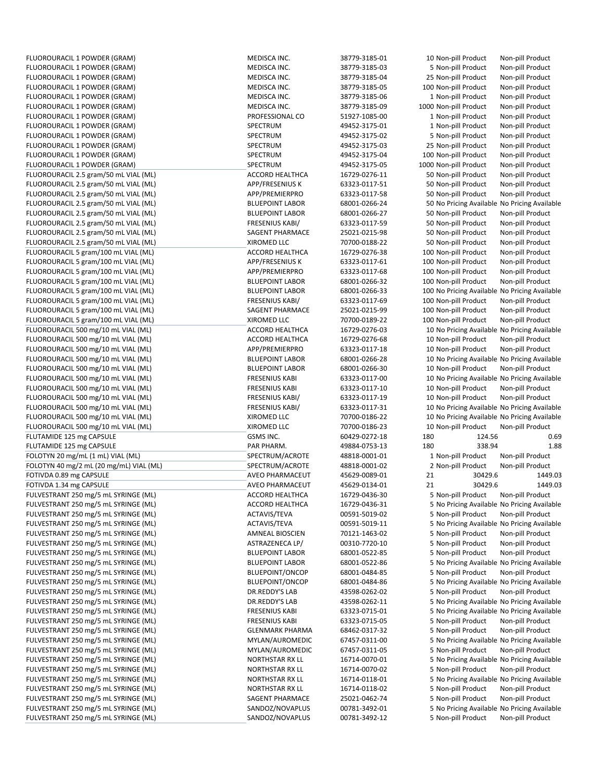FLUOROURACIL 1 POWDER (GRAM) MEDISCA INC. 38779‐3185‐03 5 Non-pill Product Non-pill Product FLUOROURACIL 1 POWDER (GRAM) MEDISCA INC. 38779‐3185‐04 25 Non‐pill Product Non‐pill Product FLUOROURACIL 1 POWDER (GRAM) MEDISCA INC. 38779‐3185‐05 100 Non-pill Product Non-pill Product Non-pill Product FLUOROURACIL 1 POWDER (GRAM) MEDISCA INC. 38779‐3185‐06 1 Non-pill Product Non-pill Product Non-pill Product FLUOROURACIL 1 POWDER (GRAM) MEDISCA INC. 38779‐3185‐09 1000 Non‐pill Product Non‐pill Product Non‐pill Product FLUOROURACIL 1 POWDER (GRAM) PROFESSIONAL CO 51927-1085-00 1 Non-pill Product Non-pill Product Non-pill Product<br>Product Alexandro State of the State of the State of the State of the State of the State of the State of the S FLUOROURACIL 1 POWDER (GRAM) SPECTRUM 49452‐3175‐01 1 Non‐pill Product Non‐pill Product FLUOROURACIL 1 POWDER (GRAM) SPECTRUM 49452‐3175‐02 5 Non‐pill Product Non‐pill Product FLUOROURACIL 1 POWDER (GRAM) SPECTRUM 49452‐3175‐03 25 Non‐pill Product Non‐pill Product FLUOROURACIL 1 POWDER (GRAM) SPECTRUM 49452‐3175‐04 100 Non‐pill Product Non‐pill Product FLUOROURACIL 1 POWDER (GRAM) SPECTRUM SEPECTRUM 49452-3175-05 1000 Non-pill Product Non-pill Product Non-pill Product Non-pill Product Non-pill Product Non-pill Product Non-pill Product Non-pill Product Non-pill Product No FLUOROURACIL 2.5 gram/50 mL VIAL (ML) ACCORD HEALTHCA 16729-0276-11 50 Non-pill Product FLUOROURACIL 2.5 gram/50 mL VIAL (ML) **FRESENIUS APP/FRESENIUS K FRAM AT A SA A**PP/FRESENIUS K FRAM ASSENIUS K AT<br>FLUOROURACIL 2.5 gram/50 mL VIAL (ML) FRAM APP/PREMIERPRO 63323-0117-58 50 Non-pill Product Non-pill Product FLUOROURACIL 2.5 gram/50 mL VIAL (ML) APP/PREMIERPRO 63323‐0117‐58 50 Non‐pill Product Non‐pill Product FLUOROURACIL 2.5 gram/50 mL VIAL (ML) **BLUEPOINT LABOR 68001-0266-24** 50 No Pricing Available No Pricing Available No Pricing Available No Pricing Available No Pricing Available No Pricing Available No Pricing Available No FLUOROURACIL 2.5 gram/50 mL VIAL (ML) BLUEPOINT LABOR 68001-0266-27 50 Non-pill Product FLUOROURACIL 2.5 gram/50 mL VIAL (ML) FRESENIUS KABI/ 63323‐0117‐59 50 Non‐pill Product Non‐pill Product FLUOROURACIL 2.5 gram/50 mL VIAL (ML) SAGENT PHARMACE 25021‐0215‐98 50 Non‐pill Product Non‐pill Product FLUOROURACIL 2.5 gram/50 mL VIAL (ML) XIROMED LLC 70700‐0188‐22 50 Non‐pill Product Non‐pill Product FLUOROURACIL 5 gram/100 mL VIAL (ML) ACCORD HEALTHCA 16729‐0276‐38 100 Non‐pill Product Non‐pill Product FLUOROURACIL 5 gram/100 mL VIAL (ML) APP/FRESENIUS K 63323‐0117‐61 100 Non‐pill Product Non‐pill Product FLUOROURACIL 5 gram/100 mL VIAL (ML) APP/PREMIERPRO 63323-0117-68 FLUOROURACIL 5 gram/100 mL VIAL (ML) BLUEPOINT LABOR 68001‐0266‐32 100 Non‐pill Product Non‐pill Product FLUOROURACIL 5 gram/100 mL VIAL (ML) BLUEPOINT LABOR 68001‐0266‐33 100 No Pricing Available No Pricing Available FLUOROURACIL 5 gram/100 mL VIAL (ML) FRESENIUS KABI/ 63323‐0117‐69 100 Non‐pill Product Non‐pill Product FLUOROURACIL 5 gram/100 mL VIAL (ML) SAGENT PHARMACE 25021‐0215‐99 100 Non‐pill Product Non‐pill Product FLUOROURACIL 5 gram/100 mL VIAL (ML) XIROMED LLC 70700‐0189‐22 100 Non‐pill Product Non‐pill Product FLUOROURACIL 500 mg/10 mL VIAL (ML) ACCORD HEALTHCA 16729-0276-03 10 No Pricing Available No Pricing Available FLUOROURACIL 500 mg/10 mL VIAL (ML) **ACCORD HEALTHCA** 16729-0276-68 10 Non-pill Product Non-pill Product Non-pill Product FLUOROURACIL 500 mg/10 mL VIAL (ML) APP/PREMIERPRO 63323‐0117‐18 10 Non‐pill Product Non‐pill Product FLUOROURACIL 500 mg/10 mL VIAL (ML) **BLUEPOINT LABOR** 68001-0266-28 10 No Pricing Available No Pricing Available FLUOROURACIL 500 mg/10 mL VIAL (ML) BLUEPOINT LABOR 68001‐0266‐30 10 Non‐pill Product Non‐pill Product FLUOROURACIL 500 mg/10 mL VIAL (ML) FRESENIUS KABI 63323-0117-00 10 No Pricing Available No Pricing Available FLUOROURACIL 500 mg/10 mL VIAL (ML) FRESENIUS KABI 63323‐0117‐10 10 Non‐pill Product Non‐pill Product FLUOROURACIL 500 mg/10 mL VIAL (ML) FRESENIUS KABI/ 63323‐0117‐19 10 Non‐pill Product Non‐pill Product FLUOROURACIL 500 mg/10 mL VIAL (ML) FRESENIUS KABI/ 63323-0117-31 10 No Pricing Available No Pricing Available FLUOROURACIL 500 mg/10 mL VIAL (ML) THE SAND MAN AND MANUSIC MEAN OF THE SAND MANUSIC MANUSIC MANUSIC MANUSIC MANUSIC MANUSIC MANUSIC MANUSIC MANUSIC MANUSIC MANUSIC MANUSIC MANUSIC MANUSIC MANUSIC MANUSIC MANUSIC MANUSIC FLUOROURACIL 500 mg/10 mL VIAL (ML) XIROMED LLC 70700‐0186‐23 10 Non‐pill Product Non‐pill Product FLUTAMIDE 125 mg CAPSULE 6.69 mg CAPSULE 60429-0272-18 180 124.56 124.56 mg CAPSULE 6.69 FLUTAMIDE 125 mg CAPSULE 2000 1.88 mg CAPSULE 2.88 mg PAR PHARM. 2.9884-0753-13 180 mg 338.94 mg 338.94 mg 338.94 mg 1.88 FOLOTYN 20 mg/mL (1 mL) VIAL (ML) SPECTRUM/ACROTE 48818‐0001‐01 1 Non‐pill Product Non‐pill Product FOLOTYN 40 mg/2 mL (20 mg/mL) VIAL (ML) SPECTRUM/ACROTE 48818‐0001‐02 2 Non‐pill Product Non‐pill Product FOTIVDA 0.89 mg CAPSULE AVEO PHARMACEUT 45629‐0089‐01 21 30429.6 1449.03 FOTIVDA 1.34 mg CAPSULE AVEO PHARMACEUT 45629‐0134‐01 21 30429.6 1449.03 FULVESTRANT 250 mg/5 mL SYRINGE (ML) ACCORD HEALTHCA 16729‐0436‐30 5 Non‐pill Product Non‐pill Product FULVESTRANT 250 mg/5 mL SYRINGE (ML) ACCORD HEALTHCA 16729-0436-31 5 No Pricing Available No Pricing Available FULVESTRANT 250 mg/5 mL SYRINGE (ML)  $ACTAVIS/TEVA$  00591-5019-02 5 Non-pill Product Non-pill Product FULVESTRANT 250 mg/5 mL SYRINGE (ML) ACTAVIS/TEVA 00591-5019-11 5 No Pricing Available No Pricing Available No FULVESTRANT 250 mg/5 mL SYRINGE (ML) AMNEAL BIOSCIEN 70121‐1463‐02 5 Non‐pill Product Non‐pill Product FULVESTRANT 250 mg/5 mL SYRINGE (ML) ASTRAZENECA LP/ 00310‐7720‐10 5 Non‐pill Product Non‐pill Product FULVESTRANT 250 mg/5 mL SYRINGE (ML) BLUEPOINT LABOR 68001‐0522‐85 5 Non‐pill Product Non‐pill Product FULVESTRANT 250 mg/5 mL SYRINGE (ML) BLUEPOINT LABOR 68001-0522-86 5 No Pricing Available No Pricing Available FULVESTRANT 250 mg/5 mL SYRINGE (ML) BLUEPOINT/ONCOP 68001‐0484‐85 5 Non‐pill Product Non‐pill Product FULVESTRANT 250 mg/5 mL SYRINGE (ML) BLUEPOINT/ONCOP 68001-0484-86 5 No Pricing Available No Pricing Available FULVESTRANT 250 mg/5 mL SYRINGE (ML) DR.REDDY'S LAB 43598‐0262‐02 5 Non‐pill Product Non‐pill Product FULVESTRANT 250 mg/5 mL SYRINGE (ML) DR.REDDY'S LAB 43598-0262-11 5 No Pricing Available No Pricing Available FULVESTRANT 250 mg/5 mL SYRINGE (ML) FRESENIUS KABI 63323-0715-01 5 No Pricing Available No Pricing Available FULVESTRANT 250 mg/5 mL SYRINGE (ML) FRESENIUS KABI 63323‐0715‐05 5 Non‐pill Product Non‐pill Product FULVESTRANT 250 mg/5 mL SYRINGE (ML) GLENMARK PHARMA 68462‐0317‐32 5 Non‐pill Product Non‐pill Product FULVESTRANT 250 mg/5 mL SYRINGE (ML) MYLAN/AUROMEDIC 67457‐0311‐00 5 No Pricing Available No Pricing Available FULVESTRANT 250 mg/5 mL SYRINGE (ML) MYLAN/AUROMEDIC 67457‐0311‐05 5 Non‐pill Product Non‐pill Product FULVESTRANT 250 mg/5 mL SYRINGE (ML) NORTHSTAR RX LL 16714-0070-01 5 No Pricing Available No Pricing Available FULVESTRANT 250 mg/5 mL SYRINGE (ML) NORTHSTAR RX LL 16714‐0070‐02 5 Non‐pill Product Non‐pill Product FULVESTRANT 250 mg/5 mL SYRINGE (ML) NORTHSTAR RX LL 16714-0118-01 5 No Pricing Available No Pricing Available FULVESTRANT 250 mg/5 mL SYRINGE (ML) NORTHSTAR RX LL 16714‐0118‐02 5 Non‐pill Product Non‐pill Product FULVESTRANT 250 mg/5 mL SYRINGE (ML) SAGENT PHARMACE 25021-0462-74 5 Non-pill Product FULVESTRANT 250 mg/5 mL SYRINGE (ML) SANDOZ/NOVAPLUS 00781-3492-01 5 No Pricing Available No Pricing Available FULVESTRANT 250 mg/5 mL SYRINGE (ML) SANDOZ/NOVAPLUS 00781‐3492‐12 5 Non‐pill Product Non‐pill Product

FLUOROURACIL 1 POWDER (GRAM) 
MEDISCA INC. 
MEDISCA INC. 
38779-3185-01 10 Non-pill Product
Non-pill Product

MeDISCA INC.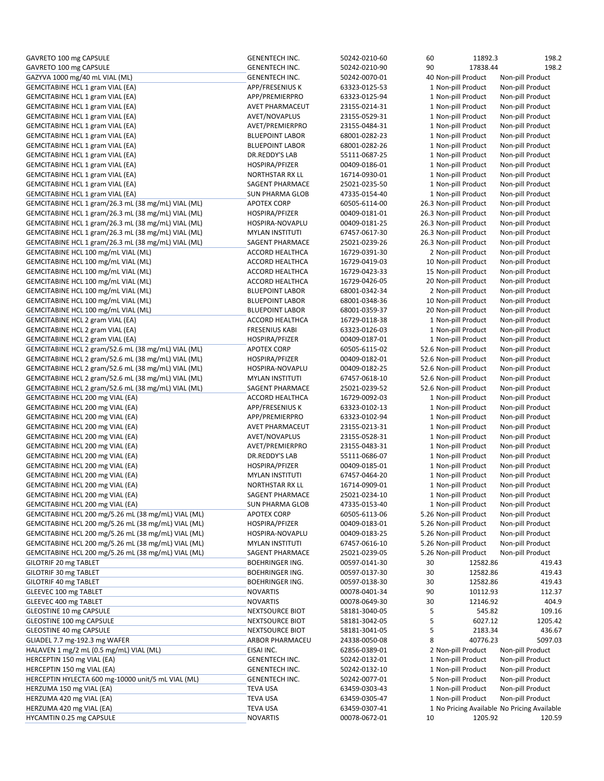| GAVRETO 100 mg CAPSULE                              | <b>GENENTECH INC.</b>  | 50242-0210-60 | 60                    | 11892.3  | 198.2                                       |
|-----------------------------------------------------|------------------------|---------------|-----------------------|----------|---------------------------------------------|
| GAVRETO 100 mg CAPSULE                              | <b>GENENTECH INC.</b>  | 50242-0210-90 | 90                    | 17838.44 | 198.2                                       |
| GAZYVA 1000 mg/40 mL VIAL (ML)                      | <b>GENENTECH INC.</b>  | 50242-0070-01 | 40 Non-pill Product   |          | Non-pill Product                            |
| <b>GEMCITABINE HCL 1 gram VIAL (EA)</b>             | APP/FRESENIUS K        | 63323-0125-53 | 1 Non-pill Product    |          | Non-pill Product                            |
| <b>GEMCITABINE HCL 1 gram VIAL (EA)</b>             | APP/PREMIERPRO         | 63323-0125-94 | 1 Non-pill Product    |          | Non-pill Product                            |
| <b>GEMCITABINE HCL 1 gram VIAL (EA)</b>             | AVET PHARMACEUT        | 23155-0214-31 | 1 Non-pill Product    |          | Non-pill Product                            |
| GEMCITABINE HCL 1 gram VIAL (EA)                    | AVET/NOVAPLUS          | 23155-0529-31 | 1 Non-pill Product    |          | Non-pill Product                            |
| <b>GEMCITABINE HCL 1 gram VIAL (EA)</b>             | AVET/PREMIERPRO        | 23155-0484-31 | 1 Non-pill Product    |          | Non-pill Product                            |
| GEMCITABINE HCL 1 gram VIAL (EA)                    | <b>BLUEPOINT LABOR</b> | 68001-0282-23 | 1 Non-pill Product    |          | Non-pill Product                            |
| GEMCITABINE HCL 1 gram VIAL (EA)                    | <b>BLUEPOINT LABOR</b> | 68001-0282-26 | 1 Non-pill Product    |          | Non-pill Product                            |
| GEMCITABINE HCL 1 gram VIAL (EA)                    | DR.REDDY'S LAB         | 55111-0687-25 | 1 Non-pill Product    |          | Non-pill Product                            |
| GEMCITABINE HCL 1 gram VIAL (EA)                    | HOSPIRA/PFIZER         | 00409-0186-01 | 1 Non-pill Product    |          | Non-pill Product                            |
| <b>GEMCITABINE HCL 1 gram VIAL (EA)</b>             | <b>NORTHSTAR RX LL</b> | 16714-0930-01 | 1 Non-pill Product    |          | Non-pill Product                            |
| <b>GEMCITABINE HCL 1 gram VIAL (EA)</b>             | SAGENT PHARMACE        | 25021-0235-50 | 1 Non-pill Product    |          | Non-pill Product                            |
| <b>GEMCITABINE HCL 1 gram VIAL (EA)</b>             | <b>SUN PHARMA GLOB</b> | 47335-0154-40 | 1 Non-pill Product    |          | Non-pill Product                            |
| GEMCITABINE HCL 1 gram/26.3 mL (38 mg/mL) VIAL (ML) | <b>APOTEX CORP</b>     | 60505-6114-00 | 26.3 Non-pill Product |          | Non-pill Product                            |
| GEMCITABINE HCL 1 gram/26.3 mL (38 mg/mL) VIAL (ML) | HOSPIRA/PFIZER         | 00409-0181-01 | 26.3 Non-pill Product |          | Non-pill Product                            |
| GEMCITABINE HCL 1 gram/26.3 mL (38 mg/mL) VIAL (ML) | HOSPIRA-NOVAPLU        | 00409-0181-25 | 26.3 Non-pill Product |          | Non-pill Product                            |
| GEMCITABINE HCL 1 gram/26.3 mL (38 mg/mL) VIAL (ML) | <b>MYLAN INSTITUTI</b> | 67457-0617-30 | 26.3 Non-pill Product |          | Non-pill Product                            |
| GEMCITABINE HCL 1 gram/26.3 mL (38 mg/mL) VIAL (ML) | SAGENT PHARMACE        | 25021-0239-26 | 26.3 Non-pill Product |          | Non-pill Product                            |
| GEMCITABINE HCL 100 mg/mL VIAL (ML)                 | <b>ACCORD HEALTHCA</b> | 16729-0391-30 | 2 Non-pill Product    |          | Non-pill Product                            |
| GEMCITABINE HCL 100 mg/mL VIAL (ML)                 | <b>ACCORD HEALTHCA</b> | 16729-0419-03 | 10 Non-pill Product   |          | Non-pill Product                            |
| GEMCITABINE HCL 100 mg/mL VIAL (ML)                 | <b>ACCORD HEALTHCA</b> | 16729-0423-33 | 15 Non-pill Product   |          | Non-pill Product                            |
| GEMCITABINE HCL 100 mg/mL VIAL (ML)                 | <b>ACCORD HEALTHCA</b> | 16729-0426-05 | 20 Non-pill Product   |          | Non-pill Product                            |
| GEMCITABINE HCL 100 mg/mL VIAL (ML)                 | <b>BLUEPOINT LABOR</b> | 68001-0342-34 | 2 Non-pill Product    |          | Non-pill Product                            |
| GEMCITABINE HCL 100 mg/mL VIAL (ML)                 | <b>BLUEPOINT LABOR</b> | 68001-0348-36 | 10 Non-pill Product   |          | Non-pill Product                            |
| GEMCITABINE HCL 100 mg/mL VIAL (ML)                 | <b>BLUEPOINT LABOR</b> | 68001-0359-37 | 20 Non-pill Product   |          | Non-pill Product                            |
| GEMCITABINE HCL 2 gram VIAL (EA)                    | <b>ACCORD HEALTHCA</b> | 16729-0118-38 | 1 Non-pill Product    |          | Non-pill Product                            |
| <b>GEMCITABINE HCL 2 gram VIAL (EA)</b>             | <b>FRESENIUS KABI</b>  | 63323-0126-03 | 1 Non-pill Product    |          | Non-pill Product                            |
| GEMCITABINE HCL 2 gram VIAL (EA)                    | HOSPIRA/PFIZER         | 00409-0187-01 | 1 Non-pill Product    |          | Non-pill Product                            |
| GEMCITABINE HCL 2 gram/52.6 mL (38 mg/mL) VIAL (ML) | <b>APOTEX CORP</b>     | 60505-6115-02 | 52.6 Non-pill Product |          | Non-pill Product                            |
| GEMCITABINE HCL 2 gram/52.6 mL (38 mg/mL) VIAL (ML) | HOSPIRA/PFIZER         | 00409-0182-01 | 52.6 Non-pill Product |          | Non-pill Product                            |
| GEMCITABINE HCL 2 gram/52.6 mL (38 mg/mL) VIAL (ML) | HOSPIRA-NOVAPLU        | 00409-0182-25 | 52.6 Non-pill Product |          | Non-pill Product                            |
| GEMCITABINE HCL 2 gram/52.6 mL (38 mg/mL) VIAL (ML) | <b>MYLAN INSTITUTI</b> | 67457-0618-10 | 52.6 Non-pill Product |          | Non-pill Product                            |
| GEMCITABINE HCL 2 gram/52.6 mL (38 mg/mL) VIAL (ML) | SAGENT PHARMACE        | 25021-0239-52 | 52.6 Non-pill Product |          | Non-pill Product                            |
| GEMCITABINE HCL 200 mg VIAL (EA)                    | ACCORD HEALTHCA        | 16729-0092-03 | 1 Non-pill Product    |          | Non-pill Product                            |
| GEMCITABINE HCL 200 mg VIAL (EA)                    | APP/FRESENIUS K        | 63323-0102-13 | 1 Non-pill Product    |          | Non-pill Product                            |
| GEMCITABINE HCL 200 mg VIAL (EA)                    | APP/PREMIERPRO         | 63323-0102-94 | 1 Non-pill Product    |          | Non-pill Product                            |
| GEMCITABINE HCL 200 mg VIAL (EA)                    | AVET PHARMACEUT        | 23155-0213-31 | 1 Non-pill Product    |          | Non-pill Product                            |
| GEMCITABINE HCL 200 mg VIAL (EA)                    | AVET/NOVAPLUS          | 23155-0528-31 | 1 Non-pill Product    |          | Non-pill Product                            |
| GEMCITABINE HCL 200 mg VIAL (EA)                    | AVET/PREMIERPRO        | 23155-0483-31 | 1 Non-pill Product    |          | Non-pill Product                            |
| GEMCITABINE HCL 200 mg VIAL (EA)                    | DR.REDDY'S LAB         | 55111-0686-07 | 1 Non-pill Product    |          | Non-pill Product                            |
| GEMCITABINE HCL 200 mg VIAL (EA)                    | HOSPIRA/PFIZER         | 00409-0185-01 | 1 Non-pill Product    |          | Non-pill Product                            |
| GEMCITABINE HCL 200 mg VIAL (EA)                    | <b>MYLAN INSTITUTI</b> | 67457-0464-20 | 1 Non-pill Product    |          | Non-pill Product                            |
| GEMCITABINE HCL 200 mg VIAL (EA)                    | <b>NORTHSTAR RX LL</b> | 16714-0909-01 | 1 Non-pill Product    |          | Non-pill Product                            |
| GEMCITABINE HCL 200 mg VIAL (EA)                    | SAGENT PHARMACE        | 25021-0234-10 | 1 Non-pill Product    |          | Non-pill Product                            |
| GEMCITABINE HCL 200 mg VIAL (EA)                    | <b>SUN PHARMA GLOB</b> | 47335-0153-40 | 1 Non-pill Product    |          | Non-pill Product                            |
| GEMCITABINE HCL 200 mg/5.26 mL (38 mg/mL) VIAL (ML) | <b>APOTEX CORP</b>     | 60505-6113-06 | 5.26 Non-pill Product |          | Non-pill Product                            |
| GEMCITABINE HCL 200 mg/5.26 mL (38 mg/mL) VIAL (ML) | HOSPIRA/PFIZER         | 00409-0183-01 | 5.26 Non-pill Product |          | Non-pill Product                            |
| GEMCITABINE HCL 200 mg/5.26 mL (38 mg/mL) VIAL (ML) | HOSPIRA-NOVAPLU        | 00409-0183-25 | 5.26 Non-pill Product |          | Non-pill Product                            |
| GEMCITABINE HCL 200 mg/5.26 mL (38 mg/mL) VIAL (ML) | <b>MYLAN INSTITUTI</b> | 67457-0616-10 | 5.26 Non-pill Product |          | Non-pill Product                            |
| GEMCITABINE HCL 200 mg/5.26 mL (38 mg/mL) VIAL (ML) | SAGENT PHARMACE        | 25021-0239-05 | 5.26 Non-pill Product |          | Non-pill Product                            |
| GILOTRIF 20 mg TABLET                               | <b>BOEHRINGER ING.</b> | 00597-0141-30 | 30                    | 12582.86 | 419.43                                      |
| GILOTRIF 30 mg TABLET                               | <b>BOEHRINGER ING.</b> | 00597-0137-30 | 30                    | 12582.86 | 419.43                                      |
| GILOTRIF 40 mg TABLET                               | <b>BOEHRINGER ING.</b> | 00597-0138-30 | 30                    | 12582.86 | 419.43                                      |
| GLEEVEC 100 mg TABLET                               | <b>NOVARTIS</b>        | 00078-0401-34 | 90                    | 10112.93 | 112.37                                      |
| GLEEVEC 400 mg TABLET                               | <b>NOVARTIS</b>        | 00078-0649-30 | 30                    | 12146.92 | 404.9                                       |
| GLEOSTINE 10 mg CAPSULE                             | NEXTSOURCE BIOT        | 58181-3040-05 | 5                     | 545.82   | 109.16                                      |
| GLEOSTINE 100 mg CAPSULE                            | <b>NEXTSOURCE BIOT</b> | 58181-3042-05 | 5                     | 6027.12  | 1205.42                                     |
| GLEOSTINE 40 mg CAPSULE                             | NEXTSOURCE BIOT        | 58181-3041-05 | 5                     | 2183.34  | 436.67                                      |
| GLIADEL 7.7 mg-192.3 mg WAFER                       | ARBOR PHARMACEU        | 24338-0050-08 | 8                     | 40776.23 | 5097.03                                     |
| HALAVEN 1 mg/2 mL (0.5 mg/mL) VIAL (ML)             | EISAI INC.             | 62856-0389-01 | 2 Non-pill Product    |          | Non-pill Product                            |
| HERCEPTIN 150 mg VIAL (EA)                          | <b>GENENTECH INC.</b>  | 50242-0132-01 | 1 Non-pill Product    |          | Non-pill Product                            |
| HERCEPTIN 150 mg VIAL (EA)                          | <b>GENENTECH INC.</b>  | 50242-0132-10 | 1 Non-pill Product    |          | Non-pill Product                            |
| HERCEPTIN HYLECTA 600 mg-10000 unit/5 mL VIAL (ML)  | <b>GENENTECH INC.</b>  | 50242-0077-01 | 5 Non-pill Product    |          | Non-pill Product                            |
| HERZUMA 150 mg VIAL (EA)                            | <b>TEVA USA</b>        | 63459-0303-43 | 1 Non-pill Product    |          | Non-pill Product                            |
| HERZUMA 420 mg VIAL (EA)                            | <b>TEVA USA</b>        | 63459-0305-47 | 1 Non-pill Product    |          | Non-pill Product                            |
| HERZUMA 420 mg VIAL (EA)                            | <b>TEVA USA</b>        | 63459-0307-41 |                       |          | 1 No Pricing Available No Pricing Available |
| HYCAMTIN 0.25 mg CAPSULE                            | <b>NOVARTIS</b>        | 00078-0672-01 | 10                    | 1205.92  | 120.59                                      |
|                                                     |                        |               |                       |          |                                             |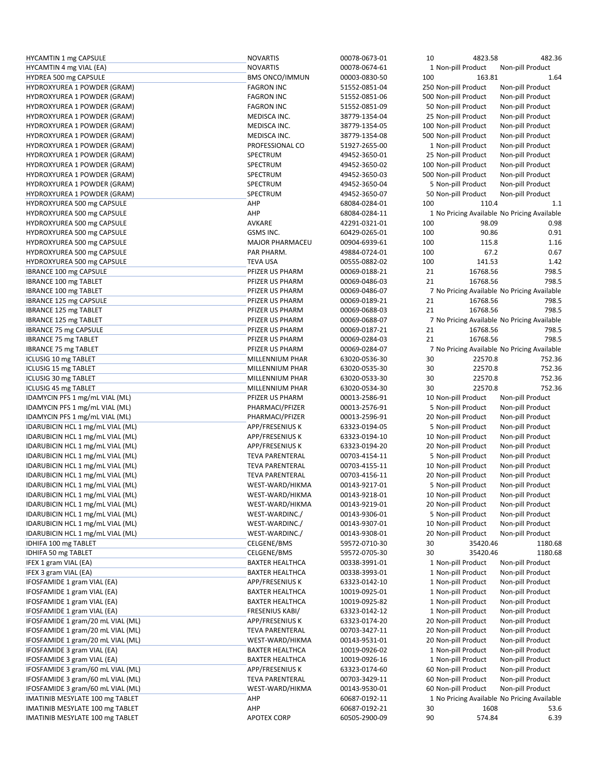| <b>HYCAMTIN 1 mg CAPSULE</b>      | <b>NOVARTIS</b>        | 00078-0673-01 | 10  | 4823.58              | 482.36                                      |
|-----------------------------------|------------------------|---------------|-----|----------------------|---------------------------------------------|
| HYCAMTIN 4 mg VIAL (EA)           | <b>NOVARTIS</b>        | 00078-0674-61 |     | 1 Non-pill Product   | Non-pill Product                            |
| HYDREA 500 mg CAPSULE             | <b>BMS ONCO/IMMUN</b>  | 00003-0830-50 | 100 | 163.81               | 1.64                                        |
| HYDROXYUREA 1 POWDER (GRAM)       | <b>FAGRON INC</b>      | 51552-0851-04 |     | 250 Non-pill Product | Non-pill Product                            |
| HYDROXYUREA 1 POWDER (GRAM)       | <b>FAGRON INC</b>      | 51552-0851-06 |     | 500 Non-pill Product | Non-pill Product                            |
| HYDROXYUREA 1 POWDER (GRAM)       | <b>FAGRON INC</b>      | 51552-0851-09 |     | 50 Non-pill Product  | Non-pill Product                            |
| HYDROXYUREA 1 POWDER (GRAM)       | MEDISCA INC.           | 38779-1354-04 |     | 25 Non-pill Product  | Non-pill Product                            |
| HYDROXYUREA 1 POWDER (GRAM)       | MEDISCA INC.           | 38779-1354-05 |     | 100 Non-pill Product | Non-pill Product                            |
|                                   |                        |               |     |                      |                                             |
| HYDROXYUREA 1 POWDER (GRAM)       | MEDISCA INC.           | 38779-1354-08 |     | 500 Non-pill Product | Non-pill Product                            |
| HYDROXYUREA 1 POWDER (GRAM)       | PROFESSIONAL CO        | 51927-2655-00 |     | 1 Non-pill Product   | Non-pill Product                            |
| HYDROXYUREA 1 POWDER (GRAM)       | SPECTRUM               | 49452-3650-01 |     | 25 Non-pill Product  | Non-pill Product                            |
| HYDROXYUREA 1 POWDER (GRAM)       | SPECTRUM               | 49452-3650-02 |     | 100 Non-pill Product | Non-pill Product                            |
| HYDROXYUREA 1 POWDER (GRAM)       | SPECTRUM               | 49452-3650-03 |     | 500 Non-pill Product | Non-pill Product                            |
| HYDROXYUREA 1 POWDER (GRAM)       | SPECTRUM               | 49452-3650-04 |     | 5 Non-pill Product   | Non-pill Product                            |
| HYDROXYUREA 1 POWDER (GRAM)       | SPECTRUM               | 49452-3650-07 |     | 50 Non-pill Product  | Non-pill Product                            |
| HYDROXYUREA 500 mg CAPSULE        | AHP                    | 68084-0284-01 | 100 | 110.4                | 1.1                                         |
| HYDROXYUREA 500 mg CAPSULE        | AHP                    | 68084-0284-11 |     |                      | 1 No Pricing Available No Pricing Available |
| HYDROXYUREA 500 mg CAPSULE        | AVKARE                 | 42291-0321-01 | 100 | 98.09                | 0.98                                        |
| HYDROXYUREA 500 mg CAPSULE        | GSMS INC.              | 60429-0265-01 | 100 | 90.86                | 0.91                                        |
| HYDROXYUREA 500 mg CAPSULE        | <b>MAJOR PHARMACEU</b> | 00904-6939-61 | 100 | 115.8                | 1.16                                        |
| HYDROXYUREA 500 mg CAPSULE        | PAR PHARM.             | 49884-0724-01 | 100 | 67.2                 | 0.67                                        |
|                                   |                        | 00555-0882-02 |     |                      |                                             |
| HYDROXYUREA 500 mg CAPSULE        | <b>TEVA USA</b>        |               | 100 | 141.53               | 1.42                                        |
| IBRANCE 100 mg CAPSULE            | PFIZER US PHARM        | 00069-0188-21 | 21  | 16768.56             | 798.5                                       |
| IBRANCE 100 mg TABLET             | PFIZER US PHARM        | 00069-0486-03 | 21  | 16768.56             | 798.5                                       |
| IBRANCE 100 mg TABLET             | PFIZER US PHARM        | 00069-0486-07 |     |                      | 7 No Pricing Available No Pricing Available |
| IBRANCE 125 mg CAPSULE            | PFIZER US PHARM        | 00069-0189-21 | 21  | 16768.56             | 798.5                                       |
| IBRANCE 125 mg TABLET             | PFIZER US PHARM        | 00069-0688-03 | 21  | 16768.56             | 798.5                                       |
| IBRANCE 125 mg TABLET             | PFIZER US PHARM        | 00069-0688-07 |     |                      | 7 No Pricing Available No Pricing Available |
| <b>IBRANCE 75 mg CAPSULE</b>      | PFIZER US PHARM        | 00069-0187-21 | 21  | 16768.56             | 798.5                                       |
| <b>IBRANCE 75 mg TABLET</b>       | PFIZER US PHARM        | 00069-0284-03 | 21  | 16768.56             | 798.5                                       |
| <b>IBRANCE 75 mg TABLET</b>       | PFIZER US PHARM        | 00069-0284-07 |     |                      | 7 No Pricing Available No Pricing Available |
| ICLUSIG 10 mg TABLET              | MILLENNIUM PHAR        | 63020-0536-30 | 30  | 22570.8              | 752.36                                      |
| ICLUSIG 15 mg TABLET              | MILLENNIUM PHAR        | 63020-0535-30 | 30  | 22570.8              | 752.36                                      |
| ICLUSIG 30 mg TABLET              | MILLENNIUM PHAR        | 63020-0533-30 | 30  | 22570.8              | 752.36                                      |
| ICLUSIG 45 mg TABLET              | MILLENNIUM PHAR        | 63020-0534-30 | 30  | 22570.8              | 752.36                                      |
| IDAMYCIN PFS 1 mg/mL VIAL (ML)    | PFIZER US PHARM        | 00013-2586-91 |     | 10 Non-pill Product  | Non-pill Product                            |
| IDAMYCIN PFS 1 mg/mL VIAL (ML)    | PHARMACI/PFIZER        | 00013-2576-91 |     | 5 Non-pill Product   | Non-pill Product                            |
|                                   | PHARMACI/PFIZER        | 00013-2596-91 |     | 20 Non-pill Product  | Non-pill Product                            |
| IDAMYCIN PFS 1 mg/mL VIAL (ML)    |                        |               |     |                      |                                             |
| IDARUBICIN HCL 1 mg/mL VIAL (ML)  | APP/FRESENIUS K        | 63323-0194-05 |     | 5 Non-pill Product   | Non-pill Product                            |
| IDARUBICIN HCL 1 mg/mL VIAL (ML)  | <b>APP/FRESENIUS K</b> | 63323-0194-10 |     | 10 Non-pill Product  | Non-pill Product                            |
| IDARUBICIN HCL 1 mg/mL VIAL (ML)  | APP/FRESENIUS K        | 63323-0194-20 |     | 20 Non-pill Product  | Non-pill Product                            |
| IDARUBICIN HCL 1 mg/mL VIAL (ML)  | <b>TEVA PARENTERAL</b> | 00703-4154-11 |     | 5 Non-pill Product   | Non-pill Product                            |
| IDARUBICIN HCL 1 mg/mL VIAL (ML)  | <b>TEVA PARENTERAL</b> | 00703-4155-11 |     | 10 Non-pill Product  | Non-pill Product                            |
| IDARUBICIN HCL 1 mg/mL VIAL (ML)  | <b>TEVA PARENTERAL</b> | 00703-4156-11 |     | 20 Non-pill Product  | Non-pill Product                            |
| IDARUBICIN HCL 1 mg/mL VIAL (ML)  | WEST-WARD/HIKMA        | 00143-9217-01 |     | 5 Non-pill Product   | Non-pill Product                            |
| IDARUBICIN HCL 1 mg/mL VIAL (ML)  | WEST-WARD/HIKMA        | 00143-9218-01 |     | 10 Non-pill Product  | Non-pill Product                            |
| IDARUBICIN HCL 1 mg/mL VIAL (ML)  | WEST-WARD/HIKMA        | 00143-9219-01 |     | 20 Non-pill Product  | Non-pill Product                            |
| IDARUBICIN HCL 1 mg/mL VIAL (ML)  | WEST-WARDINC./         | 00143-9306-01 |     | 5 Non-pill Product   | Non-pill Product                            |
| IDARUBICIN HCL 1 mg/mL VIAL (ML)  | WEST-WARDINC./         | 00143-9307-01 |     | 10 Non-pill Product  | Non-pill Product                            |
| IDARUBICIN HCL 1 mg/mL VIAL (ML)  | WEST-WARDINC./         | 00143-9308-01 |     | 20 Non-pill Product  | Non-pill Product                            |
| IDHIFA 100 mg TABLET              | CELGENE/BMS            | 59572-0710-30 | 30  | 35420.46             | 1180.68                                     |
| IDHIFA 50 mg TABLET               | CELGENE/BMS            | 59572-0705-30 | 30  | 35420.46             | 1180.68                                     |
| IFEX 1 gram VIAL (EA)             | <b>BAXTER HEALTHCA</b> | 00338-3991-01 |     | 1 Non-pill Product   | Non-pill Product                            |
| IFEX 3 gram VIAL (EA)             | <b>BAXTER HEALTHCA</b> | 00338-3993-01 |     | 1 Non-pill Product   | Non-pill Product                            |
| IFOSFAMIDE 1 gram VIAL (EA)       | APP/FRESENIUS K        | 63323-0142-10 |     | 1 Non-pill Product   | Non-pill Product                            |
|                                   |                        |               |     |                      |                                             |
| IFOSFAMIDE 1 gram VIAL (EA)       | <b>BAXTER HEALTHCA</b> | 10019-0925-01 |     | 1 Non-pill Product   | Non-pill Product                            |
| IFOSFAMIDE 1 gram VIAL (EA)       | <b>BAXTER HEALTHCA</b> | 10019-0925-82 |     | 1 Non-pill Product   | Non-pill Product                            |
| IFOSFAMIDE 1 gram VIAL (EA)       | <b>FRESENIUS KABI/</b> | 63323-0142-12 |     | 1 Non-pill Product   | Non-pill Product                            |
| IFOSFAMIDE 1 gram/20 mL VIAL (ML) | APP/FRESENIUS K        | 63323-0174-20 |     | 20 Non-pill Product  | Non-pill Product                            |
| IFOSFAMIDE 1 gram/20 mL VIAL (ML) | <b>TEVA PARENTERAL</b> | 00703-3427-11 |     | 20 Non-pill Product  | Non-pill Product                            |
| IFOSFAMIDE 1 gram/20 mL VIAL (ML) | WEST-WARD/HIKMA        | 00143-9531-01 |     | 20 Non-pill Product  | Non-pill Product                            |
| IFOSFAMIDE 3 gram VIAL (EA)       | <b>BAXTER HEALTHCA</b> | 10019-0926-02 |     | 1 Non-pill Product   | Non-pill Product                            |
| IFOSFAMIDE 3 gram VIAL (EA)       | <b>BAXTER HEALTHCA</b> | 10019-0926-16 |     | 1 Non-pill Product   | Non-pill Product                            |
| IFOSFAMIDE 3 gram/60 mL VIAL (ML) | APP/FRESENIUS K        | 63323-0174-60 |     | 60 Non-pill Product  | Non-pill Product                            |
| IFOSFAMIDE 3 gram/60 mL VIAL (ML) | <b>TEVA PARENTERAL</b> | 00703-3429-11 |     | 60 Non-pill Product  | Non-pill Product                            |
| IFOSFAMIDE 3 gram/60 mL VIAL (ML) | WEST-WARD/HIKMA        | 00143-9530-01 |     | 60 Non-pill Product  | Non-pill Product                            |
| IMATINIB MESYLATE 100 mg TABLET   | AHP                    | 60687-0192-11 |     |                      | 1 No Pricing Available No Pricing Available |
| IMATINIB MESYLATE 100 mg TABLET   | AHP                    | 60687-0192-21 | 30  | 1608                 | 53.6                                        |
| IMATINIB MESYLATE 100 mg TABLET   | <b>APOTEX CORP</b>     | 60505-2900-09 | 90  | 574.84               | 6.39                                        |
|                                   |                        |               |     |                      |                                             |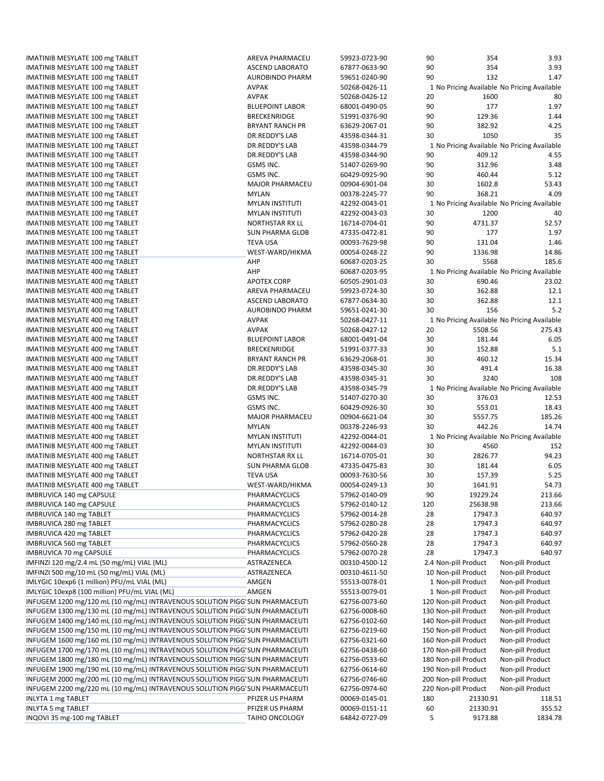IMATINIB MESYLATE 100 mg TABLET TABLET AREVA PHARMACEU 59923-0723-90 90 354 3.93 IMATINIB MESYLATE 100 mg TABLET ASCEND LABORATO 67877-0633-90 90 354 3.93 IMATINIB MESYLATE 100 mg TABLET AUROBINDO PHARM 59651-0240-90 90 132 1.47 IMATINIB MESYLATE 100 mg TABLET **AVPAK AVPAK** 50268-0426-11 1 No Pricing Available No Pricing Available No Pricing Available IMATINIB MESYLATE 100 mg TABLET AVPAK AVPAK 50268-0426-12 20 1600 1600 80 IMATINIB MESYLATE 100 mg TABLET BLUEPOINT LABOR 68001‐0490‐05 90 177 1.97 IMATINIB MESYLATE 100 mg TABLET THE STREEKENRIDGE THE STREEKENRIDGE THE STREEKENRIDGE THE STREEKENRIDGE THE STREEKENRIDGE THE STREEKENRIDGE THE STREEKENRIDGE THE STREEKENRIDGE THE STREEKENRIDGE THE STREEKENRIDGE THE STREEK IMATINIB MESYLATE 100 mg TABLET BRYANT RANCH PR 63629‐2067‐01 90 382.92 4.25 IMATINIB MESYLATE 100 mg TABLET THE SAND MATINIB MEST DR.REDDY'S LAB THE 43598-0344-31 30 1050 1050 1050 35 IMATINIB MESYLATE 100 mg TABLET **DR.REDDY'S LAB** 43598-0344-79 1 No Pricing Available No Pricing Available No Pricing Available IMATINIB MESYLATE 100 mg TABLET DR.REDDY'S LAB 43598‐0344‐90 90 409.12 4.55 IMATINIB MESYLATE 100 mg TABLET GSMS INC. 51407‐0269‐90 90 312.96 3.48 IMATINIB MESYLATE 100 mg TABLET 60429−0925−900 900 460.44 5.12 IMATINIB MESYLATE 100 mg TABLET MAJOR PHARMACEU 00904‐6901‐04 30 1602.8 53.43 IMATINIB MESYLATE 100 mg TABLET MYLAN 00378‐2245‐77 90 368.21 4.09 IMATINIB MESYLATE 100 mg TABLET **MYLAN INSTITUTI** 42292-0043-01 1 No Pricing Available No Pricing Available IMATINIB MESYLATE 100 mg TABLET MYLAN INSTITUTI 42292‐0043‐03 30 1200 40 IMATINIB MESYLATE 100 mg TABLET NORTHSTAR RX LL 16714‐0704‐01 90 4731.37 52.57 IMATINIB MESYLATE 100 mg TABLET NG SUN PHARMA GLOB 47335-0472-81 90 177 1.97 IMATINIB MESYLATE 100 mg TABLET TEVA USA TEVA USA 00093-7629-98 90 131.04 1.46 IMATINIB MESYLATE 100 mg TABLET WEST‐WARD/HIKMA 00054‐0248‐22 90 1336.98 14.86 IMATINIB MESYLATE 400 mg TABLET AHP 60687‐0203‐25 30 5568 185.6 IMATINIB MESYLATE 400 mg TABLET **AHP** 60687-0203-95 1 No Pricing Available No Pricing Available No Pricing Available IMATINIB MESYLATE 400 mg TABLET APOTEX CORP 60505‐2901‐03 30 690.46 23.02 IMATINIB MESYLATE 400 mg TABLET AREVA PHARMACEU 59923‐0724‐30 30 362.88 12.1 IMATINIB MESYLATE 400 mg TABLET ASSEND LABORATO 67877-0634-30 30 362.88 12.1 IMATINIB MESYLATE 400 mg TABLET AUROBINDO PHARM 59651-0241-30 30 156 5.2 IMATINIB MESYLATE 400 mg TABLET **AVELATING AVPAK** 50268-0427-11 1 1 No Pricing Available No Pricing Available No Pricing Available IMATINIB MESYLATE 400 mg TABLET AVPAK 50268‐0427‐12 20 5508.56 275.43 IMATINIB MESYLATE 400 mg TABLET 6.05 and the BLUEPOINT LABOR 68001-0491-04 30 181.44 6.05 IMATINIB MESYLATE 400 mg TABLET **BRECKENRIDGE** 51991-0377-33 30 152.88 5.1 IMATINIB MESYLATE 400 mg TABLET BRYANT RANCH PR 63629‐2068‐01 30 460.12 15.34 IMATINIB MESYLATE 400 mg TABLET 16.38 and the CHERDOR'S LAB 43598-0345-30 30 491.4 16.38 IMATINIB MESYLATE 400 mg TABLET 108 mm and the CREDDY'S LAB 43598-0345-31 30 3240 3240 108 IMATINIB MESYLATE 400 mg TABLET **DR.REDDY'S LAB** 43598-0345-79 1 No Pricing Available No Pricing Available No Pricing Available IMATINIB MESYLATE 400 mg TABLET GSMS INC. 51407‐0270‐30 30 376.03 12.53 IMATINIB MESYLATE 400 mg TABLET CHA SAN SANG SANG SANG INC. CHA SANG 18.43 50 553.01 18.43 IMATINIB MESYLATE 400 mg TABLET TALL THE MAJOR PHARMACEU 200904‐6621‐04 30 5557.75 185.26 IMATINIB MESYLATE 400 mg TABLET MYLAN 00378‐2246‐93 30 442.26 14.74 IMATINIB MESYLATE 400 mg TABLET **MYLAN INSTITUTI 19992-0044-01** 1 No Pricing Available No Pricing Available No Pricing Available IMATINIB MESYLATE 400 mg TABLET TAGGA MESALET MYLAN INSTITUTI AT A 2292-0044-03 30 4560 4560 152 IMATINIB MESYLATE 400 mg TABLET NORTHSTAR RX LL 16714‐0705‐01 30 2826.77 94.23 IMATINIB MESYLATE 400 mg TABLET SUN PHARMA GLOB 47335‐0475‐83 30 181.44 6.05 IMATINIB MESYLATE 400 mg TABLET 1999 1999 S.25 1000 15.25 100093-7630-56 50 157.39 157.39 157.39 157.39 157.39 IMATINIB MESYLATE 400 mg TABLET TABLET THE SALT SALT MEST-WARD/HIKMA 00054-0249-13 30 1641.91 54.73 IMBRUVICA 140 mg CAPSULE 213.66<br>
PHARMACYCLICS 57962‐0140‐09 90 19229.24 213.66 IMBRUVICA 140 mg CAPSULE PHARMACYCLICS 57962‐0140‐12 120 25638.98 213.66 IMBRUVICA 140 mg TABLET 640.97 mg TABLET And The Magnus CHARMACYCLICS 657962-0014-28 28 17947.3 640.97 IMBRUVICA 280 mg TABLET **PHARMACYCLICS** 57962‐0280‐28 28 17947.3 640.97 640.97 IMBRUVICA 420 mg TABLET THE PHARMACYCLICS NEWSTAND STRUGGER STRUGGER STRUGGER 28 17947.3 640.97 IMBRUVICA 560 mg TABLET 640.97 mg TABLET And The Magnus CHARMACYCLICS 65962-0560-28 28 17947.3 640.97 IMBRUVICA 70 mg CAPSULE PHARMACYCLICS 57962‐0070‐28 28 17947.3 640.97 IMFINZI 120 mg/2.4 mL (50 mg/mL) VIAL (ML) ASTRAZENECA 00310‐4500‐12 2.4 Non‐pill Product Non‐pill Product IMFINZI 500 mg/10 mL (50 mg/mL) VIAL (ML) ASTRAZENECA 00310‐4611‐50 10 Non‐pill Product Non‐pill Product IMLYGIC 10exp6 (1 million) PFU/mL VIAL (ML) AMGEN 55513‐0078‐01 1 Non‐pill Product Non‐pill Product IMLYGIC 10exp8 (100 million) PFU/mL VIAL (ML) AMGEN 55513‐0079‐01 1 Non‐pill Product Non‐pill Product INFUGEM 1200 mg/120 mL (10 mg/mL) INTRAVENOUS SOLUTION PIGGYSUN PHARMACEUTI 62756‐0073‐60 120 Non‐pill Product Non‐pill Product INFUGEM 1300 mg/130 mL (10 mg/mL) INTRAVENOUS SOLUTION PIGGYSUN PHARMACEUTI 62756‐0008‐60 130 Non‐pill Product Non‐pill Product INFUGEM 1400 mg/140 mL (10 mg/mL) INTRAVENOUS SOLUTION PIGGYSUN PHARMACEUTI 62756‐0102‐60 140 Non‐pill Product Non‐pill Product INFUGEM 1500 mg/150 mL (10 mg/mL) INTRAVENOUS SOLUTION PIGGYSUN PHARMACEUTI 62756‐0219‐60 150 Non‐pill Product Non‐pill Product INFUGEM 1600 mg/160 mL (10 mg/mL) INTRAVENOUS SOLUTION PIGGYSUN PHARMACEUTI 62756‐0321‐60 160 Non‐pill Product Non‐pill Product INFUGEM 1700 mg/170 mL (10 mg/mL) INTRAVENOUS SOLUTION PIGGYSUN PHARMACEUTI 62756‐0438‐60 170 Non‐pill Product Non‐pill Product INFUGEM 1800 mg/180 mL (10 mg/mL) INTRAVENOUS SOLUTION PIGGYSUN PHARMACEUTI 62756‐0533‐60 180 Non‐pill Product Non‐pill Product INFUGEM 1900 mg/190 mL (10 mg/mL) INTRAVENOUS SOLUTION PIGGYSUN PHARMACEUTI 62756‐0614‐60 190 Non‐pill Product Non‐pill Product INFUGEM 2000 mg/200 mL (10 mg/mL) INTRAVENOUS SOLUTION PIGG'SUN PHARMACEUTI 62756-0746-60 200 Non-pill Product Non-pill Product INFUGEM 2200 mg/220 mL (10 mg/mL) INTRAVENOUS SOLUTION PIGGYSUN PHARMACEUTI 62756‐0974‐60 220 Non‐pill Product Non‐pill Product INLYTA 1 mg TABLET PFIZER US PHARM 00069‐0145‐01 180 21330.91 118.51 INLYTA 5 mg TABLET PFIZER US PHARM 00069‐0151‐11 60 21330.91 355.52 INQOVI 35 mg‐100 mg TABLET TAIHO ONCOLOGY 64842‐0727‐09 5 9173.88 1834.78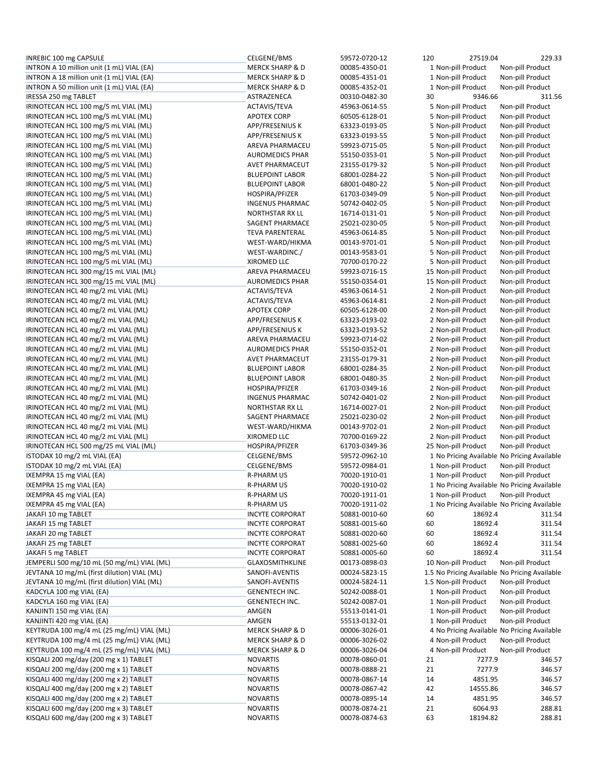| INREBIC 100 mg CAPSULE                      | CELGENE/BMS                | 59572-0720-12 | 120 | 27519.04             | 229.33                                        |
|---------------------------------------------|----------------------------|---------------|-----|----------------------|-----------------------------------------------|
| INTRON A 10 million unit (1 mL) VIAL (EA)   | <b>MERCK SHARP &amp; D</b> | 00085-4350-01 |     | 1 Non-pill Product   | Non-pill Product                              |
| INTRON A 18 million unit (1 mL) VIAL (EA)   | <b>MERCK SHARP &amp; D</b> | 00085-4351-01 |     | 1 Non-pill Product   | Non-pill Product                              |
| INTRON A 50 million unit (1 mL) VIAL (EA)   | <b>MERCK SHARP &amp; D</b> | 00085-4352-01 |     | 1 Non-pill Product   | Non-pill Product                              |
| IRESSA 250 mg TABLET                        | ASTRAZENECA                | 00310-0482-30 | 30  | 9346.66              | 311.56                                        |
| IRINOTECAN HCL 100 mg/5 mL VIAL (ML)        | ACTAVIS/TEVA               | 45963-0614-55 |     | 5 Non-pill Product   | Non-pill Product                              |
| IRINOTECAN HCL 100 mg/5 mL VIAL (ML)        | <b>APOTEX CORP</b>         | 60505-6128-01 |     | 5 Non-pill Product   | Non-pill Product                              |
|                                             |                            |               |     |                      |                                               |
| IRINOTECAN HCL 100 mg/5 mL VIAL (ML)        | APP/FRESENIUS K            | 63323-0193-05 |     | 5 Non-pill Product   | Non-pill Product                              |
| IRINOTECAN HCL 100 mg/5 mL VIAL (ML)        | APP/FRESENIUS K            | 63323-0193-55 |     | 5 Non-pill Product   | Non-pill Product                              |
| IRINOTECAN HCL 100 mg/5 mL VIAL (ML)        | AREVA PHARMACEU            | 59923-0715-05 |     | 5 Non-pill Product   | Non-pill Product                              |
| IRINOTECAN HCL 100 mg/5 mL VIAL (ML)        | <b>AUROMEDICS PHAR</b>     | 55150-0353-01 |     | 5 Non-pill Product   | Non-pill Product                              |
| IRINOTECAN HCL 100 mg/5 mL VIAL (ML)        | <b>AVET PHARMACEUT</b>     | 23155-0179-32 |     | 5 Non-pill Product   | Non-pill Product                              |
| IRINOTECAN HCL 100 mg/5 mL VIAL (ML)        | <b>BLUEPOINT LABOR</b>     | 68001-0284-22 |     | 5 Non-pill Product   | Non-pill Product                              |
| IRINOTECAN HCL 100 mg/5 mL VIAL (ML)        | <b>BLUEPOINT LABOR</b>     | 68001-0480-22 |     | 5 Non-pill Product   | Non-pill Product                              |
| IRINOTECAN HCL 100 mg/5 mL VIAL (ML)        | HOSPIRA/PFIZER             | 61703-0349-09 |     | 5 Non-pill Product   | Non-pill Product                              |
| IRINOTECAN HCL 100 mg/5 mL VIAL (ML)        | <b>INGENUS PHARMAC</b>     | 50742-0402-05 |     | 5 Non-pill Product   | Non-pill Product                              |
|                                             |                            |               |     |                      |                                               |
| IRINOTECAN HCL 100 mg/5 mL VIAL (ML)        | <b>NORTHSTAR RX LL</b>     | 16714-0131-01 |     | 5 Non-pill Product   | Non-pill Product                              |
| IRINOTECAN HCL 100 mg/5 mL VIAL (ML)        | SAGENT PHARMACE            | 25021-0230-05 |     | 5 Non-pill Product   | Non-pill Product                              |
| IRINOTECAN HCL 100 mg/5 mL VIAL (ML)        | <b>TEVA PARENTERAL</b>     | 45963-0614-85 |     | 5 Non-pill Product   | Non-pill Product                              |
| IRINOTECAN HCL 100 mg/5 mL VIAL (ML)        | WEST-WARD/HIKMA            | 00143-9701-01 |     | 5 Non-pill Product   | Non-pill Product                              |
| IRINOTECAN HCL 100 mg/5 mL VIAL (ML)        | WEST-WARDINC./             | 00143-9583-01 |     | 5 Non-pill Product   | Non-pill Product                              |
| IRINOTECAN HCL 100 mg/5 mL VIAL (ML)        | <b>XIROMED LLC</b>         | 70700-0170-22 |     | 5 Non-pill Product   | Non-pill Product                              |
| IRINOTECAN HCL 300 mg/15 mL VIAL (ML)       | AREVA PHARMACEU            | 59923-0716-15 |     | 15 Non-pill Product  | Non-pill Product                              |
| IRINOTECAN HCL 300 mg/15 mL VIAL (ML)       | <b>AUROMEDICS PHAR</b>     | 55150-0354-01 |     | 15 Non-pill Product  | Non-pill Product                              |
| IRINOTECAN HCL 40 mg/2 mL VIAL (ML)         |                            | 45963-0614-51 |     |                      | Non-pill Product                              |
|                                             | ACTAVIS/TEVA               |               |     | 2 Non-pill Product   |                                               |
| IRINOTECAN HCL 40 mg/2 mL VIAL (ML)         | ACTAVIS/TEVA               | 45963-0614-81 |     | 2 Non-pill Product   | Non-pill Product                              |
| IRINOTECAN HCL 40 mg/2 mL VIAL (ML)         | <b>APOTEX CORP</b>         | 60505-6128-00 |     | 2 Non-pill Product   | Non-pill Product                              |
| IRINOTECAN HCL 40 mg/2 mL VIAL (ML)         | APP/FRESENIUS K            | 63323-0193-02 |     | 2 Non-pill Product   | Non-pill Product                              |
| IRINOTECAN HCL 40 mg/2 mL VIAL (ML)         | APP/FRESENIUS K            | 63323-0193-52 |     | 2 Non-pill Product   | Non-pill Product                              |
| IRINOTECAN HCL 40 mg/2 mL VIAL (ML)         | AREVA PHARMACEU            | 59923-0714-02 |     | 2 Non-pill Product   | Non-pill Product                              |
| IRINOTECAN HCL 40 mg/2 mL VIAL (ML)         | <b>AUROMEDICS PHAR</b>     | 55150-0352-01 |     | 2 Non-pill Product   | Non-pill Product                              |
| IRINOTECAN HCL 40 mg/2 mL VIAL (ML)         | AVET PHARMACEUT            | 23155-0179-31 |     | 2 Non-pill Product   | Non-pill Product                              |
| IRINOTECAN HCL 40 mg/2 mL VIAL (ML)         | <b>BLUEPOINT LABOR</b>     | 68001-0284-35 |     | 2 Non-pill Product   | Non-pill Product                              |
| IRINOTECAN HCL 40 mg/2 mL VIAL (ML)         | <b>BLUEPOINT LABOR</b>     | 68001-0480-35 |     | 2 Non-pill Product   | Non-pill Product                              |
|                                             |                            |               |     |                      |                                               |
| IRINOTECAN HCL 40 mg/2 mL VIAL (ML)         | HOSPIRA/PFIZER             | 61703-0349-16 |     | 2 Non-pill Product   | Non-pill Product                              |
| IRINOTECAN HCL 40 mg/2 mL VIAL (ML)         | <b>INGENUS PHARMAC</b>     | 50742-0401-02 |     | 2 Non-pill Product   | Non-pill Product                              |
| IRINOTECAN HCL 40 mg/2 mL VIAL (ML)         | NORTHSTAR RX LL            | 16714-0027-01 |     | 2 Non-pill Product   | Non-pill Product                              |
| IRINOTECAN HCL 40 mg/2 mL VIAL (ML)         | SAGENT PHARMACE            | 25021-0230-02 |     | 2 Non-pill Product   | Non-pill Product                              |
| IRINOTECAN HCL 40 mg/2 mL VIAL (ML)         | WEST-WARD/HIKMA            | 00143-9702-01 |     | 2 Non-pill Product   | Non-pill Product                              |
| IRINOTECAN HCL 40 mg/2 mL VIAL (ML)         | XIROMED LLC                | 70700-0169-22 |     | 2 Non-pill Product   | Non-pill Product                              |
| IRINOTECAN HCL 500 mg/25 mL VIAL (ML)       | HOSPIRA/PFIZER             | 61703-0349-36 |     | 25 Non-pill Product  | Non-pill Product                              |
| ISTODAX 10 mg/2 mL VIAL (EA)                | CELGENE/BMS                | 59572-0962-10 |     |                      | 1 No Pricing Available No Pricing Available   |
| ISTODAX 10 mg/2 mL VIAL (EA)                | CELGENE/BMS                | 59572-0984-01 |     | 1 Non-pill Product   | Non-pill Product                              |
| IXEMPRA 15 mg VIAL (EA)                     | <b>R-PHARM US</b>          | 70020-1910-01 |     | 1 Non-pill Product   | Non-pill Product                              |
|                                             |                            | 70020-1910-02 |     |                      |                                               |
| IXEMPRA 15 mg VIAL (EA)                     | <b>R-PHARM US</b>          |               |     |                      | 1 No Pricing Available No Pricing Available   |
| IXEMPRA 45 mg VIAL (EA)                     | <b>R-PHARM US</b>          | 70020-1911-01 |     | 1 Non-pill Product   | Non-pill Product                              |
| IXEMPRA 45 mg VIAL (EA)                     | <b>R-PHARM US</b>          | 70020-1911-02 |     |                      | 1 No Pricing Available No Pricing Available   |
| JAKAFI 10 mg TABLET                         | <b>INCYTE CORPORAT</b>     | 50881-0010-60 | 60  | 18692.4              | 311.54                                        |
| JAKAFI 15 mg TABLET                         | <b>INCYTE CORPORAT</b>     | 50881-0015-60 | 60  | 18692.4              | 311.54                                        |
| JAKAFI 20 mg TABLET                         | <b>INCYTE CORPORAT</b>     | 50881-0020-60 | 60  | 18692.4              | 311.54                                        |
| JAKAFI 25 mg TABLET                         | <b>INCYTE CORPORAT</b>     | 50881-0025-60 | 60  | 18692.4              | 311.54                                        |
| JAKAFI 5 mg TABLET                          | <b>INCYTE CORPORAT</b>     | 50881-0005-60 | 60  | 18692.4              | 311.54                                        |
| JEMPERLI 500 mg/10 mL (50 mg/mL) VIAL (ML)  | <b>GLAXOSMITHKLINE</b>     | 00173-0898-03 |     | 10 Non-pill Product  | Non-pill Product                              |
| JEVTANA 10 mg/mL (first dilution) VIAL (ML) |                            | 00024-5823-15 |     |                      |                                               |
|                                             | SANOFI-AVENTIS             |               |     |                      | 1.5 No Pricing Available No Pricing Available |
| JEVTANA 10 mg/mL (first dilution) VIAL (ML) | SANOFI-AVENTIS             | 00024-5824-11 |     | 1.5 Non-pill Product | Non-pill Product                              |
| KADCYLA 100 mg VIAL (EA)                    | GENENTECH INC.             | 50242-0088-01 |     | 1 Non-pill Product   | Non-pill Product                              |
| KADCYLA 160 mg VIAL (EA)                    | <b>GENENTECH INC.</b>      | 50242-0087-01 |     | 1 Non-pill Product   | Non-pill Product                              |
| KANJINTI 150 mg VIAL (EA)                   | AMGEN                      | 55513-0141-01 |     | 1 Non-pill Product   | Non-pill Product                              |
| KANJINTI 420 mg VIAL (EA)                   | AMGEN                      | 55513-0132-01 |     | 1 Non-pill Product   | Non-pill Product                              |
| KEYTRUDA 100 mg/4 mL (25 mg/mL) VIAL (ML)   | <b>MERCK SHARP &amp; D</b> | 00006-3026-01 |     |                      | 4 No Pricing Available No Pricing Available   |
| KEYTRUDA 100 mg/4 mL (25 mg/mL) VIAL (ML)   | <b>MERCK SHARP &amp; D</b> | 00006-3026-02 |     | 4 Non-pill Product   | Non-pill Product                              |
| KEYTRUDA 100 mg/4 mL (25 mg/mL) VIAL (ML)   | <b>MERCK SHARP &amp; D</b> | 00006-3026-04 |     | 4 Non-pill Product   | Non-pill Product                              |
| KISQALI 200 mg/day (200 mg x 1) TABLET      | <b>NOVARTIS</b>            | 00078-0860-01 | 21  | 7277.9               | 346.57                                        |
|                                             |                            |               |     |                      |                                               |
| KISQALI 200 mg/day (200 mg x 1) TABLET      | <b>NOVARTIS</b>            | 00078-0888-21 | 21  | 7277.9               | 346.57                                        |
| KISQALI 400 mg/day (200 mg x 2) TABLET      | <b>NOVARTIS</b>            | 00078-0867-14 | 14  | 4851.95              | 346.57                                        |
| KISQALI 400 mg/day (200 mg x 2) TABLET      | <b>NOVARTIS</b>            | 00078-0867-42 | 42  | 14555.86             | 346.57                                        |
| KISQALI 400 mg/day (200 mg x 2) TABLET      | <b>NOVARTIS</b>            | 00078-0895-14 | 14  | 4851.95              | 346.57                                        |
| KISQALI 600 mg/day (200 mg x 3) TABLET      | <b>NOVARTIS</b>            | 00078-0874-21 | 21  | 6064.93              | 288.81                                        |
| KISQALI 600 mg/day (200 mg x 3) TABLET      | <b>NOVARTIS</b>            | 00078-0874-63 | 63  | 18194.82             | 288.81                                        |
|                                             |                            |               |     |                      |                                               |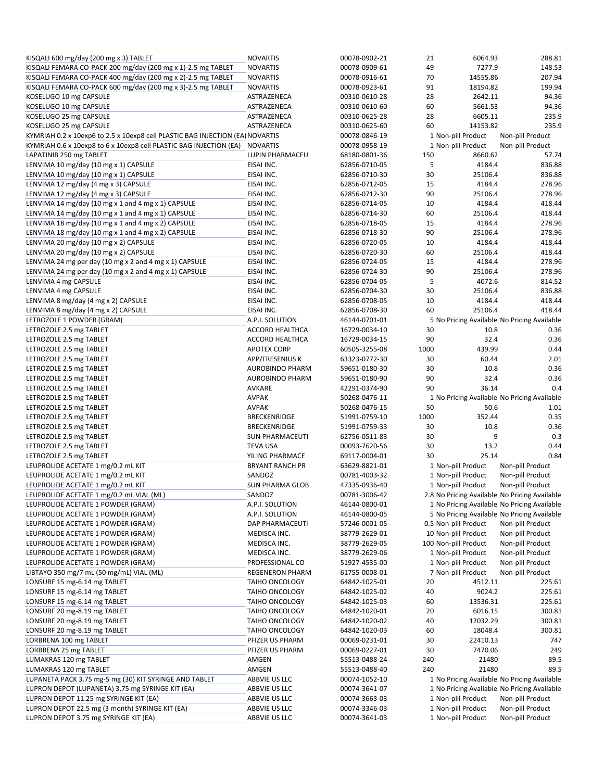| KISQALI 600 mg/day (200 mg x 3) TABLET                                                        | <b>NOVARTIS</b>        | 00078-0902-21 | 21   | 6064.93                                     | 288.81                                        |
|-----------------------------------------------------------------------------------------------|------------------------|---------------|------|---------------------------------------------|-----------------------------------------------|
| KISQALI FEMARA CO-PACK 200 mg/day (200 mg x 1)-2.5 mg TABLET                                  | <b>NOVARTIS</b>        | 00078-0909-61 | 49   | 7277.9                                      | 148.53                                        |
| KISQALI FEMARA CO-PACK 400 mg/day (200 mg x 2)-2.5 mg TABLET                                  | <b>NOVARTIS</b>        | 00078-0916-61 | 70   | 14555.86                                    | 207.94                                        |
| KISQALI FEMARA CO-PACK 600 mg/day (200 mg x 3)-2.5 mg TABLET                                  | <b>NOVARTIS</b>        | 00078-0923-61 | 91   | 18194.82                                    | 199.94                                        |
| KOSELUGO 10 mg CAPSULE                                                                        | ASTRAZENECA            | 00310-0610-28 | 28   | 2642.11                                     | 94.36                                         |
| KOSELUGO 10 mg CAPSULE                                                                        | ASTRAZENECA            | 00310-0610-60 | 60   | 5661.53                                     | 94.36                                         |
| KOSELUGO 25 mg CAPSULE                                                                        | ASTRAZENECA            | 00310-0625-28 | 28   | 6605.11                                     | 235.9                                         |
| KOSELUGO 25 mg CAPSULE                                                                        | ASTRAZENECA            | 00310-0625-60 | 60   | 14153.82                                    | 235.9                                         |
| KYMRIAH 0.2 x 10exp6 to 2.5 x 10exp8 cell PLASTIC BAG INJECTION (EA) NOVARTIS                 |                        | 00078-0846-19 |      | 1 Non-pill Product                          | Non-pill Product                              |
|                                                                                               | <b>NOVARTIS</b>        | 00078-0958-19 |      | 1 Non-pill Product                          | Non-pill Product                              |
| KYMRIAH 0.6 x 10exp8 to 6 x 10exp8 cell PLASTIC BAG INJECTION (EA)<br>LAPATINIB 250 mg TABLET |                        |               |      |                                             |                                               |
|                                                                                               | LUPIN PHARMACEU        | 68180-0801-36 | 150  | 8660.62                                     | 57.74                                         |
| LENVIMA 10 mg/day (10 mg x 1) CAPSULE                                                         | EISAI INC.             | 62856-0710-05 | 5    | 4184.4                                      | 836.88                                        |
| LENVIMA 10 mg/day (10 mg x 1) CAPSULE                                                         | EISAI INC.             | 62856-0710-30 | 30   | 25106.4                                     | 836.88                                        |
| LENVIMA 12 mg/day (4 mg x 3) CAPSULE                                                          | EISAI INC.             | 62856-0712-05 | 15   | 4184.4                                      | 278.96                                        |
| LENVIMA 12 mg/day (4 mg x 3) CAPSULE                                                          | EISAI INC.             | 62856-0712-30 | 90   | 25106.4                                     | 278.96                                        |
| LENVIMA 14 mg/day (10 mg x 1 and 4 mg x 1) CAPSULE                                            | EISAI INC.             | 62856-0714-05 | 10   | 4184.4                                      | 418.44                                        |
| LENVIMA 14 mg/day (10 mg x 1 and 4 mg x 1) CAPSULE                                            | EISAI INC.             | 62856-0714-30 | 60   | 25106.4                                     | 418.44                                        |
| LENVIMA 18 mg/day (10 mg x 1 and 4 mg x 2) CAPSULE                                            | EISAI INC.             | 62856-0718-05 | 15   | 4184.4                                      | 278.96                                        |
| LENVIMA 18 mg/day (10 mg x 1 and 4 mg x 2) CAPSULE                                            | EISAI INC.             | 62856-0718-30 | 90   | 25106.4                                     | 278.96                                        |
| LENVIMA 20 mg/day (10 mg x 2) CAPSULE                                                         | EISAI INC.             | 62856-0720-05 | 10   | 4184.4                                      | 418.44                                        |
| LENVIMA 20 mg/day (10 mg x 2) CAPSULE                                                         | EISAI INC.             | 62856-0720-30 | 60   | 25106.4                                     | 418.44                                        |
| LENVIMA 24 mg per day (10 mg x 2 and 4 mg x 1) CAPSULE                                        | EISAI INC.             | 62856-0724-05 | 15   | 4184.4                                      | 278.96                                        |
|                                                                                               |                        |               |      |                                             |                                               |
| LENVIMA 24 mg per day (10 mg x 2 and 4 mg x 1) CAPSULE                                        | EISAI INC.             | 62856-0724-30 | 90   | 25106.4                                     | 278.96                                        |
| LENVIMA 4 mg CAPSULE                                                                          | EISAI INC.             | 62856-0704-05 | 5    | 4072.6                                      | 814.52                                        |
| LENVIMA 4 mg CAPSULE                                                                          | EISAI INC.             | 62856-0704-30 | 30   | 25106.4                                     | 836.88                                        |
| LENVIMA 8 mg/day (4 mg x 2) CAPSULE                                                           | EISAI INC.             | 62856-0708-05 | 10   | 4184.4                                      | 418.44                                        |
| LENVIMA 8 mg/day (4 mg x 2) CAPSULE                                                           | EISAI INC.             | 62856-0708-30 | 60   | 25106.4                                     | 418.44                                        |
| LETROZOLE 1 POWDER (GRAM)                                                                     | A.P.I. SOLUTION        | 46144-0701-01 |      | 5 No Pricing Available No Pricing Available |                                               |
| LETROZOLE 2.5 mg TABLET                                                                       | <b>ACCORD HEALTHCA</b> | 16729-0034-10 | 30   | 10.8                                        | 0.36                                          |
| LETROZOLE 2.5 mg TABLET                                                                       | ACCORD HEALTHCA        | 16729-0034-15 | 90   | 32.4                                        | 0.36                                          |
| LETROZOLE 2.5 mg TABLET                                                                       | <b>APOTEX CORP</b>     | 60505-3255-08 | 1000 | 439.99                                      | 0.44                                          |
| LETROZOLE 2.5 mg TABLET                                                                       | APP/FRESENIUS K        | 63323-0772-30 | 30   | 60.44                                       | 2.01                                          |
| LETROZOLE 2.5 mg TABLET                                                                       | <b>AUROBINDO PHARM</b> | 59651-0180-30 | 30   | 10.8                                        | 0.36                                          |
|                                                                                               |                        |               | 90   | 32.4                                        | 0.36                                          |
| LETROZOLE 2.5 mg TABLET                                                                       | <b>AUROBINDO PHARM</b> | 59651-0180-90 |      |                                             |                                               |
| LETROZOLE 2.5 mg TABLET                                                                       | AVKARE                 | 42291-0374-90 | 90   | 36.14                                       | 0.4                                           |
|                                                                                               |                        |               |      |                                             |                                               |
| LETROZOLE 2.5 mg TABLET                                                                       | <b>AVPAK</b>           | 50268-0476-11 |      | 1 No Pricing Available No Pricing Available |                                               |
| LETROZOLE 2.5 mg TABLET                                                                       | <b>AVPAK</b>           | 50268-0476-15 | 50   | 50.6                                        | 1.01                                          |
| LETROZOLE 2.5 mg TABLET                                                                       | <b>BRECKENRIDGE</b>    | 51991-0759-10 | 1000 | 352.44                                      | 0.35                                          |
| LETROZOLE 2.5 mg TABLET                                                                       | BRECKENRIDGE           | 51991-0759-33 | 30   | 10.8                                        | 0.36                                          |
| LETROZOLE 2.5 mg TABLET                                                                       | <b>SUN PHARMACEUTI</b> | 62756-0511-83 | 30   | 9                                           | 0.3                                           |
| LETROZOLE 2.5 mg TABLET                                                                       | <b>TEVA USA</b>        | 00093-7620-56 | 30   | 13.2                                        | 0.44                                          |
| LETROZOLE 2.5 mg TABLET                                                                       | YILING PHARMACE        | 69117-0004-01 | 30   | 25.14                                       | 0.84                                          |
| LEUPROLIDE ACETATE 1 mg/0.2 mL KIT                                                            | <b>BRYANT RANCH PR</b> | 63629-8821-01 |      | 1 Non-pill Product                          | Non-pill Product                              |
|                                                                                               |                        |               |      |                                             |                                               |
| LEUPROLIDE ACETATE 1 mg/0.2 mL KIT                                                            | SANDOZ                 | 00781-4003-32 |      | 1 Non-pill Product                          | Non-pill Product                              |
| LEUPROLIDE ACETATE 1 mg/0.2 mL KIT                                                            | <b>SUN PHARMA GLOB</b> | 47335-0936-40 |      | 1 Non-pill Product                          | Non-pill Product                              |
| LEUPROLIDE ACETATE 1 mg/0.2 mL VIAL (ML)                                                      | SANDOZ                 | 00781-3006-42 |      |                                             | 2.8 No Pricing Available No Pricing Available |
| LEUPROLIDE ACETATE 1 POWDER (GRAM)                                                            | A.P.I. SOLUTION        | 46144-0800-01 |      | 1 No Pricing Available No Pricing Available |                                               |
| LEUPROLIDE ACETATE 1 POWDER (GRAM)                                                            | A.P.I. SOLUTION        | 46144-0800-05 |      | 5 No Pricing Available No Pricing Available |                                               |
| LEUPROLIDE ACETATE 1 POWDER (GRAM)                                                            | DAP PHARMACEUTI        | 57246-0001-05 |      | 0.5 Non-pill Product                        | Non-pill Product                              |
| LEUPROLIDE ACETATE 1 POWDER (GRAM)                                                            | MEDISCA INC.           | 38779-2629-01 |      | 10 Non-pill Product                         | Non-pill Product                              |
| LEUPROLIDE ACETATE 1 POWDER (GRAM)                                                            | MEDISCA INC.           | 38779-2629-05 |      | 100 Non-pill Product                        | Non-pill Product                              |
| LEUPROLIDE ACETATE 1 POWDER (GRAM)                                                            | MEDISCA INC.           | 38779-2629-06 |      | 1 Non-pill Product                          | Non-pill Product                              |
| LEUPROLIDE ACETATE 1 POWDER (GRAM)                                                            | PROFESSIONAL CO        | 51927-4535-00 |      | 1 Non-pill Product                          | Non-pill Product                              |
| LIBTAYO 350 mg/7 mL (50 mg/mL) VIAL (ML)                                                      | <b>REGENERON PHARM</b> | 61755-0008-01 |      | 7 Non-pill Product                          | Non-pill Product                              |
| LONSURF 15 mg-6.14 mg TABLET                                                                  | TAIHO ONCOLOGY         | 64842-1025-01 | 20   | 4512.11                                     | 225.61                                        |
| LONSURF 15 mg-6.14 mg TABLET                                                                  | TAIHO ONCOLOGY         | 64842-1025-02 | 40   | 9024.2                                      | 225.61                                        |
| LONSURF 15 mg-6.14 mg TABLET                                                                  | TAIHO ONCOLOGY         | 64842-1025-03 | 60   | 13536.31                                    | 225.61                                        |
|                                                                                               |                        |               |      |                                             |                                               |
| LONSURF 20 mg-8.19 mg TABLET                                                                  | TAIHO ONCOLOGY         | 64842-1020-01 | 20   | 6016.15                                     | 300.81                                        |
| LONSURF 20 mg-8.19 mg TABLET                                                                  | <b>TAIHO ONCOLOGY</b>  | 64842-1020-02 | 40   | 12032.29                                    | 300.81                                        |
| LONSURF 20 mg-8.19 mg TABLET                                                                  | TAIHO ONCOLOGY         | 64842-1020-03 | 60   | 18048.4                                     | 300.81                                        |
| LORBRENA 100 mg TABLET                                                                        | PFIZER US PHARM        | 00069-0231-01 | 30   | 22410.13                                    | 747                                           |
| LORBRENA 25 mg TABLET                                                                         | PFIZER US PHARM        | 00069-0227-01 | 30   | 7470.06                                     | 249                                           |
| LUMAKRAS 120 mg TABLET                                                                        | AMGEN                  | 55513-0488-24 | 240  | 21480                                       | 89.5                                          |
| LUMAKRAS 120 mg TABLET                                                                        | AMGEN                  | 55513-0488-40 | 240  | 21480                                       | 89.5                                          |
| LUPANETA PACK 3.75 mg-5 mg (30) KIT SYRINGE AND TABLET                                        | ABBVIE US LLC          | 00074-1052-10 |      | 1 No Pricing Available No Pricing Available |                                               |
| LUPRON DEPOT (LUPANETA) 3.75 mg SYRINGE KIT (EA)                                              | ABBVIE US LLC          | 00074-3641-07 |      | 1 No Pricing Available No Pricing Available |                                               |
| LUPRON DEPOT 11.25 mg SYRINGE KIT (EA)                                                        | ABBVIE US LLC          | 00074-3663-03 |      | 1 Non-pill Product                          | Non-pill Product                              |
| LUPRON DEPOT 22.5 mg (3 month) SYRINGE KIT (EA)                                               | ABBVIE US LLC          | 00074-3346-03 |      | 1 Non-pill Product                          | Non-pill Product                              |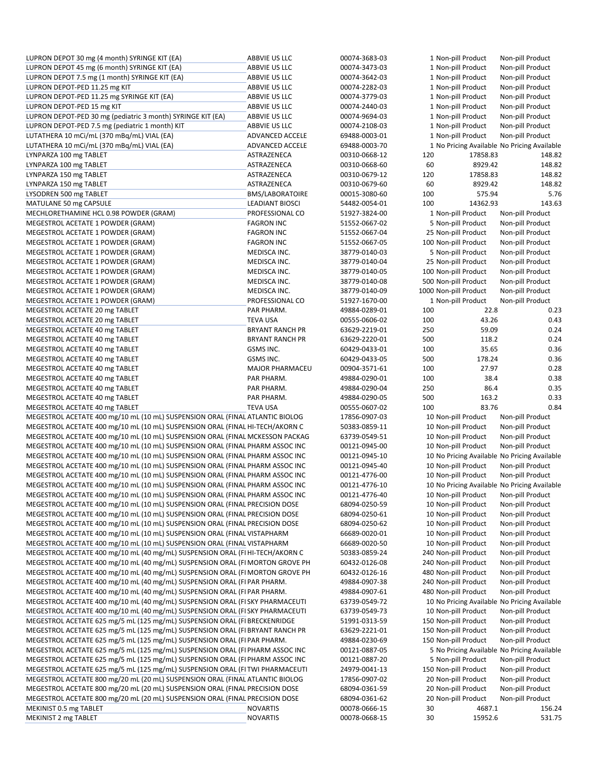| LUPRON DEPOT 30 mg (4 month) SYRINGE KIT (EA)                                 | ABBVIE US LLC                      | 00074-3683-03                  | 1 Non-pill Product    |                   | Non-pill Product                             |
|-------------------------------------------------------------------------------|------------------------------------|--------------------------------|-----------------------|-------------------|----------------------------------------------|
| LUPRON DEPOT 45 mg (6 month) SYRINGE KIT (EA)                                 | ABBVIE US LLC                      | 00074-3473-03                  | 1 Non-pill Product    |                   | Non-pill Product                             |
| LUPRON DEPOT 7.5 mg (1 month) SYRINGE KIT (EA)                                | ABBVIE US LLC                      | 00074-3642-03                  | 1 Non-pill Product    |                   | Non-pill Product                             |
| LUPRON DEPOT-PED 11.25 mg KIT                                                 | ABBVIE US LLC                      | 00074-2282-03                  | 1 Non-pill Product    |                   | Non-pill Product                             |
| LUPRON DEPOT-PED 11.25 mg SYRINGE KIT (EA)                                    | ABBVIE US LLC                      | 00074-3779-03                  | 1 Non-pill Product    |                   | Non-pill Product                             |
| LUPRON DEPOT-PED 15 mg KIT                                                    | ABBVIE US LLC                      | 00074-2440-03                  | 1 Non-pill Product    |                   | Non-pill Product                             |
| LUPRON DEPOT-PED 30 mg (pediatric 3 month) SYRINGE KIT (EA)                   | ABBVIE US LLC                      | 00074-9694-03                  | 1 Non-pill Product    |                   | Non-pill Product                             |
| LUPRON DEPOT-PED 7.5 mg (pediatric 1 month) KIT                               | ABBVIE US LLC                      | 00074-2108-03                  | 1 Non-pill Product    |                   | Non-pill Product                             |
| LUTATHERA 10 mCi/mL (370 mBq/mL) VIAL (EA)                                    | ADVANCED ACCELE                    | 69488-0003-01                  | 1 Non-pill Product    |                   | Non-pill Product                             |
| LUTATHERA 10 mCi/mL (370 mBq/mL) VIAL (EA)                                    | ADVANCED ACCELE                    | 69488-0003-70                  |                       |                   | 1 No Pricing Available No Pricing Available  |
| LYNPARZA 100 mg TABLET                                                        | ASTRAZENECA                        | 00310-0668-12                  | 120                   | 17858.83          | 148.82                                       |
| LYNPARZA 100 mg TABLET                                                        | ASTRAZENECA                        | 00310-0668-60                  | 60                    | 8929.42           | 148.82                                       |
| LYNPARZA 150 mg TABLET                                                        | ASTRAZENECA                        | 00310-0679-12                  | 120                   | 17858.83          | 148.82                                       |
| LYNPARZA 150 mg TABLET                                                        | ASTRAZENECA                        | 00310-0679-60                  | 60                    | 8929.42           | 148.82                                       |
|                                                                               |                                    |                                |                       | 575.94            | 5.76                                         |
| LYSODREN 500 mg TABLET                                                        | <b>BMS/LABORATOIRE</b>             | 00015-3080-60                  | 100                   |                   |                                              |
| MATULANE 50 mg CAPSULE                                                        | <b>LEADIANT BIOSCI</b>             | 54482-0054-01                  | 100                   | 14362.93          | 143.63                                       |
| MECHLORETHAMINE HCL 0.98 POWDER (GRAM)                                        | PROFESSIONAL CO                    | 51927-3824-00                  | 1 Non-pill Product    |                   | Non-pill Product                             |
| MEGESTROL ACETATE 1 POWDER (GRAM)                                             | <b>FAGRON INC</b>                  | 51552-0667-02                  | 5 Non-pill Product    |                   | Non-pill Product                             |
| MEGESTROL ACETATE 1 POWDER (GRAM)                                             | <b>FAGRON INC</b>                  | 51552-0667-04                  | 25 Non-pill Product   |                   | Non-pill Product                             |
| MEGESTROL ACETATE 1 POWDER (GRAM)                                             | <b>FAGRON INC</b>                  | 51552-0667-05                  | 100 Non-pill Product  |                   | Non-pill Product                             |
| MEGESTROL ACETATE 1 POWDER (GRAM)                                             | MEDISCA INC.                       | 38779-0140-03                  | 5 Non-pill Product    |                   | Non-pill Product                             |
| MEGESTROL ACETATE 1 POWDER (GRAM)                                             | MEDISCA INC.                       | 38779-0140-04                  | 25 Non-pill Product   |                   | Non-pill Product                             |
| MEGESTROL ACETATE 1 POWDER (GRAM)                                             | MEDISCA INC.                       | 38779-0140-05                  | 100 Non-pill Product  |                   | Non-pill Product                             |
| MEGESTROL ACETATE 1 POWDER (GRAM)                                             | MEDISCA INC.                       | 38779-0140-08                  | 500 Non-pill Product  |                   | Non-pill Product                             |
| MEGESTROL ACETATE 1 POWDER (GRAM)                                             | MEDISCA INC.                       | 38779-0140-09                  | 1000 Non-pill Product |                   | Non-pill Product                             |
| MEGESTROL ACETATE 1 POWDER (GRAM)                                             | PROFESSIONAL CO                    | 51927-1670-00                  | 1 Non-pill Product    |                   | Non-pill Product                             |
| MEGESTROL ACETATE 20 mg TABLET                                                | PAR PHARM.                         | 49884-0289-01                  | 100                   | 22.8              | 0.23                                         |
|                                                                               | <b>TEVA USA</b>                    | 00555-0606-02                  | 100                   | 43.26             | 0.43                                         |
| MEGESTROL ACETATE 20 mg TABLET                                                |                                    |                                |                       |                   |                                              |
| MEGESTROL ACETATE 40 mg TABLET                                                | <b>BRYANT RANCH PR</b>             | 63629-2219-01                  | 250                   | 59.09             | 0.24                                         |
| MEGESTROL ACETATE 40 mg TABLET                                                | <b>BRYANT RANCH PR</b>             | 63629-2220-01                  | 500                   | 118.2             | 0.24                                         |
| MEGESTROL ACETATE 40 mg TABLET                                                | GSMS INC.                          | 60429-0433-01                  | 100                   | 35.65             | 0.36                                         |
| MEGESTROL ACETATE 40 mg TABLET                                                | GSMS INC.                          | 60429-0433-05                  | 500                   | 178.24            | 0.36                                         |
| MEGESTROL ACETATE 40 mg TABLET                                                | MAJOR PHARMACEU                    | 00904-3571-61                  | 100                   | 27.97             | 0.28                                         |
| MEGESTROL ACETATE 40 mg TABLET                                                | PAR PHARM.                         | 49884-0290-01                  | 100                   | 38.4              | 0.38                                         |
| MEGESTROL ACETATE 40 mg TABLET                                                | PAR PHARM.                         | 49884-0290-04                  | 250                   | 86.4              | 0.35                                         |
|                                                                               |                                    |                                |                       |                   |                                              |
| MEGESTROL ACETATE 40 mg TABLET                                                | PAR PHARM.                         | 49884-0290-05                  | 500                   | 163.2             | 0.33                                         |
|                                                                               | <b>TEVA USA</b>                    | 00555-0607-02                  | 100                   | 83.76             | 0.84                                         |
| MEGESTROL ACETATE 40 mg TABLET                                                |                                    |                                |                       |                   |                                              |
| MEGESTROL ACETATE 400 mg/10 mL (10 mL) SUSPENSION ORAL (FINAL ATLANTIC BIOLOG |                                    | 17856-0907-03                  | 10 Non-pill Product   |                   | Non-pill Product                             |
| MEGESTROL ACETATE 400 mg/10 mL (10 mL) SUSPENSION ORAL (FINAL HI-TECH/AKORN C |                                    | 50383-0859-11                  | 10 Non-pill Product   |                   | Non-pill Product                             |
| MEGESTROL ACETATE 400 mg/10 mL (10 mL) SUSPENSION ORAL (FINAL MCKESSON PACKAG |                                    | 63739-0549-51                  | 10 Non-pill Product   |                   | Non-pill Product                             |
| MEGESTROL ACETATE 400 mg/10 mL (10 mL) SUSPENSION ORAL (FINAL PHARM ASSOC INC |                                    | 00121-0945-00                  | 10 Non-pill Product   |                   | Non-pill Product                             |
| MEGESTROL ACETATE 400 mg/10 mL (10 mL) SUSPENSION ORAL (FINAL PHARM ASSOC INC |                                    | 00121-0945-10                  |                       |                   | 10 No Pricing Available No Pricing Available |
| MEGESTROL ACETATE 400 mg/10 mL (10 mL) SUSPENSION ORAL (FINAL PHARM ASSOC INC |                                    | 00121-0945-40                  | 10 Non-pill Product   |                   | Non-pill Product                             |
| MEGESTROL ACETATE 400 mg/10 mL (10 mL) SUSPENSION ORAL (FINAL PHARM ASSOC INC |                                    | 00121-4776-00                  | 10 Non-pill Product   |                   | Non-pill Product                             |
| MEGESTROL ACETATE 400 mg/10 mL (10 mL) SUSPENSION ORAL (FINAL PHARM ASSOC INC |                                    | 00121-4776-10                  |                       |                   | 10 No Pricing Available No Pricing Available |
| MEGESTROL ACETATE 400 mg/10 mL (10 mL) SUSPENSION ORAL (FINAL PHARM ASSOC INC |                                    | 00121-4776-40                  | 10 Non-pill Product   |                   | Non-pill Product                             |
| MEGESTROL ACETATE 400 mg/10 mL (10 mL) SUSPENSION ORAL (FINAL PRECISION DOSE  |                                    | 68094-0250-59                  | 10 Non-pill Product   |                   | Non-pill Product                             |
| MEGESTROL ACETATE 400 mg/10 mL (10 mL) SUSPENSION ORAL (FINAL PRECISION DOSE  |                                    | 68094-0250-61                  | 10 Non-pill Product   |                   | Non-pill Product                             |
| MEGESTROL ACETATE 400 mg/10 mL (10 mL) SUSPENSION ORAL (FINAL PRECISION DOSE  |                                    | 68094-0250-62                  | 10 Non-pill Product   |                   | Non-pill Product                             |
| MEGESTROL ACETATE 400 mg/10 mL (10 mL) SUSPENSION ORAL (FINAL VISTAPHARM      |                                    | 66689-0020-01                  | 10 Non-pill Product   |                   | Non-pill Product                             |
| MEGESTROL ACETATE 400 mg/10 mL (10 mL) SUSPENSION ORAL (FINAL VISTAPHARM      |                                    | 66689-0020-50                  | 10 Non-pill Product   |                   | Non-pill Product                             |
|                                                                               |                                    | 50383-0859-24                  |                       |                   | Non-pill Product                             |
| MEGESTROL ACETATE 400 mg/10 mL (40 mg/mL) SUSPENSION ORAL (FI HI-TECH/AKORN C |                                    |                                | 240 Non-pill Product  |                   |                                              |
| MEGESTROL ACETATE 400 mg/10 mL (40 mg/mL) SUSPENSION ORAL (FI MORTON GROVE PH |                                    | 60432-0126-08                  | 240 Non-pill Product  |                   | Non-pill Product                             |
| MEGESTROL ACETATE 400 mg/10 mL (40 mg/mL) SUSPENSION ORAL (FI MORTON GROVE PH |                                    | 60432-0126-16                  | 480 Non-pill Product  |                   | Non-pill Product                             |
| MEGESTROL ACETATE 400 mg/10 mL (40 mg/mL) SUSPENSION ORAL (FI PAR PHARM.      |                                    | 49884-0907-38                  | 240 Non-pill Product  |                   | Non-pill Product                             |
| MEGESTROL ACETATE 400 mg/10 mL (40 mg/mL) SUSPENSION ORAL (FI PAR PHARM.      |                                    | 49884-0907-61                  | 480 Non-pill Product  |                   | Non-pill Product                             |
| MEGESTROL ACETATE 400 mg/10 mL (40 mg/mL) SUSPENSION ORAL (FI SKY PHARMACEUTI |                                    | 63739-0549-72                  |                       |                   | 10 No Pricing Available No Pricing Available |
| MEGESTROL ACETATE 400 mg/10 mL (40 mg/mL) SUSPENSION ORAL (FI SKY PHARMACEUTI |                                    | 63739-0549-73                  | 10 Non-pill Product   |                   | Non-pill Product                             |
| MEGESTROL ACETATE 625 mg/5 mL (125 mg/mL) SUSPENSION ORAL (FI BRECKENRIDGE    |                                    | 51991-0313-59                  | 150 Non-pill Product  |                   | Non-pill Product                             |
| MEGESTROL ACETATE 625 mg/5 mL (125 mg/mL) SUSPENSION ORAL (FI BRYANT RANCH PR |                                    | 63629-2221-01                  | 150 Non-pill Product  |                   | Non-pill Product                             |
| MEGESTROL ACETATE 625 mg/5 mL (125 mg/mL) SUSPENSION ORAL (FI PAR PHARM.      |                                    | 49884-0230-69                  | 150 Non-pill Product  |                   | Non-pill Product                             |
| MEGESTROL ACETATE 625 mg/5 mL (125 mg/mL) SUSPENSION ORAL (FI PHARM ASSOC INC |                                    | 00121-0887-05                  |                       |                   | 5 No Pricing Available No Pricing Available  |
| MEGESTROL ACETATE 625 mg/5 mL (125 mg/mL) SUSPENSION ORAL (FI PHARM ASSOC INC |                                    | 00121-0887-20                  | 5 Non-pill Product    |                   | Non-pill Product                             |
| MEGESTROL ACETATE 625 mg/5 mL (125 mg/mL) SUSPENSION ORAL (FI TWI PHARMACEUTI |                                    | 24979-0041-13                  | 150 Non-pill Product  |                   | Non-pill Product                             |
| MEGESTROL ACETATE 800 mg/20 mL (20 mL) SUSPENSION ORAL (FINAL ATLANTIC BIOLOG |                                    | 17856-0907-02                  | 20 Non-pill Product   |                   | Non-pill Product                             |
| MEGESTROL ACETATE 800 mg/20 mL (20 mL) SUSPENSION ORAL (FINAL PRECISION DOSE  |                                    | 68094-0361-59                  | 20 Non-pill Product   |                   | Non-pill Product                             |
| MEGESTROL ACETATE 800 mg/20 mL (20 mL) SUSPENSION ORAL (FINAL PRECISION DOSE  |                                    | 68094-0361-62                  | 20 Non-pill Product   |                   | Non-pill Product                             |
|                                                                               |                                    |                                |                       |                   |                                              |
| MEKINIST 0.5 mg TABLET<br>MEKINIST 2 mg TABLET                                | <b>NOVARTIS</b><br><b>NOVARTIS</b> | 00078-0666-15<br>00078-0668-15 | 30<br>30              | 4687.1<br>15952.6 | 156.24<br>531.75                             |

|     | 1 Non-pill Product                           | Non-pill Product     |
|-----|----------------------------------------------|----------------------|
|     | 1 Non-pill Product                           | Non-pill Product     |
|     | 1 Non-pill Product                           | Non-pill Product     |
|     | 1 Non-pill Product                           | Non-pill Product     |
|     | 1 Non-pill Product                           | Non-pill Product     |
|     | 1 Non-pill Product                           | Non-pill Product     |
|     | 1 Non-pill Product                           | Non-pill Product     |
|     | 1 Non-pill Product                           | Non-pill Product     |
|     | 1 Non-pill Product                           | Non-pill Product     |
|     | 1 No Pricing Available No Pricing Available  |                      |
| 120 | 17858.83                                     | 148.82               |
| 60  | 8929.42                                      | 148.82               |
| 120 | 17858.83                                     | 148.82               |
| 60  | 8929.42                                      | 148.82               |
| 100 | 575.94                                       | 5.76                 |
| 100 | 14362.93                                     | 143.63               |
|     | 1 Non-pill Product                           | Non-pill Product     |
|     |                                              |                      |
|     | 5 Non-pill Product                           | Non-pill Product     |
|     | 25 Non-pill Product                          | Non-pill Product     |
|     | 100 Non-pill Product                         | Non-pill Product     |
|     | 5 Non-pill Product                           | Non-pill Product     |
|     | 25 Non-pill Product                          | Non-pill Product     |
|     | 100 Non-pill Product                         | Non-pill Product     |
|     | 500 Non-pill Product                         | Non-pill Product     |
|     | 1000 Non-pill Product                        | Non-pill Product     |
|     | 1 Non-pill Product                           | Non-pill Product     |
| 100 | 22.8                                         | 0.23                 |
| 100 | 43.26                                        | 0.43                 |
| 250 | 59.09                                        | 0.24                 |
| 500 | 118.2                                        | 0.24                 |
| 100 | 35.65                                        | 0.36                 |
| 500 | 178.24                                       | 0.36                 |
| 100 | 27.97                                        | 0.28                 |
| 100 | 38.4                                         | 0.38                 |
|     |                                              |                      |
|     |                                              |                      |
| 250 | 86.4                                         | 0.35                 |
| 500 | 163.2                                        | 0.33                 |
| 100 | 83.76                                        | 0.84                 |
|     | 10 Non-pill Product                          | Non-pill Product     |
|     | 10 Non-pill Product                          | Non-pill Product     |
|     | 10 Non-pill Product                          | Non-pill Product     |
|     | 10 Non-pill Product                          | Non-pill Product     |
|     | 10 No Pricing Available No Pricing Available |                      |
|     | 10 Non-pill Product                          | Non-pill Product     |
|     | 10 Non-pill Product                          | Non-pill Product     |
|     | 10 No Pricing Available No Pricing Available |                      |
|     | 10 Non-pill Product                          | Non-pill Product     |
|     | 10 Non-pill Product                          | Non-pill Product     |
|     | 10 Non-pill Product                          | Non-pill Product     |
|     | 10 Non-pill Product                          | Non-pill Product     |
|     | 10 Non-pill Product                          | Non-pill Product     |
|     | 10 Non-pill Product                          | Non-pill Product     |
|     | 240 Non-pill Product                         | Non-pill Product     |
|     | 240 Non-pill Product                         |                      |
|     |                                              | Non-pill Product     |
|     | 480 Non-pill Product                         | Non-pill Product     |
|     | 240 Non-pill Product                         | Non-pill Product     |
|     | 480 Non-pill Product                         | Non-pill Product     |
|     | 10 No Pricing Available                      | No Pricing Available |
|     | 10 Non-pill Product                          | Non-pill Product     |
|     | 150 Non-pill Product                         | Non-pill Product     |
|     | 150 Non-pill Product                         | Non-pill Product     |
|     | 150 Non-pill Product                         | Non-pill Product     |
|     | 5 No Pricing Available                       | No Pricing Available |
|     | 5 Non-pill Product                           | Non-pill Product     |
|     | 150 Non-pill Product                         | Non-pill Product     |
|     | 20 Non-pill Product                          | Non-pill Product     |
|     | 20 Non-pill Product                          | Non-pill Product     |
|     | 20 Non-pill Product                          | Non-pill Product     |
| 30  | 4687.1                                       | 156.24               |
| 30  | 15952.6                                      | 531.75               |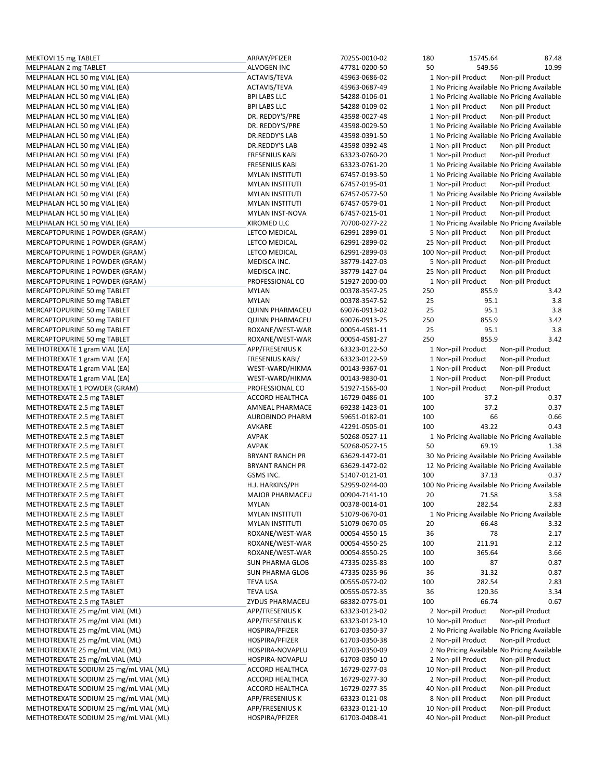| MEKTOVI 15 mg TABLET                   | ARRAY/PFIZER           | 70255-0010-02 | 180 | 15745.64                                      | 87.48            |
|----------------------------------------|------------------------|---------------|-----|-----------------------------------------------|------------------|
| MELPHALAN 2 mg TABLET                  | ALVOGEN INC            | 47781-0200-50 | 50  | 549.56                                        | 10.99            |
| MELPHALAN HCL 50 mg VIAL (EA)          | ACTAVIS/TEVA           | 45963-0686-02 |     | 1 Non-pill Product                            | Non-pill Product |
| MELPHALAN HCL 50 mg VIAL (EA)          | ACTAVIS/TEVA           | 45963-0687-49 |     | 1 No Pricing Available No Pricing Available   |                  |
| MELPHALAN HCL 50 mg VIAL (EA)          | <b>BPI LABS LLC</b>    | 54288-0106-01 |     | 1 No Pricing Available No Pricing Available   |                  |
|                                        |                        |               |     |                                               |                  |
| MELPHALAN HCL 50 mg VIAL (EA)          | <b>BPI LABS LLC</b>    | 54288-0109-02 |     | 1 Non-pill Product                            | Non-pill Product |
| MELPHALAN HCL 50 mg VIAL (EA)          | DR. REDDY'S/PRE        | 43598-0027-48 |     | 1 Non-pill Product                            | Non-pill Product |
| MELPHALAN HCL 50 mg VIAL (EA)          | DR. REDDY'S/PRE        | 43598-0029-50 |     | 1 No Pricing Available No Pricing Available   |                  |
| MELPHALAN HCL 50 mg VIAL (EA)          | DR.REDDY'S LAB         | 43598-0391-50 |     | 1 No Pricing Available No Pricing Available   |                  |
| MELPHALAN HCL 50 mg VIAL (EA)          | DR.REDDY'S LAB         | 43598-0392-48 |     | 1 Non-pill Product                            | Non-pill Product |
| MELPHALAN HCL 50 mg VIAL (EA)          | FRESENIUS KABI         | 63323-0760-20 |     | 1 Non-pill Product                            | Non-pill Product |
| MELPHALAN HCL 50 mg VIAL (EA)          | <b>FRESENIUS KABI</b>  | 63323-0761-20 |     | 1 No Pricing Available No Pricing Available   |                  |
|                                        | <b>MYLAN INSTITUTI</b> | 67457-0193-50 |     | 1 No Pricing Available No Pricing Available   |                  |
| MELPHALAN HCL 50 mg VIAL (EA)          |                        |               |     |                                               |                  |
| MELPHALAN HCL 50 mg VIAL (EA)          | <b>MYLAN INSTITUTI</b> | 67457-0195-01 |     | 1 Non-pill Product                            | Non-pill Product |
| MELPHALAN HCL 50 mg VIAL (EA)          | <b>MYLAN INSTITUTI</b> | 67457-0577-50 |     | 1 No Pricing Available No Pricing Available   |                  |
| MELPHALAN HCL 50 mg VIAL (EA)          | <b>MYLAN INSTITUTI</b> | 67457-0579-01 |     | 1 Non-pill Product                            | Non-pill Product |
| MELPHALAN HCL 50 mg VIAL (EA)          | MYLAN INST-NOVA        | 67457-0215-01 |     | 1 Non-pill Product                            | Non-pill Product |
| MELPHALAN HCL 50 mg VIAL (EA)          | XIROMED LLC            | 70700-0277-22 |     | 1 No Pricing Available No Pricing Available   |                  |
| MERCAPTOPURINE 1 POWDER (GRAM)         | LETCO MEDICAL          | 62991-2899-01 |     | 5 Non-pill Product                            | Non-pill Product |
| MERCAPTOPURINE 1 POWDER (GRAM)         | LETCO MEDICAL          | 62991-2899-02 |     | 25 Non-pill Product                           | Non-pill Product |
| MERCAPTOPURINE 1 POWDER (GRAM)         | LETCO MEDICAL          | 62991-2899-03 |     | 100 Non-pill Product                          |                  |
|                                        |                        |               |     |                                               | Non-pill Product |
| MERCAPTOPURINE 1 POWDER (GRAM)         | MEDISCA INC.           | 38779-1427-03 |     | 5 Non-pill Product                            | Non-pill Product |
| MERCAPTOPURINE 1 POWDER (GRAM)         | MEDISCA INC.           | 38779-1427-04 |     | 25 Non-pill Product                           | Non-pill Product |
| MERCAPTOPURINE 1 POWDER (GRAM)         | PROFESSIONAL CO        | 51927-2000-00 |     | 1 Non-pill Product                            | Non-pill Product |
| MERCAPTOPURINE 50 mg TABLET            | <b>MYLAN</b>           | 00378-3547-25 | 250 | 855.9                                         | 3.42             |
| MERCAPTOPURINE 50 mg TABLET            | <b>MYLAN</b>           | 00378-3547-52 | 25  | 95.1                                          | 3.8              |
| MERCAPTOPURINE 50 mg TABLET            | <b>QUINN PHARMACEU</b> | 69076-0913-02 | 25  | 95.1                                          | 3.8              |
| MERCAPTOPURINE 50 mg TABLET            | <b>QUINN PHARMACEU</b> | 69076-0913-25 | 250 | 855.9                                         | 3.42             |
|                                        |                        |               |     |                                               |                  |
| MERCAPTOPURINE 50 mg TABLET            | ROXANE/WEST-WAR        | 00054-4581-11 | 25  | 95.1                                          | 3.8              |
| MERCAPTOPURINE 50 mg TABLET            | ROXANE/WEST-WAR        | 00054-4581-27 | 250 | 855.9                                         | 3.42             |
| METHOTREXATE 1 gram VIAL (EA)          | APP/FRESENIUS K        | 63323-0122-50 |     | 1 Non-pill Product                            | Non-pill Product |
| METHOTREXATE 1 gram VIAL (EA)          | <b>FRESENIUS KABI/</b> | 63323-0122-59 |     | 1 Non-pill Product                            | Non-pill Product |
| METHOTREXATE 1 gram VIAL (EA)          | WEST-WARD/HIKMA        | 00143-9367-01 |     | 1 Non-pill Product                            | Non-pill Product |
| METHOTREXATE 1 gram VIAL (EA)          | WEST-WARD/HIKMA        | 00143-9830-01 |     | 1 Non-pill Product                            | Non-pill Product |
| METHOTREXATE 1 POWDER (GRAM)           | PROFESSIONAL CO        | 51927-1565-00 |     | 1 Non-pill Product                            | Non-pill Product |
| METHOTREXATE 2.5 mg TABLET             | ACCORD HEALTHCA        | 16729-0486-01 | 100 | 37.2                                          | 0.37             |
|                                        |                        |               |     | 37.2                                          | 0.37             |
| METHOTREXATE 2.5 mg TABLET             | AMNEAL PHARMACE        | 69238-1423-01 | 100 |                                               |                  |
| METHOTREXATE 2.5 mg TABLET             | <b>AUROBINDO PHARM</b> | 59651-0182-01 | 100 | 66                                            | 0.66             |
| METHOTREXATE 2.5 mg TABLET             | AVKARE                 | 42291-0505-01 | 100 | 43.22                                         | 0.43             |
| METHOTREXATE 2.5 mg TABLET             | <b>AVPAK</b>           | 50268-0527-11 |     | 1 No Pricing Available No Pricing Available   |                  |
| METHOTREXATE 2.5 mg TABLET             | <b>AVPAK</b>           | 50268-0527-15 | 50  | 69.19                                         | 1.38             |
| METHOTREXATE 2.5 mg TABLET             | <b>BRYANT RANCH PR</b> | 63629-1472-01 |     | 30 No Pricing Available No Pricing Available  |                  |
| METHOTREXATE 2.5 mg TABLET             | <b>BRYANT RANCH PR</b> | 63629-1472-02 |     | 12 No Pricing Available No Pricing Available  |                  |
| METHOTREXATE 2.5 mg TABLET             | GSMS INC.              | 51407-0121-01 | 100 | 37.13                                         | 0.37             |
|                                        | H.J. HARKINS/PH        | 52959-0244-00 |     |                                               |                  |
| METHOTREXATE 2.5 mg TABLET             |                        |               |     | 100 No Pricing Available No Pricing Available |                  |
| METHOTREXATE 2.5 mg TABLET             | MAJOR PHARMACEU        | 00904-7141-10 | 20  | 71.58                                         | 3.58             |
| METHOTREXATE 2.5 mg TABLET             | <b>MYLAN</b>           | 00378-0014-01 | 100 | 282.54                                        | 2.83             |
| METHOTREXATE 2.5 mg TABLET             | <b>MYLAN INSTITUTI</b> | 51079-0670-01 |     | 1 No Pricing Available No Pricing Available   |                  |
| METHOTREXATE 2.5 mg TABLET             | <b>MYLAN INSTITUTI</b> | 51079-0670-05 | 20  | 66.48                                         | 3.32             |
| METHOTREXATE 2.5 mg TABLET             | ROXANE/WEST-WAR        | 00054-4550-15 | 36  | 78                                            | 2.17             |
| METHOTREXATE 2.5 mg TABLET             | ROXANE/WEST-WAR        | 00054-4550-25 | 100 | 211.91                                        | 2.12             |
| METHOTREXATE 2.5 mg TABLET             | ROXANE/WEST-WAR        | 00054-8550-25 | 100 | 365.64                                        | 3.66             |
|                                        |                        | 47335-0235-83 |     |                                               |                  |
| METHOTREXATE 2.5 mg TABLET             | <b>SUN PHARMA GLOB</b> |               | 100 | 87                                            | 0.87             |
| METHOTREXATE 2.5 mg TABLET             | <b>SUN PHARMA GLOB</b> | 47335-0235-96 | 36  | 31.32                                         | 0.87             |
| METHOTREXATE 2.5 mg TABLET             | <b>TEVA USA</b>        | 00555-0572-02 | 100 | 282.54                                        | 2.83             |
| METHOTREXATE 2.5 mg TABLET             | <b>TEVA USA</b>        | 00555-0572-35 | 36  | 120.36                                        | 3.34             |
| METHOTREXATE 2.5 mg TABLET             | ZYDUS PHARMACEU        | 68382-0775-01 | 100 | 66.74                                         | 0.67             |
| METHOTREXATE 25 mg/mL VIAL (ML)        | APP/FRESENIUS K        | 63323-0123-02 |     | 2 Non-pill Product                            | Non-pill Product |
| METHOTREXATE 25 mg/mL VIAL (ML)        | APP/FRESENIUS K        | 63323-0123-10 |     | 10 Non-pill Product                           | Non-pill Product |
| METHOTREXATE 25 mg/mL VIAL (ML)        | HOSPIRA/PFIZER         | 61703-0350-37 |     | 2 No Pricing Available No Pricing Available   |                  |
|                                        |                        |               |     |                                               |                  |
| METHOTREXATE 25 mg/mL VIAL (ML)        | HOSPIRA/PFIZER         | 61703-0350-38 |     | 2 Non-pill Product                            | Non-pill Product |
| METHOTREXATE 25 mg/mL VIAL (ML)        | HOSPIRA-NOVAPLU        | 61703-0350-09 |     | 2 No Pricing Available No Pricing Available   |                  |
| METHOTREXATE 25 mg/mL VIAL (ML)        | HOSPIRA-NOVAPLU        | 61703-0350-10 |     | 2 Non-pill Product                            | Non-pill Product |
| METHOTREXATE SODIUM 25 mg/mL VIAL (ML) | ACCORD HEALTHCA        | 16729-0277-03 |     | 10 Non-pill Product                           | Non-pill Product |
| METHOTREXATE SODIUM 25 mg/mL VIAL (ML) | ACCORD HEALTHCA        | 16729-0277-30 |     | 2 Non-pill Product                            | Non-pill Product |
| METHOTREXATE SODIUM 25 mg/mL VIAL (ML) | ACCORD HEALTHCA        | 16729-0277-35 |     | 40 Non-pill Product                           | Non-pill Product |
| METHOTREXATE SODIUM 25 mg/mL VIAL (ML) | APP/FRESENIUS K        | 63323-0121-08 |     | 8 Non-pill Product                            | Non-pill Product |
|                                        |                        |               |     |                                               |                  |
| METHOTREXATE SODIUM 25 mg/mL VIAL (ML) | APP/FRESENIUS K        | 63323-0121-10 |     | 10 Non-pill Product                           | Non-pill Product |
| METHOTREXATE SODIUM 25 mg/mL VIAL (ML) | HOSPIRA/PFIZER         | 61703-0408-41 |     | 40 Non-pill Product                           | Non-pill Product |

| 180 | 15745.64                                      | 87.48                |
|-----|-----------------------------------------------|----------------------|
|     |                                               |                      |
| 50  | 549.56                                        | 10.99                |
|     | 1 Non-pill Product                            | Non-pill Product     |
|     |                                               |                      |
|     | 1 No Pricing Available No Pricing Available   |                      |
|     |                                               |                      |
|     | 1 No Pricing Available No Pricing Available   |                      |
|     | 1 Non-pill Product                            | Non-pill Product     |
|     |                                               |                      |
|     | 1 Non-pill Product                            | Non-pill Product     |
|     | 1 No Pricing Available No Pricing Available   |                      |
|     |                                               |                      |
|     | 1 No Pricing Available No Pricing Available   |                      |
|     |                                               |                      |
|     | 1 Non-pill Product                            | Non-pill Product     |
|     | 1 Non-pill Product                            | Non-pill Product     |
|     |                                               |                      |
|     | 1 No Pricing Available                        | No Pricing Available |
|     | 1 No Pricing Available                        | No Pricing Available |
|     |                                               |                      |
|     | 1 Non-pill Product                            | Non-pill Product     |
|     |                                               |                      |
|     | 1 No Pricing Available                        | No Pricing Available |
|     | 1 Non-pill Product                            | Non-pill Product     |
|     |                                               |                      |
|     | 1 Non-pill Product                            | Non-pill Product     |
|     |                                               |                      |
|     | 1 No Pricing Available No Pricing Available   |                      |
|     | 5 Non-pill Product                            | Non-pill Product     |
|     |                                               |                      |
|     | 25 Non-pill Product                           | Non-pill Product     |
|     | 100 Non-pill Product                          | Non-pill Product     |
|     |                                               |                      |
|     | 5 Non-pill Product                            | Non-pill Product     |
|     |                                               |                      |
|     | 25 Non-pill Product                           | Non-pill Product     |
|     | 1 Non-pill Product                            | Non-pill Product     |
|     |                                               |                      |
| 250 | 855.9                                         | 3.42                 |
|     |                                               |                      |
| 25  | 95.1                                          | 3.8                  |
| 25  | 95.1                                          | 3.8                  |
|     |                                               |                      |
| 250 | 855.9                                         | 3.42                 |
| 25  | 95.1                                          | 3.8                  |
|     |                                               |                      |
| 250 | 855.9                                         | 3.42                 |
|     |                                               |                      |
|     | 1 Non-pill Product                            | Non-pill Product     |
|     | 1 Non-pill Product                            | Non-pill Product     |
|     |                                               |                      |
|     | 1 Non-pill Product                            | Non-pill Product     |
|     |                                               |                      |
|     | 1 Non-pill Product                            | Non-pill Product     |
|     | 1 Non-pill Product                            | Non-pill Product     |
|     |                                               |                      |
| 100 | 37.2                                          | 0.37                 |
| 100 | 37.2                                          | 0.37                 |
|     |                                               |                      |
| 100 | 66                                            | 0.66                 |
|     |                                               |                      |
| 100 | 43.22                                         | 0.43                 |
|     | 1 No Pricing Available No Pricing Available   |                      |
|     |                                               |                      |
| 50  | 69.19                                         | 1.38                 |
|     | 30 No Pricing Available No Pricing Available  |                      |
|     |                                               |                      |
|     | 12 No Pricing Available No Pricing Available  |                      |
| 100 | 37.13                                         | 0.37                 |
|     |                                               |                      |
|     | 100 No Pricing Available No Pricing Available |                      |
|     |                                               |                      |
| 20  | 71.58                                         | 3.58                 |
| 100 | 282.54                                        | 2.83                 |
|     |                                               |                      |
|     | 1 No Pricing Available No Pricing Available   |                      |
| 20  | 66.48                                         | 3.32                 |
|     |                                               |                      |
| 36  | 78                                            | 2.17                 |
| 100 | 211.91                                        | 2.12                 |
|     |                                               |                      |
| 100 | 365.64                                        | 3.66                 |
|     |                                               |                      |
| 100 | 87                                            | 0.87                 |
| 36  | 31.32                                         | 0.87                 |
|     |                                               |                      |
| 100 | 282.54                                        | 2.83                 |
| 36  |                                               | 3.34                 |
|     | 120.36                                        |                      |
| 100 | 66.74                                         | 0.67                 |
|     |                                               |                      |
|     | 2 Non-pill Product                            | Non-pill Product     |
|     | 10 Non-pill Product                           | Non-pill Product     |
|     |                                               |                      |
|     | 2 No Pricing Available                        | No Pricing Available |
|     | 2 Non-pill Product                            | Non-pill Product     |
|     |                                               |                      |
|     | 2 No Pricing Available                        | No Pricing Available |
|     |                                               |                      |
|     | 2 Non-pill Product                            | Non-pill Product     |
|     | 10 Non-pill Product                           | Non-pill Product     |
|     |                                               |                      |
|     | 2 Non-pill Product                            | Non-pill Product     |
|     | 40 Non-pill Product                           | Non-pill Product     |
|     |                                               |                      |
|     | 8 Non-pill Product                            | Non-pill Product     |
|     |                                               |                      |
|     | 10 Non-pill Product                           | Non-pill Product     |
|     | 40 Non-pill Product                           | Non-pill Product     |
|     |                                               |                      |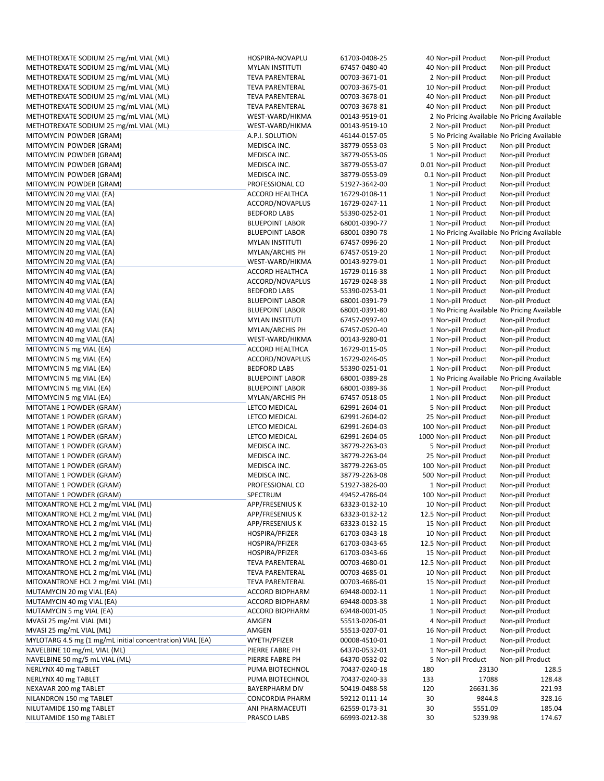METHOTREXATE SODIUM 25 mg/mL VIAL (ML) HOSPIRA-NOVAPLU 61703-0408-25 40 Non-pill Product Non-pill Product METHOTREXATE SODIUM 25 mg/mL VIAL (ML) MWLAN INSTITUTI 67457-0480-40 40 Non-pill Product Non-pill Product Non-pill Product METHOTREXATE SODIUM 25 mg/mL VIAL (ML) TEVA PARENTERAL 00703-3671-01 2 Non-pill Product Non-pill Product Non-pill Product METHOTREXATE SODIUM 25 mg/mL VIAL (ML) TEVA PARENTERAL 00703-3675-01 10 Non-pill Product Non-pill Product METHOTREXATE SODIUM 25 mg/mL VIAL (ML) TEVA PARENTERAL 00703-3678-01 40 Non-pill Product Non-pill Product METHOTREXATE SODIUM 25 mg/mL VIAL (ML) TEVA PARENTERAL 00703-3678-81 40 Non-pill Product Non-pill Product METHOTREXATE SODIUM 25 mg/mL VIAL (ML) WEST-WARD/HIKMA 00143-9519-01 2 No Pricing Available No Pricing Available METHOTREXATE SODIUM 25 mg/mL VIAL (ML) WEST-WARD/HIKMA 00143-9519-10 2 Non-pill Product Non-pill Product MITOMYCIN POWDER (GRAM) A.P.I. SOLUTION 46144-0157-05 5 No Pricing Available No Pricing Available No Pricing Available MITOMYCIN POWDER (GRAM) MEDISCA INC. 38779-0553-03 5 Non-pill Product Non-pill Product MITOMYCIN POWDER (GRAM) MEDISCA INC. 38779-0553-06 1 Non-pill Product Non-pill Product Non-pill Product MITOMYCIN POWDER (GRAM) MEDISCA INC. 38779-0553-07 0.01 Non-pill Product Non-pill Product Non-pill Product MITOMYCIN POWDER (GRAM) MEDISCA INC. 38779-0553-09 0.1 Non-pill Product Non-pill Product MITOMYCIN POWDER (GRAM) PROFESSIONAL CO 51927‐3642‐00 1 Non‐pill Product Non‐pill Product MITOMYCIN 20 mg VIAL (EA) **ACCORD HEALTHCA** 16729-0108-11 1 Non-pill Product Non-pill Product Non-pill Product MITOMYCIN 20 mg VIAL (EA) **ACCORD/NOVAPLUS** 16729-0247-11 1 1 Non-pill Product Non-pill Product MITOMYCIN 20 mg VIAL (EA) **Santa ang pag-orang ing pag-orang 1** BEDFORD LABS 55390-0252-01 1 Non-pill Product Non-pill Product MITOMYCIN 20 mg VIAL (EA) **BLUEPOINT LABOR** 68001-0390-77 1 Mon-pill Product Non-pill Product Non-pill Product MITOMYCIN 20 mg VIAL (EA) **BLUEPOINT LABOR** 68001-0390-78 1 No Pricing Available No Pricing Available No Pricing Available MITOMYCIN 20 mg VIAL (EA) MITOMYCIN 20 mg VIAL (EA) MS MYLAN INSTITUTI MG 67457-0996-20 1 Non-pill Product Non-pill Product MITOMYCIN 20 mg VIAL (EA) MS MODEL MATERIAN MYLAN/ARCHIS PH 67457-0519-20 1 Non-pill Product Non-pill Product MITOMYCIN 20 mg VIAL (EA) Non-pill Product Non-pill Product Non-pill Product Non-pill Product Non-pill Product<br>MITOMYCIN 40 mg VIAL (EA) Non-pill Product Non-pill Product Non-pill Product Non-pill Product Non-pill Product MITOMYCIN 40 mg VIAL (EA) ACCORD HEALTHCA 16729-0116-38 1 Non-pill Product Non-pill Product Non-pill Product MITOMYCIN 40 mg VIAL (EA) **ACCORD/NOVAPLUS 16729-0248**-38 1 Non-pill Product Non-pill Product Non-pill Product MITOMYCIN 40 mg VIAL (EA) **SALL SALL AND SEDFORD LABS** 55390-0253-01 1 Non-pill Product Non-pill Product Non-pill Product MITOMYCIN 40 mg VIAL (EA) **BLUEPOINT LABOR** 68001-0391-79 1 Non-pill Product Non-pill Product MITOMYCIN 40 mg VIAL (EA) **BLUEPOINT LABOR** 68001-0391-80 1 No Pricing Available No Pricing Available No Pricing Available MITOMYCIN 40 mg VIAL (EA) MYLAN INSTITUTI 67457‐0997‐40 1 Non‐pill Product Non‐pill Product MITOMYCIN 40 mg VIAL (EA) MITOMYCIN 1 MYLAN/ARCHIS PH 67457-0520-40 1 Non-pill Product MITOMYCIN 40 mg VIAL (EA) WEST-WARD/HIKMA 00143-9280-01 1 Non-pill Product Non-pill Product MITOMYCIN 5 mg VIAL (EA) **ACCORD HEALTHCA** 16729‐0115‐05 1 Non‐pill Product Non‐pill Product Non‐pill Product MITOMYCIN 5 mg VIAL (EA) **ACCORD/NOVAPLUS 16729-0246-05** 1 Non-pill Product Non-pill Product Non-pill Product MITOMYCIN 5 mg VIAL (EA) **Santa ang ang pag-ang ing pag-ang BEDFORD** LABS 55390-0251-01 1 Non-pill Product Non-pill Product MITOMYCIN 5 mg VIAL (EA) **BLUEPOINT LABOR** 68001-0389-28 1 No Pricing Available No Pricing Available No Pricing Available MITOMYCIN 5 mg VIAL (EA) **BLUEPOINT LABOR** 68001-0389-36 1 Non-pill Product Non-pill Product MITOMYCIN 5 mg VIAL (EA) MITOMYCIN 5 mg VIAL (EA) MS MARCHIS PH 67457-0518-05 1 Non-pill Product Non-pill Product MITOTANE 1 POWDER (GRAM) LETCO MEDICAL 62991‐2604‐01 5 Non‐pill Product Non‐pill Product MITOTANE 1 POWDER (GRAM) LETCO MEDICAL 62991‐2604‐02 25 Non‐pill Product Non‐pill Product MITOTANE 1 POWDER (GRAM) LETCO MEDICAL 62991‐2604‐03 100 Non‐pill Product Non‐pill Product MITOTANE 1 POWDER (GRAM) LETCO MEDICAL 62991‐2604‐05 1000 Non‐pill Product Non‐pill Product MITOTANE 1 POWDER (GRAM) MEDISCA INC. 38779‐2263‐03 5 Non-pill Product Non-pill Product Non-pill Product Non-pill Product MITOTANE 1 POWDER (GRAM) MEDISCA INC. 38779‐2263‐04 25 Non‐pill Product Non‐pill Product Non‐pill Product MITOTANE 1 POWDER (GRAM) MEDISCA INC. 38779‐2263‐05 100 Non‐pill Product Non‐pill Product Non‐pill Product MITOTANE 1 POWDER (GRAM) MEDISCA INC. 38779‐2263‐08 500 Non‐pill Product Non‐pill Product Non‐pill Product MITOTANE 1 POWDER (GRAM) PROFESSIONAL CO 51927‐3826‐00 1 Non‐pill Product Non‐pill Product MITOTANE 1 POWDER (GRAM) SPECTRUM 49452‐4786‐04 100 Non‐pill Product Non‐pill Product MITOXANTRONE HCL 2 mg/mL VIAL (ML) APP/FRESENIUS K 63323-0132-10 10 Non-pill Product Non-pill Product Non-pill Product MITOXANTRONE HCL 2 mg/mL VIAL (ML) APP/FRESENIUS K 63323-0132-12 12.5 Non-pill Product Non-pill Product Non-pill Product MITOXANTRONE HCL 2 mg/mL VIAL (ML) APP/FRESENIUS K 63323-0132-15 15 Non-pill Product Non-pill Product Non-pill Product MITOXANTRONE HCL 2 mg/mL VIAL (ML) HOSPIRA/PFIZER 61703-0343-18 10 Non-pill Product Non-pill Product MITOXANTRONE HCL 2 mg/mL VIAL (ML) HOSPIRA/PFIZER 61703-0343-65 12.5 Non-pill Product Non-pill Product MITOXANTRONE HCL 2 mg/mL VIAL (ML) HOSPIRA/PFIZER 61703-0343-66 15 Non-pill Product Non-pill Product MITOXANTRONE HCL 2 mg/mL VIAL (ML) TEVA PARENTERAL 00703-4680-01 12.5 Non-pill Product Non-pill Product Non-pill Product MITOXANTRONE HCL 2 mg/mL VIAL (ML) TEVA PARENTERAL 00703-4685-01 10 Non-pill Product Non-pill Product Non-pill Product MITOXANTRONE HCL 2 mg/mL VIAL (ML) TEVA PARENTERAL 00703-4686-01 15 Non-pill Product Non-pill Product Non-pill Product MUTAMYCIN 20 mg VIAL (EA) **ACCORD BIOPHARM 69448-0002-11** 1 Non-pill Product Non-pill Product Non-pill Product MUTAMYCIN 40 mg VIAL (EA) ACCORD BIOPHARM 69448-0003-38 1 Non-pill Product Non-pill Product Non-pill Product MUTAMYCIN 5 mg VIAL (EA) **ACCORD BIOPHARM 69448-0001-05** 1 Non-pill Product Non-pill Product Non-pill Product MVASI 25 mg/mL VIAL (ML) AMGEN 55513‐0206‐01 4 Non‐pill Product Non‐pill Product MVASI 25 mg/mL VIAL (ML) CHALL AMGEN AMGEN 55513-0207-01 16 Non-pill Product Non-pill Product MYLOTARG 4.5 mg (1 mg/mL initial concentration) VIAL (EA) WYETH/PFIZER 00008-4510-01 1 Non-pill Product Non-pill Product NAVELBINE 10 mg/mL VIAL (ML) PIERRE FABRE PH 64370-0532-01 1 Non-pill Product Non-pill Product<br>NAVELBINE 50 mg/5 mL VIAL (ML) PIERRE FABRE PH 64370-0532-02 5 Non-pill NAVELBINE 50 mg/5 mL VIAL (ML) PIERRE FABRE FABRE PH 64370-0532-02 5 Non-pill Product NERLYNX 40 mg TABLET TRANSIS AT A SANG PUMA BIOTECHNOL TO 240-18 180 23130 23130 128.5 NERLYNX 40 mg TABLET NORTHOL MERLYNX 10 mg TABLET NORTHOL 128.48 NEXAVAR 200 mg TABLET BAYERPHARM DIV 50419‐0488‐58 120 26631.36 221.93 NILANDRON 150 mg TABLET CONCORDIA PHARM 59212-0111-14 30 9844.8 NILUTAMIDE 150 mg TABLET **ANI PHARMACEUTI 62559-0173-31** 30 5551.09 185.04 NILUTAMIDE 150 mg TABLET **PRASCO LABS** PRASCO LABS 66993-0212-38 30 5239.98 174.67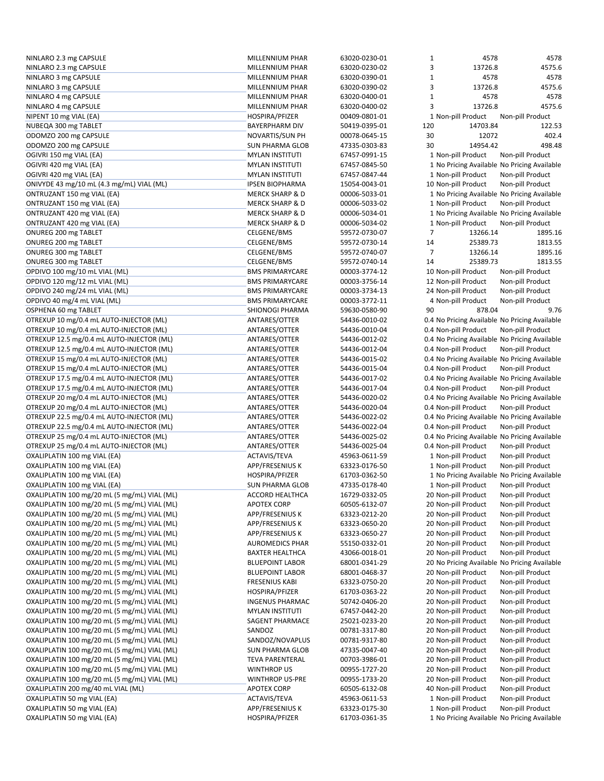| NINLARO 2.3 mg CAPSULE                       | MILLENNIUM PHAR            | 63020-0230-01 | $\mathbf{1}$ | 4578                 | 4578                                          |
|----------------------------------------------|----------------------------|---------------|--------------|----------------------|-----------------------------------------------|
| NINLARO 2.3 mg CAPSULE                       | MILLENNIUM PHAR            | 63020-0230-02 | 3            | 13726.8              | 4575.6                                        |
| NINLARO 3 mg CAPSULE                         | MILLENNIUM PHAR            | 63020-0390-01 | $\mathbf 1$  | 4578                 | 4578                                          |
| NINLARO 3 mg CAPSULE                         | MILLENNIUM PHAR            | 63020-0390-02 | 3            | 13726.8              | 4575.6                                        |
| NINLARO 4 mg CAPSULE                         | MILLENNIUM PHAR            | 63020-0400-01 | $\mathbf{1}$ | 4578                 | 4578                                          |
| NINLARO 4 mg CAPSULE                         | MILLENNIUM PHAR            | 63020-0400-02 | 3            | 13726.8              | 4575.6                                        |
| NIPENT 10 mg VIAL (EA)                       | HOSPIRA/PFIZER             | 00409-0801-01 |              | 1 Non-pill Product   | Non-pill Product                              |
|                                              | <b>BAYERPHARM DIV</b>      | 50419-0395-01 | 120          | 14703.84             | 122.53                                        |
| NUBEQA 300 mg TABLET                         |                            |               |              |                      |                                               |
| ODOMZO 200 mg CAPSULE                        | NOVARTIS/SUN PH            | 00078-0645-15 | 30           | 12072                | 402.4                                         |
| ODOMZO 200 mg CAPSULE                        | <b>SUN PHARMA GLOB</b>     | 47335-0303-83 | 30           | 14954.42             | 498.48                                        |
| OGIVRI 150 mg VIAL (EA)                      | <b>MYLAN INSTITUTI</b>     | 67457-0991-15 |              | 1 Non-pill Product   | Non-pill Product                              |
| OGIVRI 420 mg VIAL (EA)                      | <b>MYLAN INSTITUTI</b>     | 67457-0845-50 |              |                      | 1 No Pricing Available No Pricing Available   |
| OGIVRI 420 mg VIAL (EA)                      | <b>MYLAN INSTITUTI</b>     | 67457-0847-44 |              | 1 Non-pill Product   | Non-pill Product                              |
| ONIVYDE 43 mg/10 mL (4.3 mg/mL) VIAL (ML)    | <b>IPSEN BIOPHARMA</b>     | 15054-0043-01 |              | 10 Non-pill Product  | Non-pill Product                              |
| ONTRUZANT 150 mg VIAL (EA)                   | <b>MERCK SHARP &amp; D</b> | 00006-5033-01 |              |                      | 1 No Pricing Available No Pricing Available   |
| ONTRUZANT 150 mg VIAL (EA)                   | <b>MERCK SHARP &amp; D</b> | 00006-5033-02 |              | 1 Non-pill Product   | Non-pill Product                              |
| ONTRUZANT 420 mg VIAL (EA)                   | <b>MERCK SHARP &amp; D</b> | 00006-5034-01 |              |                      | 1 No Pricing Available No Pricing Available   |
| ONTRUZANT 420 mg VIAL (EA)                   | <b>MERCK SHARP &amp; D</b> | 00006-5034-02 |              | 1 Non-pill Product   | Non-pill Product                              |
| ONUREG 200 mg TABLET                         | CELGENE/BMS                | 59572-0730-07 | 7            | 13266.14             | 1895.16                                       |
| ONUREG 200 mg TABLET                         | CELGENE/BMS                | 59572-0730-14 | 14           | 25389.73             | 1813.55                                       |
|                                              |                            |               |              |                      |                                               |
| ONUREG 300 mg TABLET                         | CELGENE/BMS                | 59572-0740-07 | 7            | 13266.14             | 1895.16                                       |
| ONUREG 300 mg TABLET                         | <b>CELGENE/BMS</b>         | 59572-0740-14 | 14           | 25389.73             | 1813.55                                       |
| OPDIVO 100 mg/10 mL VIAL (ML)                | <b>BMS PRIMARYCARE</b>     | 00003-3774-12 |              | 10 Non-pill Product  | Non-pill Product                              |
| OPDIVO 120 mg/12 mL VIAL (ML)                | <b>BMS PRIMARYCARE</b>     | 00003-3756-14 |              | 12 Non-pill Product  | Non-pill Product                              |
| OPDIVO 240 mg/24 mL VIAL (ML)                | <b>BMS PRIMARYCARE</b>     | 00003-3734-13 |              | 24 Non-pill Product  | Non-pill Product                              |
| OPDIVO 40 mg/4 mL VIAL (ML)                  | <b>BMS PRIMARYCARE</b>     | 00003-3772-11 |              | 4 Non-pill Product   | Non-pill Product                              |
| OSPHENA 60 mg TABLET                         | SHIONOGI PHARMA            | 59630-0580-90 | 90           | 878.04               | 9.76                                          |
| OTREXUP 10 mg/0.4 mL AUTO-INJECTOR (ML)      | ANTARES/OTTER              | 54436-0010-02 |              |                      | 0.4 No Pricing Available No Pricing Available |
| OTREXUP 10 mg/0.4 mL AUTO-INJECTOR (ML)      | ANTARES/OTTER              | 54436-0010-04 |              | 0.4 Non-pill Product | Non-pill Product                              |
| OTREXUP 12.5 mg/0.4 mL AUTO-INJECTOR (ML)    | ANTARES/OTTER              | 54436-0012-02 |              |                      | 0.4 No Pricing Available No Pricing Available |
| OTREXUP 12.5 mg/0.4 mL AUTO-INJECTOR (ML)    | ANTARES/OTTER              | 54436-0012-04 |              | 0.4 Non-pill Product | Non-pill Product                              |
| OTREXUP 15 mg/0.4 mL AUTO-INJECTOR (ML)      | ANTARES/OTTER              | 54436-0015-02 |              |                      | 0.4 No Pricing Available No Pricing Available |
| OTREXUP 15 mg/0.4 mL AUTO-INJECTOR (ML)      | ANTARES/OTTER              | 54436-0015-04 |              | 0.4 Non-pill Product | Non-pill Product                              |
| OTREXUP 17.5 mg/0.4 mL AUTO-INJECTOR (ML)    | ANTARES/OTTER              | 54436-0017-02 |              |                      | 0.4 No Pricing Available No Pricing Available |
|                                              |                            |               |              |                      |                                               |
| OTREXUP 17.5 mg/0.4 mL AUTO-INJECTOR (ML)    | ANTARES/OTTER              | 54436-0017-04 |              | 0.4 Non-pill Product | Non-pill Product                              |
| OTREXUP 20 mg/0.4 mL AUTO-INJECTOR (ML)      | ANTARES/OTTER              | 54436-0020-02 |              |                      | 0.4 No Pricing Available No Pricing Available |
| OTREXUP 20 mg/0.4 mL AUTO-INJECTOR (ML)      | ANTARES/OTTER              | 54436-0020-04 |              | 0.4 Non-pill Product | Non-pill Product                              |
| OTREXUP 22.5 mg/0.4 mL AUTO-INJECTOR (ML)    | ANTARES/OTTER              | 54436-0022-02 |              |                      | 0.4 No Pricing Available No Pricing Available |
| OTREXUP 22.5 mg/0.4 mL AUTO-INJECTOR (ML)    | ANTARES/OTTER              | 54436-0022-04 |              | 0.4 Non-pill Product | Non-pill Product                              |
| OTREXUP 25 mg/0.4 mL AUTO-INJECTOR (ML)      | ANTARES/OTTER              | 54436-0025-02 |              |                      | 0.4 No Pricing Available No Pricing Available |
| OTREXUP 25 mg/0.4 mL AUTO-INJECTOR (ML)      | ANTARES/OTTER              | 54436-0025-04 |              | 0.4 Non-pill Product | Non-pill Product                              |
| OXALIPLATIN 100 mg VIAL (EA)                 | ACTAVIS/TEVA               | 45963-0611-59 |              | 1 Non-pill Product   | Non-pill Product                              |
| OXALIPLATIN 100 mg VIAL (EA)                 | APP/FRESENIUS K            | 63323-0176-50 |              | 1 Non-pill Product   | Non-pill Product                              |
| OXALIPLATIN 100 mg VIAL (EA)                 | HOSPIRA/PFIZER             | 61703-0362-50 |              |                      | 1 No Pricing Available No Pricing Available   |
| OXALIPLATIN 100 mg VIAL (EA)                 | <b>SUN PHARMA GLOB</b>     | 47335-0178-40 |              | 1 Non-pill Product   | Non-pill Product                              |
| OXALIPLATIN 100 mg/20 mL (5 mg/mL) VIAL (ML) | <b>ACCORD HEALTHCA</b>     | 16729-0332-05 |              | 20 Non-pill Product  | Non-pill Product                              |
| OXALIPLATIN 100 mg/20 mL (5 mg/mL) VIAL (ML) | <b>APOTEX CORP</b>         | 60505-6132-07 |              | 20 Non-pill Product  | Non-pill Product                              |
| OXALIPLATIN 100 mg/20 mL (5 mg/mL) VIAL (ML) | APP/FRESENIUS K            |               |              |                      |                                               |
|                                              |                            | 63323-0212-20 |              | 20 Non-pill Product  | Non-pill Product                              |
| OXALIPLATIN 100 mg/20 mL (5 mg/mL) VIAL (ML) | APP/FRESENIUS K            | 63323-0650-20 |              | 20 Non-pill Product  | Non-pill Product                              |
| OXALIPLATIN 100 mg/20 mL (5 mg/mL) VIAL (ML) | APP/FRESENIUS K            | 63323-0650-27 |              | 20 Non-pill Product  | Non-pill Product                              |
| OXALIPLATIN 100 mg/20 mL (5 mg/mL) VIAL (ML) | <b>AUROMEDICS PHAR</b>     | 55150-0332-01 |              | 20 Non-pill Product  | Non-pill Product                              |
| OXALIPLATIN 100 mg/20 mL (5 mg/mL) VIAL (ML) | <b>BAXTER HEALTHCA</b>     | 43066-0018-01 |              | 20 Non-pill Product  | Non-pill Product                              |
| OXALIPLATIN 100 mg/20 mL (5 mg/mL) VIAL (ML) | <b>BLUEPOINT LABOR</b>     | 68001-0341-29 |              |                      | 20 No Pricing Available No Pricing Available  |
| OXALIPLATIN 100 mg/20 mL (5 mg/mL) VIAL (ML) | <b>BLUEPOINT LABOR</b>     | 68001-0468-37 |              | 20 Non-pill Product  | Non-pill Product                              |
| OXALIPLATIN 100 mg/20 mL (5 mg/mL) VIAL (ML) | <b>FRESENIUS KABI</b>      | 63323-0750-20 |              | 20 Non-pill Product  | Non-pill Product                              |
| OXALIPLATIN 100 mg/20 mL (5 mg/mL) VIAL (ML) | HOSPIRA/PFIZER             | 61703-0363-22 |              | 20 Non-pill Product  | Non-pill Product                              |
| OXALIPLATIN 100 mg/20 mL (5 mg/mL) VIAL (ML) | <b>INGENUS PHARMAC</b>     | 50742-0406-20 |              | 20 Non-pill Product  | Non-pill Product                              |
| OXALIPLATIN 100 mg/20 mL (5 mg/mL) VIAL (ML) | <b>MYLAN INSTITUTI</b>     | 67457-0442-20 |              | 20 Non-pill Product  | Non-pill Product                              |
| OXALIPLATIN 100 mg/20 mL (5 mg/mL) VIAL (ML) | SAGENT PHARMACE            | 25021-0233-20 |              | 20 Non-pill Product  | Non-pill Product                              |
| OXALIPLATIN 100 mg/20 mL (5 mg/mL) VIAL (ML) | SANDOZ                     | 00781-3317-80 |              | 20 Non-pill Product  | Non-pill Product                              |
| OXALIPLATIN 100 mg/20 mL (5 mg/mL) VIAL (ML) | SANDOZ/NOVAPLUS            | 00781-9317-80 |              | 20 Non-pill Product  | Non-pill Product                              |
| OXALIPLATIN 100 mg/20 mL (5 mg/mL) VIAL (ML) | SUN PHARMA GLOB            | 47335-0047-40 |              | 20 Non-pill Product  | Non-pill Product                              |
| OXALIPLATIN 100 mg/20 mL (5 mg/mL) VIAL (ML) | <b>TEVA PARENTERAL</b>     | 00703-3986-01 |              | 20 Non-pill Product  | Non-pill Product                              |
| OXALIPLATIN 100 mg/20 mL (5 mg/mL) VIAL (ML) |                            |               |              |                      |                                               |
|                                              | <b>WINTHROP US</b>         | 00955-1727-20 |              | 20 Non-pill Product  | Non-pill Product                              |
| OXALIPLATIN 100 mg/20 mL (5 mg/mL) VIAL (ML) | <b>WINTHROP US-PRE</b>     | 00955-1733-20 |              | 20 Non-pill Product  | Non-pill Product                              |
| OXALIPLATIN 200 mg/40 mL VIAL (ML)           | <b>APOTEX CORP</b>         | 60505-6132-08 |              | 40 Non-pill Product  | Non-pill Product                              |
| OXALIPLATIN 50 mg VIAL (EA)                  | <b>ACTAVIS/TEVA</b>        | 45963-0611-53 |              | 1 Non-pill Product   | Non-pill Product                              |
| OXALIPLATIN 50 mg VIAL (EA)                  | APP/FRESENIUS K            | 63323-0175-30 |              | 1 Non-pill Product   | Non-pill Product                              |
| OXALIPLATIN 50 mg VIAL (EA)                  | HOSPIRA/PFIZER             | 61703-0361-35 |              |                      | 1 No Pricing Available No Pricing Available   |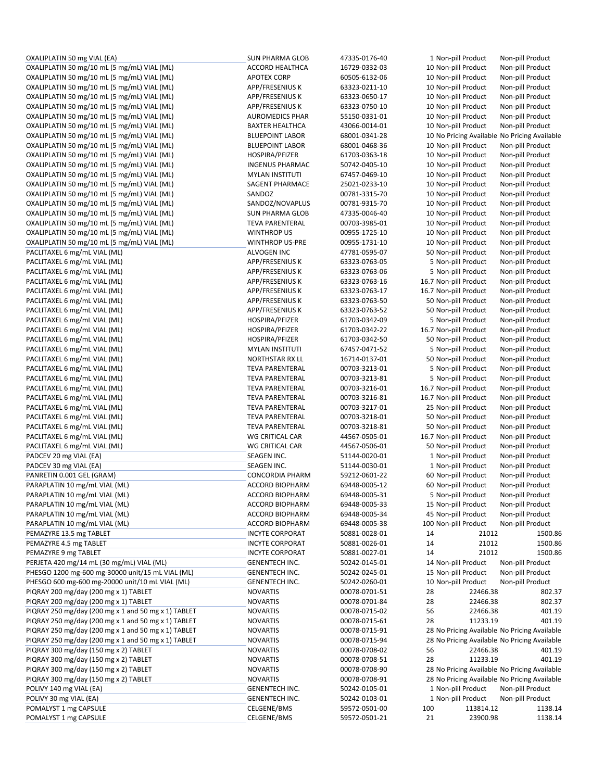| OXALIPLATIN 50 mg VIAL (EA)                         | <b>SUN PHARMA GLOB</b> | 47335-0176-40 |     | 1 Non-pill Product    |           | Non-pill Product                             |
|-----------------------------------------------------|------------------------|---------------|-----|-----------------------|-----------|----------------------------------------------|
| OXALIPLATIN 50 mg/10 mL (5 mg/mL) VIAL (ML)         | ACCORD HEALTHCA        | 16729-0332-03 |     | 10 Non-pill Product   |           | Non-pill Product                             |
| OXALIPLATIN 50 mg/10 mL (5 mg/mL) VIAL (ML)         | <b>APOTEX CORP</b>     | 60505-6132-06 |     | 10 Non-pill Product   |           | Non-pill Product                             |
| OXALIPLATIN 50 mg/10 mL (5 mg/mL) VIAL (ML)         | APP/FRESENIUS K        | 63323-0211-10 |     | 10 Non-pill Product   |           | Non-pill Product                             |
| OXALIPLATIN 50 mg/10 mL (5 mg/mL) VIAL (ML)         | APP/FRESENIUS K        | 63323-0650-17 |     | 10 Non-pill Product   |           | Non-pill Product                             |
| OXALIPLATIN 50 mg/10 mL (5 mg/mL) VIAL (ML)         | APP/FRESENIUS K        | 63323-0750-10 |     | 10 Non-pill Product   |           | Non-pill Product                             |
| OXALIPLATIN 50 mg/10 mL (5 mg/mL) VIAL (ML)         | <b>AUROMEDICS PHAR</b> | 55150-0331-01 |     | 10 Non-pill Product   |           | Non-pill Product                             |
| OXALIPLATIN 50 mg/10 mL (5 mg/mL) VIAL (ML)         | <b>BAXTER HEALTHCA</b> | 43066-0014-01 |     | 10 Non-pill Product   |           | Non-pill Product                             |
| OXALIPLATIN 50 mg/10 mL (5 mg/mL) VIAL (ML)         | <b>BLUEPOINT LABOR</b> | 68001-0341-28 |     |                       |           | 10 No Pricing Available No Pricing Available |
| OXALIPLATIN 50 mg/10 mL (5 mg/mL) VIAL (ML)         | <b>BLUEPOINT LABOR</b> | 68001-0468-36 |     | 10 Non-pill Product   |           | Non-pill Product                             |
| OXALIPLATIN 50 mg/10 mL (5 mg/mL) VIAL (ML)         | HOSPIRA/PFIZER         | 61703-0363-18 |     | 10 Non-pill Product   |           | Non-pill Product                             |
| OXALIPLATIN 50 mg/10 mL (5 mg/mL) VIAL (ML)         | <b>INGENUS PHARMAC</b> | 50742-0405-10 |     | 10 Non-pill Product   |           | Non-pill Product                             |
| OXALIPLATIN 50 mg/10 mL (5 mg/mL) VIAL (ML)         | <b>MYLAN INSTITUTI</b> | 67457-0469-10 |     | 10 Non-pill Product   |           | Non-pill Product                             |
| OXALIPLATIN 50 mg/10 mL (5 mg/mL) VIAL (ML)         | SAGENT PHARMACE        | 25021-0233-10 |     | 10 Non-pill Product   |           |                                              |
|                                                     | SANDOZ                 | 00781-3315-70 |     |                       |           | Non-pill Product                             |
| OXALIPLATIN 50 mg/10 mL (5 mg/mL) VIAL (ML)         |                        |               |     | 10 Non-pill Product   |           | Non-pill Product                             |
| OXALIPLATIN 50 mg/10 mL (5 mg/mL) VIAL (ML)         | SANDOZ/NOVAPLUS        | 00781-9315-70 |     | 10 Non-pill Product   |           | Non-pill Product                             |
| OXALIPLATIN 50 mg/10 mL (5 mg/mL) VIAL (ML)         | <b>SUN PHARMA GLOB</b> | 47335-0046-40 |     | 10 Non-pill Product   |           | Non-pill Product                             |
| OXALIPLATIN 50 mg/10 mL (5 mg/mL) VIAL (ML)         | <b>TEVA PARENTERAL</b> | 00703-3985-01 |     | 10 Non-pill Product   |           | Non-pill Product                             |
| OXALIPLATIN 50 mg/10 mL (5 mg/mL) VIAL (ML)         | <b>WINTHROP US</b>     | 00955-1725-10 |     | 10 Non-pill Product   |           | Non-pill Product                             |
| OXALIPLATIN 50 mg/10 mL (5 mg/mL) VIAL (ML)         | <b>WINTHROP US-PRE</b> | 00955-1731-10 |     | 10 Non-pill Product   |           | Non-pill Product                             |
| PACLITAXEL 6 mg/mL VIAL (ML)                        | ALVOGEN INC            | 47781-0595-07 |     | 50 Non-pill Product   |           | Non-pill Product                             |
| PACLITAXEL 6 mg/mL VIAL (ML)                        | APP/FRESENIUS K        | 63323-0763-05 |     | 5 Non-pill Product    |           | Non-pill Product                             |
| PACLITAXEL 6 mg/mL VIAL (ML)                        | APP/FRESENIUS K        | 63323-0763-06 |     | 5 Non-pill Product    |           | Non-pill Product                             |
| PACLITAXEL 6 mg/mL VIAL (ML)                        | APP/FRESENIUS K        | 63323-0763-16 |     | 16.7 Non-pill Product |           | Non-pill Product                             |
| PACLITAXEL 6 mg/mL VIAL (ML)                        | <b>APP/FRESENIUS K</b> | 63323-0763-17 |     | 16.7 Non-pill Product |           | Non-pill Product                             |
| PACLITAXEL 6 mg/mL VIAL (ML)                        | APP/FRESENIUS K        | 63323-0763-50 |     | 50 Non-pill Product   |           | Non-pill Product                             |
| PACLITAXEL 6 mg/mL VIAL (ML)                        | <b>APP/FRESENIUS K</b> | 63323-0763-52 |     | 50 Non-pill Product   |           | Non-pill Product                             |
| PACLITAXEL 6 mg/mL VIAL (ML)                        | HOSPIRA/PFIZER         | 61703-0342-09 |     | 5 Non-pill Product    |           | Non-pill Product                             |
| PACLITAXEL 6 mg/mL VIAL (ML)                        | HOSPIRA/PFIZER         | 61703-0342-22 |     | 16.7 Non-pill Product |           | Non-pill Product                             |
| PACLITAXEL 6 mg/mL VIAL (ML)                        | HOSPIRA/PFIZER         | 61703-0342-50 |     | 50 Non-pill Product   |           | Non-pill Product                             |
| PACLITAXEL 6 mg/mL VIAL (ML)                        | <b>MYLAN INSTITUTI</b> | 67457-0471-52 |     | 5 Non-pill Product    |           | Non-pill Product                             |
| PACLITAXEL 6 mg/mL VIAL (ML)                        | NORTHSTAR RX LL        | 16714-0137-01 |     | 50 Non-pill Product   |           | Non-pill Product                             |
| PACLITAXEL 6 mg/mL VIAL (ML)                        | <b>TEVA PARENTERAL</b> | 00703-3213-01 |     | 5 Non-pill Product    |           | Non-pill Product                             |
| PACLITAXEL 6 mg/mL VIAL (ML)                        | <b>TEVA PARENTERAL</b> | 00703-3213-81 |     | 5 Non-pill Product    |           | Non-pill Product                             |
| PACLITAXEL 6 mg/mL VIAL (ML)                        | <b>TEVA PARENTERAL</b> | 00703-3216-01 |     | 16.7 Non-pill Product |           | Non-pill Product                             |
| PACLITAXEL 6 mg/mL VIAL (ML)                        | <b>TEVA PARENTERAL</b> | 00703-3216-81 |     | 16.7 Non-pill Product |           | Non-pill Product                             |
| PACLITAXEL 6 mg/mL VIAL (ML)                        | <b>TEVA PARENTERAL</b> | 00703-3217-01 |     | 25 Non-pill Product   |           | Non-pill Product                             |
| PACLITAXEL 6 mg/mL VIAL (ML)                        | <b>TEVA PARENTERAL</b> | 00703-3218-01 |     | 50 Non-pill Product   |           | Non-pill Product                             |
| PACLITAXEL 6 mg/mL VIAL (ML)                        | <b>TEVA PARENTERAL</b> | 00703-3218-81 |     | 50 Non-pill Product   |           | Non-pill Product                             |
| PACLITAXEL 6 mg/mL VIAL (ML)                        | WG CRITICAL CAR        | 44567-0505-01 |     | 16.7 Non-pill Product |           | Non-pill Product                             |
| PACLITAXEL 6 mg/mL VIAL (ML)                        | WG CRITICAL CAR        | 44567-0506-01 |     | 50 Non-pill Product   |           | Non-pill Product                             |
| PADCEV 20 mg VIAL (EA)                              | SEAGEN INC.            | 51144-0020-01 |     | 1 Non-pill Product    |           | Non-pill Product                             |
| PADCEV 30 mg VIAL (EA)                              | SEAGEN INC.            | 51144-0030-01 |     | 1 Non-pill Product    |           | Non-pill Product                             |
| PANRETIN 0.001 GEL (GRAM)                           | <b>CONCORDIA PHARM</b> | 59212-0601-22 |     | 60 Non-pill Product   |           | Non-pill Product                             |
| PARAPLATIN 10 mg/mL VIAL (ML)                       | <b>ACCORD BIOPHARM</b> | 69448-0005-12 |     |                       |           | Non-pill Product                             |
| PARAPLATIN 10 mg/mL VIAL (ML)                       |                        |               |     | 60 Non-pill Product   |           |                                              |
|                                                     | ACCORD BIOPHARM        | 69448-0005-31 |     | 5 Non-pill Product    |           | Non-pill Product                             |
| PARAPLATIN 10 mg/mL VIAL (ML)                       | <b>ACCORD BIOPHARM</b> | 69448-0005-33 |     | 15 Non-pill Product   |           | Non-pill Product                             |
| PARAPLATIN 10 mg/mL VIAL (ML)                       | ACCORD BIOPHARM        | 69448-0005-34 |     | 45 Non-pill Product   |           | Non-pill Product                             |
| PARAPLATIN 10 mg/mL VIAL (ML)                       | ACCORD BIOPHARM        | 69448-0005-38 |     | 100 Non-pill Product  |           | Non-pill Product                             |
| PEMAZYRE 13.5 mg TABLET                             | <b>INCYTE CORPORAT</b> | 50881-0028-01 | 14  |                       | 21012     | 1500.86                                      |
| PEMAZYRE 4.5 mg TABLET                              | <b>INCYTE CORPORAT</b> | 50881-0026-01 | 14  |                       | 21012     | 1500.86                                      |
| PEMAZYRE 9 mg TABLET                                | <b>INCYTE CORPORAT</b> | 50881-0027-01 | 14  |                       | 21012     | 1500.86                                      |
| PERJETA 420 mg/14 mL (30 mg/mL) VIAL (ML)           | GENENTECH INC.         | 50242-0145-01 |     | 14 Non-pill Product   |           | Non-pill Product                             |
| PHESGO 1200 mg-600 mg-30000 unit/15 mL VIAL (ML)    | GENENTECH INC.         | 50242-0245-01 |     | 15 Non-pill Product   |           | Non-pill Product                             |
| PHESGO 600 mg-600 mg-20000 unit/10 mL VIAL (ML)     | GENENTECH INC.         | 50242-0260-01 |     | 10 Non-pill Product   |           | Non-pill Product                             |
| PIQRAY 200 mg/day (200 mg x 1) TABLET               | <b>NOVARTIS</b>        | 00078-0701-51 | 28  |                       | 22466.38  | 802.37                                       |
| PIQRAY 200 mg/day (200 mg x 1) TABLET               | <b>NOVARTIS</b>        | 00078-0701-84 | 28  |                       | 22466.38  | 802.37                                       |
| PIQRAY 250 mg/day (200 mg x 1 and 50 mg x 1) TABLET | <b>NOVARTIS</b>        | 00078-0715-02 | 56  |                       | 22466.38  | 401.19                                       |
| PIQRAY 250 mg/day (200 mg x 1 and 50 mg x 1) TABLET | <b>NOVARTIS</b>        | 00078-0715-61 | 28  |                       | 11233.19  | 401.19                                       |
| PIQRAY 250 mg/day (200 mg x 1 and 50 mg x 1) TABLET | <b>NOVARTIS</b>        | 00078-0715-91 |     |                       |           | 28 No Pricing Available No Pricing Available |
| PIQRAY 250 mg/day (200 mg x 1 and 50 mg x 1) TABLET | <b>NOVARTIS</b>        | 00078-0715-94 |     |                       |           | 28 No Pricing Available No Pricing Available |
| PIQRAY 300 mg/day (150 mg x 2) TABLET               | <b>NOVARTIS</b>        | 00078-0708-02 | 56  |                       | 22466.38  | 401.19                                       |
| PIQRAY 300 mg/day (150 mg x 2) TABLET               | <b>NOVARTIS</b>        | 00078-0708-51 | 28  |                       | 11233.19  | 401.19                                       |
| PIQRAY 300 mg/day (150 mg x 2) TABLET               | <b>NOVARTIS</b>        | 00078-0708-90 |     |                       |           | 28 No Pricing Available No Pricing Available |
| PIQRAY 300 mg/day (150 mg x 2) TABLET               | <b>NOVARTIS</b>        | 00078-0708-91 |     |                       |           | 28 No Pricing Available No Pricing Available |
| POLIVY 140 mg VIAL (EA)                             | GENENTECH INC.         | 50242-0105-01 |     | 1 Non-pill Product    |           | Non-pill Product                             |
| POLIVY 30 mg VIAL (EA)                              | GENENTECH INC.         | 50242-0103-01 |     | 1 Non-pill Product    |           | Non-pill Product                             |
| POMALYST 1 mg CAPSULE                               | CELGENE/BMS            | 59572-0501-00 | 100 |                       | 113814.12 | 1138.14                                      |
| POMALYST 1 mg CAPSULE                               | CELGENE/BMS            | 59572-0501-21 | 21  |                       | 23900.98  | 1138.14                                      |
|                                                     |                        |               |     |                       |           |                                              |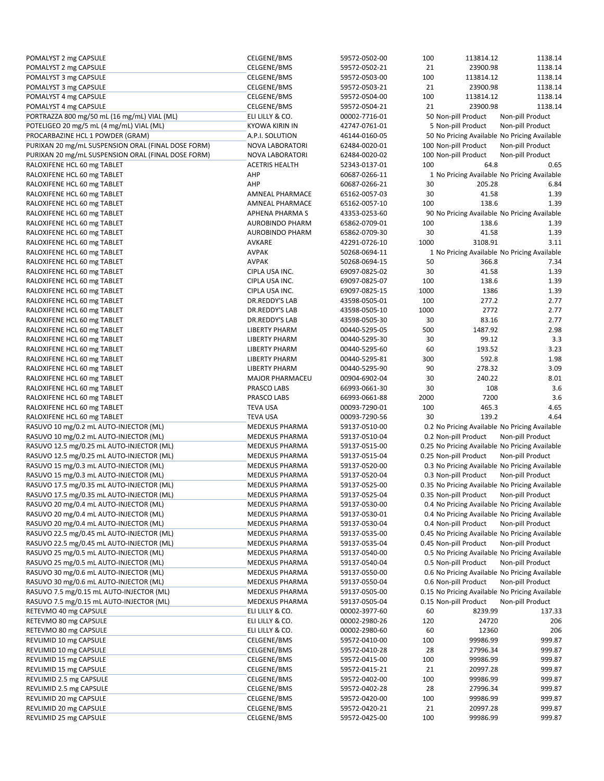| POMALYST 2 mg CAPSULE                              | CELGENE/BMS            | 59572-0502-00 | 100  | 113814.12                                      | 1138.14          |
|----------------------------------------------------|------------------------|---------------|------|------------------------------------------------|------------------|
| POMALYST 2 mg CAPSULE                              | CELGENE/BMS            | 59572-0502-21 | 21   | 23900.98                                       | 1138.14          |
| POMALYST 3 mg CAPSULE                              | CELGENE/BMS            | 59572-0503-00 | 100  | 113814.12                                      | 1138.14          |
| POMALYST 3 mg CAPSULE                              | CELGENE/BMS            | 59572-0503-21 | 21   | 23900.98                                       | 1138.14          |
| POMALYST 4 mg CAPSULE                              | CELGENE/BMS            | 59572-0504-00 | 100  | 113814.12                                      | 1138.14          |
| POMALYST 4 mg CAPSULE                              | CELGENE/BMS            | 59572-0504-21 | 21   | 23900.98                                       | 1138.14          |
| PORTRAZZA 800 mg/50 mL (16 mg/mL) VIAL (ML)        | ELI LILLY & CO.        | 00002-7716-01 |      | 50 Non-pill Product                            | Non-pill Product |
| POTELIGEO 20 mg/5 mL (4 mg/mL) VIAL (ML)           | <b>KYOWA KIRIN IN</b>  | 42747-0761-01 |      | 5 Non-pill Product                             | Non-pill Product |
| PROCARBAZINE HCL 1 POWDER (GRAM)                   | A.P.I. SOLUTION        | 46144-0160-05 |      | 50 No Pricing Available No Pricing Available   |                  |
| PURIXAN 20 mg/mL SUSPENSION ORAL (FINAL DOSE FORM) | NOVA LABORATORI        | 62484-0020-01 |      | 100 Non-pill Product                           | Non-pill Product |
|                                                    |                        |               |      | 100 Non-pill Product                           | Non-pill Product |
| PURIXAN 20 mg/mL SUSPENSION ORAL (FINAL DOSE FORM) | NOVA LABORATORI        | 62484-0020-02 |      |                                                |                  |
| RALOXIFENE HCL 60 mg TABLET                        | <b>ACETRIS HEALTH</b>  | 52343-0137-01 | 100  | 64.8                                           | 0.65             |
| RALOXIFENE HCL 60 mg TABLET                        | AHP                    | 60687-0266-11 |      | 1 No Pricing Available No Pricing Available    |                  |
| RALOXIFENE HCL 60 mg TABLET                        | AHP                    | 60687-0266-21 | 30   | 205.28                                         | 6.84             |
| RALOXIFENE HCL 60 mg TABLET                        | AMNEAL PHARMACE        | 65162-0057-03 | 30   | 41.58                                          | 1.39             |
| RALOXIFENE HCL 60 mg TABLET                        | AMNEAL PHARMACE        | 65162-0057-10 | 100  | 138.6                                          | 1.39             |
| RALOXIFENE HCL 60 mg TABLET                        | <b>APHENA PHARMA S</b> | 43353-0253-60 |      | 90 No Pricing Available No Pricing Available   |                  |
| RALOXIFENE HCL 60 mg TABLET                        | <b>AUROBINDO PHARM</b> | 65862-0709-01 | 100  | 138.6                                          | 1.39             |
| RALOXIFENE HCL 60 mg TABLET                        | <b>AUROBINDO PHARM</b> | 65862-0709-30 | 30   | 41.58                                          | 1.39             |
| RALOXIFENE HCL 60 mg TABLET                        | AVKARE                 | 42291-0726-10 | 1000 | 3108.91                                        | 3.11             |
| RALOXIFENE HCL 60 mg TABLET                        | <b>AVPAK</b>           | 50268-0694-11 |      | 1 No Pricing Available No Pricing Available    |                  |
| RALOXIFENE HCL 60 mg TABLET                        | <b>AVPAK</b>           | 50268-0694-15 | 50   | 366.8                                          | 7.34             |
|                                                    |                        |               |      |                                                |                  |
| RALOXIFENE HCL 60 mg TABLET                        | CIPLA USA INC.         | 69097-0825-02 | 30   | 41.58                                          | 1.39             |
| RALOXIFENE HCL 60 mg TABLET                        | CIPLA USA INC.         | 69097-0825-07 | 100  | 138.6                                          | 1.39             |
| RALOXIFENE HCL 60 mg TABLET                        | CIPLA USA INC.         | 69097-0825-15 | 1000 | 1386                                           | 1.39             |
| RALOXIFENE HCL 60 mg TABLET                        | DR.REDDY'S LAB         | 43598-0505-01 | 100  | 277.2                                          | 2.77             |
| RALOXIFENE HCL 60 mg TABLET                        | DR.REDDY'S LAB         | 43598-0505-10 | 1000 | 2772                                           | 2.77             |
| RALOXIFENE HCL 60 mg TABLET                        | DR.REDDY'S LAB         | 43598-0505-30 | 30   | 83.16                                          | 2.77             |
| RALOXIFENE HCL 60 mg TABLET                        | <b>LIBERTY PHARM</b>   | 00440-5295-05 | 500  | 1487.92                                        | 2.98             |
| RALOXIFENE HCL 60 mg TABLET                        | <b>LIBERTY PHARM</b>   | 00440-5295-30 | 30   | 99.12                                          | 3.3              |
| RALOXIFENE HCL 60 mg TABLET                        | <b>LIBERTY PHARM</b>   | 00440-5295-60 | 60   | 193.52                                         | 3.23             |
| RALOXIFENE HCL 60 mg TABLET                        | <b>LIBERTY PHARM</b>   | 00440-5295-81 | 300  | 592.8                                          | 1.98             |
| RALOXIFENE HCL 60 mg TABLET                        | <b>LIBERTY PHARM</b>   | 00440-5295-90 | 90   | 278.32                                         | 3.09             |
| RALOXIFENE HCL 60 mg TABLET                        | <b>MAJOR PHARMACEU</b> | 00904-6902-04 | 30   | 240.22                                         | 8.01             |
|                                                    |                        |               |      |                                                |                  |
| RALOXIFENE HCL 60 mg TABLET                        | PRASCO LABS            | 66993-0661-30 | 30   | 108                                            | 3.6              |
| RALOXIFENE HCL 60 mg TABLET                        | PRASCO LABS            | 66993-0661-88 | 2000 | 7200                                           | 3.6              |
| RALOXIFENE HCL 60 mg TABLET                        | <b>TEVA USA</b>        | 00093-7290-01 | 100  | 465.3                                          | 4.65             |
| RALOXIFENE HCL 60 mg TABLET                        | <b>TEVA USA</b>        | 00093-7290-56 | 30   | 139.2                                          | 4.64             |
| RASUVO 10 mg/0.2 mL AUTO-INJECTOR (ML)             | MEDEXUS PHARMA         | 59137-0510-00 |      | 0.2 No Pricing Available No Pricing Available  |                  |
| RASUVO 10 mg/0.2 mL AUTO-INJECTOR (ML)             | <b>MEDEXUS PHARMA</b>  | 59137-0510-04 |      | 0.2 Non-pill Product                           | Non-pill Product |
| RASUVO 12.5 mg/0.25 mL AUTO-INJECTOR (ML)          | <b>MEDEXUS PHARMA</b>  | 59137-0515-00 |      | 0.25 No Pricing Available No Pricing Available |                  |
| RASUVO 12.5 mg/0.25 mL AUTO-INJECTOR (ML)          | MEDEXUS PHARMA         | 59137-0515-04 |      | 0.25 Non-pill Product                          | Non-pill Product |
| RASUVO 15 mg/0.3 mL AUTO-INJECTOR (ML)             | MEDEXUS PHARMA         | 59137-0520-00 |      | 0.3 No Pricing Available No Pricing Available  |                  |
| RASUVO 15 mg/0.3 mL AUTO-INJECTOR (ML)             | MEDEXUS PHARMA         | 59137-0520-04 |      | 0.3 Non-pill Product                           | Non-pill Product |
| RASUVO 17.5 mg/0.35 mL AUTO-INJECTOR (ML)          | <b>MEDEXUS PHARMA</b>  | 59137-0525-00 |      | 0.35 No Pricing Available No Pricing Available |                  |
| RASUVO 17.5 mg/0.35 mL AUTO-INJECTOR (ML)          | <b>MEDEXUS PHARMA</b>  | 59137-0525-04 |      | 0.35 Non-pill Product                          | Non-pill Product |
| RASUVO 20 mg/0.4 mL AUTO-INJECTOR (ML)             | MEDEXUS PHARMA         | 59137-0530-00 |      | 0.4 No Pricing Available No Pricing Available  |                  |
| RASUVO 20 mg/0.4 mL AUTO-INJECTOR (ML)             | MEDEXUS PHARMA         | 59137-0530-01 |      | 0.4 No Pricing Available No Pricing Available  |                  |
| RASUVO 20 mg/0.4 mL AUTO-INJECTOR (ML)             |                        |               |      | 0.4 Non-pill Product                           |                  |
|                                                    | MEDEXUS PHARMA         | 59137-0530-04 |      |                                                | Non-pill Product |
| RASUVO 22.5 mg/0.45 mL AUTO-INJECTOR (ML)          | MEDEXUS PHARMA         | 59137-0535-00 |      | 0.45 No Pricing Available No Pricing Available |                  |
| RASUVO 22.5 mg/0.45 mL AUTO-INJECTOR (ML)          | MEDEXUS PHARMA         | 59137-0535-04 |      | 0.45 Non-pill Product                          | Non-pill Product |
| RASUVO 25 mg/0.5 mL AUTO-INJECTOR (ML)             | MEDEXUS PHARMA         | 59137-0540-00 |      | 0.5 No Pricing Available No Pricing Available  |                  |
| RASUVO 25 mg/0.5 mL AUTO-INJECTOR (ML)             | MEDEXUS PHARMA         | 59137-0540-04 |      | 0.5 Non-pill Product                           | Non-pill Product |
| RASUVO 30 mg/0.6 mL AUTO-INJECTOR (ML)             | MEDEXUS PHARMA         | 59137-0550-00 |      | 0.6 No Pricing Available No Pricing Available  |                  |
| RASUVO 30 mg/0.6 mL AUTO-INJECTOR (ML)             | MEDEXUS PHARMA         | 59137-0550-04 |      | 0.6 Non-pill Product                           | Non-pill Product |
| RASUVO 7.5 mg/0.15 mL AUTO-INJECTOR (ML)           | MEDEXUS PHARMA         | 59137-0505-00 |      | 0.15 No Pricing Available No Pricing Available |                  |
| RASUVO 7.5 mg/0.15 mL AUTO-INJECTOR (ML)           | MEDEXUS PHARMA         | 59137-0505-04 |      | 0.15 Non-pill Product                          | Non-pill Product |
| RETEVMO 40 mg CAPSULE                              | ELI LILLY & CO.        | 00002-3977-60 | 60   | 8239.99                                        | 137.33           |
| RETEVMO 80 mg CAPSULE                              | ELI LILLY & CO.        | 00002-2980-26 | 120  | 24720                                          | 206              |
| RETEVMO 80 mg CAPSULE                              | ELI LILLY & CO.        | 00002-2980-60 | 60   | 12360                                          | 206              |
| REVLIMID 10 mg CAPSULE                             | CELGENE/BMS            | 59572-0410-00 | 100  | 99986.99                                       | 999.87           |
| REVLIMID 10 mg CAPSULE                             | CELGENE/BMS            | 59572-0410-28 | 28   | 27996.34                                       | 999.87           |
|                                                    |                        |               |      |                                                |                  |
| REVLIMID 15 mg CAPSULE                             | CELGENE/BMS            | 59572-0415-00 | 100  | 99986.99                                       | 999.87           |
| REVLIMID 15 mg CAPSULE                             | CELGENE/BMS            | 59572-0415-21 | 21   | 20997.28                                       | 999.87           |
| REVLIMID 2.5 mg CAPSULE                            | CELGENE/BMS            | 59572-0402-00 | 100  | 99986.99                                       | 999.87           |
| REVLIMID 2.5 mg CAPSULE                            | CELGENE/BMS            | 59572-0402-28 | 28   | 27996.34                                       | 999.87           |
| REVLIMID 20 mg CAPSULE                             | CELGENE/BMS            | 59572-0420-00 | 100  | 99986.99                                       | 999.87           |
|                                                    |                        |               |      |                                                |                  |
| REVLIMID 20 mg CAPSULE<br>REVLIMID 25 mg CAPSULE   | CELGENE/BMS            | 59572-0420-21 | 21   | 20997.28                                       | 999.87           |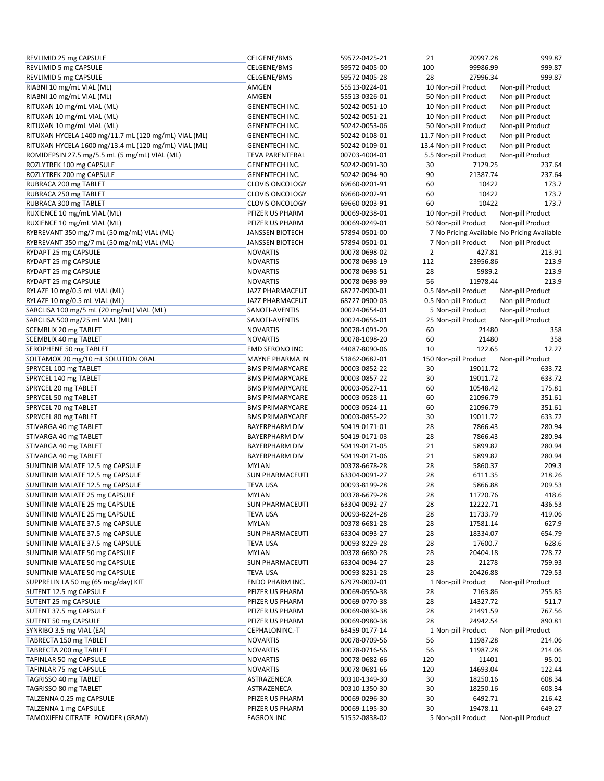| REVLIMID 25 mg CAPSULE                               | CELGENE/BMS            | 59572-0425-21                  | 21             | 20997.28              | 999.87                                      |
|------------------------------------------------------|------------------------|--------------------------------|----------------|-----------------------|---------------------------------------------|
| REVLIMID 5 mg CAPSULE                                | CELGENE/BMS            | 59572-0405-00                  | 100            | 99986.99              | 999.87                                      |
| REVLIMID 5 mg CAPSULE                                | CELGENE/BMS            | 59572-0405-28                  | 28             | 27996.34              | 999.87                                      |
| RIABNI 10 mg/mL VIAL (ML)                            | AMGEN                  | 55513-0224-01                  |                | 10 Non-pill Product   | Non-pill Product                            |
| RIABNI 10 mg/mL VIAL (ML)                            | AMGEN                  | 55513-0326-01                  |                | 50 Non-pill Product   | Non-pill Product                            |
| RITUXAN 10 mg/mL VIAL (ML)                           | <b>GENENTECH INC.</b>  | 50242-0051-10                  |                | 10 Non-pill Product   | Non-pill Product                            |
| RITUXAN 10 mg/mL VIAL (ML)                           | <b>GENENTECH INC.</b>  | 50242-0051-21                  |                | 10 Non-pill Product   | Non-pill Product                            |
| RITUXAN 10 mg/mL VIAL (ML)                           | <b>GENENTECH INC.</b>  | 50242-0053-06                  |                | 50 Non-pill Product   | Non-pill Product                            |
| RITUXAN HYCELA 1400 mg/11.7 mL (120 mg/mL) VIAL (ML) | <b>GENENTECH INC.</b>  | 50242-0108-01                  |                | 11.7 Non-pill Product | Non-pill Product                            |
| RITUXAN HYCELA 1600 mg/13.4 mL (120 mg/mL) VIAL (ML) | <b>GENENTECH INC.</b>  | 50242-0109-01                  |                | 13.4 Non-pill Product | Non-pill Product                            |
| ROMIDEPSIN 27.5 mg/5.5 mL (5 mg/mL) VIAL (ML)        | <b>TEVA PARENTERAL</b> | 00703-4004-01                  |                | 5.5 Non-pill Product  | Non-pill Product                            |
| ROZLYTREK 100 mg CAPSULE                             | <b>GENENTECH INC.</b>  | 50242-0091-30                  | 30             | 7129.25               | 237.64                                      |
| ROZLYTREK 200 mg CAPSULE                             | <b>GENENTECH INC.</b>  | 50242-0094-90                  | 90             | 21387.74              | 237.64                                      |
| RUBRACA 200 mg TABLET                                | <b>CLOVIS ONCOLOGY</b> | 69660-0201-91                  | 60             | 10422                 | 173.7                                       |
| RUBRACA 250 mg TABLET                                | <b>CLOVIS ONCOLOGY</b> | 69660-0202-91                  | 60             | 10422                 | 173.7                                       |
| RUBRACA 300 mg TABLET                                | <b>CLOVIS ONCOLOGY</b> | 69660-0203-91                  | 60             | 10422                 | 173.7                                       |
| RUXIENCE 10 mg/mL VIAL (ML)                          | PFIZER US PHARM        | 00069-0238-01                  |                | 10 Non-pill Product   | Non-pill Product                            |
| RUXIENCE 10 mg/mL VIAL (ML)                          | PFIZER US PHARM        | 00069-0249-01                  |                | 50 Non-pill Product   | Non-pill Product                            |
| RYBREVANT 350 mg/7 mL (50 mg/mL) VIAL (ML)           | <b>JANSSEN BIOTECH</b> | 57894-0501-00                  |                |                       | 7 No Pricing Available No Pricing Available |
| RYBREVANT 350 mg/7 mL (50 mg/mL) VIAL (ML)           | <b>JANSSEN BIOTECH</b> | 57894-0501-01                  |                | 7 Non-pill Product    | Non-pill Product                            |
| RYDAPT 25 mg CAPSULE                                 | <b>NOVARTIS</b>        | 00078-0698-02                  | $\overline{2}$ | 427.81                | 213.91                                      |
| RYDAPT 25 mg CAPSULE                                 | <b>NOVARTIS</b>        | 00078-0698-19                  | 112            | 23956.86              | 213.9                                       |
| RYDAPT 25 mg CAPSULE                                 | <b>NOVARTIS</b>        | 00078-0698-51                  | 28             | 5989.2                | 213.9                                       |
| RYDAPT 25 mg CAPSULE                                 | <b>NOVARTIS</b>        | 00078-0698-99                  | 56             | 11978.44              | 213.9                                       |
| RYLAZE 10 mg/0.5 mL VIAL (ML)                        | <b>JAZZ PHARMACEUT</b> | 68727-0900-01                  |                | 0.5 Non-pill Product  | Non-pill Product                            |
| RYLAZE 10 mg/0.5 mL VIAL (ML)                        | JAZZ PHARMACEUT        | 68727-0900-03                  |                | 0.5 Non-pill Product  | Non-pill Product                            |
| SARCLISA 100 mg/5 mL (20 mg/mL) VIAL (ML)            | SANOFI-AVENTIS         | 00024-0654-01                  |                | 5 Non-pill Product    | Non-pill Product                            |
| SARCLISA 500 mg/25 mL VIAL (ML)                      | SANOFI-AVENTIS         | 00024-0656-01                  |                | 25 Non-pill Product   | Non-pill Product                            |
| SCEMBLIX 20 mg TABLET                                | <b>NOVARTIS</b>        | 00078-1091-20                  | 60             | 21480                 | 358                                         |
| SCEMBLIX 40 mg TABLET                                | <b>NOVARTIS</b>        | 00078-1098-20                  | 60             | 21480                 | 358                                         |
| SEROPHENE 50 mg TABLET                               | EMD SERONO INC         | 44087-8090-06                  | 10             | 122.65                | 12.27                                       |
| SOLTAMOX 20 mg/10 mL SOLUTION ORAL                   | MAYNE PHARMA IN        | 51862-0682-01                  |                | 150 Non-pill Product  | Non-pill Product                            |
| SPRYCEL 100 mg TABLET                                | <b>BMS PRIMARYCARE</b> | 00003-0852-22                  | 30             | 19011.72              | 633.72                                      |
| SPRYCEL 140 mg TABLET                                | <b>BMS PRIMARYCARE</b> | 00003-0857-22                  | 30             | 19011.72              | 633.72                                      |
| SPRYCEL 20 mg TABLET                                 | <b>BMS PRIMARYCARE</b> | 00003-0527-11                  | 60             | 10548.42              | 175.81                                      |
| SPRYCEL 50 mg TABLET                                 | <b>BMS PRIMARYCARE</b> | 00003-0528-11                  | 60             | 21096.79              | 351.61                                      |
| SPRYCEL 70 mg TABLET                                 | <b>BMS PRIMARYCARE</b> | 00003-0524-11                  | 60             | 21096.79              | 351.61                                      |
| SPRYCEL 80 mg TABLET                                 | <b>BMS PRIMARYCARE</b> | 00003-0855-22                  | 30             | 19011.72              | 633.72                                      |
| STIVARGA 40 mg TABLET                                | <b>BAYERPHARM DIV</b>  | 50419-0171-01                  | 28             | 7866.43               | 280.94                                      |
| STIVARGA 40 mg TABLET                                | <b>BAYERPHARM DIV</b>  | 50419-0171-03                  | 28             | 7866.43               | 280.94                                      |
| STIVARGA 40 mg TABLET                                | <b>BAYERPHARM DIV</b>  | 50419-0171-05                  | 21             | 5899.82               | 280.94                                      |
| STIVARGA 40 mg TABLET                                | <b>BAYERPHARM DIV</b>  | 50419-0171-06                  | 21             | 5899.82               | 280.94                                      |
| SUNITINIB MALATE 12.5 mg CAPSULE                     | <b>MYLAN</b>           | 00378-6678-28                  | 28             | 5860.37               | 209.3                                       |
| SUNITINIB MALATE 12.5 mg CAPSULE                     | <b>SUN PHARMACEUTI</b> | 63304-0091-27                  | 28             | 6111.35               | 218.26                                      |
| SUNITINIB MALATE 12.5 mg CAPSULE                     | <b>TEVA USA</b>        | 00093-8199-28                  | 28             | 5866.88               | 209.53                                      |
| SUNITINIB MALATE 25 mg CAPSULE                       | <b>MYLAN</b>           | 00378-6679-28                  | 28             | 11720.76              | 418.6                                       |
| SUNITINIB MALATE 25 mg CAPSULE                       | <b>SUN PHARMACEUTI</b> | 63304-0092-27                  | 28             | 12222.71              | 436.53                                      |
| SUNITINIB MALATE 25 mg CAPSULE                       | <b>TEVA USA</b>        | 00093-8224-28                  | 28             | 11733.79              | 419.06                                      |
| SUNITINIB MALATE 37.5 mg CAPSULE                     | <b>MYLAN</b>           | 00378-6681-28                  | 28             | 17581.14              | 627.9                                       |
| SUNITINIB MALATE 37.5 mg CAPSULE                     | <b>SUN PHARMACEUTI</b> | 63304-0093-27                  | 28             | 18334.07              | 654.79                                      |
| SUNITINIB MALATE 37.5 mg CAPSULE                     | <b>TEVA USA</b>        | 00093-8229-28                  | 28             | 17600.7               | 628.6                                       |
| SUNITINIB MALATE 50 mg CAPSULE                       | <b>MYLAN</b>           | 00378-6680-28                  | 28             | 20404.18              | 728.72                                      |
| SUNITINIB MALATE 50 mg CAPSULE                       | <b>SUN PHARMACEUTI</b> | 63304-0094-27                  | 28             | 21278                 | 759.93                                      |
| SUNITINIB MALATE 50 mg CAPSULE                       | <b>TEVA USA</b>        | 00093-8231-28                  | 28             | 20426.88              | 729.53                                      |
| SUPPRELIN LA 50 mg (65 mcg/day) KIT                  | ENDO PHARM INC.        | 67979-0002-01                  |                | 1 Non-pill Product    | Non-pill Product                            |
| SUTENT 12.5 mg CAPSULE                               | PFIZER US PHARM        |                                | 28             | 7163.86               | 255.85                                      |
|                                                      |                        | 00069-0550-38<br>00069-0770-38 | 28             |                       | 511.7                                       |
| SUTENT 25 mg CAPSULE                                 | PFIZER US PHARM        |                                |                | 14327.72              |                                             |
| SUTENT 37.5 mg CAPSULE                               | PFIZER US PHARM        | 00069-0830-38                  | 28<br>28       | 21491.59              | 767.56                                      |
| SUTENT 50 mg CAPSULE                                 | PFIZER US PHARM        | 00069-0980-38                  |                | 24942.54              | 890.81                                      |
| SYNRIBO 3.5 mg VIAL (EA)                             | CEPHALONINC.-T         | 63459-0177-14                  |                | 1 Non-pill Product    | Non-pill Product                            |
| TABRECTA 150 mg TABLET                               | <b>NOVARTIS</b>        | 00078-0709-56                  | 56             | 11987.28              | 214.06                                      |
| TABRECTA 200 mg TABLET                               | <b>NOVARTIS</b>        | 00078-0716-56                  | 56             | 11987.28              | 214.06                                      |
| TAFINLAR 50 mg CAPSULE                               | <b>NOVARTIS</b>        | 00078-0682-66                  | 120            | 11401                 | 95.01                                       |
| TAFINLAR 75 mg CAPSULE                               | <b>NOVARTIS</b>        | 00078-0681-66                  | 120            | 14693.04              | 122.44                                      |
| TAGRISSO 40 mg TABLET                                | ASTRAZENECA            | 00310-1349-30                  | 30             | 18250.16              | 608.34                                      |
| TAGRISSO 80 mg TABLET                                | ASTRAZENECA            | 00310-1350-30                  | 30             | 18250.16              | 608.34                                      |
| TALZENNA 0.25 mg CAPSULE                             | PFIZER US PHARM        | 00069-0296-30                  | 30             | 6492.71               | 216.42                                      |
| TALZENNA 1 mg CAPSULE                                | PFIZER US PHARM        | 00069-1195-30                  | 30             | 19478.11              | 649.27                                      |
| TAMOXIFEN CITRATE POWDER (GRAM)                      | <b>FAGRON INC</b>      | 51552-0838-02                  |                | 5 Non-pill Product    | Non-pill Product                            |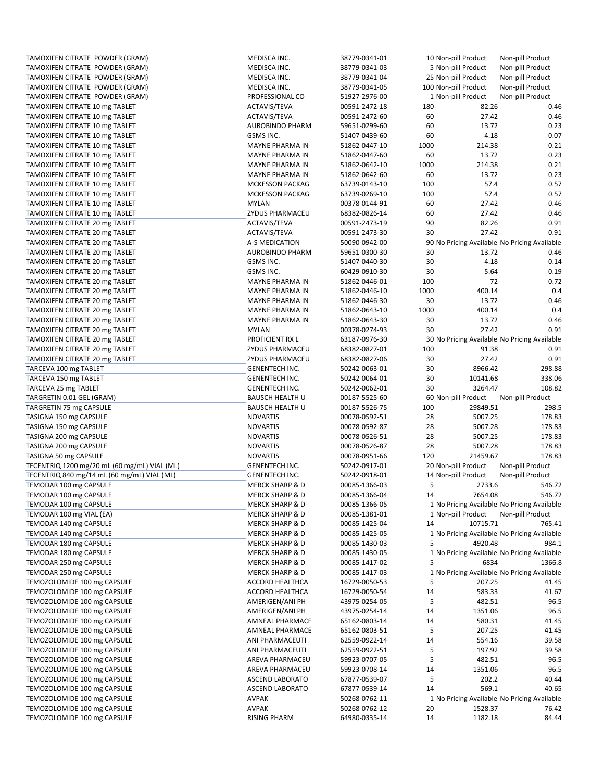| TAMOXIFEN CITRATE POWDER (GRAM)                            | MEDISCA INC.                        | 38779-0341-01                  |          | 10 Non-pill Product                          | Non-pill Product                            |
|------------------------------------------------------------|-------------------------------------|--------------------------------|----------|----------------------------------------------|---------------------------------------------|
| TAMOXIFEN CITRATE POWDER (GRAM)                            | MEDISCA INC.                        | 38779-0341-03                  |          | 5 Non-pill Product                           | Non-pill Product                            |
| TAMOXIFEN CITRATE POWDER (GRAM)                            | MEDISCA INC.                        | 38779-0341-04                  |          | 25 Non-pill Product                          | Non-pill Product                            |
| TAMOXIFEN CITRATE POWDER (GRAM)                            | MEDISCA INC.                        | 38779-0341-05                  |          | 100 Non-pill Product                         | Non-pill Product                            |
| TAMOXIFEN CITRATE POWDER (GRAM)                            | PROFESSIONAL CO                     | 51927-2976-00                  |          | 1 Non-pill Product                           | Non-pill Product                            |
| TAMOXIFEN CITRATE 10 mg TABLET                             | ACTAVIS/TEVA                        | 00591-2472-18                  | 180      | 82.26                                        | 0.46                                        |
| TAMOXIFEN CITRATE 10 mg TABLET                             | ACTAVIS/TEVA                        | 00591-2472-60                  | 60       | 27.42                                        | 0.46                                        |
| TAMOXIFEN CITRATE 10 mg TABLET                             | <b>AUROBINDO PHARM</b>              | 59651-0299-60                  | 60       | 13.72                                        | 0.23                                        |
| TAMOXIFEN CITRATE 10 mg TABLET                             | GSMS INC.                           | 51407-0439-60                  | 60       | 4.18                                         | 0.07                                        |
| TAMOXIFEN CITRATE 10 mg TABLET                             | MAYNE PHARMA IN                     | 51862-0447-10                  | 1000     | 214.38                                       | 0.21                                        |
| TAMOXIFEN CITRATE 10 mg TABLET                             | MAYNE PHARMA IN                     | 51862-0447-60                  | 60       | 13.72                                        | 0.23                                        |
| TAMOXIFEN CITRATE 10 mg TABLET                             | MAYNE PHARMA IN                     | 51862-0642-10                  | 1000     | 214.38                                       | 0.21                                        |
| TAMOXIFEN CITRATE 10 mg TABLET                             | MAYNE PHARMA IN                     | 51862-0642-60                  | 60       | 13.72                                        | 0.23                                        |
| TAMOXIFEN CITRATE 10 mg TABLET                             | <b>MCKESSON PACKAG</b>              | 63739-0143-10                  | 100      | 57.4                                         | 0.57                                        |
| TAMOXIFEN CITRATE 10 mg TABLET                             | <b>MCKESSON PACKAG</b>              | 63739-0269-10                  | 100      | 57.4                                         | 0.57                                        |
| TAMOXIFEN CITRATE 10 mg TABLET                             | <b>MYLAN</b>                        | 00378-0144-91                  | 60       | 27.42                                        | 0.46                                        |
| TAMOXIFEN CITRATE 10 mg TABLET                             | ZYDUS PHARMACEU                     | 68382-0826-14                  | 60       | 27.42                                        | 0.46                                        |
| TAMOXIFEN CITRATE 20 mg TABLET                             | ACTAVIS/TEVA                        | 00591-2473-19                  | 90       | 82.26                                        | 0.91                                        |
| TAMOXIFEN CITRATE 20 mg TABLET                             | ACTAVIS/TEVA                        | 00591-2473-30                  | 30       | 27.42                                        | 0.91                                        |
| TAMOXIFEN CITRATE 20 mg TABLET                             | A-S MEDICATION                      | 50090-0942-00                  |          | 90 No Pricing Available No Pricing Available |                                             |
| TAMOXIFEN CITRATE 20 mg TABLET                             | <b>AUROBINDO PHARM</b>              | 59651-0300-30                  | 30       | 13.72                                        | 0.46                                        |
| TAMOXIFEN CITRATE 20 mg TABLET                             | <b>GSMS INC.</b>                    | 51407-0440-30                  | 30       | 4.18                                         | 0.14                                        |
| TAMOXIFEN CITRATE 20 mg TABLET                             | GSMS INC.                           | 60429-0910-30                  | 30       | 5.64                                         | 0.19                                        |
| TAMOXIFEN CITRATE 20 mg TABLET                             | MAYNE PHARMA IN                     | 51862-0446-01                  | 100      | 72                                           | 0.72                                        |
| TAMOXIFEN CITRATE 20 mg TABLET                             | <b>MAYNE PHARMA IN</b>              | 51862-0446-10                  | 1000     | 400.14                                       | 0.4                                         |
| TAMOXIFEN CITRATE 20 mg TABLET                             | MAYNE PHARMA IN                     | 51862-0446-30                  | 30       | 13.72                                        | 0.46                                        |
| TAMOXIFEN CITRATE 20 mg TABLET                             | MAYNE PHARMA IN                     | 51862-0643-10                  | 1000     | 400.14                                       | 0.4                                         |
| TAMOXIFEN CITRATE 20 mg TABLET                             | <b>MAYNE PHARMA IN</b>              | 51862-0643-30                  | 30       | 13.72                                        | 0.46                                        |
| TAMOXIFEN CITRATE 20 mg TABLET                             | <b>MYLAN</b>                        | 00378-0274-93                  | 30       | 27.42                                        | 0.91                                        |
| TAMOXIFEN CITRATE 20 mg TABLET                             | PROFICIENT RX L                     | 63187-0976-30                  |          | 30 No Pricing Available No Pricing Available |                                             |
| TAMOXIFEN CITRATE 20 mg TABLET                             | ZYDUS PHARMACEU                     | 68382-0827-01                  | 100      | 91.38                                        | 0.91                                        |
| TAMOXIFEN CITRATE 20 mg TABLET                             | ZYDUS PHARMACEU                     | 68382-0827-06                  | 30       | 27.42                                        | 0.91                                        |
| TARCEVA 100 mg TABLET                                      | <b>GENENTECH INC.</b>               | 50242-0063-01                  | 30       | 8966.42                                      | 298.88                                      |
| TARCEVA 150 mg TABLET                                      | <b>GENENTECH INC.</b>               | 50242-0064-01                  | 30       | 10141.68                                     | 338.06                                      |
|                                                            |                                     |                                |          |                                              |                                             |
| TARCEVA 25 mg TABLET                                       | <b>GENENTECH INC.</b>               | 50242-0062-01                  | 30       | 3264.47                                      | 108.82                                      |
| TARGRETIN 0.01 GEL (GRAM)                                  | <b>BAUSCH HEALTH U</b>              | 00187-5525-60                  |          | 60 Non-pill Product                          | Non-pill Product                            |
| TARGRETIN 75 mg CAPSULE                                    | <b>BAUSCH HEALTH U</b>              | 00187-5526-75                  | 100      | 29849.51                                     | 298.5                                       |
| TASIGNA 150 mg CAPSULE                                     | <b>NOVARTIS</b>                     | 00078-0592-51                  | 28       | 5007.25                                      | 178.83                                      |
| TASIGNA 150 mg CAPSULE                                     | <b>NOVARTIS</b>                     | 00078-0592-87                  | 28       | 5007.28                                      | 178.83                                      |
| TASIGNA 200 mg CAPSULE                                     | <b>NOVARTIS</b>                     | 00078-0526-51                  | 28       | 5007.25                                      | 178.83                                      |
| TASIGNA 200 mg CAPSULE                                     | <b>NOVARTIS</b>                     | 00078-0526-87                  | 28       | 5007.28                                      | 178.83                                      |
| TASIGNA 50 mg CAPSULE                                      | <b>NOVARTIS</b>                     | 00078-0951-66                  | 120      | 21459.67                                     | 178.83                                      |
| TECENTRIQ 1200 mg/20 mL (60 mg/mL) VIAL (ML)               | <b>GENENTECH INC.</b>               | 50242-0917-01                  |          | 20 Non-pill Product                          | Non-pill Product                            |
| TECENTRIQ 840 mg/14 mL (60 mg/mL) VIAL (ML)                | <b>GENENTECH INC.</b>               | 50242-0918-01                  |          | 14 Non-pill Product                          | Non-pill Product                            |
| TEMODAR 100 mg CAPSULE                                     | <b>MERCK SHARP &amp; D</b>          | 00085-1366-03                  | 5        | 2733.6                                       | 546.72                                      |
| TEMODAR 100 mg CAPSULE                                     | <b>MERCK SHARP &amp; D</b>          | 00085-1366-04                  | 14       | 7654.08                                      | 546.72                                      |
| TEMODAR 100 mg CAPSULE                                     | <b>MERCK SHARP &amp; D</b>          | 00085-1366-05                  |          |                                              | 1 No Pricing Available No Pricing Available |
| TEMODAR 100 mg VIAL (EA)                                   | <b>MERCK SHARP &amp; D</b>          | 00085-1381-01                  |          | 1 Non-pill Product                           | Non-pill Product                            |
| TEMODAR 140 mg CAPSULE                                     | <b>MERCK SHARP &amp; D</b>          | 00085-1425-04                  | 14       | 10715.71                                     | 765.41                                      |
| TEMODAR 140 mg CAPSULE                                     | <b>MERCK SHARP &amp; D</b>          | 00085-1425-05                  |          |                                              | 1 No Pricing Available No Pricing Available |
| TEMODAR 180 mg CAPSULE                                     | <b>MERCK SHARP &amp; D</b>          | 00085-1430-03                  | 5        | 4920.48                                      | 984.1                                       |
| TEMODAR 180 mg CAPSULE                                     | <b>MERCK SHARP &amp; D</b>          | 00085-1430-05                  |          |                                              | 1 No Pricing Available No Pricing Available |
| TEMODAR 250 mg CAPSULE                                     | <b>MERCK SHARP &amp; D</b>          | 00085-1417-02                  | 5        | 6834                                         | 1366.8                                      |
| TEMODAR 250 mg CAPSULE                                     | <b>MERCK SHARP &amp; D</b>          | 00085-1417-03                  |          |                                              | 1 No Pricing Available No Pricing Available |
| TEMOZOLOMIDE 100 mg CAPSULE                                | ACCORD HEALTHCA                     | 16729-0050-53                  | 5        | 207.25                                       | 41.45                                       |
| TEMOZOLOMIDE 100 mg CAPSULE                                | ACCORD HEALTHCA                     | 16729-0050-54                  | 14       | 583.33                                       | 41.67                                       |
| TEMOZOLOMIDE 100 mg CAPSULE                                | AMERIGEN/ANI PH                     | 43975-0254-05                  | 5        | 482.51                                       | 96.5                                        |
| TEMOZOLOMIDE 100 mg CAPSULE                                | AMERIGEN/ANI PH                     | 43975-0254-14                  | 14       | 1351.06                                      | 96.5                                        |
| TEMOZOLOMIDE 100 mg CAPSULE                                | AMNEAL PHARMACE                     | 65162-0803-14                  | 14       | 580.31                                       | 41.45                                       |
| TEMOZOLOMIDE 100 mg CAPSULE                                | AMNEAL PHARMACE                     | 65162-0803-51                  | 5        | 207.25                                       | 41.45                                       |
| TEMOZOLOMIDE 100 mg CAPSULE                                | ANI PHARMACEUTI                     | 62559-0922-14                  | 14       | 554.16                                       | 39.58                                       |
| TEMOZOLOMIDE 100 mg CAPSULE                                | ANI PHARMACEUTI                     | 62559-0922-51                  | 5        | 197.92                                       | 39.58                                       |
| TEMOZOLOMIDE 100 mg CAPSULE                                | AREVA PHARMACEU                     | 59923-0707-05                  | 5        | 482.51                                       | 96.5                                        |
| TEMOZOLOMIDE 100 mg CAPSULE                                | AREVA PHARMACEU                     | 59923-0708-14                  | 14       | 1351.06                                      | 96.5                                        |
| TEMOZOLOMIDE 100 mg CAPSULE                                | ASCEND LABORATO                     | 67877-0539-07                  | 5        | 202.2                                        | 40.44                                       |
| TEMOZOLOMIDE 100 mg CAPSULE                                | ASCEND LABORATO                     | 67877-0539-14                  | 14       | 569.1                                        | 40.65                                       |
| TEMOZOLOMIDE 100 mg CAPSULE                                | <b>AVPAK</b>                        | 50268-0762-11                  |          |                                              | 1 No Pricing Available No Pricing Available |
| TEMOZOLOMIDE 100 mg CAPSULE<br>TEMOZOLOMIDE 100 mg CAPSULE | <b>AVPAK</b><br><b>RISING PHARM</b> | 50268-0762-12<br>64980-0335-14 | 20<br>14 | 1528.37<br>1182.18                           | 76.42<br>84.44                              |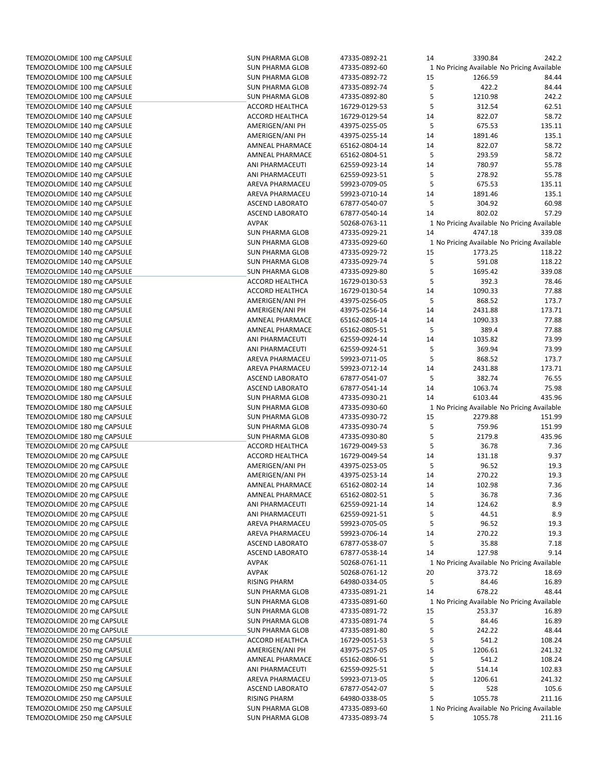| TEMOZOLOMIDE 100 mg CAPSULE                                | <b>SUN PHARMA GLOB</b>                           | 47335-0892-21                  | 14 | 3390.84                                                | 242.2  |
|------------------------------------------------------------|--------------------------------------------------|--------------------------------|----|--------------------------------------------------------|--------|
| TEMOZOLOMIDE 100 mg CAPSULE                                | <b>SUN PHARMA GLOB</b>                           | 47335-0892-60                  |    | 1 No Pricing Available No Pricing Available            |        |
| TEMOZOLOMIDE 100 mg CAPSULE                                | <b>SUN PHARMA GLOB</b>                           | 47335-0892-72                  | 15 | 1266.59                                                | 84.44  |
| TEMOZOLOMIDE 100 mg CAPSULE                                | <b>SUN PHARMA GLOB</b>                           | 47335-0892-74                  | 5  | 422.2                                                  | 84.44  |
| TEMOZOLOMIDE 100 mg CAPSULE                                | <b>SUN PHARMA GLOB</b>                           | 47335-0892-80                  | 5  | 1210.98                                                | 242.2  |
| TEMOZOLOMIDE 140 mg CAPSULE                                | ACCORD HEALTHCA                                  | 16729-0129-53                  | 5  | 312.54                                                 | 62.51  |
| TEMOZOLOMIDE 140 mg CAPSULE                                | <b>ACCORD HEALTHCA</b>                           | 16729-0129-54                  | 14 | 822.07                                                 | 58.72  |
| TEMOZOLOMIDE 140 mg CAPSULE                                | AMERIGEN/ANI PH                                  | 43975-0255-05                  | 5  | 675.53                                                 | 135.11 |
| TEMOZOLOMIDE 140 mg CAPSULE                                | AMERIGEN/ANI PH                                  | 43975-0255-14                  | 14 | 1891.46                                                | 135.1  |
|                                                            |                                                  |                                |    |                                                        |        |
| TEMOZOLOMIDE 140 mg CAPSULE                                | AMNEAL PHARMACE                                  | 65162-0804-14                  | 14 | 822.07                                                 | 58.72  |
| TEMOZOLOMIDE 140 mg CAPSULE                                | <b>AMNEAL PHARMACE</b>                           | 65162-0804-51                  | 5  | 293.59                                                 | 58.72  |
| TEMOZOLOMIDE 140 mg CAPSULE                                | ANI PHARMACEUTI                                  | 62559-0923-14                  | 14 | 780.97                                                 | 55.78  |
| TEMOZOLOMIDE 140 mg CAPSULE                                | ANI PHARMACEUTI                                  | 62559-0923-51                  | 5  | 278.92                                                 | 55.78  |
| TEMOZOLOMIDE 140 mg CAPSULE                                | AREVA PHARMACEU                                  | 59923-0709-05                  | 5  | 675.53                                                 | 135.11 |
| TEMOZOLOMIDE 140 mg CAPSULE                                | AREVA PHARMACEU                                  | 59923-0710-14                  | 14 | 1891.46                                                | 135.1  |
| TEMOZOLOMIDE 140 mg CAPSULE                                | <b>ASCEND LABORATO</b>                           | 67877-0540-07                  | 5  | 304.92                                                 | 60.98  |
| TEMOZOLOMIDE 140 mg CAPSULE                                | <b>ASCEND LABORATO</b>                           | 67877-0540-14                  | 14 | 802.02                                                 | 57.29  |
| TEMOZOLOMIDE 140 mg CAPSULE                                | <b>AVPAK</b>                                     | 50268-0763-11                  |    | 1 No Pricing Available No Pricing Available            |        |
| TEMOZOLOMIDE 140 mg CAPSULE                                | <b>SUN PHARMA GLOB</b>                           | 47335-0929-21                  | 14 | 4747.18                                                | 339.08 |
|                                                            |                                                  |                                |    |                                                        |        |
| TEMOZOLOMIDE 140 mg CAPSULE                                | <b>SUN PHARMA GLOB</b>                           | 47335-0929-60                  |    | 1 No Pricing Available No Pricing Available            |        |
| TEMOZOLOMIDE 140 mg CAPSULE                                | <b>SUN PHARMA GLOB</b>                           | 47335-0929-72                  | 15 | 1773.25                                                | 118.22 |
| TEMOZOLOMIDE 140 mg CAPSULE                                | <b>SUN PHARMA GLOB</b>                           | 47335-0929-74                  | 5  | 591.08                                                 | 118.22 |
| TEMOZOLOMIDE 140 mg CAPSULE                                | <b>SUN PHARMA GLOB</b>                           | 47335-0929-80                  | 5  | 1695.42                                                | 339.08 |
| TEMOZOLOMIDE 180 mg CAPSULE                                | ACCORD HEALTHCA                                  | 16729-0130-53                  | 5  | 392.3                                                  | 78.46  |
| TEMOZOLOMIDE 180 mg CAPSULE                                | <b>ACCORD HEALTHCA</b>                           | 16729-0130-54                  | 14 | 1090.33                                                | 77.88  |
| TEMOZOLOMIDE 180 mg CAPSULE                                | AMERIGEN/ANI PH                                  | 43975-0256-05                  | 5  | 868.52                                                 | 173.7  |
| TEMOZOLOMIDE 180 mg CAPSULE                                | AMERIGEN/ANI PH                                  | 43975-0256-14                  | 14 | 2431.88                                                | 173.71 |
| TEMOZOLOMIDE 180 mg CAPSULE                                | AMNEAL PHARMACE                                  | 65162-0805-14                  | 14 | 1090.33                                                | 77.88  |
| TEMOZOLOMIDE 180 mg CAPSULE                                | <b>AMNEAL PHARMACE</b>                           | 65162-0805-51                  | 5  | 389.4                                                  | 77.88  |
| TEMOZOLOMIDE 180 mg CAPSULE                                | ANI PHARMACEUTI                                  | 62559-0924-14                  | 14 | 1035.82                                                | 73.99  |
|                                                            |                                                  |                                |    |                                                        |        |
| TEMOZOLOMIDE 180 mg CAPSULE                                | ANI PHARMACEUTI                                  | 62559-0924-51                  | 5  | 369.94                                                 | 73.99  |
| TEMOZOLOMIDE 180 mg CAPSULE                                | AREVA PHARMACEU                                  | 59923-0711-05                  | 5  | 868.52                                                 | 173.7  |
| TEMOZOLOMIDE 180 mg CAPSULE                                | AREVA PHARMACEU                                  | 59923-0712-14                  | 14 | 2431.88                                                | 173.71 |
| TEMOZOLOMIDE 180 mg CAPSULE                                | <b>ASCEND LABORATO</b>                           | 67877-0541-07                  | 5  | 382.74                                                 | 76.55  |
| TEMOZOLOMIDE 180 mg CAPSULE                                | <b>ASCEND LABORATO</b>                           | 67877-0541-14                  | 14 | 1063.74                                                | 75.98  |
| TEMOZOLOMIDE 180 mg CAPSULE                                | <b>SUN PHARMA GLOB</b>                           | 47335-0930-21                  | 14 | 6103.44                                                | 435.96 |
| TEMOZOLOMIDE 180 mg CAPSULE                                | <b>SUN PHARMA GLOB</b>                           | 47335-0930-60                  |    | 1 No Pricing Available No Pricing Available            |        |
| TEMOZOLOMIDE 180 mg CAPSULE                                | <b>SUN PHARMA GLOB</b>                           | 47335-0930-72                  | 15 | 2279.88                                                | 151.99 |
| TEMOZOLOMIDE 180 mg CAPSULE                                | <b>SUN PHARMA GLOB</b>                           | 47335-0930-74                  | 5  | 759.96                                                 | 151.99 |
| TEMOZOLOMIDE 180 mg CAPSULE                                | <b>SUN PHARMA GLOB</b>                           | 47335-0930-80                  | 5  | 2179.8                                                 | 435.96 |
| TEMOZOLOMIDE 20 mg CAPSULE                                 | <b>ACCORD HEALTHCA</b>                           | 16729-0049-53                  | 5  | 36.78                                                  | 7.36   |
|                                                            |                                                  |                                | 14 |                                                        | 9.37   |
| TEMOZOLOMIDE 20 mg CAPSULE                                 | ACCORD HEALTHCA                                  | 16729-0049-54                  |    | 131.18                                                 |        |
| TEMOZOLOMIDE 20 mg CAPSULE                                 | AMERIGEN/ANI PH                                  | 43975-0253-05                  | 5  | 96.52                                                  | 19.3   |
| TEMOZOLOMIDE 20 mg CAPSULE                                 | AMERIGEN/ANI PH                                  | 43975-0253-14                  | 14 | 270.22                                                 | 19.3   |
| TEMOZOLOMIDE 20 mg CAPSULE                                 | AMNEAL PHARMACE                                  | 65162-0802-14                  | 14 | 102.98                                                 | 7.36   |
| TEMOZOLOMIDE 20 mg CAPSULE                                 | AMNEAL PHARMACE                                  | 65162-0802-51                  | 5  | 36.78                                                  | 7.36   |
| TEMOZOLOMIDE 20 mg CAPSULE                                 | ANI PHARMACEUTI                                  | 62559-0921-14                  | 14 | 124.62                                                 | 8.9    |
| TEMOZOLOMIDE 20 mg CAPSULE                                 | ANI PHARMACEUTI                                  | 62559-0921-51                  | 5  | 44.51                                                  | 8.9    |
| TEMOZOLOMIDE 20 mg CAPSULE                                 | AREVA PHARMACEU                                  | 59923-0705-05                  | 5  | 96.52                                                  | 19.3   |
| TEMOZOLOMIDE 20 mg CAPSULE                                 | AREVA PHARMACEU                                  | 59923-0706-14                  | 14 | 270.22                                                 | 19.3   |
| TEMOZOLOMIDE 20 mg CAPSULE                                 | <b>ASCEND LABORATO</b>                           | 67877-0538-07                  | 5  | 35.88                                                  | 7.18   |
| TEMOZOLOMIDE 20 mg CAPSULE                                 | ASCEND LABORATO                                  | 67877-0538-14                  | 14 | 127.98                                                 | 9.14   |
| TEMOZOLOMIDE 20 mg CAPSULE                                 | <b>AVPAK</b>                                     | 50268-0761-11                  |    | 1 No Pricing Available No Pricing Available            |        |
|                                                            |                                                  |                                |    |                                                        |        |
| TEMOZOLOMIDE 20 mg CAPSULE                                 | <b>AVPAK</b>                                     | 50268-0761-12                  | 20 | 373.72                                                 | 18.69  |
| TEMOZOLOMIDE 20 mg CAPSULE                                 |                                                  |                                |    | 84.46                                                  | 16.89  |
|                                                            | <b>RISING PHARM</b>                              | 64980-0334-05                  | 5  |                                                        |        |
| TEMOZOLOMIDE 20 mg CAPSULE                                 | SUN PHARMA GLOB                                  | 47335-0891-21                  | 14 | 678.22                                                 | 48.44  |
| TEMOZOLOMIDE 20 mg CAPSULE                                 | <b>SUN PHARMA GLOB</b>                           | 47335-0891-60                  |    | 1 No Pricing Available No Pricing Available            |        |
| TEMOZOLOMIDE 20 mg CAPSULE                                 | <b>SUN PHARMA GLOB</b>                           | 47335-0891-72                  | 15 | 253.37                                                 | 16.89  |
| TEMOZOLOMIDE 20 mg CAPSULE                                 | <b>SUN PHARMA GLOB</b>                           | 47335-0891-74                  | 5  | 84.46                                                  | 16.89  |
| TEMOZOLOMIDE 20 mg CAPSULE                                 | <b>SUN PHARMA GLOB</b>                           | 47335-0891-80                  | 5  | 242.22                                                 | 48.44  |
| TEMOZOLOMIDE 250 mg CAPSULE                                | ACCORD HEALTHCA                                  | 16729-0051-53                  | 5  | 541.2                                                  | 108.24 |
|                                                            |                                                  | 43975-0257-05                  |    | 1206.61                                                | 241.32 |
| TEMOZOLOMIDE 250 mg CAPSULE                                | AMERIGEN/ANI PH                                  |                                | 5  |                                                        |        |
| TEMOZOLOMIDE 250 mg CAPSULE                                | AMNEAL PHARMACE                                  | 65162-0806-51                  | 5  | 541.2                                                  | 108.24 |
| TEMOZOLOMIDE 250 mg CAPSULE                                | ANI PHARMACEUTI                                  | 62559-0925-51                  | 5  | 514.14                                                 | 102.83 |
| TEMOZOLOMIDE 250 mg CAPSULE                                | AREVA PHARMACEU                                  | 59923-0713-05                  | 5  | 1206.61                                                | 241.32 |
| TEMOZOLOMIDE 250 mg CAPSULE                                | ASCEND LABORATO                                  | 67877-0542-07                  | 5  | 528                                                    | 105.6  |
| TEMOZOLOMIDE 250 mg CAPSULE                                | <b>RISING PHARM</b>                              | 64980-0338-05                  | 5  | 1055.78                                                | 211.16 |
| TEMOZOLOMIDE 250 mg CAPSULE<br>TEMOZOLOMIDE 250 mg CAPSULE | <b>SUN PHARMA GLOB</b><br><b>SUN PHARMA GLOB</b> | 47335-0893-60<br>47335-0893-74 | 5  | 1 No Pricing Available No Pricing Available<br>1055.78 | 211.16 |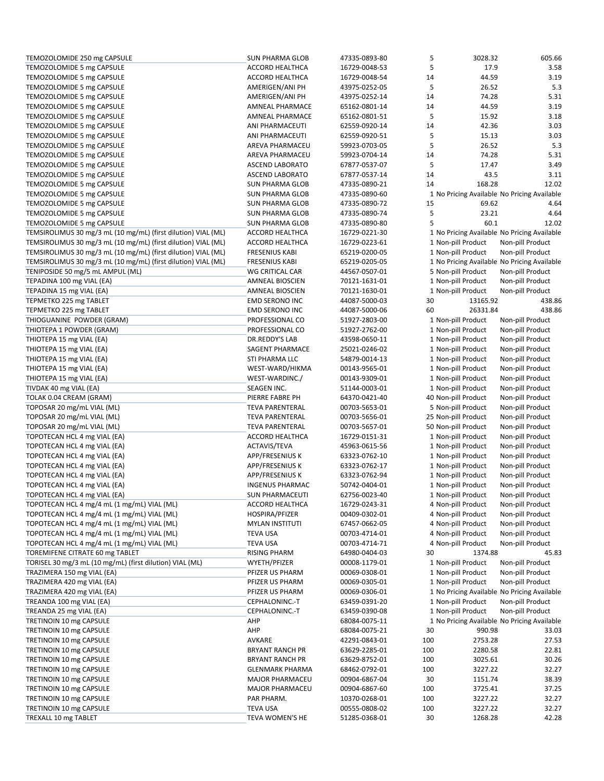| TEMOZOLOMIDE 250 mg CAPSULE                                   | <b>SUN PHARMA GLOB</b> | 47335-0893-80 | 5   | 3028.32             | 605.66                                      |
|---------------------------------------------------------------|------------------------|---------------|-----|---------------------|---------------------------------------------|
| TEMOZOLOMIDE 5 mg CAPSULE                                     | <b>ACCORD HEALTHCA</b> | 16729-0048-53 | 5   | 17.9                | 3.58                                        |
| TEMOZOLOMIDE 5 mg CAPSULE                                     | ACCORD HEALTHCA        | 16729-0048-54 | 14  | 44.59               | 3.19                                        |
| TEMOZOLOMIDE 5 mg CAPSULE                                     | AMERIGEN/ANI PH        | 43975-0252-05 | 5   | 26.52               | 5.3                                         |
| TEMOZOLOMIDE 5 mg CAPSULE                                     | AMERIGEN/ANI PH        | 43975-0252-14 | 14  | 74.28               | 5.31                                        |
| TEMOZOLOMIDE 5 mg CAPSULE                                     | <b>AMNEAL PHARMACE</b> | 65162-0801-14 | 14  | 44.59               | 3.19                                        |
| TEMOZOLOMIDE 5 mg CAPSULE                                     | <b>AMNEAL PHARMACE</b> | 65162-0801-51 | 5   | 15.92               | 3.18                                        |
| TEMOZOLOMIDE 5 mg CAPSULE                                     | ANI PHARMACEUTI        | 62559-0920-14 | 14  | 42.36               | 3.03                                        |
| TEMOZOLOMIDE 5 mg CAPSULE                                     | ANI PHARMACEUTI        | 62559-0920-51 | 5   | 15.13               | 3.03                                        |
| TEMOZOLOMIDE 5 mg CAPSULE                                     | AREVA PHARMACEU        | 59923-0703-05 | 5   | 26.52               | 5.3                                         |
| TEMOZOLOMIDE 5 mg CAPSULE                                     | AREVA PHARMACEU        | 59923-0704-14 | 14  | 74.28               | 5.31                                        |
| TEMOZOLOMIDE 5 mg CAPSULE                                     | ASCEND LABORATO        | 67877-0537-07 | 5   | 17.47               | 3.49                                        |
|                                                               | <b>ASCEND LABORATO</b> |               | 14  | 43.5                |                                             |
| TEMOZOLOMIDE 5 mg CAPSULE                                     |                        | 67877-0537-14 |     |                     | 3.11                                        |
| TEMOZOLOMIDE 5 mg CAPSULE                                     | <b>SUN PHARMA GLOB</b> | 47335-0890-21 | 14  | 168.28              | 12.02                                       |
| TEMOZOLOMIDE 5 mg CAPSULE                                     | <b>SUN PHARMA GLOB</b> | 47335-0890-60 |     |                     | 1 No Pricing Available No Pricing Available |
| TEMOZOLOMIDE 5 mg CAPSULE                                     | <b>SUN PHARMA GLOB</b> | 47335-0890-72 | 15  | 69.62               | 4.64                                        |
| TEMOZOLOMIDE 5 mg CAPSULE                                     | <b>SUN PHARMA GLOB</b> | 47335-0890-74 | 5   | 23.21               | 4.64                                        |
| TEMOZOLOMIDE 5 mg CAPSULE                                     | <b>SUN PHARMA GLOB</b> | 47335-0890-80 | 5   | 60.1                | 12.02                                       |
| TEMSIROLIMUS 30 mg/3 mL (10 mg/mL) (first dilution) VIAL (ML) | ACCORD HEALTHCA        | 16729-0221-30 |     |                     | 1 No Pricing Available No Pricing Available |
| TEMSIROLIMUS 30 mg/3 mL (10 mg/mL) (first dilution) VIAL (ML) | ACCORD HEALTHCA        | 16729-0223-61 |     | 1 Non-pill Product  | Non-pill Product                            |
| TEMSIROLIMUS 30 mg/3 mL (10 mg/mL) (first dilution) VIAL (ML) | <b>FRESENIUS KABI</b>  | 65219-0200-05 |     | 1 Non-pill Product  | Non-pill Product                            |
| TEMSIROLIMUS 30 mg/3 mL (10 mg/mL) (first dilution) VIAL (ML) | <b>FRESENIUS KABI</b>  | 65219-0205-05 |     |                     | 1 No Pricing Available No Pricing Available |
| TENIPOSIDE 50 mg/5 mL AMPUL (ML)                              | WG CRITICAL CAR        | 44567-0507-01 |     | 5 Non-pill Product  | Non-pill Product                            |
| TEPADINA 100 mg VIAL (EA)                                     | <b>AMNEAL BIOSCIEN</b> | 70121-1631-01 |     | 1 Non-pill Product  | Non-pill Product                            |
| TEPADINA 15 mg VIAL (EA)                                      | <b>AMNEAL BIOSCIEN</b> | 70121-1630-01 |     | 1 Non-pill Product  | Non-pill Product                            |
| TEPMETKO 225 mg TABLET                                        | <b>EMD SERONO INC</b>  | 44087-5000-03 | 30  | 13165.92            | 438.86                                      |
| TEPMETKO 225 mg TABLET                                        | <b>EMD SERONO INC</b>  | 44087-5000-06 | 60  | 26331.84            | 438.86                                      |
| THIOGUANINE POWDER (GRAM)                                     | PROFESSIONAL CO        | 51927-2803-00 |     | 1 Non-pill Product  | Non-pill Product                            |
| THIOTEPA 1 POWDER (GRAM)                                      | PROFESSIONAL CO        | 51927-2762-00 |     | 1 Non-pill Product  | Non-pill Product                            |
| THIOTEPA 15 mg VIAL (EA)                                      | DR.REDDY'S LAB         | 43598-0650-11 |     | 1 Non-pill Product  | Non-pill Product                            |
| THIOTEPA 15 mg VIAL (EA)                                      | SAGENT PHARMACE        | 25021-0246-02 |     | 1 Non-pill Product  | Non-pill Product                            |
| THIOTEPA 15 mg VIAL (EA)                                      | STI PHARMA LLC         | 54879-0014-13 |     | 1 Non-pill Product  | Non-pill Product                            |
|                                                               |                        |               |     |                     |                                             |
| THIOTEPA 15 mg VIAL (EA)                                      | WEST-WARD/HIKMA        | 00143-9565-01 |     | 1 Non-pill Product  | Non-pill Product                            |
| THIOTEPA 15 mg VIAL (EA)                                      | WEST-WARDINC./         | 00143-9309-01 |     | 1 Non-pill Product  | Non-pill Product                            |
| TIVDAK 40 mg VIAL (EA)                                        | SEAGEN INC.            | 51144-0003-01 |     | 1 Non-pill Product  | Non-pill Product                            |
| TOLAK 0.04 CREAM (GRAM)                                       | PIERRE FABRE PH        | 64370-0421-40 |     | 40 Non-pill Product | Non-pill Product                            |
| TOPOSAR 20 mg/mL VIAL (ML)                                    | <b>TEVA PARENTERAL</b> | 00703-5653-01 |     | 5 Non-pill Product  | Non-pill Product                            |
| TOPOSAR 20 mg/mL VIAL (ML)                                    | <b>TEVA PARENTERAL</b> | 00703-5656-01 |     | 25 Non-pill Product | Non-pill Product                            |
| TOPOSAR 20 mg/mL VIAL (ML)                                    | <b>TEVA PARENTERAL</b> | 00703-5657-01 |     | 50 Non-pill Product | Non-pill Product                            |
| TOPOTECAN HCL 4 mg VIAL (EA)                                  | <b>ACCORD HEALTHCA</b> | 16729-0151-31 |     | 1 Non-pill Product  | Non-pill Product                            |
| TOPOTECAN HCL 4 mg VIAL (EA)                                  | ACTAVIS/TEVA           | 45963-0615-56 |     | 1 Non-pill Product  | Non-pill Product                            |
| TOPOTECAN HCL 4 mg VIAL (EA)                                  | APP/FRESENIUS K        | 63323-0762-10 |     | 1 Non-pill Product  | Non-pill Product                            |
| TOPOTECAN HCL 4 mg VIAL (EA)                                  | APP/FRESENIUS K        | 63323-0762-17 |     | 1 Non-pill Product  | Non-pill Product                            |
| TOPOTECAN HCL 4 mg VIAL (EA)                                  | APP/FRESENIUS K        | 63323-0762-94 |     | 1 Non-pill Product  | Non-pill Product                            |
| TOPOTECAN HCL 4 mg VIAL (EA)                                  | <b>INGENUS PHARMAC</b> | 50742-0404-01 |     | 1 Non-pill Product  | Non-pill Product                            |
| TOPOTECAN HCL 4 mg VIAL (EA)                                  | <b>SUN PHARMACEUTI</b> | 62756-0023-40 |     | 1 Non-pill Product  | Non-pill Product                            |
| TOPOTECAN HCL 4 mg/4 mL (1 mg/mL) VIAL (ML)                   | ACCORD HEALTHCA        | 16729-0243-31 |     | 4 Non-pill Product  | Non-pill Product                            |
| TOPOTECAN HCL 4 mg/4 mL (1 mg/mL) VIAL (ML)                   | HOSPIRA/PFIZER         | 00409-0302-01 |     | 4 Non-pill Product  | Non-pill Product                            |
| TOPOTECAN HCL 4 mg/4 mL (1 mg/mL) VIAL (ML)                   | <b>MYLAN INSTITUTI</b> | 67457-0662-05 |     | 4 Non-pill Product  | Non-pill Product                            |
| TOPOTECAN HCL 4 mg/4 mL (1 mg/mL) VIAL (ML)                   | <b>TEVA USA</b>        | 00703-4714-01 |     | 4 Non-pill Product  | Non-pill Product                            |
| TOPOTECAN HCL 4 mg/4 mL (1 mg/mL) VIAL (ML)                   | <b>TEVA USA</b>        | 00703-4714-71 |     | 4 Non-pill Product  | Non-pill Product                            |
| TOREMIFENE CITRATE 60 mg TABLET                               | <b>RISING PHARM</b>    | 64980-0404-03 | 30  | 1374.88             | 45.83                                       |
| TORISEL 30 mg/3 mL (10 mg/mL) (first dilution) VIAL (ML)      | WYETH/PFIZER           | 00008-1179-01 |     | 1 Non-pill Product  | Non-pill Product                            |
|                                                               |                        |               |     |                     |                                             |
| TRAZIMERA 150 mg VIAL (EA)                                    | PFIZER US PHARM        | 00069-0308-01 |     | 1 Non-pill Product  | Non-pill Product                            |
| TRAZIMERA 420 mg VIAL (EA)                                    | PFIZER US PHARM        | 00069-0305-01 |     | 1 Non-pill Product  | Non-pill Product                            |
| TRAZIMERA 420 mg VIAL (EA)                                    | PFIZER US PHARM        | 00069-0306-01 |     |                     | 1 No Pricing Available No Pricing Available |
| TREANDA 100 mg VIAL (EA)                                      | CEPHALONINC.-T         | 63459-0391-20 |     | 1 Non-pill Product  | Non-pill Product                            |
| TREANDA 25 mg VIAL (EA)                                       | CEPHALONINC.-T         | 63459-0390-08 |     | 1 Non-pill Product  | Non-pill Product                            |
| TRETINOIN 10 mg CAPSULE                                       | AHP                    | 68084-0075-11 |     |                     | 1 No Pricing Available No Pricing Available |
| TRETINOIN 10 mg CAPSULE                                       | AHP                    | 68084-0075-21 | 30  | 990.98              | 33.03                                       |
| TRETINOIN 10 mg CAPSULE                                       | AVKARE                 | 42291-0843-01 | 100 | 2753.28             | 27.53                                       |
| TRETINOIN 10 mg CAPSULE                                       | <b>BRYANT RANCH PR</b> | 63629-2285-01 | 100 | 2280.58             | 22.81                                       |
| TRETINOIN 10 mg CAPSULE                                       | <b>BRYANT RANCH PR</b> | 63629-8752-01 | 100 | 3025.61             | 30.26                                       |
| TRETINOIN 10 mg CAPSULE                                       | <b>GLENMARK PHARMA</b> | 68462-0792-01 | 100 | 3227.22             | 32.27                                       |
| TRETINOIN 10 mg CAPSULE                                       | <b>MAJOR PHARMACEU</b> | 00904-6867-04 | 30  | 1151.74             | 38.39                                       |
| TRETINOIN 10 mg CAPSULE                                       | MAJOR PHARMACEU        | 00904-6867-60 | 100 | 3725.41             | 37.25                                       |
| TRETINOIN 10 mg CAPSULE                                       | PAR PHARM.             | 10370-0268-01 | 100 | 3227.22             | 32.27                                       |
| TRETINOIN 10 mg CAPSULE                                       | <b>TEVA USA</b>        | 00555-0808-02 | 100 | 3227.22             | 32.27                                       |
| TREXALL 10 mg TABLET                                          | TEVA WOMEN'S HE        | 51285-0368-01 | 30  | 1268.28             | 42.28                                       |
|                                                               |                        |               |     |                     |                                             |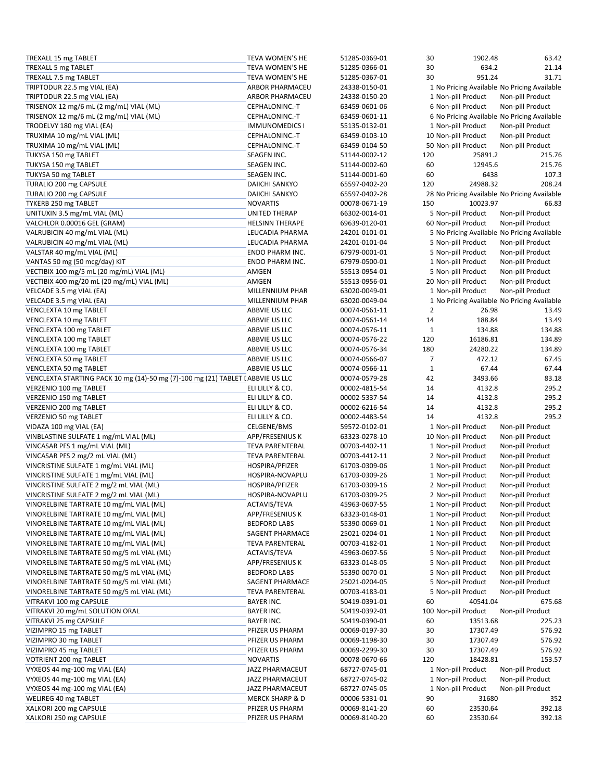| TREXALL 15 mg TABLET                                                            | TEVA WOMEN'S HE            | 51285-0369-01 | 30             | 1902.48                                      | 63.42            |
|---------------------------------------------------------------------------------|----------------------------|---------------|----------------|----------------------------------------------|------------------|
| TREXALL 5 mg TABLET                                                             | <b>TEVA WOMEN'S HE</b>     | 51285-0366-01 | 30             | 634.2                                        | 21.14            |
| TREXALL 7.5 mg TABLET                                                           | TEVA WOMEN'S HE            | 51285-0367-01 | 30             | 951.24                                       | 31.71            |
| TRIPTODUR 22.5 mg VIAL (EA)                                                     | <b>ARBOR PHARMACEU</b>     | 24338-0150-01 |                | 1 No Pricing Available No Pricing Available  |                  |
| TRIPTODUR 22.5 mg VIAL (EA)                                                     | ARBOR PHARMACEU            | 24338-0150-20 |                | 1 Non-pill Product                           | Non-pill Product |
| TRISENOX 12 mg/6 mL (2 mg/mL) VIAL (ML)                                         | CEPHALONINC.-T             | 63459-0601-06 |                | 6 Non-pill Product                           | Non-pill Product |
| TRISENOX 12 mg/6 mL (2 mg/mL) VIAL (ML)                                         | CEPHALONINC.-T             | 63459-0601-11 |                | 6 No Pricing Available No Pricing Available  |                  |
|                                                                                 |                            |               |                |                                              | Non-pill Product |
| TRODELVY 180 mg VIAL (EA)                                                       | <b>IMMUNOMEDICS I</b>      | 55135-0132-01 |                | 1 Non-pill Product                           |                  |
| TRUXIMA 10 mg/mL VIAL (ML)                                                      | CEPHALONINC.-T             | 63459-0103-10 |                | 10 Non-pill Product                          | Non-pill Product |
| TRUXIMA 10 mg/mL VIAL (ML)                                                      | CEPHALONINC.-T             | 63459-0104-50 |                | 50 Non-pill Product                          | Non-pill Product |
| TUKYSA 150 mg TABLET                                                            | SEAGEN INC.                | 51144-0002-12 | 120            | 25891.2                                      | 215.76           |
| TUKYSA 150 mg TABLET                                                            | SEAGEN INC.                | 51144-0002-60 | 60             | 12945.6                                      | 215.76           |
| TUKYSA 50 mg TABLET                                                             | SEAGEN INC.                | 51144-0001-60 | 60             | 6438                                         | 107.3            |
| TURALIO 200 mg CAPSULE                                                          | DAIICHI SANKYO             | 65597-0402-20 | 120            | 24988.32                                     | 208.24           |
| TURALIO 200 mg CAPSULE                                                          | DAIICHI SANKYO             | 65597-0402-28 |                | 28 No Pricing Available No Pricing Available |                  |
| TYKERB 250 mg TABLET                                                            | <b>NOVARTIS</b>            | 00078-0671-19 | 150            | 10023.97                                     | 66.83            |
| UNITUXIN 3.5 mg/mL VIAL (ML)                                                    | <b>UNITED THERAP</b>       | 66302-0014-01 |                | 5 Non-pill Product                           | Non-pill Product |
|                                                                                 |                            |               |                |                                              |                  |
| VALCHLOR 0.00016 GEL (GRAM)                                                     | <b>HELSINN THERAPE</b>     | 69639-0120-01 |                | 60 Non-pill Product                          | Non-pill Product |
| VALRUBICIN 40 mg/mL VIAL (ML)                                                   | LEUCADIA PHARMA            | 24201-0101-01 |                | 5 No Pricing Available No Pricing Available  |                  |
| VALRUBICIN 40 mg/mL VIAL (ML)                                                   | LEUCADIA PHARMA            | 24201-0101-04 |                | 5 Non-pill Product                           | Non-pill Product |
| VALSTAR 40 mg/mL VIAL (ML)                                                      | ENDO PHARM INC.            | 67979-0001-01 |                | 5 Non-pill Product                           | Non-pill Product |
| VANTAS 50 mg (50 mcg/day) KIT                                                   | ENDO PHARM INC.            | 67979-0500-01 |                | 1 Non-pill Product                           | Non-pill Product |
| VECTIBIX 100 mg/5 mL (20 mg/mL) VIAL (ML)                                       | AMGEN                      | 55513-0954-01 |                | 5 Non-pill Product                           | Non-pill Product |
| VECTIBIX 400 mg/20 mL (20 mg/mL) VIAL (ML)                                      | AMGEN                      | 55513-0956-01 |                | 20 Non-pill Product                          | Non-pill Product |
| VELCADE 3.5 mg VIAL (EA)                                                        | MILLENNIUM PHAR            | 63020-0049-01 |                | 1 Non-pill Product                           | Non-pill Product |
| VELCADE 3.5 mg VIAL (EA)                                                        | <b>MILLENNIUM PHAR</b>     | 63020-0049-04 |                | 1 No Pricing Available No Pricing Available  |                  |
| VENCLEXTA 10 mg TABLET                                                          | ABBVIE US LLC              | 00074-0561-11 | $\overline{2}$ | 26.98                                        | 13.49            |
|                                                                                 | ABBVIE US LLC              |               |                | 188.84                                       | 13.49            |
| VENCLEXTA 10 mg TABLET                                                          |                            | 00074-0561-14 | 14             |                                              |                  |
| VENCLEXTA 100 mg TABLET                                                         | ABBVIE US LLC              | 00074-0576-11 | $\mathbf 1$    | 134.88                                       | 134.88           |
| VENCLEXTA 100 mg TABLET                                                         | ABBVIE US LLC              | 00074-0576-22 | 120            | 16186.81                                     | 134.89           |
| VENCLEXTA 100 mg TABLET                                                         | ABBVIE US LLC              | 00074-0576-34 | 180            | 24280.22                                     | 134.89           |
| VENCLEXTA 50 mg TABLET                                                          | ABBVIE US LLC              | 00074-0566-07 | 7              | 472.12                                       | 67.45            |
| VENCLEXTA 50 mg TABLET                                                          | ABBVIE US LLC              | 00074-0566-11 | $1\,$          | 67.44                                        | 67.44            |
| VENCLEXTA STARTING PACK 10 mg (14)-50 mg (7)-100 mg (21) TABLET I ABBVIE US LLC |                            | 00074-0579-28 | 42             | 3493.66                                      | 83.18            |
| VERZENIO 100 mg TABLET                                                          | ELI LILLY & CO.            | 00002-4815-54 | 14             | 4132.8                                       | 295.2            |
| VERZENIO 150 mg TABLET                                                          | ELI LILLY & CO.            | 00002-5337-54 | 14             | 4132.8                                       | 295.2            |
| VERZENIO 200 mg TABLET                                                          | ELI LILLY & CO.            | 00002-6216-54 | 14             | 4132.8                                       | 295.2            |
|                                                                                 |                            |               |                |                                              |                  |
| VERZENIO 50 mg TABLET                                                           | ELI LILLY & CO.            | 00002-4483-54 | 14             | 4132.8                                       | 295.2            |
| VIDAZA 100 mg VIAL (EA)                                                         | CELGENE/BMS                | 59572-0102-01 |                | 1 Non-pill Product                           | Non-pill Product |
| VINBLASTINE SULFATE 1 mg/mL VIAL (ML)                                           | APP/FRESENIUS K            | 63323-0278-10 |                | 10 Non-pill Product                          | Non-pill Product |
| VINCASAR PFS 1 mg/mL VIAL (ML)                                                  | <b>TEVA PARENTERAL</b>     | 00703-4402-11 |                | 1 Non-pill Product                           | Non-pill Product |
| VINCASAR PFS 2 mg/2 mL VIAL (ML)                                                | <b>TEVA PARENTERAL</b>     | 00703-4412-11 |                | 2 Non-pill Product                           | Non-pill Product |
| VINCRISTINE SULFATE 1 mg/mL VIAL (ML)                                           | HOSPIRA/PFIZER             | 61703-0309-06 |                | 1 Non-pill Product                           | Non-pill Product |
| VINCRISTINE SULFATE 1 mg/mL VIAL (ML)                                           | HOSPIRA-NOVAPLU            | 61703-0309-26 |                | 1 Non-pill Product                           | Non-pill Product |
| VINCRISTINE SULFATE 2 mg/2 mL VIAL (ML)                                         | HOSPIRA/PFIZER             | 61703-0309-16 |                | 2 Non-pill Product                           | Non-pill Product |
| VINCRISTINE SULFATE 2 mg/2 mL VIAL (ML)                                         | HOSPIRA-NOVAPLU            | 61703-0309-25 |                | 2 Non-pill Product                           | Non-pill Product |
| VINORELBINE TARTRATE 10 mg/mL VIAL (ML)                                         | ACTAVIS/TEVA               | 45963-0607-55 |                | 1 Non-pill Product                           | Non-pill Product |
| VINORELBINE TARTRATE 10 mg/mL VIAL (ML)                                         | APP/FRESENIUS K            | 63323-0148-01 |                | 1 Non-pill Product                           | Non-pill Product |
| VINORELBINE TARTRATE 10 mg/mL VIAL (ML)                                         |                            |               |                |                                              |                  |
|                                                                                 | <b>BEDFORD LABS</b>        | 55390-0069-01 |                | 1 Non-pill Product                           | Non-pill Product |
| VINORELBINE TARTRATE 10 mg/mL VIAL (ML)                                         | SAGENT PHARMACE            | 25021-0204-01 |                | 1 Non-pill Product                           | Non-pill Product |
| VINORELBINE TARTRATE 10 mg/mL VIAL (ML)                                         | <b>TEVA PARENTERAL</b>     | 00703-4182-01 |                | 1 Non-pill Product                           | Non-pill Product |
| VINORELBINE TARTRATE 50 mg/5 mL VIAL (ML)                                       | ACTAVIS/TEVA               | 45963-0607-56 |                | 5 Non-pill Product                           | Non-pill Product |
| VINORELBINE TARTRATE 50 mg/5 mL VIAL (ML)                                       | APP/FRESENIUS K            | 63323-0148-05 |                | 5 Non-pill Product                           | Non-pill Product |
| VINORELBINE TARTRATE 50 mg/5 mL VIAL (ML)                                       | <b>BEDFORD LABS</b>        | 55390-0070-01 |                | 5 Non-pill Product                           | Non-pill Product |
| VINORELBINE TARTRATE 50 mg/5 mL VIAL (ML)                                       | SAGENT PHARMACE            | 25021-0204-05 |                | 5 Non-pill Product                           | Non-pill Product |
| VINORELBINE TARTRATE 50 mg/5 mL VIAL (ML)                                       | <b>TEVA PARENTERAL</b>     | 00703-4183-01 |                | 5 Non-pill Product                           | Non-pill Product |
| VITRAKVI 100 mg CAPSULE                                                         | <b>BAYER INC.</b>          | 50419-0391-01 | 60             | 40541.04                                     | 675.68           |
| VITRAKVI 20 mg/mL SOLUTION ORAL                                                 | <b>BAYER INC.</b>          | 50419-0392-01 |                | 100 Non-pill Product                         | Non-pill Product |
|                                                                                 |                            |               |                |                                              |                  |
| VITRAKVI 25 mg CAPSULE                                                          | <b>BAYER INC.</b>          | 50419-0390-01 | 60             | 13513.68                                     | 225.23           |
| VIZIMPRO 15 mg TABLET                                                           | PFIZER US PHARM            | 00069-0197-30 | 30             | 17307.49                                     | 576.92           |
| VIZIMPRO 30 mg TABLET                                                           | PFIZER US PHARM            | 00069-1198-30 | 30             | 17307.49                                     | 576.92           |
| VIZIMPRO 45 mg TABLET                                                           | PFIZER US PHARM            | 00069-2299-30 | 30             | 17307.49                                     | 576.92           |
| VOTRIENT 200 mg TABLET                                                          | <b>NOVARTIS</b>            | 00078-0670-66 | 120            | 18428.81                                     | 153.57           |
| VYXEOS 44 mg-100 mg VIAL (EA)                                                   | JAZZ PHARMACEUT            | 68727-0745-01 |                | 1 Non-pill Product                           | Non-pill Product |
| VYXEOS 44 mg-100 mg VIAL (EA)                                                   | JAZZ PHARMACEUT            | 68727-0745-02 |                | 1 Non-pill Product                           | Non-pill Product |
| VYXEOS 44 mg-100 mg VIAL (EA)                                                   | JAZZ PHARMACEUT            | 68727-0745-05 |                | 1 Non-pill Product                           | Non-pill Product |
| WELIREG 40 mg TABLET                                                            | <b>MERCK SHARP &amp; D</b> | 00006-5331-01 | 90             | 31680                                        | 352              |
| XALKORI 200 mg CAPSULE                                                          | PFIZER US PHARM            | 00069-8141-20 | 60             | 23530.64                                     | 392.18           |
| XALKORI 250 mg CAPSULE                                                          | PFIZER US PHARM            | 00069-8140-20 | 60             | 23530.64                                     | 392.18           |
|                                                                                 |                            |               |                |                                              |                  |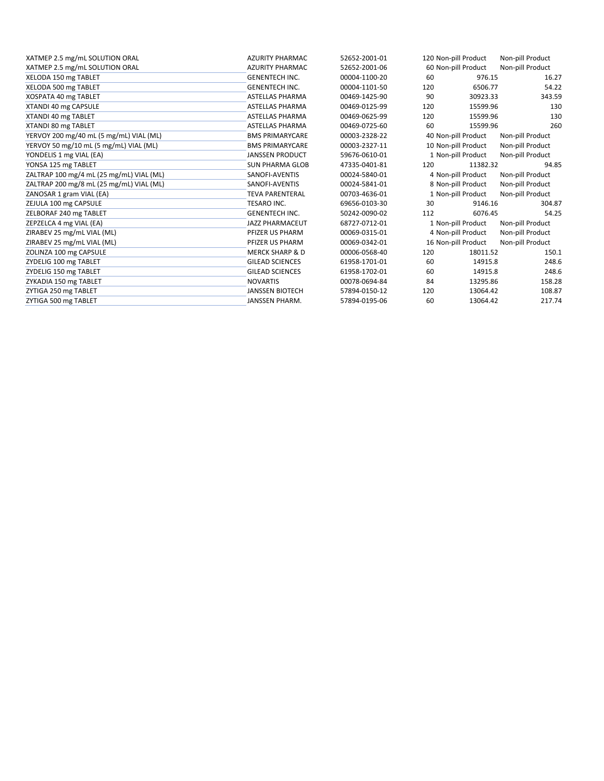| XATMEP 2.5 mg/mL SOLUTION ORAL           | <b>AZURITY PHARMAC</b>     | 52652-2001-01 |     | 120 Non-pill Product | Non-pill Product |
|------------------------------------------|----------------------------|---------------|-----|----------------------|------------------|
| XATMEP 2.5 mg/mL SOLUTION ORAL           | <b>AZURITY PHARMAC</b>     | 52652-2001-06 |     | 60 Non-pill Product  | Non-pill Product |
| XELODA 150 mg TABLET                     | <b>GENENTECH INC.</b>      | 00004-1100-20 | 60  | 976.15               | 16.27            |
| XELODA 500 mg TABLET                     | <b>GENENTECH INC.</b>      | 00004-1101-50 | 120 | 6506.77              | 54.22            |
| XOSPATA 40 mg TABLET                     | <b>ASTELLAS PHARMA</b>     | 00469-1425-90 | 90  | 30923.33             | 343.59           |
| XTANDI 40 mg CAPSULE                     | <b>ASTELLAS PHARMA</b>     | 00469-0125-99 | 120 | 15599.96             | 130              |
| XTANDI 40 mg TABLET                      | <b>ASTELLAS PHARMA</b>     | 00469-0625-99 | 120 | 15599.96             | 130              |
| XTANDI 80 mg TABLET                      | <b>ASTELLAS PHARMA</b>     | 00469-0725-60 | 60  | 15599.96             | 260              |
| YERVOY 200 mg/40 mL (5 mg/mL) VIAL (ML)  | <b>BMS PRIMARYCARE</b>     | 00003-2328-22 |     | 40 Non-pill Product  | Non-pill Product |
| YERVOY 50 mg/10 mL (5 mg/mL) VIAL (ML)   | <b>BMS PRIMARYCARE</b>     | 00003-2327-11 |     | 10 Non-pill Product  | Non-pill Product |
| YONDELIS 1 mg VIAL (EA)                  | <b>JANSSEN PRODUCT</b>     | 59676-0610-01 |     | 1 Non-pill Product   | Non-pill Product |
| YONSA 125 mg TABLET                      | <b>SUN PHARMA GLOB</b>     | 47335-0401-81 | 120 | 11382.32             | 94.85            |
| ZALTRAP 100 mg/4 mL (25 mg/mL) VIAL (ML) | SANOFI-AVENTIS             | 00024-5840-01 |     | 4 Non-pill Product   | Non-pill Product |
| ZALTRAP 200 mg/8 mL (25 mg/mL) VIAL (ML) | SANOFI-AVENTIS             | 00024-5841-01 |     | 8 Non-pill Product   | Non-pill Product |
| ZANOSAR 1 gram VIAL (EA)                 | <b>TEVA PARENTERAL</b>     | 00703-4636-01 |     | 1 Non-pill Product   | Non-pill Product |
| ZEJULA 100 mg CAPSULE                    | <b>TESARO INC.</b>         | 69656-0103-30 | 30  | 9146.16              | 304.87           |
| ZELBORAF 240 mg TABLET                   | <b>GENENTECH INC.</b>      | 50242-0090-02 | 112 | 6076.45              | 54.25            |
| ZEPZELCA 4 mg VIAL (EA)                  | <b>JAZZ PHARMACEUT</b>     | 68727-0712-01 |     | 1 Non-pill Product   | Non-pill Product |
| ZIRABEV 25 mg/mL VIAL (ML)               | PFIZER US PHARM            | 00069-0315-01 |     | 4 Non-pill Product   | Non-pill Product |
| ZIRABEV 25 mg/mL VIAL (ML)               | PFIZER US PHARM            | 00069-0342-01 |     | 16 Non-pill Product  | Non-pill Product |
| ZOLINZA 100 mg CAPSULE                   | <b>MERCK SHARP &amp; D</b> | 00006-0568-40 | 120 | 18011.52             | 150.1            |
| ZYDELIG 100 mg TABLET                    | <b>GILEAD SCIENCES</b>     | 61958-1701-01 | 60  | 14915.8              | 248.6            |
| ZYDELIG 150 mg TABLET                    | <b>GILEAD SCIENCES</b>     | 61958-1702-01 | 60  | 14915.8              | 248.6            |
| ZYKADIA 150 mg TABLET                    | <b>NOVARTIS</b>            | 00078-0694-84 | 84  | 13295.86             | 158.28           |
| ZYTIGA 250 mg TABLET                     | <b>JANSSEN BIOTECH</b>     | 57894-0150-12 | 120 | 13064.42             | 108.87           |
| ZYTIGA 500 mg TABLET                     | <b>JANSSEN PHARM.</b>      | 57894-0195-06 | 60  | 13064.42             | 217.74           |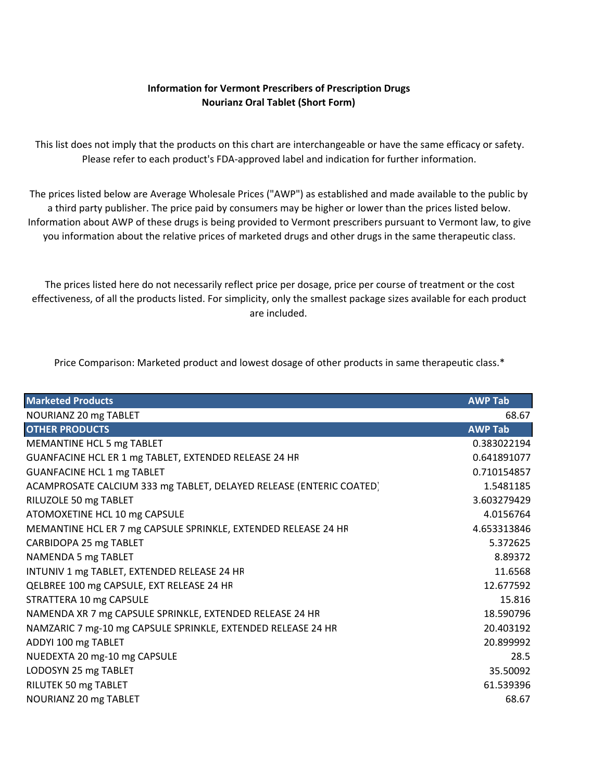## **Information for Vermont Prescribers of Prescription Drugs Nourianz Oral Tablet (Short Form)**

<span id="page-35-0"></span>This list does not imply that the products on this chart are interchangeable or have the same efficacy or safety. Please refer to each product's FDA‐approved label and indication for further information.

The prices listed below are Average Wholesale Prices ("AWP") as established and made available to the public by a third party publisher. The price paid by consumers may be higher or lower than the prices listed below. Information about AWP of these drugs is being provided to Vermont prescribers pursuant to Vermont law, to give you information about the relative prices of marketed drugs and other drugs in the same therapeutic class.

The prices listed here do not necessarily reflect price per dosage, price per course of treatment or the cost effectiveness, of all the products listed. For simplicity, only the smallest package sizes available for each product are included.

Price Comparison: Marketed product and lowest dosage of other products in same therapeutic class.\*

| <b>Marketed Products</b>                                            | <b>AWP Tab</b> |
|---------------------------------------------------------------------|----------------|
| NOURIANZ 20 mg TABLET                                               | 68.67          |
| <b>OTHER PRODUCTS</b>                                               | <b>AWP Tab</b> |
| MEMANTINE HCL 5 mg TABLET                                           | 0.383022194    |
| GUANFACINE HCL ER 1 mg TABLET, EXTENDED RELEASE 24 HR               | 0.641891077    |
| <b>GUANFACINE HCL 1 mg TABLET</b>                                   | 0.710154857    |
| ACAMPROSATE CALCIUM 333 mg TABLET, DELAYED RELEASE (ENTERIC COATED) | 1.5481185      |
| RILUZOLE 50 mg TABLET                                               | 3.603279429    |
| ATOMOXETINE HCL 10 mg CAPSULE                                       | 4.0156764      |
| MEMANTINE HCL ER 7 mg CAPSULE SPRINKLE, EXTENDED RELEASE 24 HR      | 4.653313846    |
| CARBIDOPA 25 mg TABLET                                              | 5.372625       |
| NAMENDA 5 mg TABLET                                                 | 8.89372        |
| INTUNIV 1 mg TABLET, EXTENDED RELEASE 24 HR                         | 11.6568        |
| QELBREE 100 mg CAPSULE, EXT RELEASE 24 HR                           | 12.677592      |
| STRATTERA 10 mg CAPSULE                                             | 15.816         |
| NAMENDA XR 7 mg CAPSULE SPRINKLE, EXTENDED RELEASE 24 HR            | 18.590796      |
| NAMZARIC 7 mg-10 mg CAPSULE SPRINKLE, EXTENDED RELEASE 24 HR        | 20.403192      |
| ADDYI 100 mg TABLET                                                 | 20.899992      |
| NUEDEXTA 20 mg-10 mg CAPSULE                                        | 28.5           |
| LODOSYN 25 mg TABLET                                                | 35.50092       |
| RILUTEK 50 mg TABLET                                                | 61.539396      |
| NOURIANZ 20 mg TABLET                                               | 68.67          |
|                                                                     |                |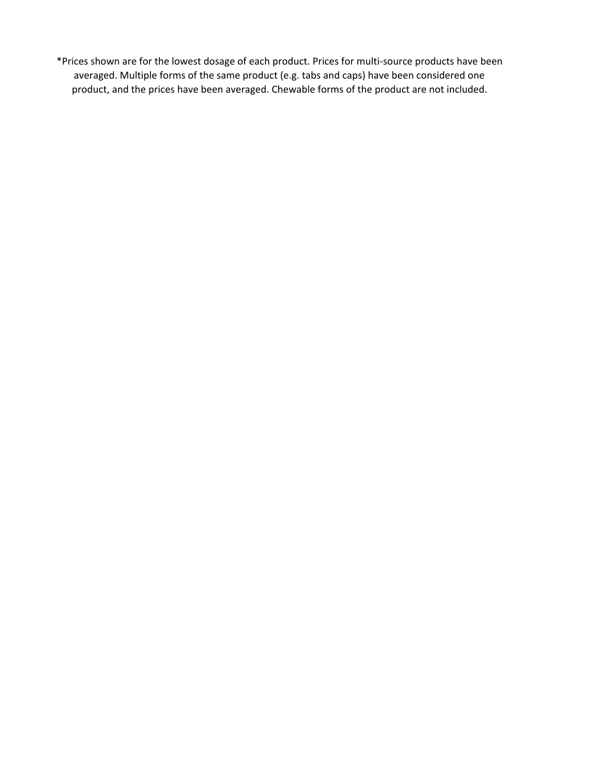\*Prices shown are for the lowest dosage of each product. Prices for multi‐source products have been averaged. Multiple forms of the same product (e.g. tabs and caps) have been considered one product, and the prices have been averaged. Chewable forms of the product are not included.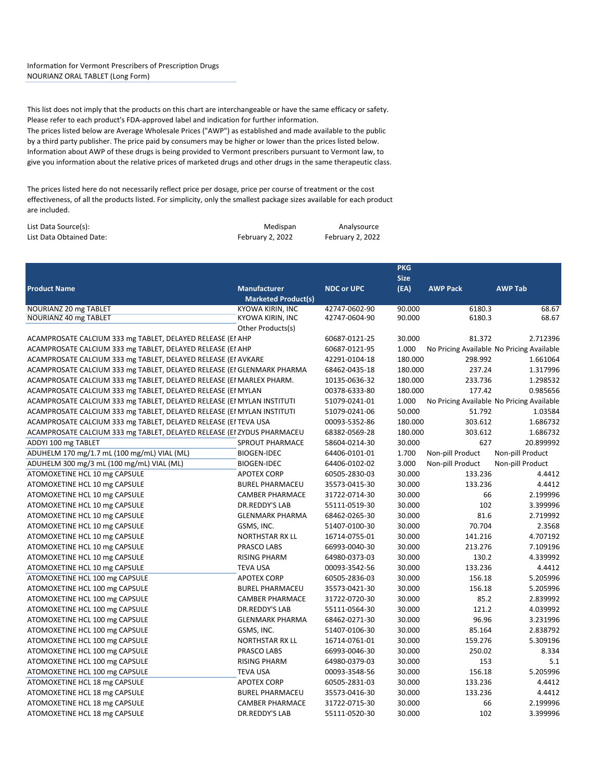### <span id="page-37-0"></span>Information for Vermont Prescribers of Prescription Drugs NOURIANZ ORAL TABLET (Long Form)

This list does not imply that the products on this chart are interchangeable or have the same efficacy or safety. Please refer to each product's FDA‐approved label and indication for further information. The prices listed below are Average Wholesale Prices ("AWP") as established and made available to the public by a third party publisher. The price paid by consumers may be higher or lower than the prices listed below. Information about AWP of these drugs is being provided to Vermont prescribers pursuant to Vermont law, to give you information about the relative prices of marketed drugs and other drugs in the same therapeutic class.

The prices listed here do not necessarily reflect price per dosage, price per course of treatment or the cost effectiveness, of all the products listed. For simplicity, only the smallest package sizes available for each product are included.

| List Data Source(s):     | Medispan         | Analysource      |
|--------------------------|------------------|------------------|
| List Data Obtained Date: | February 2, 2022 | February 2, 2022 |

|                                                                        |                            |                   | <b>PKG</b>  |                                           |                  |
|------------------------------------------------------------------------|----------------------------|-------------------|-------------|-------------------------------------------|------------------|
|                                                                        |                            |                   | <b>Size</b> |                                           |                  |
| <b>Product Name</b>                                                    | <b>Manufacturer</b>        | <b>NDC or UPC</b> | (EA)        | <b>AWP Pack</b>                           | <b>AWP Tab</b>   |
|                                                                        | <b>Marketed Product(s)</b> |                   |             |                                           |                  |
| NOURIANZ 20 mg TABLET                                                  | KYOWA KIRIN, INC           | 42747-0602-90     | 90.000      | 6180.3                                    | 68.67            |
| NOURIANZ 40 mg TABLET                                                  | KYOWA KIRIN, INC           | 42747-0604-90     | 90.000      | 6180.3                                    | 68.67            |
|                                                                        | Other Products(s)          |                   |             |                                           |                  |
| ACAMPROSATE CALCIUM 333 mg TABLET, DELAYED RELEASE (EI AHP             |                            | 60687-0121-25     | 30.000      | 81.372                                    | 2.712396         |
| ACAMPROSATE CALCIUM 333 mg TABLET, DELAYED RELEASE (EI AHP             |                            | 60687-0121-95     | 1.000       | No Pricing Available No Pricing Available |                  |
| ACAMPROSATE CALCIUM 333 mg TABLET, DELAYED RELEASE (EI AVKARE          |                            | 42291-0104-18     | 180.000     | 298.992                                   | 1.661064         |
| ACAMPROSATE CALCIUM 333 mg TABLET, DELAYED RELEASE (EI GLENMARK PHARMA |                            | 68462-0435-18     | 180.000     | 237.24                                    | 1.317996         |
| ACAMPROSATE CALCIUM 333 mg TABLET, DELAYED RELEASE (EI MARLEX PHARM.   |                            | 10135-0636-32     | 180.000     | 233.736                                   | 1.298532         |
| ACAMPROSATE CALCIUM 333 mg TABLET, DELAYED RELEASE (EI MYLAN           |                            | 00378-6333-80     | 180.000     | 177.42                                    | 0.985656         |
| ACAMPROSATE CALCIUM 333 mg TABLET, DELAYED RELEASE (EI MYLAN INSTITUTI |                            | 51079-0241-01     | 1.000       | No Pricing Available No Pricing Available |                  |
| ACAMPROSATE CALCIUM 333 mg TABLET, DELAYED RELEASE (EI MYLAN INSTITUTI |                            | 51079-0241-06     | 50.000      | 51.792                                    | 1.03584          |
| ACAMPROSATE CALCIUM 333 mg TABLET, DELAYED RELEASE (EI TEVA USA        |                            | 00093-5352-86     | 180.000     | 303.612                                   | 1.686732         |
| ACAMPROSATE CALCIUM 333 mg TABLET, DELAYED RELEASE (EI ZYDUS PHARMACEU |                            | 68382-0569-28     | 180.000     | 303.612                                   | 1.686732         |
| ADDYI 100 mg TABLET                                                    | SPROUT PHARMACE            | 58604-0214-30     | 30.000      | 627                                       | 20.899992        |
| ADUHELM 170 mg/1.7 mL (100 mg/mL) VIAL (ML)                            | <b>BIOGEN-IDEC</b>         | 64406-0101-01     | 1.700       | Non-pill Product                          | Non-pill Product |
| ADUHELM 300 mg/3 mL (100 mg/mL) VIAL (ML)                              | <b>BIOGEN-IDEC</b>         | 64406-0102-02     | 3.000       | Non-pill Product                          | Non-pill Product |
| ATOMOXETINE HCL 10 mg CAPSULE                                          | <b>APOTEX CORP</b>         | 60505-2830-03     | 30.000      | 133.236                                   | 4.4412           |
| ATOMOXETINE HCL 10 mg CAPSULE                                          | <b>BUREL PHARMACEU</b>     | 35573-0415-30     | 30.000      | 133.236                                   | 4.4412           |
| ATOMOXETINE HCL 10 mg CAPSULE                                          | <b>CAMBER PHARMACE</b>     | 31722-0714-30     | 30.000      | 66                                        | 2.199996         |
| ATOMOXETINE HCL 10 mg CAPSULE                                          | <b>DR.REDDY'S LAB</b>      | 55111-0519-30     | 30.000      | 102                                       | 3.399996         |
| ATOMOXETINE HCL 10 mg CAPSULE                                          | <b>GLENMARK PHARMA</b>     | 68462-0265-30     | 30.000      | 81.6                                      | 2.719992         |
| ATOMOXETINE HCL 10 mg CAPSULE                                          | GSMS, INC.                 | 51407-0100-30     | 30.000      | 70.704                                    | 2.3568           |
| ATOMOXETINE HCL 10 mg CAPSULE                                          | <b>NORTHSTAR RX LL</b>     | 16714-0755-01     | 30.000      | 141.216                                   | 4.707192         |
| ATOMOXETINE HCL 10 mg CAPSULE                                          | PRASCO LABS                | 66993-0040-30     | 30.000      | 213.276                                   | 7.109196         |
| ATOMOXETINE HCL 10 mg CAPSULE                                          | <b>RISING PHARM</b>        | 64980-0373-03     | 30.000      | 130.2                                     | 4.339992         |
| ATOMOXETINE HCL 10 mg CAPSULE                                          | <b>TEVA USA</b>            | 00093-3542-56     | 30.000      | 133.236                                   | 4.4412           |
| ATOMOXETINE HCL 100 mg CAPSULE                                         | <b>APOTEX CORP</b>         | 60505-2836-03     | 30.000      | 156.18                                    | 5.205996         |
| ATOMOXETINE HCL 100 mg CAPSULE                                         | <b>BUREL PHARMACEU</b>     | 35573-0421-30     | 30.000      | 156.18                                    | 5.205996         |
| ATOMOXETINE HCL 100 mg CAPSULE                                         | <b>CAMBER PHARMACE</b>     | 31722-0720-30     | 30.000      | 85.2                                      | 2.839992         |
| ATOMOXETINE HCL 100 mg CAPSULE                                         | <b>DR.REDDY'S LAB</b>      | 55111-0564-30     | 30.000      | 121.2                                     | 4.039992         |
| ATOMOXETINE HCL 100 mg CAPSULE                                         | <b>GLENMARK PHARMA</b>     | 68462-0271-30     | 30.000      | 96.96                                     | 3.231996         |
| ATOMOXETINE HCL 100 mg CAPSULE                                         | GSMS, INC.                 | 51407-0106-30     | 30.000      | 85.164                                    | 2.838792         |
| ATOMOXETINE HCL 100 mg CAPSULE                                         | <b>NORTHSTAR RX LL</b>     | 16714-0761-01     | 30.000      | 159.276                                   | 5.309196         |
| ATOMOXETINE HCL 100 mg CAPSULE                                         | PRASCO LABS                | 66993-0046-30     | 30.000      | 250.02                                    | 8.334            |
| ATOMOXETINE HCL 100 mg CAPSULE                                         | <b>RISING PHARM</b>        | 64980-0379-03     | 30.000      | 153                                       | 5.1              |
| ATOMOXETINE HCL 100 mg CAPSULE                                         | <b>TEVA USA</b>            | 00093-3548-56     | 30.000      | 156.18                                    | 5.205996         |
| ATOMOXETINE HCL 18 mg CAPSULE                                          | <b>APOTEX CORP</b>         | 60505-2831-03     | 30.000      | 133.236                                   | 4.4412           |
| ATOMOXETINE HCL 18 mg CAPSULE                                          | <b>BUREL PHARMACEU</b>     | 35573-0416-30     | 30.000      | 133.236                                   | 4.4412           |
| ATOMOXETINE HCL 18 mg CAPSULE                                          | <b>CAMBER PHARMACE</b>     | 31722-0715-30     | 30.000      | 66                                        | 2.199996         |
| ATOMOXETINE HCL 18 mg CAPSULE                                          | <b>DR.REDDY'S LAB</b>      | 55111-0520-30     | 30.000      | 102                                       | 3.399996         |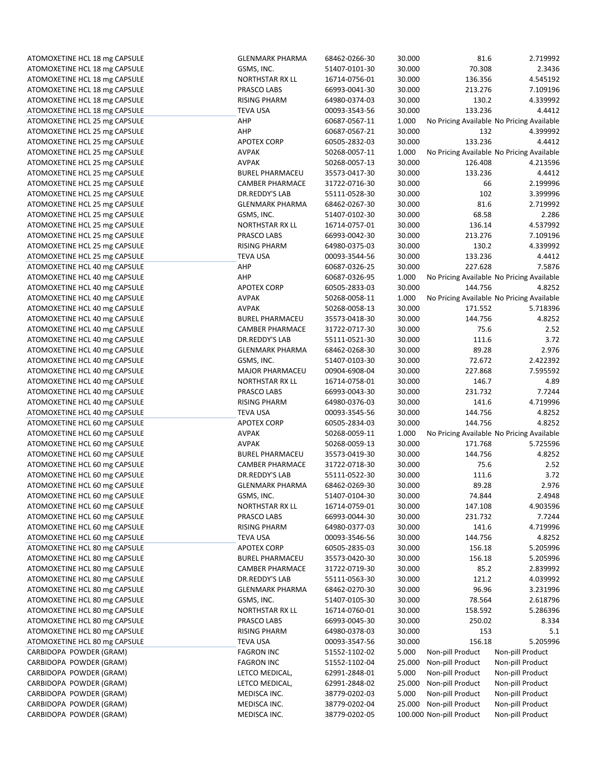| ATOMOXETINE HCL 18 mg CAPSULE | <b>GLENMARK PHARMA</b> | 68462-0266-30 | 30.000 | 81.6                     | 2.719992                                  |
|-------------------------------|------------------------|---------------|--------|--------------------------|-------------------------------------------|
| ATOMOXETINE HCL 18 mg CAPSULE | GSMS, INC.             | 51407-0101-30 | 30.000 | 70.308                   | 2.3436                                    |
| ATOMOXETINE HCL 18 mg CAPSULE | <b>NORTHSTAR RX LL</b> | 16714-0756-01 | 30.000 | 136.356                  | 4.545192                                  |
| ATOMOXETINE HCL 18 mg CAPSULE | PRASCO LABS            | 66993-0041-30 | 30.000 | 213.276                  | 7.109196                                  |
| ATOMOXETINE HCL 18 mg CAPSULE | <b>RISING PHARM</b>    | 64980-0374-03 | 30.000 | 130.2                    | 4.339992                                  |
| ATOMOXETINE HCL 18 mg CAPSULE | <b>TEVA USA</b>        | 00093-3543-56 | 30.000 | 133.236                  | 4.4412                                    |
| ATOMOXETINE HCL 25 mg CAPSULE | AHP                    | 60687-0567-11 | 1.000  |                          | No Pricing Available No Pricing Available |
| ATOMOXETINE HCL 25 mg CAPSULE | AHP                    | 60687-0567-21 | 30.000 | 132                      | 4.399992                                  |
| ATOMOXETINE HCL 25 mg CAPSULE | <b>APOTEX CORP</b>     | 60505-2832-03 | 30.000 | 133.236                  | 4.4412                                    |
| ATOMOXETINE HCL 25 mg CAPSULE | <b>AVPAK</b>           | 50268-0057-11 | 1.000  |                          | No Pricing Available No Pricing Available |
| ATOMOXETINE HCL 25 mg CAPSULE | <b>AVPAK</b>           | 50268-0057-13 | 30.000 | 126.408                  | 4.213596                                  |
| ATOMOXETINE HCL 25 mg CAPSULE | <b>BUREL PHARMACEU</b> | 35573-0417-30 | 30.000 | 133.236                  | 4.4412                                    |
| ATOMOXETINE HCL 25 mg CAPSULE | <b>CAMBER PHARMACE</b> | 31722-0716-30 | 30.000 | 66                       | 2.199996                                  |
| ATOMOXETINE HCL 25 mg CAPSULE | DR.REDDY'S LAB         | 55111-0528-30 | 30.000 | 102                      | 3.399996                                  |
| ATOMOXETINE HCL 25 mg CAPSULE | <b>GLENMARK PHARMA</b> | 68462-0267-30 | 30.000 | 81.6                     | 2.719992                                  |
| ATOMOXETINE HCL 25 mg CAPSULE | GSMS, INC.             | 51407-0102-30 | 30.000 | 68.58                    | 2.286                                     |
| ATOMOXETINE HCL 25 mg CAPSULE | <b>NORTHSTAR RX LL</b> | 16714-0757-01 | 30.000 | 136.14                   | 4.537992                                  |
| ATOMOXETINE HCL 25 mg CAPSULE | PRASCO LABS            | 66993-0042-30 | 30.000 | 213.276                  | 7.109196                                  |
| ATOMOXETINE HCL 25 mg CAPSULE | <b>RISING PHARM</b>    | 64980-0375-03 | 30.000 | 130.2                    | 4.339992                                  |
| ATOMOXETINE HCL 25 mg CAPSULE | <b>TEVA USA</b>        | 00093-3544-56 | 30.000 | 133.236                  | 4.4412                                    |
| ATOMOXETINE HCL 40 mg CAPSULE | AHP                    | 60687-0326-25 | 30.000 | 227.628                  | 7.5876                                    |
| ATOMOXETINE HCL 40 mg CAPSULE | AHP                    | 60687-0326-95 | 1.000  |                          | No Pricing Available No Pricing Available |
| ATOMOXETINE HCL 40 mg CAPSULE | <b>APOTEX CORP</b>     | 60505-2833-03 | 30.000 | 144.756                  | 4.8252                                    |
| ATOMOXETINE HCL 40 mg CAPSULE | <b>AVPAK</b>           | 50268-0058-11 | 1.000  |                          | No Pricing Available No Pricing Available |
| ATOMOXETINE HCL 40 mg CAPSULE | <b>AVPAK</b>           | 50268-0058-13 | 30.000 | 171.552                  | 5.718396                                  |
| ATOMOXETINE HCL 40 mg CAPSULE | <b>BUREL PHARMACEU</b> | 35573-0418-30 | 30.000 | 144.756                  | 4.8252                                    |
| ATOMOXETINE HCL 40 mg CAPSULE | <b>CAMBER PHARMACE</b> | 31722-0717-30 | 30.000 | 75.6                     | 2.52                                      |
| ATOMOXETINE HCL 40 mg CAPSULE | DR.REDDY'S LAB         | 55111-0521-30 | 30.000 | 111.6                    | 3.72                                      |
| ATOMOXETINE HCL 40 mg CAPSULE | <b>GLENMARK PHARMA</b> | 68462-0268-30 | 30.000 | 89.28                    | 2.976                                     |
| ATOMOXETINE HCL 40 mg CAPSULE | GSMS, INC.             | 51407-0103-30 | 30.000 | 72.672                   | 2.422392                                  |
| ATOMOXETINE HCL 40 mg CAPSULE | <b>MAJOR PHARMACEU</b> | 00904-6908-04 | 30.000 | 227.868                  | 7.595592                                  |
| ATOMOXETINE HCL 40 mg CAPSULE | <b>NORTHSTAR RX LL</b> | 16714-0758-01 | 30.000 | 146.7                    | 4.89                                      |
| ATOMOXETINE HCL 40 mg CAPSULE | PRASCO LABS            | 66993-0043-30 | 30.000 | 231.732                  | 7.7244                                    |
| ATOMOXETINE HCL 40 mg CAPSULE | <b>RISING PHARM</b>    | 64980-0376-03 | 30.000 | 141.6                    | 4.719996                                  |
| ATOMOXETINE HCL 40 mg CAPSULE | <b>TEVA USA</b>        | 00093-3545-56 | 30.000 | 144.756                  | 4.8252                                    |
| ATOMOXETINE HCL 60 mg CAPSULE | <b>APOTEX CORP</b>     | 60505-2834-03 | 30.000 | 144.756                  | 4.8252                                    |
| ATOMOXETINE HCL 60 mg CAPSULE | <b>AVPAK</b>           | 50268-0059-11 | 1.000  |                          | No Pricing Available No Pricing Available |
| ATOMOXETINE HCL 60 mg CAPSULE | <b>AVPAK</b>           | 50268-0059-13 | 30.000 | 171.768                  | 5.725596                                  |
| ATOMOXETINE HCL 60 mg CAPSULE | <b>BUREL PHARMACEU</b> | 35573-0419-30 | 30.000 | 144.756                  | 4.8252                                    |
| ATOMOXETINE HCL 60 mg CAPSULE | <b>CAMBER PHARMACE</b> | 31722-0718-30 | 30.000 | 75.6                     | 2.52                                      |
| ATOMOXETINE HCL 60 mg CAPSULE | DR.REDDY'S LAB         | 55111-0522-30 | 30.000 | 111.6                    | 3.72                                      |
| ATOMOXETINE HCL 60 mg CAPSULE | <b>GLENMARK PHARMA</b> | 68462-0269-30 | 30.000 | 89.28                    | 2.976                                     |
| ATOMOXETINE HCL 60 mg CAPSULE | GSMS, INC.             | 51407-0104-30 | 30.000 | 74.844                   | 2.4948                                    |
| ATOMOXETINE HCL 60 mg CAPSULE | <b>NORTHSTAR RX LL</b> | 16714-0759-01 | 30.000 | 147.108                  | 4.903596                                  |
| ATOMOXETINE HCL 60 mg CAPSULE | PRASCO LABS            | 66993-0044-30 | 30.000 | 231.732                  | 7.7244                                    |
| ATOMOXETINE HCL 60 mg CAPSULE | <b>RISING PHARM</b>    | 64980-0377-03 | 30.000 | 141.6                    | 4.719996                                  |
| ATOMOXETINE HCL 60 mg CAPSULE | <b>TEVA USA</b>        | 00093-3546-56 | 30.000 | 144.756                  | 4.8252                                    |
| ATOMOXETINE HCL 80 mg CAPSULE | <b>APOTEX CORP</b>     | 60505-2835-03 | 30.000 | 156.18                   | 5.205996                                  |
| ATOMOXETINE HCL 80 mg CAPSULE | <b>BUREL PHARMACEU</b> | 35573-0420-30 | 30.000 | 156.18                   | 5.205996                                  |
| ATOMOXETINE HCL 80 mg CAPSULE | <b>CAMBER PHARMACE</b> | 31722-0719-30 | 30.000 | 85.2                     | 2.839992                                  |
| ATOMOXETINE HCL 80 mg CAPSULE | DR.REDDY'S LAB         | 55111-0563-30 | 30.000 | 121.2                    | 4.039992                                  |
| ATOMOXETINE HCL 80 mg CAPSULE | <b>GLENMARK PHARMA</b> | 68462-0270-30 | 30.000 | 96.96                    | 3.231996                                  |
| ATOMOXETINE HCL 80 mg CAPSULE | GSMS, INC.             | 51407-0105-30 | 30.000 | 78.564                   | 2.618796                                  |
| ATOMOXETINE HCL 80 mg CAPSULE | <b>NORTHSTAR RX LL</b> | 16714-0760-01 | 30.000 | 158.592                  | 5.286396                                  |
| ATOMOXETINE HCL 80 mg CAPSULE | PRASCO LABS            | 66993-0045-30 | 30.000 | 250.02                   | 8.334                                     |
| ATOMOXETINE HCL 80 mg CAPSULE | <b>RISING PHARM</b>    | 64980-0378-03 | 30.000 | 153                      | 5.1                                       |
| ATOMOXETINE HCL 80 mg CAPSULE | <b>TEVA USA</b>        | 00093-3547-56 | 30.000 | 156.18                   | 5.205996                                  |
| CARBIDOPA POWDER (GRAM)       | <b>FAGRON INC</b>      | 51552-1102-02 | 5.000  | Non-pill Product         | Non-pill Product                          |
| CARBIDOPA POWDER (GRAM)       | <b>FAGRON INC</b>      | 51552-1102-04 | 25.000 | Non-pill Product         | Non-pill Product                          |
| CARBIDOPA POWDER (GRAM)       | LETCO MEDICAL,         | 62991-2848-01 | 5.000  | Non-pill Product         | Non-pill Product                          |
| CARBIDOPA POWDER (GRAM)       | LETCO MEDICAL,         | 62991-2848-02 | 25.000 | Non-pill Product         | Non-pill Product                          |
| CARBIDOPA POWDER (GRAM)       | MEDISCA INC.           | 38779-0202-03 | 5.000  | Non-pill Product         | Non-pill Product                          |
| CARBIDOPA POWDER (GRAM)       | MEDISCA INC.           | 38779-0202-04 | 25.000 | Non-pill Product         | Non-pill Product                          |
| CARBIDOPA POWDER (GRAM)       | MEDISCA INC.           | 38779-0202-05 |        | 100.000 Non-pill Product | Non-pill Product                          |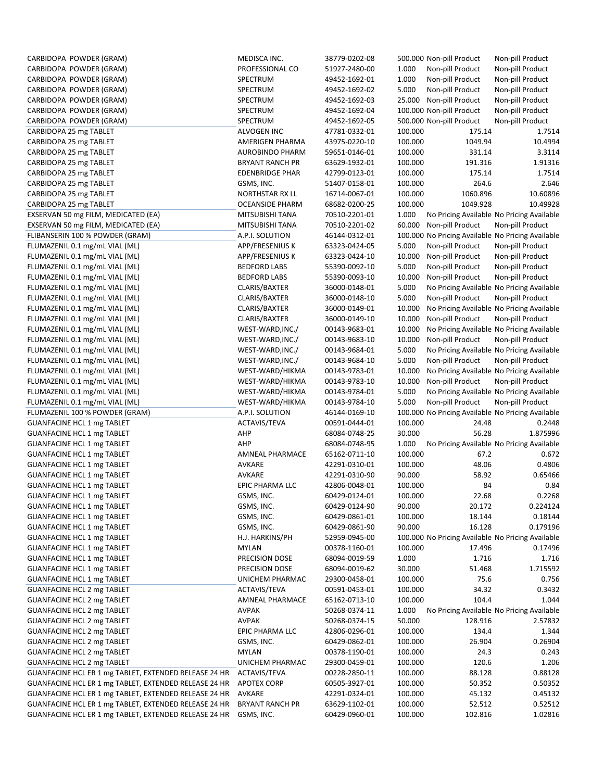| CARBIDOPA POWDER (GRAM)                                                | MEDISCA INC.             | 38779-0202-08                  |                   | 500.000 Non-pill Product                          | Non-pill Product                          |
|------------------------------------------------------------------------|--------------------------|--------------------------------|-------------------|---------------------------------------------------|-------------------------------------------|
| CARBIDOPA POWDER (GRAM)                                                | PROFESSIONAL CO          | 51927-2480-00                  | 1.000             | Non-pill Product                                  | Non-pill Product                          |
| CARBIDOPA POWDER (GRAM)                                                | SPECTRUM                 | 49452-1692-01                  | 1.000             | Non-pill Product                                  | Non-pill Product                          |
| CARBIDOPA POWDER (GRAM)                                                | SPECTRUM                 | 49452-1692-02                  | 5.000             | Non-pill Product                                  | Non-pill Product                          |
| CARBIDOPA POWDER (GRAM)                                                | SPECTRUM                 | 49452-1692-03                  | 25.000            | Non-pill Product                                  | Non-pill Product                          |
| CARBIDOPA POWDER (GRAM)                                                | SPECTRUM                 | 49452-1692-04                  |                   | 100.000 Non-pill Product                          | Non-pill Product                          |
| CARBIDOPA POWDER (GRAM)                                                | SPECTRUM                 | 49452-1692-05                  |                   | 500.000 Non-pill Product                          | Non-pill Product                          |
| CARBIDOPA 25 mg TABLET                                                 | ALVOGEN INC              | 47781-0332-01                  | 100.000           | 175.14                                            | 1.7514                                    |
| CARBIDOPA 25 mg TABLET                                                 | AMERIGEN PHARMA          | 43975-0220-10                  | 100.000           | 1049.94                                           | 10.4994                                   |
| CARBIDOPA 25 mg TABLET                                                 | <b>AUROBINDO PHARM</b>   | 59651-0146-01                  | 100.000           | 331.14                                            | 3.3114                                    |
| CARBIDOPA 25 mg TABLET                                                 | <b>BRYANT RANCH PR</b>   | 63629-1932-01                  | 100.000           | 191.316                                           | 1.91316                                   |
| CARBIDOPA 25 mg TABLET                                                 | <b>EDENBRIDGE PHAR</b>   | 42799-0123-01                  | 100.000           | 175.14                                            | 1.7514                                    |
| CARBIDOPA 25 mg TABLET                                                 | GSMS, INC.               | 51407-0158-01                  | 100.000           | 264.6                                             | 2.646                                     |
| CARBIDOPA 25 mg TABLET                                                 | <b>NORTHSTAR RX LL</b>   | 16714-0067-01                  | 100.000           | 1060.896                                          | 10.60896                                  |
| CARBIDOPA 25 mg TABLET                                                 | <b>OCEANSIDE PHARM</b>   | 68682-0200-25                  | 100.000           | 1049.928                                          | 10.49928                                  |
| EXSERVAN 50 mg FILM, MEDICATED (EA)                                    | MITSUBISHI TANA          | 70510-2201-01                  | 1.000             |                                                   | No Pricing Available No Pricing Available |
| EXSERVAN 50 mg FILM, MEDICATED (EA)                                    | MITSUBISHI TANA          | 70510-2201-02                  | 60.000            | Non-pill Product                                  | Non-pill Product                          |
| FLIBANSERIN 100 % POWDER (GRAM)                                        | A.P.I. SOLUTION          | 46144-0312-01                  |                   | 100.000 No Pricing Available No Pricing Available |                                           |
| FLUMAZENIL 0.1 mg/mL VIAL (ML)                                         | APP/FRESENIUS K          | 63323-0424-05                  | 5.000             | Non-pill Product                                  | Non-pill Product                          |
| FLUMAZENIL 0.1 mg/mL VIAL (ML)                                         | APP/FRESENIUS K          | 63323-0424-10                  | 10.000            | Non-pill Product                                  | Non-pill Product                          |
| FLUMAZENIL 0.1 mg/mL VIAL (ML)                                         | <b>BEDFORD LABS</b>      | 55390-0092-10                  | 5.000             | Non-pill Product                                  | Non-pill Product                          |
| FLUMAZENIL 0.1 mg/mL VIAL (ML)                                         | <b>BEDFORD LABS</b>      | 55390-0093-10                  | 10.000            | Non-pill Product                                  | Non-pill Product                          |
| FLUMAZENIL 0.1 mg/mL VIAL (ML)                                         | CLARIS/BAXTER            | 36000-0148-01                  | 5.000             |                                                   | No Pricing Available No Pricing Available |
| FLUMAZENIL 0.1 mg/mL VIAL (ML)                                         | CLARIS/BAXTER            | 36000-0148-10                  | 5.000             | Non-pill Product                                  | Non-pill Product                          |
| FLUMAZENIL 0.1 mg/mL VIAL (ML)                                         | CLARIS/BAXTER            | 36000-0149-01                  | 10.000            |                                                   | No Pricing Available No Pricing Available |
| FLUMAZENIL 0.1 mg/mL VIAL (ML)                                         | CLARIS/BAXTER            | 36000-0149-10                  | 10.000            | Non-pill Product                                  | Non-pill Product                          |
| FLUMAZENIL 0.1 mg/mL VIAL (ML)                                         | WEST-WARD, INC./         | 00143-9683-01                  | 10.000            |                                                   | No Pricing Available No Pricing Available |
| FLUMAZENIL 0.1 mg/mL VIAL (ML)                                         | WEST-WARD, INC./         | 00143-9683-10                  | 10.000            | Non-pill Product                                  | Non-pill Product                          |
| FLUMAZENIL 0.1 mg/mL VIAL (ML)                                         | WEST-WARD, INC./         | 00143-9684-01                  | 5.000             |                                                   | No Pricing Available No Pricing Available |
| FLUMAZENIL 0.1 mg/mL VIAL (ML)                                         | WEST-WARD, INC./         | 00143-9684-10                  | 5.000             | Non-pill Product                                  | Non-pill Product                          |
| FLUMAZENIL 0.1 mg/mL VIAL (ML)                                         | WEST-WARD/HIKMA          | 00143-9783-01                  | 10.000            |                                                   | No Pricing Available No Pricing Available |
| FLUMAZENIL 0.1 mg/mL VIAL (ML)                                         | WEST-WARD/HIKMA          | 00143-9783-10                  | 10.000            | Non-pill Product                                  | Non-pill Product                          |
| FLUMAZENIL 0.1 mg/mL VIAL (ML)                                         | WEST-WARD/HIKMA          | 00143-9784-01                  | 5.000             |                                                   | No Pricing Available No Pricing Available |
| FLUMAZENIL 0.1 mg/mL VIAL (ML)                                         | WEST-WARD/HIKMA          | 00143-9784-10                  | 5.000             | Non-pill Product                                  | Non-pill Product                          |
| FLUMAZENIL 100 % POWDER (GRAM)                                         | A.P.I. SOLUTION          | 46144-0169-10                  |                   | 100.000 No Pricing Available No Pricing Available |                                           |
| <b>GUANFACINE HCL 1 mg TABLET</b>                                      | ACTAVIS/TEVA             | 00591-0444-01                  | 100.000           | 24.48                                             | 0.2448                                    |
| <b>GUANFACINE HCL 1 mg TABLET</b>                                      | AHP                      | 68084-0748-25                  | 30.000            | 56.28                                             | 1.875996                                  |
| <b>GUANFACINE HCL 1 mg TABLET</b>                                      | AHP                      | 68084-0748-95                  | 1.000             |                                                   | No Pricing Available No Pricing Available |
| <b>GUANFACINE HCL 1 mg TABLET</b>                                      | AMNEAL PHARMACE          | 65162-0711-10                  | 100.000           | 67.2                                              | 0.672                                     |
| <b>GUANFACINE HCL 1 mg TABLET</b>                                      | AVKARE                   | 42291-0310-01                  | 100.000           | 48.06                                             | 0.4806                                    |
| <b>GUANFACINE HCL 1 mg TABLET</b>                                      | AVKARE                   | 42291-0310-90                  | 90.000            | 58.92                                             | 0.65466                                   |
| <b>GUANFACINE HCL 1 mg TABLET</b>                                      | EPIC PHARMA LLC          | 42806-0048-01                  | 100.000           | 84                                                | 0.84<br>0.2268                            |
| <b>GUANFACINE HCL 1 mg TABLET</b>                                      | GSMS, INC.               | 60429-0124-01                  | 100.000           | 22.68                                             |                                           |
| <b>GUANFACINE HCL 1 mg TABLET</b><br><b>GUANFACINE HCL 1 mg TABLET</b> | GSMS, INC.<br>GSMS, INC. | 60429-0124-90                  | 90.000            | 20.172<br>18.144                                  | 0.224124<br>0.18144                       |
| <b>GUANFACINE HCL 1 mg TABLET</b>                                      | GSMS, INC.               | 60429-0861-01<br>60429-0861-90 | 100.000<br>90.000 | 16.128                                            | 0.179196                                  |
| <b>GUANFACINE HCL 1 mg TABLET</b>                                      | H.J. HARKINS/PH          | 52959-0945-00                  |                   | 100.000 No Pricing Available No Pricing Available |                                           |
| <b>GUANFACINE HCL 1 mg TABLET</b>                                      | MYLAN                    | 00378-1160-01                  | 100.000           | 17.496                                            | 0.17496                                   |
| <b>GUANFACINE HCL 1 mg TABLET</b>                                      | PRECISION DOSE           | 68094-0019-59                  | 1.000             | 1.716                                             |                                           |
| <b>GUANFACINE HCL 1 mg TABLET</b>                                      | PRECISION DOSE           | 68094-0019-62                  | 30.000            | 51.468                                            | 1.716<br>1.715592                         |
| <b>GUANFACINE HCL 1 mg TABLET</b>                                      | UNICHEM PHARMAC          | 29300-0458-01                  | 100.000           | 75.6                                              | 0.756                                     |
| <b>GUANFACINE HCL 2 mg TABLET</b>                                      | ACTAVIS/TEVA             | 00591-0453-01                  | 100.000           | 34.32                                             | 0.3432                                    |
| <b>GUANFACINE HCL 2 mg TABLET</b>                                      | <b>AMNEAL PHARMACE</b>   | 65162-0713-10                  | 100.000           | 104.4                                             | 1.044                                     |
| <b>GUANFACINE HCL 2 mg TABLET</b>                                      | AVPAK                    | 50268-0374-11                  | 1.000             |                                                   | No Pricing Available No Pricing Available |
| <b>GUANFACINE HCL 2 mg TABLET</b>                                      | <b>AVPAK</b>             | 50268-0374-15                  | 50.000            | 128.916                                           | 2.57832                                   |
| <b>GUANFACINE HCL 2 mg TABLET</b>                                      | EPIC PHARMA LLC          | 42806-0296-01                  | 100.000           | 134.4                                             | 1.344                                     |
| <b>GUANFACINE HCL 2 mg TABLET</b>                                      | GSMS, INC.               | 60429-0862-01                  | 100.000           | 26.904                                            | 0.26904                                   |
| <b>GUANFACINE HCL 2 mg TABLET</b>                                      | <b>MYLAN</b>             | 00378-1190-01                  | 100.000           | 24.3                                              | 0.243                                     |
| <b>GUANFACINE HCL 2 mg TABLET</b>                                      | UNICHEM PHARMAC          | 29300-0459-01                  | 100.000           | 120.6                                             | 1.206                                     |
| GUANFACINE HCL ER 1 mg TABLET, EXTENDED RELEASE 24 HR                  | ACTAVIS/TEVA             | 00228-2850-11                  | 100.000           | 88.128                                            | 0.88128                                   |
| GUANFACINE HCL ER 1 mg TABLET, EXTENDED RELEASE 24 HR                  | <b>APOTEX CORP</b>       | 60505-3927-01                  | 100.000           | 50.352                                            | 0.50352                                   |
| GUANFACINE HCL ER 1 mg TABLET, EXTENDED RELEASE 24 HR                  | AVKARE                   | 42291-0324-01                  | 100.000           | 45.132                                            | 0.45132                                   |
| GUANFACINE HCL ER 1 mg TABLET, EXTENDED RELEASE 24 HR                  | <b>BRYANT RANCH PR</b>   | 63629-1102-01                  | 100.000           | 52.512                                            | 0.52512                                   |
| GUANFACINE HCL ER 1 mg TABLET, EXTENDED RELEASE 24 HR                  | GSMS, INC.               | 60429-0960-01                  | 100.000           | 102.816                                           | 1.02816                                   |
|                                                                        |                          |                                |                   |                                                   |                                           |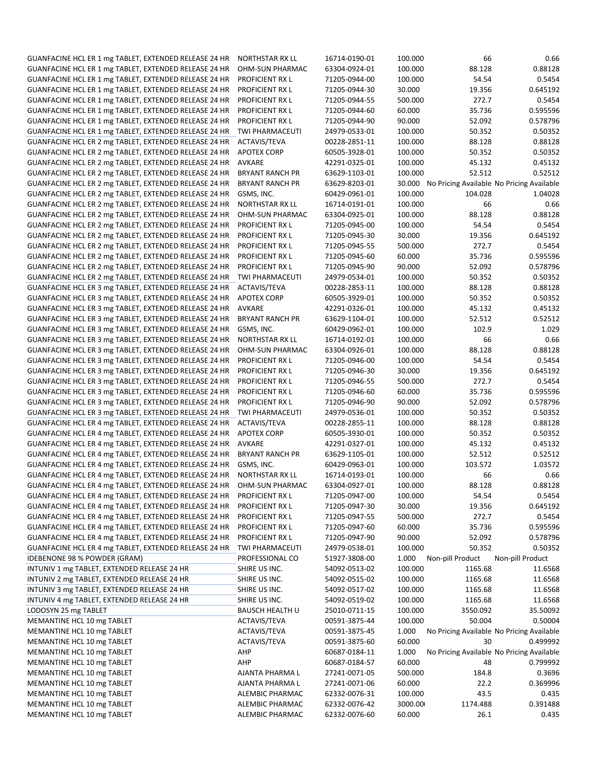| GUANFACINE HCL ER 1 mg TABLET, EXTENDED RELEASE 24 HR | <b>NORTHSTAR RX LL</b> | 16714-0190-01 | 100.000 | 66                                               | 0.66                                      |
|-------------------------------------------------------|------------------------|---------------|---------|--------------------------------------------------|-------------------------------------------|
| GUANFACINE HCL ER 1 mg TABLET, EXTENDED RELEASE 24 HR | OHM-SUN PHARMAC        | 63304-0924-01 | 100.000 | 88.128                                           | 0.88128                                   |
|                                                       |                        |               |         |                                                  |                                           |
| GUANFACINE HCL ER 1 mg TABLET, EXTENDED RELEASE 24 HR | PROFICIENT RX L        | 71205-0944-00 | 100.000 | 54.54                                            | 0.5454                                    |
| GUANFACINE HCL ER 1 mg TABLET, EXTENDED RELEASE 24 HR | PROFICIENT RX L        | 71205-0944-30 | 30.000  | 19.356                                           | 0.645192                                  |
| GUANFACINE HCL ER 1 mg TABLET, EXTENDED RELEASE 24 HR | PROFICIENT RX L        | 71205-0944-55 | 500.000 | 272.7                                            | 0.5454                                    |
| GUANFACINE HCL ER 1 mg TABLET, EXTENDED RELEASE 24 HR | PROFICIENT RX L        | 71205-0944-60 | 60.000  | 35.736                                           | 0.595596                                  |
| GUANFACINE HCL ER 1 mg TABLET, EXTENDED RELEASE 24 HR | <b>PROFICIENT RXL</b>  | 71205-0944-90 | 90.000  | 52.092                                           | 0.578796                                  |
| GUANFACINE HCL ER 1 mg TABLET, EXTENDED RELEASE 24 HR | TWI PHARMACEUTI        | 24979-0533-01 | 100.000 | 50.352                                           | 0.50352                                   |
| GUANFACINE HCL ER 2 mg TABLET, EXTENDED RELEASE 24 HR | ACTAVIS/TEVA           | 00228-2851-11 | 100.000 | 88.128                                           | 0.88128                                   |
| GUANFACINE HCL ER 2 mg TABLET, EXTENDED RELEASE 24 HR | <b>APOTEX CORP</b>     | 60505-3928-01 | 100.000 | 50.352                                           | 0.50352                                   |
| GUANFACINE HCL ER 2 mg TABLET, EXTENDED RELEASE 24 HR | <b>AVKARE</b>          | 42291-0325-01 | 100.000 | 45.132                                           | 0.45132                                   |
| GUANFACINE HCL ER 2 mg TABLET, EXTENDED RELEASE 24 HR | <b>BRYANT RANCH PR</b> | 63629-1103-01 | 100.000 | 52.512                                           | 0.52512                                   |
|                                                       |                        |               |         |                                                  |                                           |
| GUANFACINE HCL ER 2 mg TABLET, EXTENDED RELEASE 24 HR | <b>BRYANT RANCH PR</b> | 63629-8203-01 |         | 30.000 No Pricing Available No Pricing Available |                                           |
| GUANFACINE HCL ER 2 mg TABLET, EXTENDED RELEASE 24 HR | GSMS, INC.             | 60429-0961-01 | 100.000 | 104.028                                          | 1.04028                                   |
| GUANFACINE HCL ER 2 mg TABLET, EXTENDED RELEASE 24 HR | NORTHSTAR RX LL        | 16714-0191-01 | 100.000 | 66                                               | 0.66                                      |
| GUANFACINE HCL ER 2 mg TABLET, EXTENDED RELEASE 24 HR | <b>OHM-SUN PHARMAC</b> | 63304-0925-01 | 100.000 | 88.128                                           | 0.88128                                   |
| GUANFACINE HCL ER 2 mg TABLET, EXTENDED RELEASE 24 HR | PROFICIENT RX L        | 71205-0945-00 | 100.000 | 54.54                                            | 0.5454                                    |
| GUANFACINE HCL ER 2 mg TABLET, EXTENDED RELEASE 24 HR | PROFICIENT RX L        | 71205-0945-30 | 30.000  | 19.356                                           | 0.645192                                  |
| GUANFACINE HCL ER 2 mg TABLET, EXTENDED RELEASE 24 HR | PROFICIENT RX L        | 71205-0945-55 | 500.000 | 272.7                                            | 0.5454                                    |
| GUANFACINE HCL ER 2 mg TABLET, EXTENDED RELEASE 24 HR | PROFICIENT RX L        | 71205-0945-60 | 60.000  | 35.736                                           | 0.595596                                  |
| GUANFACINE HCL ER 2 mg TABLET, EXTENDED RELEASE 24 HR | PROFICIENT RX L        | 71205-0945-90 | 90.000  | 52.092                                           | 0.578796                                  |
| GUANFACINE HCL ER 2 mg TABLET, EXTENDED RELEASE 24 HR | <b>TWI PHARMACEUTI</b> | 24979-0534-01 | 100.000 | 50.352                                           | 0.50352                                   |
|                                                       |                        |               |         |                                                  |                                           |
| GUANFACINE HCL ER 3 mg TABLET, EXTENDED RELEASE 24 HR | ACTAVIS/TEVA           | 00228-2853-11 | 100.000 | 88.128                                           | 0.88128                                   |
| GUANFACINE HCL ER 3 mg TABLET, EXTENDED RELEASE 24 HR | <b>APOTEX CORP</b>     | 60505-3929-01 | 100.000 | 50.352                                           | 0.50352                                   |
| GUANFACINE HCL ER 3 mg TABLET, EXTENDED RELEASE 24 HR | <b>AVKARE</b>          | 42291-0326-01 | 100.000 | 45.132                                           | 0.45132                                   |
| GUANFACINE HCL ER 3 mg TABLET, EXTENDED RELEASE 24 HR | <b>BRYANT RANCH PR</b> | 63629-1104-01 | 100.000 | 52.512                                           | 0.52512                                   |
| GUANFACINE HCL ER 3 mg TABLET, EXTENDED RELEASE 24 HR | GSMS, INC.             | 60429-0962-01 | 100.000 | 102.9                                            | 1.029                                     |
| GUANFACINE HCL ER 3 mg TABLET, EXTENDED RELEASE 24 HR | NORTHSTAR RX LL        | 16714-0192-01 | 100.000 | 66                                               | 0.66                                      |
| GUANFACINE HCL ER 3 mg TABLET, EXTENDED RELEASE 24 HR | OHM-SUN PHARMAC        | 63304-0926-01 | 100.000 | 88.128                                           | 0.88128                                   |
| GUANFACINE HCL ER 3 mg TABLET, EXTENDED RELEASE 24 HR | PROFICIENT RX L        | 71205-0946-00 | 100.000 | 54.54                                            | 0.5454                                    |
| GUANFACINE HCL ER 3 mg TABLET, EXTENDED RELEASE 24 HR | <b>PROFICIENT RXL</b>  | 71205-0946-30 | 30.000  | 19.356                                           | 0.645192                                  |
| GUANFACINE HCL ER 3 mg TABLET, EXTENDED RELEASE 24 HR | PROFICIENT RX L        | 71205-0946-55 | 500.000 | 272.7                                            | 0.5454                                    |
| GUANFACINE HCL ER 3 mg TABLET, EXTENDED RELEASE 24 HR | <b>PROFICIENT RXL</b>  | 71205-0946-60 | 60.000  | 35.736                                           | 0.595596                                  |
|                                                       |                        |               |         |                                                  | 0.578796                                  |
| GUANFACINE HCL ER 3 mg TABLET, EXTENDED RELEASE 24 HR | <b>PROFICIENT RXL</b>  | 71205-0946-90 | 90.000  | 52.092                                           |                                           |
| GUANFACINE HCL ER 3 mg TABLET, EXTENDED RELEASE 24 HR | TWI PHARMACEUTI        | 24979-0536-01 | 100.000 | 50.352                                           | 0.50352                                   |
| GUANFACINE HCL ER 4 mg TABLET, EXTENDED RELEASE 24 HR | ACTAVIS/TEVA           | 00228-2855-11 | 100.000 | 88.128                                           | 0.88128                                   |
| GUANFACINE HCL ER 4 mg TABLET, EXTENDED RELEASE 24 HR | <b>APOTEX CORP</b>     | 60505-3930-01 | 100.000 | 50.352                                           | 0.50352                                   |
| GUANFACINE HCL ER 4 mg TABLET, EXTENDED RELEASE 24 HR | <b>AVKARE</b>          | 42291-0327-01 | 100.000 | 45.132                                           | 0.45132                                   |
| GUANFACINE HCL ER 4 mg TABLET, EXTENDED RELEASE 24 HR | <b>BRYANT RANCH PR</b> | 63629-1105-01 | 100.000 | 52.512                                           | 0.52512                                   |
| GUANFACINE HCL ER 4 mg TABLET, EXTENDED RELEASE 24 HR | GSMS, INC.             | 60429-0963-01 | 100.000 | 103.572                                          | 1.03572                                   |
| GUANFACINE HCL ER 4 mg TABLET, EXTENDED RELEASE 24 HR | <b>NORTHSTAR RX LL</b> | 16714-0193-01 | 100.000 | 66                                               | 0.66                                      |
| GUANFACINE HCL ER 4 mg TABLET, EXTENDED RELEASE 24 HR | OHM-SUN PHARMAC        | 63304-0927-01 | 100.000 | 88.128                                           | 0.88128                                   |
| GUANFACINE HCL ER 4 mg TABLET, EXTENDED RELEASE 24 HR | PROFICIENT RX L        | 71205-0947-00 | 100.000 | 54.54                                            | 0.5454                                    |
| GUANFACINE HCL ER 4 mg TABLET, EXTENDED RELEASE 24 HR | PROFICIENT RX L        | 71205-0947-30 | 30.000  | 19.356                                           | 0.645192                                  |
| GUANFACINE HCL ER 4 mg TABLET, EXTENDED RELEASE 24 HR | PROFICIENT RX L        | 71205-0947-55 | 500.000 | 272.7                                            | 0.5454                                    |
|                                                       | PROFICIENT RX L        |               |         |                                                  |                                           |
| GUANFACINE HCL ER 4 mg TABLET, EXTENDED RELEASE 24 HR |                        | 71205-0947-60 | 60.000  | 35.736                                           | 0.595596                                  |
| GUANFACINE HCL ER 4 mg TABLET, EXTENDED RELEASE 24 HR | PROFICIENT RX L        | 71205-0947-90 | 90.000  | 52.092                                           | 0.578796                                  |
| GUANFACINE HCL ER 4 mg TABLET, EXTENDED RELEASE 24 HR | TWI PHARMACEUTI        | 24979-0538-01 | 100.000 | 50.352                                           | 0.50352                                   |
| IDEBENONE 98 % POWDER (GRAM)                          | PROFESSIONAL CO        | 51927-3808-00 | 1.000   | Non-pill Product                                 | Non-pill Product                          |
| INTUNIV 1 mg TABLET, EXTENDED RELEASE 24 HR           | SHIRE US INC.          | 54092-0513-02 | 100.000 | 1165.68                                          | 11.6568                                   |
| INTUNIV 2 mg TABLET, EXTENDED RELEASE 24 HR           | SHIRE US INC.          | 54092-0515-02 | 100.000 | 1165.68                                          | 11.6568                                   |
| INTUNIV 3 mg TABLET, EXTENDED RELEASE 24 HR           | SHIRE US INC.          | 54092-0517-02 | 100.000 | 1165.68                                          | 11.6568                                   |
| INTUNIV 4 mg TABLET, EXTENDED RELEASE 24 HR           | SHIRE US INC.          | 54092-0519-02 | 100.000 | 1165.68                                          | 11.6568                                   |
| LODOSYN 25 mg TABLET                                  | <b>BAUSCH HEALTH U</b> | 25010-0711-15 | 100.000 | 3550.092                                         | 35.50092                                  |
| MEMANTINE HCL 10 mg TABLET                            | ACTAVIS/TEVA           | 00591-3875-44 | 100.000 | 50.004                                           | 0.50004                                   |
| MEMANTINE HCL 10 mg TABLET                            | ACTAVIS/TEVA           | 00591-3875-45 | 1.000   |                                                  | No Pricing Available No Pricing Available |
|                                                       |                        |               |         |                                                  |                                           |
| MEMANTINE HCL 10 mg TABLET                            | ACTAVIS/TEVA           | 00591-3875-60 | 60.000  | 30                                               | 0.499992                                  |
| MEMANTINE HCL 10 mg TABLET                            | AHP                    | 60687-0184-11 | 1.000   |                                                  | No Pricing Available No Pricing Available |
| MEMANTINE HCL 10 mg TABLET                            | AHP                    | 60687-0184-57 | 60.000  | 48                                               | 0.799992                                  |
| MEMANTINE HCL 10 mg TABLET                            | AJANTA PHARMA L        | 27241-0071-05 | 500.000 | 184.8                                            | 0.3696                                    |
| MEMANTINE HCL 10 mg TABLET                            |                        |               |         |                                                  |                                           |
|                                                       | AJANTA PHARMA L        | 27241-0071-06 | 60.000  | 22.2                                             | 0.369996                                  |
| MEMANTINE HCL 10 mg TABLET                            | ALEMBIC PHARMAC        | 62332-0076-31 | 100.000 | 43.5                                             | 0.435                                     |
| MEMANTINE HCL 10 mg TABLET                            | ALEMBIC PHARMAC        | 62332-0076-42 | 3000.00 | 1174.488                                         | 0.391488                                  |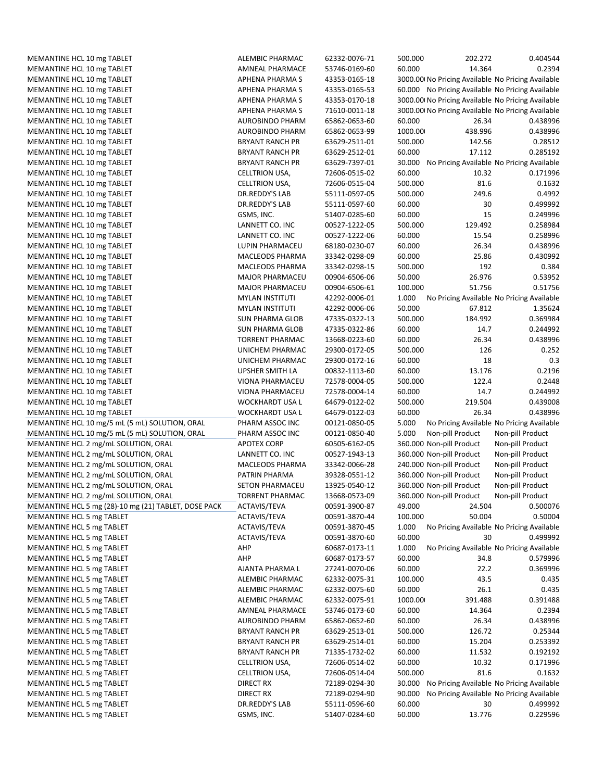|                                                      | <b>ALEMBIC PHARMAC</b> | 62332-0076-71 | 500.000 | 202.272                                           | 0.404544                                  |
|------------------------------------------------------|------------------------|---------------|---------|---------------------------------------------------|-------------------------------------------|
| MEMANTINE HCL 10 mg TABLET                           | <b>AMNEAL PHARMACE</b> | 53746-0169-60 | 60.000  | 14.364                                            | 0.2394                                    |
| MEMANTINE HCL 10 mg TABLET                           | <b>APHENA PHARMA S</b> | 43353-0165-18 |         | 3000.00 No Pricing Available No Pricing Available |                                           |
| MEMANTINE HCL 10 mg TABLET                           | <b>APHENA PHARMA S</b> | 43353-0165-53 |         | 60.000 No Pricing Available No Pricing Available  |                                           |
| MEMANTINE HCL 10 mg TABLET                           | <b>APHENA PHARMA S</b> | 43353-0170-18 |         | 3000.00 No Pricing Available No Pricing Available |                                           |
| MEMANTINE HCL 10 mg TABLET                           | <b>APHENA PHARMA S</b> | 71610-0011-18 |         | 3000.00 No Pricing Available No Pricing Available |                                           |
| MEMANTINE HCL 10 mg TABLET                           | <b>AUROBINDO PHARM</b> | 65862-0653-60 | 60.000  | 26.34                                             | 0.438996                                  |
| MEMANTINE HCL 10 mg TABLET                           | AUROBINDO PHARM        | 65862-0653-99 | 1000.00 | 438.996                                           | 0.438996                                  |
|                                                      | <b>BRYANT RANCH PR</b> | 63629-2511-01 | 500.000 | 142.56                                            | 0.28512                                   |
| MEMANTINE HCL 10 mg TABLET                           | <b>BRYANT RANCH PR</b> |               |         |                                                   |                                           |
| MEMANTINE HCL 10 mg TABLET                           |                        | 63629-2512-01 | 60.000  | 17.112                                            | 0.285192                                  |
| MEMANTINE HCL 10 mg TABLET                           | <b>BRYANT RANCH PR</b> | 63629-7397-01 | 30.000  | No Pricing Available No Pricing Available         |                                           |
| MEMANTINE HCL 10 mg TABLET                           | CELLTRION USA,         | 72606-0515-02 | 60.000  | 10.32                                             | 0.171996                                  |
| MEMANTINE HCL 10 mg TABLET                           | CELLTRION USA,         | 72606-0515-04 | 500.000 | 81.6                                              | 0.1632                                    |
| MEMANTINE HCL 10 mg TABLET                           | <b>DR.REDDY'S LAB</b>  | 55111-0597-05 | 500.000 | 249.6                                             | 0.4992                                    |
| MEMANTINE HCL 10 mg TABLET                           | DR.REDDY'S LAB         | 55111-0597-60 | 60.000  | 30                                                | 0.499992                                  |
| MEMANTINE HCL 10 mg TABLET                           | GSMS, INC.             | 51407-0285-60 | 60.000  | 15                                                | 0.249996                                  |
| MEMANTINE HCL 10 mg TABLET                           | LANNETT CO. INC        | 00527-1222-05 | 500.000 | 129.492                                           | 0.258984                                  |
| MEMANTINE HCL 10 mg TABLET                           | LANNETT CO. INC        | 00527-1222-06 | 60.000  | 15.54                                             | 0.258996                                  |
| MEMANTINE HCL 10 mg TABLET                           | LUPIN PHARMACEU        | 68180-0230-07 | 60.000  | 26.34                                             | 0.438996                                  |
| MEMANTINE HCL 10 mg TABLET                           | MACLEODS PHARMA        | 33342-0298-09 | 60.000  | 25.86                                             | 0.430992                                  |
| MEMANTINE HCL 10 mg TABLET                           | MACLEODS PHARMA        | 33342-0298-15 | 500.000 | 192                                               | 0.384                                     |
| MEMANTINE HCL 10 mg TABLET                           | <b>MAJOR PHARMACEU</b> | 00904-6506-06 | 50.000  | 26.976                                            | 0.53952                                   |
| MEMANTINE HCL 10 mg TABLET                           | <b>MAJOR PHARMACEU</b> | 00904-6506-61 | 100.000 | 51.756                                            | 0.51756                                   |
| MEMANTINE HCL 10 mg TABLET                           | <b>MYLAN INSTITUTI</b> | 42292-0006-01 | 1.000   | No Pricing Available No Pricing Available         |                                           |
| MEMANTINE HCL 10 mg TABLET                           | <b>MYLAN INSTITUTI</b> | 42292-0006-06 | 50.000  | 67.812                                            | 1.35624                                   |
| MEMANTINE HCL 10 mg TABLET                           | <b>SUN PHARMA GLOB</b> | 47335-0322-13 | 500.000 | 184.992                                           | 0.369984                                  |
| MEMANTINE HCL 10 mg TABLET                           | <b>SUN PHARMA GLOB</b> | 47335-0322-86 | 60.000  | 14.7                                              | 0.244992                                  |
| MEMANTINE HCL 10 mg TABLET                           | <b>TORRENT PHARMAC</b> | 13668-0223-60 | 60.000  | 26.34                                             | 0.438996                                  |
| MEMANTINE HCL 10 mg TABLET                           | UNICHEM PHARMAC        | 29300-0172-05 | 500.000 | 126                                               | 0.252                                     |
| MEMANTINE HCL 10 mg TABLET                           | UNICHEM PHARMAC        | 29300-0172-16 | 60.000  | 18                                                | 0.3                                       |
|                                                      |                        |               | 60.000  |                                                   |                                           |
| MEMANTINE HCL 10 mg TABLET                           | <b>UPSHER SMITH LA</b> | 00832-1113-60 |         | 13.176                                            | 0.2196                                    |
| MEMANTINE HCL 10 mg TABLET                           | VIONA PHARMACEU        | 72578-0004-05 | 500.000 | 122.4                                             | 0.2448                                    |
| MEMANTINE HCL 10 mg TABLET                           | VIONA PHARMACEU        | 72578-0004-14 | 60.000  | 14.7                                              | 0.244992                                  |
| MEMANTINE HCL 10 mg TABLET                           | WOCKHARDT USA L        | 64679-0122-02 | 500.000 | 219.504                                           | 0.439008                                  |
|                                                      |                        |               |         |                                                   |                                           |
| MEMANTINE HCL 10 mg TABLET                           | <b>WOCKHARDT USA L</b> | 64679-0122-03 | 60.000  | 26.34                                             | 0.438996                                  |
| MEMANTINE HCL 10 mg/5 mL (5 mL) SOLUTION, ORAL       | PHARM ASSOC INC        | 00121-0850-05 | 5.000   |                                                   | No Pricing Available No Pricing Available |
| MEMANTINE HCL 10 mg/5 mL (5 mL) SOLUTION, ORAL       | PHARM ASSOC INC        | 00121-0850-40 | 5.000   | Non-pill Product                                  | Non-pill Product                          |
| MEMANTINE HCL 2 mg/mL SOLUTION, ORAL                 | <b>APOTEX CORP</b>     | 60505-6162-05 |         | 360.000 Non-pill Product                          | Non-pill Product                          |
| MEMANTINE HCL 2 mg/mL SOLUTION, ORAL                 | LANNETT CO. INC        | 00527-1943-13 |         | 360.000 Non-pill Product                          | Non-pill Product                          |
| MEMANTINE HCL 2 mg/mL SOLUTION, ORAL                 | MACLEODS PHARMA        | 33342-0066-28 |         | 240.000 Non-pill Product                          | Non-pill Product                          |
| MEMANTINE HCL 2 mg/mL SOLUTION, ORAL                 | PATRIN PHARMA          | 39328-0551-12 |         | 360.000 Non-pill Product                          | Non-pill Product                          |
| MEMANTINE HCL 2 mg/mL SOLUTION, ORAL                 | <b>SETON PHARMACEU</b> | 13925-0540-12 |         | 360.000 Non-pill Product                          | Non-pill Product                          |
| MEMANTINE HCL 2 mg/mL SOLUTION, ORAL                 | <b>TORRENT PHARMAC</b> | 13668-0573-09 |         | 360.000 Non-pill Product                          | Non-pill Product                          |
| MEMANTINE HCL 5 mg (28)-10 mg (21) TABLET, DOSE PACK | ACTAVIS/TEVA           | 00591-3900-87 | 49.000  | 24.504                                            | 0.500076                                  |
| MEMANTINE HCL 5 mg TABLET                            | ACTAVIS/TEVA           | 00591-3870-44 | 100.000 | 50.004                                            | 0.50004                                   |
|                                                      | ACTAVIS/TEVA           | 00591-3870-45 |         |                                                   | No Pricing Available No Pricing Available |
| MEMANTINE HCL 5 mg TABLET                            |                        |               | 1.000   |                                                   |                                           |
| MEMANTINE HCL 5 mg TABLET                            | ACTAVIS/TEVA           | 00591-3870-60 | 60.000  | 30                                                | 0.499992                                  |
| MEMANTINE HCL 5 mg TABLET                            | AHP                    | 60687-0173-11 | 1.000   |                                                   | No Pricing Available No Pricing Available |
| MEMANTINE HCL 5 mg TABLET                            | AHP                    | 60687-0173-57 | 60.000  | 34.8                                              | 0.579996                                  |
| MEMANTINE HCL 5 mg TABLET                            | AJANTA PHARMA L        | 27241-0070-06 | 60.000  | 22.2                                              | 0.369996                                  |
| MEMANTINE HCL 5 mg TABLET                            | ALEMBIC PHARMAC        | 62332-0075-31 | 100.000 | 43.5                                              | 0.435                                     |
| MEMANTINE HCL 5 mg TABLET                            | ALEMBIC PHARMAC        | 62332-0075-60 | 60.000  | 26.1                                              | 0.435                                     |
| MEMANTINE HCL 5 mg TABLET                            | ALEMBIC PHARMAC        | 62332-0075-91 | 1000.00 | 391.488                                           | 0.391488                                  |
| MEMANTINE HCL 5 mg TABLET                            | AMNEAL PHARMACE        | 53746-0173-60 | 60.000  | 14.364                                            | 0.2394                                    |
| MEMANTINE HCL 5 mg TABLET                            | <b>AUROBINDO PHARM</b> | 65862-0652-60 | 60.000  | 26.34                                             | 0.438996                                  |
| MEMANTINE HCL 5 mg TABLET                            | <b>BRYANT RANCH PR</b> | 63629-2513-01 | 500.000 | 126.72                                            | 0.25344                                   |
| MEMANTINE HCL 5 mg TABLET                            | <b>BRYANT RANCH PR</b> | 63629-2514-01 | 60.000  | 15.204                                            | 0.253392                                  |
| MEMANTINE HCL 5 mg TABLET                            | <b>BRYANT RANCH PR</b> | 71335-1732-02 | 60.000  | 11.532                                            | 0.192192                                  |
| MEMANTINE HCL 5 mg TABLET                            | CELLTRION USA,         | 72606-0514-02 | 60.000  | 10.32                                             | 0.171996                                  |
| MEMANTINE HCL 5 mg TABLET                            | CELLTRION USA,         | 72606-0514-04 | 500.000 | 81.6                                              | 0.1632                                    |
| MEMANTINE HCL 5 mg TABLET                            | DIRECT RX              | 72189-0294-30 | 30.000  | No Pricing Available No Pricing Available         |                                           |
| MEMANTINE HCL 5 mg TABLET                            | DIRECT RX              | 72189-0294-90 | 90.000  | No Pricing Available No Pricing Available         |                                           |
| MEMANTINE HCL 5 mg TABLET                            | DR.REDDY'S LAB         | 55111-0596-60 | 60.000  | 30                                                | 0.499992                                  |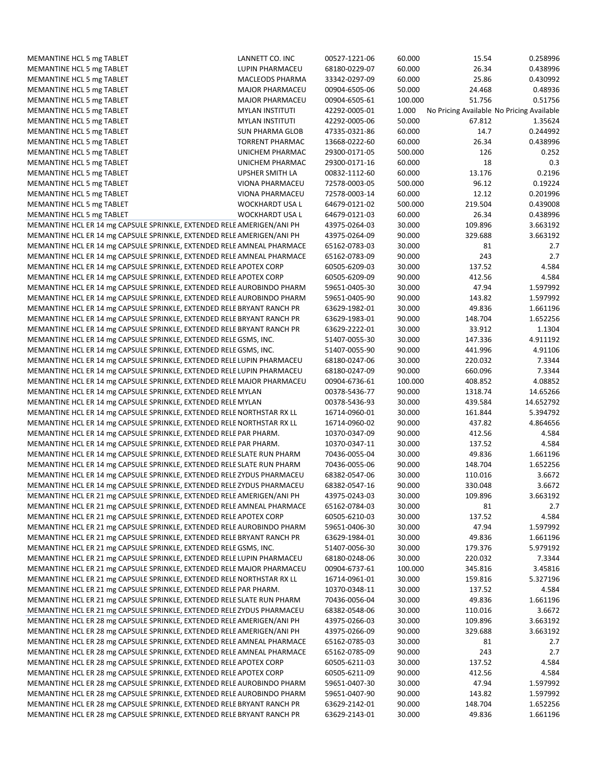| MEMANTINE HCL 5 mg TABLET                                              | LANNETT CO. INC        | 00527-1221-06 | 60.000  | 15.54   | 0.258996                                  |
|------------------------------------------------------------------------|------------------------|---------------|---------|---------|-------------------------------------------|
| MEMANTINE HCL 5 mg TABLET                                              | LUPIN PHARMACEU        | 68180-0229-07 | 60.000  | 26.34   | 0.438996                                  |
| MEMANTINE HCL 5 mg TABLET                                              | MACLEODS PHARMA        | 33342-0297-09 | 60.000  | 25.86   | 0.430992                                  |
| MEMANTINE HCL 5 mg TABLET                                              | <b>MAJOR PHARMACEU</b> | 00904-6505-06 | 50.000  | 24.468  | 0.48936                                   |
| MEMANTINE HCL 5 mg TABLET                                              | <b>MAJOR PHARMACEU</b> | 00904-6505-61 | 100.000 | 51.756  | 0.51756                                   |
| MEMANTINE HCL 5 mg TABLET                                              | <b>MYLAN INSTITUTI</b> | 42292-0005-01 | 1.000   |         | No Pricing Available No Pricing Available |
| MEMANTINE HCL 5 mg TABLET                                              | <b>MYLAN INSTITUTI</b> | 42292-0005-06 | 50.000  | 67.812  | 1.35624                                   |
| MEMANTINE HCL 5 mg TABLET                                              | <b>SUN PHARMA GLOB</b> | 47335-0321-86 | 60.000  | 14.7    | 0.244992                                  |
| MEMANTINE HCL 5 mg TABLET                                              | <b>TORRENT PHARMAC</b> | 13668-0222-60 | 60.000  | 26.34   | 0.438996                                  |
| MEMANTINE HCL 5 mg TABLET                                              | UNICHEM PHARMAC        | 29300-0171-05 | 500.000 | 126     | 0.252                                     |
| MEMANTINE HCL 5 mg TABLET                                              | UNICHEM PHARMAC        | 29300-0171-16 | 60.000  | 18      | 0.3                                       |
| MEMANTINE HCL 5 mg TABLET                                              | <b>UPSHER SMITH LA</b> | 00832-1112-60 | 60.000  | 13.176  | 0.2196                                    |
| MEMANTINE HCL 5 mg TABLET                                              | VIONA PHARMACEU        | 72578-0003-05 | 500.000 | 96.12   | 0.19224                                   |
| MEMANTINE HCL 5 mg TABLET                                              | VIONA PHARMACEU        | 72578-0003-14 | 60.000  | 12.12   | 0.201996                                  |
| MEMANTINE HCL 5 mg TABLET                                              | WOCKHARDT USA L        | 64679-0121-02 | 500.000 | 219.504 | 0.439008                                  |
| MEMANTINE HCL 5 mg TABLET                                              | WOCKHARDT USA L        | 64679-0121-03 | 60.000  | 26.34   | 0.438996                                  |
| MEMANTINE HCL ER 14 mg CAPSULE SPRINKLE, EXTENDED RELE AMERIGEN/ANI PH |                        | 43975-0264-03 | 30.000  | 109.896 | 3.663192                                  |
| MEMANTINE HCL ER 14 mg CAPSULE SPRINKLE, EXTENDED RELE AMERIGEN/ANI PH |                        | 43975-0264-09 | 90.000  | 329.688 | 3.663192                                  |
| MEMANTINE HCL ER 14 mg CAPSULE SPRINKLE, EXTENDED RELE AMNEAL PHARMACE |                        | 65162-0783-03 | 30.000  | 81      | 2.7                                       |
| MEMANTINE HCL ER 14 mg CAPSULE SPRINKLE, EXTENDED RELE AMNEAL PHARMACE |                        | 65162-0783-09 | 90.000  | 243     | 2.7                                       |
| MEMANTINE HCL ER 14 mg CAPSULE SPRINKLE, EXTENDED RELE APOTEX CORP     |                        | 60505-6209-03 | 30.000  | 137.52  | 4.584                                     |
| MEMANTINE HCL ER 14 mg CAPSULE SPRINKLE, EXTENDED RELE APOTEX CORP     |                        | 60505-6209-09 | 90.000  | 412.56  | 4.584                                     |
| MEMANTINE HCL ER 14 mg CAPSULE SPRINKLE, EXTENDED RELE AUROBINDO PHARM |                        | 59651-0405-30 | 30.000  | 47.94   | 1.597992                                  |
| MEMANTINE HCL ER 14 mg CAPSULE SPRINKLE, EXTENDED RELE AUROBINDO PHARM |                        | 59651-0405-90 | 90.000  | 143.82  | 1.597992                                  |
| MEMANTINE HCL ER 14 mg CAPSULE SPRINKLE, EXTENDED RELE BRYANT RANCH PR |                        | 63629-1982-01 | 30.000  | 49.836  | 1.661196                                  |
| MEMANTINE HCL ER 14 mg CAPSULE SPRINKLE, EXTENDED RELE BRYANT RANCH PR |                        | 63629-1983-01 | 90.000  | 148.704 | 1.652256                                  |
| MEMANTINE HCL ER 14 mg CAPSULE SPRINKLE, EXTENDED RELE BRYANT RANCH PR |                        | 63629-2222-01 | 30.000  | 33.912  | 1.1304                                    |
| MEMANTINE HCL ER 14 mg CAPSULE SPRINKLE, EXTENDED RELE GSMS, INC.      |                        | 51407-0055-30 | 30.000  | 147.336 | 4.911192                                  |
| MEMANTINE HCL ER 14 mg CAPSULE SPRINKLE, EXTENDED RELE GSMS, INC.      |                        | 51407-0055-90 | 90.000  | 441.996 | 4.91106                                   |
| MEMANTINE HCL ER 14 mg CAPSULE SPRINKLE, EXTENDED RELE LUPIN PHARMACEU |                        | 68180-0247-06 | 30.000  | 220.032 | 7.3344                                    |
| MEMANTINE HCL ER 14 mg CAPSULE SPRINKLE, EXTENDED RELE LUPIN PHARMACEU |                        | 68180-0247-09 | 90.000  | 660.096 | 7.3344                                    |
| MEMANTINE HCL ER 14 mg CAPSULE SPRINKLE, EXTENDED RELE MAJOR PHARMACEU |                        | 00904-6736-61 | 100.000 | 408.852 | 4.08852                                   |
| MEMANTINE HCL ER 14 mg CAPSULE SPRINKLE, EXTENDED RELE MYLAN           |                        | 00378-5436-77 | 90.000  | 1318.74 | 14.65266                                  |
| MEMANTINE HCL ER 14 mg CAPSULE SPRINKLE, EXTENDED RELE MYLAN           |                        | 00378-5436-93 | 30.000  | 439.584 | 14.652792                                 |
| MEMANTINE HCL ER 14 mg CAPSULE SPRINKLE, EXTENDED RELE NORTHSTAR RX LL |                        | 16714-0960-01 | 30.000  | 161.844 | 5.394792                                  |
| MEMANTINE HCL ER 14 mg CAPSULE SPRINKLE, EXTENDED RELE NORTHSTAR RX LL |                        | 16714-0960-02 | 90.000  | 437.82  | 4.864656                                  |
| MEMANTINE HCL ER 14 mg CAPSULE SPRINKLE, EXTENDED RELE PAR PHARM.      |                        | 10370-0347-09 | 90.000  | 412.56  | 4.584                                     |
| MEMANTINE HCL ER 14 mg CAPSULE SPRINKLE, EXTENDED RELE PAR PHARM.      |                        | 10370-0347-11 | 30.000  | 137.52  | 4.584                                     |
| MEMANTINE HCL ER 14 mg CAPSULE SPRINKLE, EXTENDED RELE SLATE RUN PHARM |                        | 70436-0055-04 | 30.000  | 49.836  | 1.661196                                  |
| MEMANTINE HCL ER 14 mg CAPSULE SPRINKLE, EXTENDED RELE SLATE RUN PHARM |                        | 70436-0055-06 | 90.000  | 148.704 | 1.652256                                  |
| MEMANTINE HCL ER 14 mg CAPSULE SPRINKLE, EXTENDED RELE ZYDUS PHARMACEU |                        | 68382-0547-06 | 30.000  | 110.016 | 3.6672                                    |
| MEMANTINE HCL ER 14 mg CAPSULE SPRINKLE, EXTENDED RELE ZYDUS PHARMACEU |                        | 68382-0547-16 | 90.000  | 330.048 | 3.6672                                    |
| MEMANTINE HCL ER 21 mg CAPSULE SPRINKLE, EXTENDED RELE AMERIGEN/ANI PH |                        | 43975-0243-03 | 30.000  | 109.896 | 3.663192                                  |
| MEMANTINE HCL ER 21 mg CAPSULE SPRINKLE, EXTENDED RELE AMNEAL PHARMACE |                        | 65162-0784-03 | 30.000  | 81      | 2.7                                       |
| MEMANTINE HCL ER 21 mg CAPSULE SPRINKLE, EXTENDED RELE APOTEX CORP     |                        | 60505-6210-03 | 30.000  | 137.52  | 4.584                                     |
| MEMANTINE HCL ER 21 mg CAPSULE SPRINKLE, EXTENDED RELE AUROBINDO PHARM |                        | 59651-0406-30 | 30.000  | 47.94   | 1.597992                                  |
| MEMANTINE HCL ER 21 mg CAPSULE SPRINKLE, EXTENDED RELE BRYANT RANCH PR |                        | 63629-1984-01 | 30.000  | 49.836  | 1.661196                                  |
| MEMANTINE HCL ER 21 mg CAPSULE SPRINKLE, EXTENDED RELE GSMS, INC.      |                        | 51407-0056-30 | 30.000  | 179.376 | 5.979192                                  |
| MEMANTINE HCL ER 21 mg CAPSULE SPRINKLE, EXTENDED RELE LUPIN PHARMACEU |                        | 68180-0248-06 | 30.000  | 220.032 | 7.3344                                    |
| MEMANTINE HCL ER 21 mg CAPSULE SPRINKLE, EXTENDED RELE MAJOR PHARMACEU |                        | 00904-6737-61 | 100.000 | 345.816 | 3.45816                                   |
| MEMANTINE HCL ER 21 mg CAPSULE SPRINKLE, EXTENDED RELE NORTHSTAR RX LL |                        | 16714-0961-01 | 30.000  | 159.816 | 5.327196                                  |
| MEMANTINE HCL ER 21 mg CAPSULE SPRINKLE, EXTENDED RELE PAR PHARM.      |                        | 10370-0348-11 | 30.000  | 137.52  | 4.584                                     |
| MEMANTINE HCL ER 21 mg CAPSULE SPRINKLE, EXTENDED RELE SLATE RUN PHARM |                        | 70436-0056-04 | 30.000  | 49.836  | 1.661196                                  |
| MEMANTINE HCL ER 21 mg CAPSULE SPRINKLE, EXTENDED RELE ZYDUS PHARMACEU |                        | 68382-0548-06 | 30.000  | 110.016 | 3.6672                                    |
| MEMANTINE HCL ER 28 mg CAPSULE SPRINKLE, EXTENDED RELE AMERIGEN/ANI PH |                        | 43975-0266-03 | 30.000  | 109.896 | 3.663192                                  |
| MEMANTINE HCL ER 28 mg CAPSULE SPRINKLE, EXTENDED RELE AMERIGEN/ANI PH |                        | 43975-0266-09 | 90.000  | 329.688 | 3.663192                                  |
| MEMANTINE HCL ER 28 mg CAPSULE SPRINKLE, EXTENDED RELE AMNEAL PHARMACE |                        | 65162-0785-03 | 30.000  | 81      | 2.7                                       |
| MEMANTINE HCL ER 28 mg CAPSULE SPRINKLE, EXTENDED RELE AMNEAL PHARMACE |                        | 65162-0785-09 | 90.000  | 243     | 2.7                                       |
| MEMANTINE HCL ER 28 mg CAPSULE SPRINKLE, EXTENDED RELE APOTEX CORP     |                        | 60505-6211-03 | 30.000  | 137.52  | 4.584                                     |
| MEMANTINE HCL ER 28 mg CAPSULE SPRINKLE, EXTENDED RELE APOTEX CORP     |                        | 60505-6211-09 | 90.000  | 412.56  | 4.584                                     |
| MEMANTINE HCL ER 28 mg CAPSULE SPRINKLE, EXTENDED RELE AUROBINDO PHARM |                        | 59651-0407-30 | 30.000  | 47.94   | 1.597992                                  |
| MEMANTINE HCL ER 28 mg CAPSULE SPRINKLE, EXTENDED RELE AUROBINDO PHARM |                        | 59651-0407-90 | 90.000  | 143.82  | 1.597992                                  |
| MEMANTINE HCL ER 28 mg CAPSULE SPRINKLE, EXTENDED RELE BRYANT RANCH PR |                        | 63629-2142-01 | 90.000  | 148.704 | 1.652256                                  |
| MEMANTINE HCL ER 28 mg CAPSULE SPRINKLE, EXTENDED RELE BRYANT RANCH PR |                        | 63629-2143-01 | 30.000  | 49.836  | 1.661196                                  |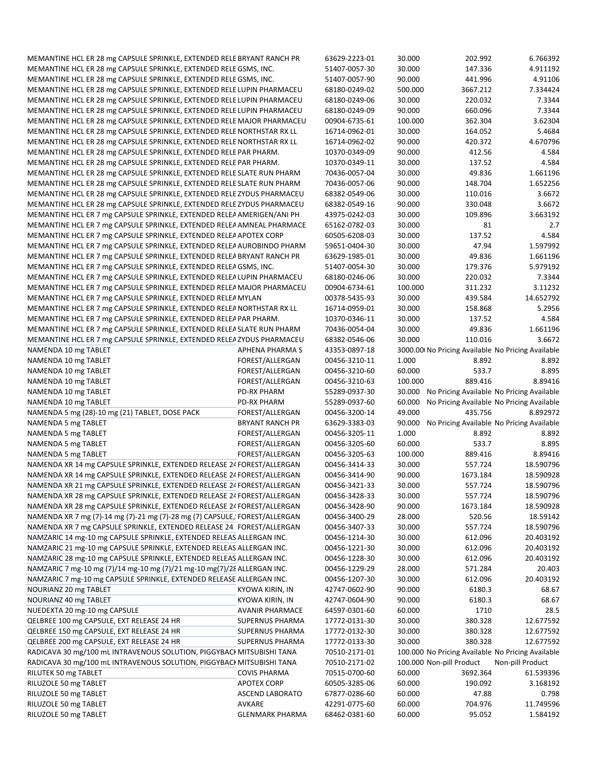|                                                                            | MEMANTINE HCL ER 28 mg CAPSULE SPRINKLE, EXTENDED RELE BRYANT RANCH PR | 63629-2223-01                  | 30.000           | 202.992                                           | 6.766392                                          |
|----------------------------------------------------------------------------|------------------------------------------------------------------------|--------------------------------|------------------|---------------------------------------------------|---------------------------------------------------|
| MEMANTINE HCL ER 28 mg CAPSULE SPRINKLE, EXTENDED RELE GSMS, INC.          |                                                                        | 51407-0057-30                  | 30.000           | 147.336                                           | 4.911192                                          |
| MEMANTINE HCL ER 28 mg CAPSULE SPRINKLE, EXTENDED RELE GSMS, INC.          |                                                                        | 51407-0057-90                  | 90.000           | 441.996                                           | 4.91106                                           |
| MEMANTINE HCL ER 28 mg CAPSULE SPRINKLE, EXTENDED RELE LUPIN PHARMACEU     |                                                                        | 68180-0249-02                  | 500.000          | 3667.212                                          | 7.334424                                          |
| MEMANTINE HCL ER 28 mg CAPSULE SPRINKLE, EXTENDED RELE LUPIN PHARMACEU     |                                                                        | 68180-0249-06                  | 30.000           | 220.032                                           | 7.3344                                            |
| MEMANTINE HCL ER 28 mg CAPSULE SPRINKLE, EXTENDED RELE LUPIN PHARMACEU     |                                                                        | 68180-0249-09                  | 90.000           | 660.096                                           | 7.3344                                            |
| MEMANTINE HCL ER 28 mg CAPSULE SPRINKLE, EXTENDED RELE MAJOR PHARMACEU     |                                                                        | 00904-6735-61                  | 100.000          | 362.304                                           | 3.62304                                           |
| MEMANTINE HCL ER 28 mg CAPSULE SPRINKLE, EXTENDED RELE NORTHSTAR RX LL     |                                                                        | 16714-0962-01                  | 30.000           | 164.052                                           | 5.4684                                            |
| MEMANTINE HCL ER 28 mg CAPSULE SPRINKLE, EXTENDED RELE NORTHSTAR RX LL     |                                                                        | 16714-0962-02                  | 90.000           | 420.372                                           | 4.670796                                          |
| MEMANTINE HCL ER 28 mg CAPSULE SPRINKLE, EXTENDED RELE PAR PHARM.          |                                                                        | 10370-0349-09                  | 90.000           | 412.56                                            | 4.584                                             |
| MEMANTINE HCL ER 28 mg CAPSULE SPRINKLE, EXTENDED RELE PAR PHARM.          |                                                                        | 10370-0349-11                  | 30.000           | 137.52                                            | 4.584                                             |
| MEMANTINE HCL ER 28 mg CAPSULE SPRINKLE, EXTENDED RELE SLATE RUN PHARM     |                                                                        | 70436-0057-04                  | 30.000           | 49.836                                            | 1.661196                                          |
| MEMANTINE HCL ER 28 mg CAPSULE SPRINKLE, EXTENDED RELE SLATE RUN PHARM     |                                                                        | 70436-0057-06                  | 90.000           | 148.704                                           | 1.652256                                          |
| MEMANTINE HCL ER 28 mg CAPSULE SPRINKLE, EXTENDED RELE ZYDUS PHARMACEU     |                                                                        | 68382-0549-06                  | 30.000           | 110.016                                           | 3.6672                                            |
| MEMANTINE HCL ER 28 mg CAPSULE SPRINKLE, EXTENDED RELE ZYDUS PHARMACEU     |                                                                        | 68382-0549-16                  | 90.000           | 330.048                                           | 3.6672                                            |
| MEMANTINE HCL ER 7 mg CAPSULE SPRINKLE, EXTENDED RELEA AMERIGEN/ANI PH     |                                                                        | 43975-0242-03                  | 30.000           | 109.896                                           | 3.663192                                          |
|                                                                            |                                                                        | 65162-0782-03                  |                  |                                                   |                                                   |
| MEMANTINE HCL ER 7 mg CAPSULE SPRINKLE, EXTENDED RELEA AMNEAL PHARMACE     |                                                                        |                                | 30.000           | 81                                                | 2.7                                               |
| MEMANTINE HCL ER 7 mg CAPSULE SPRINKLE, EXTENDED RELEA APOTEX CORP         |                                                                        | 60505-6208-03                  | 30.000           | 137.52                                            | 4.584                                             |
| MEMANTINE HCL ER 7 mg CAPSULE SPRINKLE, EXTENDED RELEA AUROBINDO PHARM     |                                                                        | 59651-0404-30                  | 30.000           | 47.94                                             | 1.597992                                          |
| MEMANTINE HCL ER 7 mg CAPSULE SPRINKLE, EXTENDED RELEA BRYANT RANCH PR     |                                                                        | 63629-1985-01                  | 30.000           | 49.836                                            | 1.661196                                          |
| MEMANTINE HCL ER 7 mg CAPSULE SPRINKLE, EXTENDED RELEAGSMS, INC.           |                                                                        | 51407-0054-30                  | 30.000           | 179.376                                           | 5.979192                                          |
| MEMANTINE HCL ER 7 mg CAPSULE SPRINKLE, EXTENDED RELEALUPIN PHARMACEU      |                                                                        | 68180-0246-06                  | 30.000           | 220.032                                           | 7.3344                                            |
| MEMANTINE HCL ER 7 mg CAPSULE SPRINKLE, EXTENDED RELEA MAJOR PHARMACEU     |                                                                        | 00904-6734-61                  | 100.000          | 311.232                                           | 3.11232                                           |
| MEMANTINE HCL ER 7 mg CAPSULE SPRINKLE, EXTENDED RELEA MYLAN               |                                                                        | 00378-5435-93                  | 30.000           | 439.584                                           | 14.652792                                         |
| MEMANTINE HCL ER 7 mg CAPSULE SPRINKLE, EXTENDED RELEA NORTHSTAR RX LL     |                                                                        | 16714-0959-01                  | 30.000           | 158.868                                           | 5.2956                                            |
| MEMANTINE HCL ER 7 mg CAPSULE SPRINKLE, EXTENDED RELEA PAR PHARM.          |                                                                        | 10370-0346-11                  | 30.000           | 137.52                                            | 4.584                                             |
| MEMANTINE HCL ER 7 mg CAPSULE SPRINKLE, EXTENDED RELEA SLATE RUN PHARM     |                                                                        | 70436-0054-04                  | 30.000           | 49.836                                            | 1.661196                                          |
| MEMANTINE HCL ER 7 mg CAPSULE SPRINKLE, EXTENDED RELEA ZYDUS PHARMACEU     |                                                                        | 68382-0546-06                  | 30.000           | 110.016                                           | 3.6672                                            |
| NAMENDA 10 mg TABLET                                                       | APHENA PHARMA S                                                        | 43353-0897-18                  |                  | 3000.00 No Pricing Available No Pricing Available |                                                   |
| NAMENDA 10 mg TABLET                                                       | FOREST/ALLERGAN                                                        | 00456-3210-11                  | 1.000            | 8.892                                             | 8.892                                             |
| NAMENDA 10 mg TABLET                                                       | FOREST/ALLERGAN                                                        | 00456-3210-60                  | 60.000           | 533.7                                             | 8.895                                             |
| NAMENDA 10 mg TABLET                                                       | FOREST/ALLERGAN                                                        | 00456-3210-63                  | 100.000          | 889.416                                           | 8.89416                                           |
| NAMENDA 10 mg TABLET                                                       | <b>PD-RX PHARM</b>                                                     | 55289-0937-30                  | 30.000           |                                                   | No Pricing Available No Pricing Available         |
| NAMENDA 10 mg TABLET                                                       | PD-RX PHARM                                                            | 55289-0937-60                  | 60.000           |                                                   | No Pricing Available No Pricing Available         |
| NAMENDA 5 mg (28)-10 mg (21) TABLET, DOSE PACK                             | FOREST/ALLERGAN                                                        | 00456-3200-14                  | 49.000           | 435.756                                           | 8.892972                                          |
| NAMENDA 5 mg TABLET                                                        | <b>BRYANT RANCH PR</b>                                                 |                                |                  |                                                   |                                                   |
|                                                                            |                                                                        | 63629-3383-03                  | 90.000           |                                                   | No Pricing Available No Pricing Available         |
| NAMENDA 5 mg TABLET                                                        | FOREST/ALLERGAN                                                        | 00456-3205-11                  | 1.000            | 8.892                                             | 8.892                                             |
| NAMENDA 5 mg TABLET                                                        | FOREST/ALLERGAN                                                        | 00456-3205-60                  | 60.000           | 533.7                                             | 8.895                                             |
| NAMENDA 5 mg TABLET                                                        | FOREST/ALLERGAN                                                        | 00456-3205-63                  | 100.000          | 889.416                                           | 8.89416                                           |
| NAMENDA XR 14 mg CAPSULE SPRINKLE, EXTENDED RELEASE 24 FOREST/ALLERGAN     |                                                                        | 00456-3414-33                  | 30.000           | 557.724                                           | 18.590796                                         |
| NAMENDA XR 14 mg CAPSULE SPRINKLE, EXTENDED RELEASE 24 FOREST/ALLERGAN     |                                                                        | 00456-3414-90                  | 90.000           | 1673.184                                          | 18.590928                                         |
| NAMENDA XR 21 mg CAPSULE SPRINKLE, EXTENDED RELEASE 24 FOREST/ALLERGAN     |                                                                        | 00456-3421-33                  | 30.000           | 557.724                                           |                                                   |
|                                                                            |                                                                        | 00456-3428-33                  |                  |                                                   | 18.590796                                         |
| NAMENDA XR 28 mg CAPSULE SPRINKLE, EXTENDED RELEASE 24 FOREST/ALLERGAN     |                                                                        | 00456-3428-90                  | 30.000<br>90.000 | 557.724<br>1673.184                               | 18.590796<br>18.590928                            |
| NAMENDA XR 28 mg CAPSULE SPRINKLE, EXTENDED RELEASE 24 FOREST/ALLERGAN     |                                                                        | 00456-3400-29                  | 28.000           | 520.56                                            | 18.59142                                          |
| NAMENDA XR 7 mg (7)-14 mg (7)-21 mg (7)-28 mg (7) CAPSULE, FOREST/ALLERGAN |                                                                        |                                |                  |                                                   |                                                   |
| NAMENDA XR 7 mg CAPSULE SPRINKLE, EXTENDED RELEASE 24 FOREST/ALLERGAN      |                                                                        | 00456-3407-33                  | 30.000           | 557.724                                           | 18.590796                                         |
| NAMZARIC 14 mg-10 mg CAPSULE SPRINKLE, EXTENDED RELEAS ALLERGAN INC.       |                                                                        | 00456-1214-30                  | 30.000           | 612.096                                           | 20.403192                                         |
| NAMZARIC 21 mg-10 mg CAPSULE SPRINKLE, EXTENDED RELEAS ALLERGAN INC.       |                                                                        | 00456-1221-30                  | 30.000           | 612.096                                           | 20.403192                                         |
| NAMZARIC 28 mg-10 mg CAPSULE SPRINKLE, EXTENDED RELEAS ALLERGAN INC.       |                                                                        | 00456-1228-30                  | 30.000           | 612.096                                           | 20.403192                                         |
| NAMZARIC 7 mg-10 mg (7)/14 mg-10 mg (7)/21 mg-10 mg (7)/28 ALLERGAN INC.   |                                                                        | 00456-1229-29                  | 28.000           | 571.284                                           | 20.403                                            |
| NAMZARIC 7 mg-10 mg CAPSULE SPRINKLE, EXTENDED RELEASE ALLERGAN INC.       |                                                                        | 00456-1207-30                  | 30.000           | 612.096                                           | 20.403192                                         |
| NOURIANZ 20 mg TABLET                                                      | KYOWA KIRIN, IN                                                        | 42747-0602-90                  | 90.000           | 6180.3                                            | 68.67                                             |
| NOURIANZ 40 mg TABLET                                                      | KYOWA KIRIN, IN                                                        | 42747-0604-90                  | 90.000           | 6180.3                                            | 68.67                                             |
| NUEDEXTA 20 mg-10 mg CAPSULE                                               | <b>AVANIR PHARMACE</b>                                                 | 64597-0301-60                  | 60.000           | 1710                                              | 28.5                                              |
| QELBREE 100 mg CAPSULE, EXT RELEASE 24 HR                                  | SUPERNUS PHARMA                                                        | 17772-0131-30                  | 30.000           | 380.328                                           | 12.677592                                         |
| QELBREE 150 mg CAPSULE, EXT RELEASE 24 HR                                  | SUPERNUS PHARMA                                                        | 17772-0132-30                  | 30.000           | 380.328                                           | 12.677592                                         |
| QELBREE 200 mg CAPSULE, EXT RELEASE 24 HR                                  | SUPERNUS PHARMA                                                        | 17772-0133-30                  | 30.000           | 380.328                                           | 12.677592                                         |
| RADICAVA 30 mg/100 mL INTRAVENOUS SOLUTION, PIGGYBACI MITSUBISHI TANA      |                                                                        | 70510-2171-01                  |                  |                                                   | 100.000 No Pricing Available No Pricing Available |
| RADICAVA 30 mg/100 mL INTRAVENOUS SOLUTION, PIGGYBACI MITSUBISHI TANA      |                                                                        | 70510-2171-02                  |                  | 100.000 Non-pill Product                          | Non-pill Product                                  |
| RILUTEK 50 mg TABLET                                                       | <b>COVIS PHARMA</b>                                                    | 70515-0700-60                  | 60.000           | 3692.364                                          | 61.539396                                         |
| RILUZOLE 50 mg TABLET                                                      | <b>APOTEX CORP</b>                                                     | 60505-3285-06                  | 60.000           | 190.092                                           | 3.168192                                          |
| RILUZOLE 50 mg TABLET                                                      | <b>ASCEND LABORATO</b>                                                 | 67877-0286-60                  | 60.000           | 47.88                                             | 0.798                                             |
| RILUZOLE 50 mg TABLET<br>RILUZOLE 50 mg TABLET                             | <b>AVKARE</b><br><b>GLENMARK PHARMA</b>                                | 42291-0775-60<br>68462-0381-60 | 60.000<br>60.000 | 704.976<br>95.052                                 | 11.749596<br>1.584192                             |